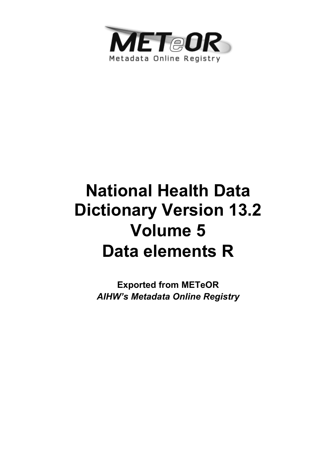

# **National Health Data Dictionary Version 13.2 Volume 5 Data elements R**

**Exported from METeOR**  *AIHW's Metadata Online Registry*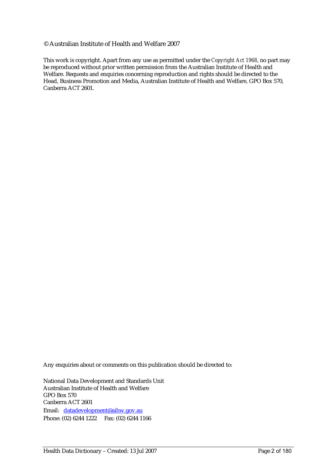#### © Australian Institute of Health and Welfare 2007

This work is copyright. Apart from any use as permitted under the *Copyright Act 1968*, no part may be reproduced without prior written permission from the Australian Institute of Health and Welfare. Requests and enquiries concerning reproduction and rights should be directed to the Head, Business Promotion and Media, Australian Institute of Health and Welfare, GPO Box 570, Canberra ACT 2601.

Any enquiries about or comments on this publication should be directed to:

National Data Development and Standards Unit Australian Institute of Health and Welfare GPO Box 570 Canberra ACT 2601 Email: datadevelopment@aihw.gov.au Phone: (02) 6244 1222 Fax: (02) 6244 1166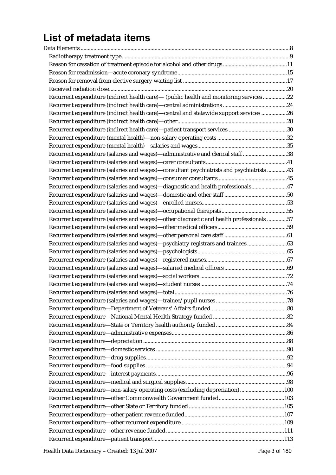# List of metadata items

| Recurrent expenditure (indirect health care)- (public health and monitoring services22    |  |
|-------------------------------------------------------------------------------------------|--|
|                                                                                           |  |
| Recurrent expenditure (indirect health care)-central and statewide support services 26    |  |
|                                                                                           |  |
|                                                                                           |  |
|                                                                                           |  |
|                                                                                           |  |
| Recurrent expenditure (salaries and wages)—administrative and clerical staff 38           |  |
|                                                                                           |  |
| Recurrent expenditure (salaries and wages)—consultant psychiatrists and psychiatrists  43 |  |
|                                                                                           |  |
| Recurrent expenditure (salaries and wages)-diagnostic and health professionals47          |  |
|                                                                                           |  |
|                                                                                           |  |
|                                                                                           |  |
| Recurrent expenditure (salaries and wages)-other diagnostic and health professionals 57   |  |
|                                                                                           |  |
|                                                                                           |  |
| Recurrent expenditure (salaries and wages)-psychiatry registrars and trainees63           |  |
|                                                                                           |  |
|                                                                                           |  |
|                                                                                           |  |
|                                                                                           |  |
|                                                                                           |  |
|                                                                                           |  |
|                                                                                           |  |
|                                                                                           |  |
|                                                                                           |  |
|                                                                                           |  |
|                                                                                           |  |
|                                                                                           |  |
|                                                                                           |  |
|                                                                                           |  |
|                                                                                           |  |
|                                                                                           |  |
|                                                                                           |  |
| Recurrent expenditure—non-salary operating costs (excluding depreciation) 100             |  |
|                                                                                           |  |
|                                                                                           |  |
|                                                                                           |  |
|                                                                                           |  |
|                                                                                           |  |
|                                                                                           |  |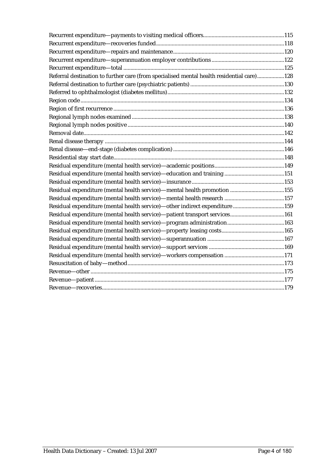| Referral destination to further care (from specialised mental health residential care)128 |  |  |
|-------------------------------------------------------------------------------------------|--|--|
|                                                                                           |  |  |
|                                                                                           |  |  |
|                                                                                           |  |  |
|                                                                                           |  |  |
|                                                                                           |  |  |
|                                                                                           |  |  |
|                                                                                           |  |  |
|                                                                                           |  |  |
|                                                                                           |  |  |
|                                                                                           |  |  |
|                                                                                           |  |  |
|                                                                                           |  |  |
|                                                                                           |  |  |
|                                                                                           |  |  |
|                                                                                           |  |  |
| Residual expenditure (mental health service)—other indirect expenditure 159               |  |  |
| Residual expenditure (mental health service)-patient transport services161                |  |  |
|                                                                                           |  |  |
|                                                                                           |  |  |
|                                                                                           |  |  |
|                                                                                           |  |  |
|                                                                                           |  |  |
|                                                                                           |  |  |
|                                                                                           |  |  |
|                                                                                           |  |  |
|                                                                                           |  |  |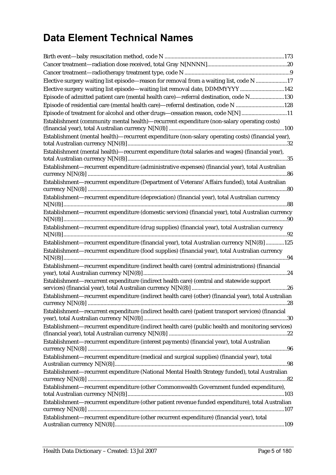# **Data Element Technical Names**

| Elective surgery waiting list episode—reason for removal from a waiting list, code N 17               |  |
|-------------------------------------------------------------------------------------------------------|--|
| Elective surgery waiting list episode—waiting list removal date, DDMMYYYY 142                         |  |
| Episode of admitted patient care (mental health care)—referral destination, code N130                 |  |
| Episode of residential care (mental health care)-referral destination, code N 128                     |  |
| Episode of treatment for alcohol and other drugs-cessation reason, code N[N] 11                       |  |
| Establishment (community mental health)—recurrent expenditure (non-salary operating costs)            |  |
|                                                                                                       |  |
| Establishment (mental health)-recurrent expenditure (non-salary operating costs) (financial year),    |  |
|                                                                                                       |  |
| Establishment (mental health)—recurrent expenditure (total salaries and wages) (financial year),      |  |
| Establishment-recurrent expenditure (administrative expenses) (financial year), total Australian      |  |
| Establishment-recurrent expenditure (Department of Veterans' Affairs funded), total Australian        |  |
| Establishment—recurrent expenditure (depreciation) (financial year), total Australian currency        |  |
| Establishment-recurrent expenditure (domestic services) (financial year), total Australian currency   |  |
| Establishment-recurrent expenditure (drug supplies) (financial year), total Australian currency       |  |
| Establishment—recurrent expenditure (financial year), total Australian currency N[N(8)] 125           |  |
| Establishment-recurrent expenditure (food supplies) (financial year), total Australian currency       |  |
| Establishment—recurrent expenditure (indirect health care) (central administrations) (financial       |  |
| Establishment-recurrent expenditure (indirect health care) (central and statewide support             |  |
| Establishment-recurrent expenditure (indirect health care) (other) (financial year), total Australian |  |
| Establishment—recurrent expenditure (indirect health care) (patient transport services) (financial    |  |
| Establishment—recurrent expenditure (indirect health care) (public health and monitoring services)    |  |
| Establishment-recurrent expenditure (interest payments) (financial year), total Australian            |  |
| Establishment-recurrent expenditure (medical and surgical supplies) (financial year), total           |  |
| Establishment-recurrent expenditure (National Mental Health Strategy funded), total Australian        |  |
| Establishment-recurrent expenditure (other Commonwealth Government funded expenditure),               |  |
| Establishment-recurrent expenditure (other patient revenue funded expenditure), total Australian      |  |
| Establishment—recurrent expenditure (other recurrent expenditure) (financial year), total             |  |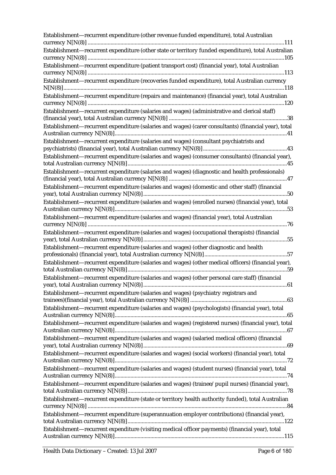| Establishment—recurrent expenditure (other revenue funded expenditure), total Australian                                                                                                          |
|---------------------------------------------------------------------------------------------------------------------------------------------------------------------------------------------------|
| Establishment-recurrent expenditure (other state or territory funded expenditure), total Australian                                                                                               |
| Establishment-recurrent expenditure (patient transport cost) (financial year), total Australian                                                                                                   |
| Establishment-recurrent expenditure (recoveries funded expenditure), total Australian currency                                                                                                    |
| Establishment-recurrent expenditure (repairs and maintenance) (financial year), total Australian                                                                                                  |
| Establishment—recurrent expenditure (salaries and wages) (administrative and clerical staff)                                                                                                      |
| Establishment-recurrent expenditure (salaries and wages) (carer consultants) (financial year), total                                                                                              |
| Establishment-recurrent expenditure (salaries and wages) (consultant psychiatrists and                                                                                                            |
| Establishment-recurrent expenditure (salaries and wages) (consumer consultants) (financial year),                                                                                                 |
| Establishment-recurrent expenditure (salaries and wages) (diagnostic and health professionals)                                                                                                    |
| Establishment-recurrent expenditure (salaries and wages) (domestic and other staff) (financial                                                                                                    |
| Establishment-recurrent expenditure (salaries and wages) (enrolled nurses) (financial year), total<br>Establishment-recurrent expenditure (salaries and wages) (financial year), total Australian |
| Establishment-recurrent expenditure (salaries and wages) (occupational therapists) (financial                                                                                                     |
| Establishment-recurrent expenditure (salaries and wages) (other diagnostic and health                                                                                                             |
| Establishment-recurrent expenditure (salaries and wages) (other medical officers) (financial year),                                                                                               |
| Establishment—recurrent expenditure (salaries and wages) (other personal care staff) (financial                                                                                                   |
| Establishment—recurrent expenditure (salaries and wages) (psychiatry registrars and                                                                                                               |
| Establishment—recurrent expenditure (salaries and wages) (psychologists) (financial year), total                                                                                                  |
| Establishment-recurrent expenditure (salaries and wages) (registered nurses) (financial year), total                                                                                              |
| Establishment—recurrent expenditure (salaries and wages) (salaried medical officers) (financial                                                                                                   |
| Establishment—recurrent expenditure (salaries and wages) (social workers) (financial year), total                                                                                                 |
| Establishment-recurrent expenditure (salaries and wages) (student nurses) (financial year), total                                                                                                 |
| Establishment—recurrent expenditure (salaries and wages) (trainee/pupil nurses) (financial year),                                                                                                 |
| Establishment—recurrent expenditure (state or territory health authority funded), total Australian                                                                                                |
| Establishment—recurrent expenditure (superannuation employer contributions) (financial year),                                                                                                     |
| Establishment-recurrent expenditure (visiting medical officer payments) (financial year), total                                                                                                   |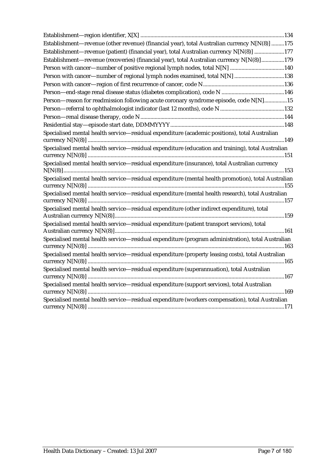| Establishment-revenue (other revenue) (financial year), total Australian currency N[N(8)] 175      |
|----------------------------------------------------------------------------------------------------|
| Establishment—revenue (patient) (financial year), total Australian currency N[N(8)] 177            |
| Establishment—revenue (recoveries) (financial year), total Australian currency N[N(8)] 179         |
|                                                                                                    |
| Person with cancer—number of regional lymph nodes examined, total N[N] 138                         |
|                                                                                                    |
|                                                                                                    |
| Person-reason for readmission following acute coronary syndrome episode, code N[N]15               |
|                                                                                                    |
|                                                                                                    |
|                                                                                                    |
| Specialised mental health service-residual expenditure (academic positions), total Australian      |
| Specialised mental health service-residual expenditure (education and training), total Australian  |
| Specialised mental health service-residual expenditure (insurance), total Australian currency      |
| Specialised mental health service-residual expenditure (mental health promotion), total Australian |
| Specialised mental health service-residual expenditure (mental health research), total Australian  |
| Specialised mental health service-residual expenditure (other indirect expenditure), total         |
| Specialised mental health service-residual expenditure (patient transport services), total         |
| Specialised mental health service-residual expenditure (program administration), total Australian  |
| Specialised mental health service-residual expenditure (property leasing costs), total Australian  |
| Specialised mental health service-residual expenditure (superannuation), total Australian          |
| Specialised mental health service-residual expenditure (support services), total Australian        |
| Specialised mental health service-residual expenditure (workers compensation), total Australian    |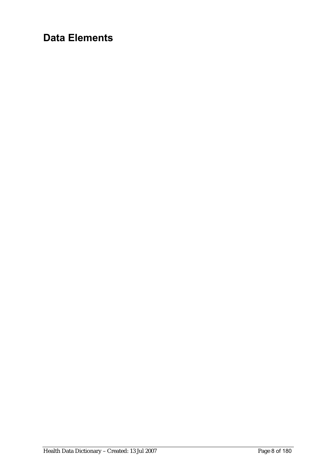# **Data Elements**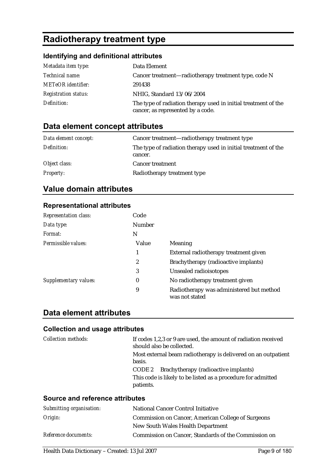# **Radiotherapy treatment type**

### **Identifying and definitional attributes**

| Metadata item type:         | Data Element                                                                                        |
|-----------------------------|-----------------------------------------------------------------------------------------------------|
| Technical name:             | Cancer treatment—radiotherapy treatment type, code N                                                |
| <b>METeOR</b> identifier:   | 291438                                                                                              |
| <b>Registration status:</b> | NHIG, Standard 13/06/2004                                                                           |
| Definition:                 | The type of radiation therapy used in initial treatment of the<br>cancer, as represented by a code. |

### **Data element concept attributes**

| Data element concept: | Cancer treatment—radiotherapy treatment type                              |
|-----------------------|---------------------------------------------------------------------------|
| Definition:           | The type of radiation therapy used in initial treatment of the<br>cancer. |
| Object class:         | <b>Cancer treatment</b>                                                   |
| <b>Property:</b>      | Radiotherapy treatment type                                               |

### **Value domain attributes**

### **Representational attributes**

| <b>Representation class:</b> | Code             |                                                            |
|------------------------------|------------------|------------------------------------------------------------|
| Data type:                   | Number           |                                                            |
| Format:                      | N                |                                                            |
| Permissible values:          | Value            | <b>Meaning</b>                                             |
|                              | 1                | External radiotherapy treatment given                      |
|                              | $\boldsymbol{2}$ | Brachytherapy (radioactive implants)                       |
|                              | 3                | Unsealed radioisotopes                                     |
| Supplementary values:        | 0                | No radiotherapy treatment given                            |
|                              | 9                | Radiotherapy was administered but method<br>was not stated |

### **Data element attributes**

### **Collection and usage attributes**

| Collection methods: | If codes 1,2,3 or 9 are used, the amount of radiation received<br>should also be collected.                 |
|---------------------|-------------------------------------------------------------------------------------------------------------|
|                     | Most external beam radiotherapy is delivered on an outpatient<br>basis.                                     |
|                     | CODE 2 Brachytherapy (radioactive implants)<br>This code is likely to be listed as a procedure for admitted |
|                     | patients.                                                                                                   |

| Submitting organisation: | <b>National Cancer Control Initiative</b>            |
|--------------------------|------------------------------------------------------|
| Origin:                  | Commission on Cancer, American College of Surgeons   |
|                          | New South Wales Health Department                    |
| Reference documents:     | Commission on Cancer, Standards of the Commission on |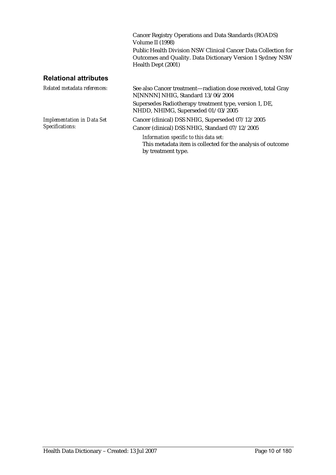Cancer Registry Operations and Data Standards (ROADS) Volume II<sup>(1998)</sup> Public Health Division NSW Clinical Cancer Data Collection for Outcomes and Quality. Data Dictionary Version 1 Sydney NSW Health Dept (2001)

### **Relational attributes**

| Related metadata references:                         | See also Cancer treatment-radiation dose received, total Gray<br>N[NNNN] NHIG, Standard 13/06/2004                          |
|------------------------------------------------------|-----------------------------------------------------------------------------------------------------------------------------|
|                                                      | Supersedes Radiotherapy treatment type, version 1, DE,<br>NHDD, NHIMG, Superseded 01/03/2005                                |
| <b>Implementation in Data Set</b><br>Specifications: | Cancer (clinical) DSS NHIG, Superseded 07/12/2005<br>Cancer (clinical) DSS NHIG, Standard 07/12/2005                        |
|                                                      | Information specific to this data set:<br>This metadata item is collected for the analysis of outcome<br>by treatment type. |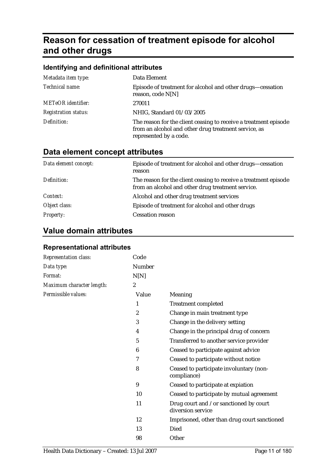# **Reason for cessation of treatment episode for alcohol and other drugs**

| Identifying and definitional attributes                                                                                                            |  |  |
|----------------------------------------------------------------------------------------------------------------------------------------------------|--|--|
| Data Element                                                                                                                                       |  |  |
| Episode of treatment for alcohol and other drugs—cessation<br>reason, code N[N]                                                                    |  |  |
| 270011                                                                                                                                             |  |  |
| NHIG, Standard 01/03/2005                                                                                                                          |  |  |
| The reason for the client ceasing to receive a treatment episode<br>from an alcohol and other drug treatment service, as<br>represented by a code. |  |  |
|                                                                                                                                                    |  |  |

# **Data element concept attributes**

| Data element concept: | Episode of treatment for alcohol and other drugs—cessation<br>reason                                                  |
|-----------------------|-----------------------------------------------------------------------------------------------------------------------|
| Definition:           | The reason for the client ceasing to receive a treatment episode<br>from an alcohol and other drug treatment service. |
| Context:              | Alcohol and other drug treatment services                                                                             |
| Object class:         | Episode of treatment for alcohol and other drugs                                                                      |
| <b>Property:</b>      | <b>Cessation reason</b>                                                                                               |

## **Value domain attributes**

| <b>Representation class:</b> | Code             |                                                             |
|------------------------------|------------------|-------------------------------------------------------------|
| Data type:                   | Number           |                                                             |
| Format:                      | N[N]             |                                                             |
| Maximum character length:    | $\boldsymbol{2}$ |                                                             |
| Permissible values:          | Value            | Meaning                                                     |
|                              | 1                | <b>Treatment completed</b>                                  |
|                              | $\boldsymbol{2}$ | Change in main treatment type                               |
|                              | 3                | Change in the delivery setting                              |
|                              | 4                | Change in the principal drug of concern                     |
|                              | 5                | Transferred to another service provider                     |
|                              | 6                | Ceased to participate against advice                        |
|                              | 7                | Ceased to participate without notice                        |
|                              | 8                | Ceased to participate involuntary (non-<br>compliance)      |
|                              | 9                | Ceased to participate at expiation                          |
|                              | 10               | Ceased to participate by mutual agreement                   |
|                              | 11               | Drug court and /or sanctioned by court<br>diversion service |
|                              | 12               | Imprisoned, other than drug court sanctioned                |
|                              | 13               | Died                                                        |
|                              | 98               | Other                                                       |

### **Representational attributes**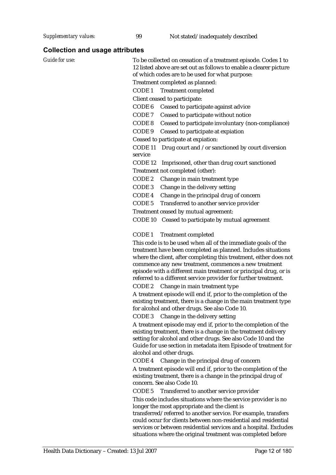| oonecuon and usage allinules |                                                                                                                                                                                                                                                                                                                                                                                                       |
|------------------------------|-------------------------------------------------------------------------------------------------------------------------------------------------------------------------------------------------------------------------------------------------------------------------------------------------------------------------------------------------------------------------------------------------------|
| Guide for use:               | To be collected on cessation of a treatment episode. Codes 1 to<br>12 listed above are set out as follows to enable a clearer picture<br>of which codes are to be used for what purpose:                                                                                                                                                                                                              |
|                              | Treatment completed as planned:                                                                                                                                                                                                                                                                                                                                                                       |
|                              | CODE <sub>1</sub><br><b>Treatment completed</b>                                                                                                                                                                                                                                                                                                                                                       |
|                              | Client ceased to participate:                                                                                                                                                                                                                                                                                                                                                                         |
|                              | CODE <sub>6</sub><br>Ceased to participate against advice                                                                                                                                                                                                                                                                                                                                             |
|                              | CODE 7<br>Ceased to participate without notice                                                                                                                                                                                                                                                                                                                                                        |
|                              | CODE 8<br>Ceased to participate involuntary (non-compliance)                                                                                                                                                                                                                                                                                                                                          |
|                              | CODE <sub>9</sub>                                                                                                                                                                                                                                                                                                                                                                                     |
|                              | Ceased to participate at expiation                                                                                                                                                                                                                                                                                                                                                                    |
|                              | Ceased to participate at expiation:                                                                                                                                                                                                                                                                                                                                                                   |
|                              | Drug court and /or sanctioned by court diversion<br>CODE 11<br>service                                                                                                                                                                                                                                                                                                                                |
|                              | CODE 12                                                                                                                                                                                                                                                                                                                                                                                               |
|                              | Imprisoned, other than drug court sanctioned                                                                                                                                                                                                                                                                                                                                                          |
|                              | Treatment not completed (other):                                                                                                                                                                                                                                                                                                                                                                      |
|                              | CODE 2<br>Change in main treatment type                                                                                                                                                                                                                                                                                                                                                               |
|                              | CODE <sub>3</sub><br>Change in the delivery setting                                                                                                                                                                                                                                                                                                                                                   |
|                              | CODE 4<br>Change in the principal drug of concern                                                                                                                                                                                                                                                                                                                                                     |
|                              | CODE <sub>5</sub><br>Transferred to another service provider                                                                                                                                                                                                                                                                                                                                          |
|                              | Treatment ceased by mutual agreement:                                                                                                                                                                                                                                                                                                                                                                 |
|                              | CODE 10 Ceased to participate by mutual agreement                                                                                                                                                                                                                                                                                                                                                     |
|                              | CODE <sub>1</sub><br><b>Treatment completed</b>                                                                                                                                                                                                                                                                                                                                                       |
|                              | This code is to be used when all of the immediate goals of the<br>treatment have been completed as planned. Includes situations<br>where the client, after completing this treatment, either does not<br>commence any new treatment, commences a new treatment<br>episode with a different main treatment or principal drug, or is<br>referred to a different service provider for further treatment. |
|                              | CODE 2<br>Change in main treatment type                                                                                                                                                                                                                                                                                                                                                               |
|                              | A treatment episode will end if, prior to the completion of the<br>existing treatment, there is a change in the main treatment type<br>for alcohol and other drugs. See also Code 10.                                                                                                                                                                                                                 |
|                              | Change in the delivery setting<br>CODE 3                                                                                                                                                                                                                                                                                                                                                              |
|                              | A treatment episode may end if, prior to the completion of the<br>existing treatment, there is a change in the treatment delivery<br>setting for alcohol and other drugs. See also Code 10 and the<br>Guide for use section in metadata item Episode of treatment for<br>alcohol and other drugs.                                                                                                     |
|                              | Change in the principal drug of concern<br>CODE 4                                                                                                                                                                                                                                                                                                                                                     |
|                              | A treatment episode will end if, prior to the completion of the<br>existing treatment, there is a change in the principal drug of<br>concern. See also Code 10.                                                                                                                                                                                                                                       |
|                              | CODE <sub>5</sub><br>Transferred to another service provider                                                                                                                                                                                                                                                                                                                                          |
|                              | This code includes situations where the service provider is no                                                                                                                                                                                                                                                                                                                                        |
|                              | longer the most appropriate and the client is<br>transferred/referred to another service. For example, transfers<br>could occur for clients between non-residential and residential                                                                                                                                                                                                                   |
|                              | services or between residential services and a hospital. Excludes<br>situations where the original treatment was completed before                                                                                                                                                                                                                                                                     |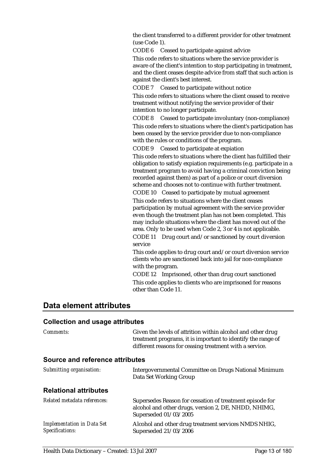the client transferred to a different provider for other treatment (use Code 1).

CODE 6 Ceased to participate against advice

This code refers to situations where the service provider is aware of the client's intention to stop participating in treatment, and the client ceases despite advice from staff that such action is against the client's best interest.

CODE 7 Ceased to participate without notice

This code refers to situations where the client ceased to receive treatment without notifying the service provider of their intention to no longer participate.

CODE 8 Ceased to participate involuntary (non-compliance) This code refers to situations where the client's participation has been ceased by the service provider due to non-compliance with the rules or conditions of the program.

CODE 9 Ceased to participate at expiation

This code refers to situations where the client has fulfilled their obligation to satisfy expiation requirements (e.g. participate in a treatment program to avoid having a criminal conviction being recorded against them) as part of a police or court diversion scheme and chooses not to continue with further treatment.

CODE 10 Ceased to participate by mutual agreement

This code refers to situations where the client ceases participation by mutual agreement with the service provider even though the treatment plan has not been completed. This may include situations where the client has moved out of the area. Only to be used when Code 2, 3 or 4 is not applicable. CODE 11 Drug court and/or sanctioned by court diversion

service This code applies to drug court and/or court diversion service clients who are sanctioned back into jail for non-compliance with the program.

CODE 12 Imprisoned, other than drug court sanctioned This code applies to clients who are imprisoned for reasons other than Code 11.

### **Data element attributes**

| Comments:                                            | Given the levels of attrition within alcohol and other drug<br>treatment programs, it is important to identify the range of<br>different reasons for ceasing treatment with a service. |  |
|------------------------------------------------------|----------------------------------------------------------------------------------------------------------------------------------------------------------------------------------------|--|
| Source and reference attributes                      |                                                                                                                                                                                        |  |
| Submitting organisation:                             | Intergovernmental Committee on Drugs National Minimum<br>Data Set Working Group                                                                                                        |  |
| <b>Relational attributes</b>                         |                                                                                                                                                                                        |  |
| Related metadata references:                         | Supersedes Reason for cessation of treatment episode for<br>alcohol and other drugs, version 2, DE, NHDD, NHIMG,<br>Superseded 01/03/2005                                              |  |
| <b>Implementation in Data Set</b><br>Specifications: | Alcohol and other drug treatment services NMDS NHIG,<br>Superseded 21/03/2006                                                                                                          |  |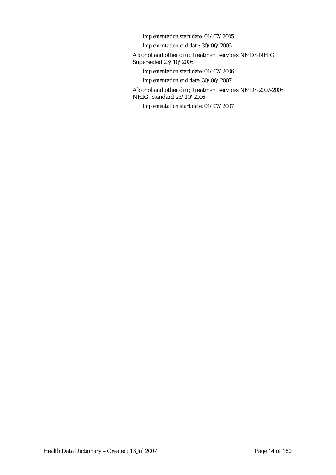*Implementation start date:* 01/07/2005

*Implementation end date:* 30/06/2006

Alcohol and other drug treatment services NMDS NHIG, Superseded 23/10/2006

*Implementation start date:* 01/07/2006

*Implementation end date:* 30/06/2007

Alcohol and other drug treatment services NMDS 2007-2008 NHIG, Standard 23/10/2006

*Implementation start date:* 01/07/2007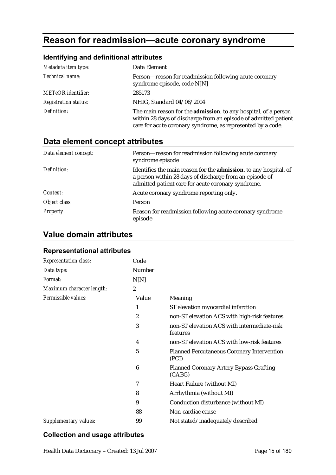# **Reason for readmission—acute coronary syndrome**

### **Identifying and definitional attributes**

| Metadata item type:         | Data Element                                                                                                                                                                                              |
|-----------------------------|-----------------------------------------------------------------------------------------------------------------------------------------------------------------------------------------------------------|
| Technical name:             | Person—reason for readmission following acute coronary<br>syndrome episode, code N[N]                                                                                                                     |
| <b>METeOR</b> identifier:   | 285173                                                                                                                                                                                                    |
| <b>Registration status:</b> | NHIG, Standard 04/06/2004                                                                                                                                                                                 |
| Definition:                 | The main reason for the <b>admission</b> , to any hospital, of a person<br>within 28 days of discharge from an episode of admitted patient<br>care for acute coronary syndrome, as represented by a code. |

# **Data element concept attributes**

| Data element concept: | Person-reason for readmission following acute coronary<br>syndrome episode                                                                                                                 |
|-----------------------|--------------------------------------------------------------------------------------------------------------------------------------------------------------------------------------------|
| Definition:           | Identifies the main reason for the <b>admission</b> , to any hospital, of<br>a person within 28 days of discharge from an episode of<br>admitted patient care for acute coronary syndrome. |
| Context:              | Acute coronary syndrome reporting only.                                                                                                                                                    |
| Object class:         | <b>Person</b>                                                                                                                                                                              |
| <b>Property:</b>      | Reason for readmission following acute coronary syndrome<br>episode                                                                                                                        |

### **Value domain attributes**

### **Representational attributes**

| <b>Representation class:</b> | Code             |                                                            |
|------------------------------|------------------|------------------------------------------------------------|
| Data type:                   | Number           |                                                            |
| Format:                      | N[N]             |                                                            |
| Maximum character length:    | $\boldsymbol{2}$ |                                                            |
| Permissible values:          | Value            | Meaning                                                    |
|                              | 1                | ST elevation myocardial infarction                         |
|                              | $\overline{2}$   | non-ST elevation ACS with high-risk features               |
|                              | 3                | non-ST elevation ACS with intermediate-risk<br>features    |
|                              | 4                | non-ST elevation ACS with low-risk features                |
|                              | 5                | <b>Planned Percutaneous Coronary Intervention</b><br>(PCI) |
|                              | 6                | <b>Planned Coronary Artery Bypass Grafting</b><br>(CABG)   |
|                              | 7                | Heart Failure (without MI)                                 |
|                              | 8                | Arrhythmia (without MI)                                    |
|                              | 9                | Conduction disturbance (without MI)                        |
|                              | 88               | Non-cardiac cause                                          |
| Supplementary values:        | 99               | Not stated/inadequately described                          |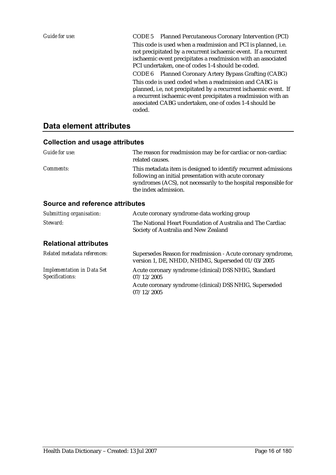*Guide for use:* CODE 5 Planned Percutaneous Coronary Intervention (PCI) This code is used when a readmission and PCI is planned, i.e. not precipitated by a recurrent ischaemic event. If a recurrent ischaemic event precipitates a readmission with an associated PCI undertaken, one of codes 1-4 should be coded. CODE 6 Planned Coronary Artery Bypass Grafting (CABG) This code is used coded when a readmission and CABG is planned, i.e, not precipitated by a recurrent ischaemic event. If a recurrent ischaemic event precipitates a readmission with an associated CABG undertaken, one of codes 1-4 should be coded.

### **Data element attributes**

#### **Collection and usage attributes**

| Guide for use:   | The reason for readmission may be for cardiac or non-cardiac<br>related causes.                                                                                                                                      |
|------------------|----------------------------------------------------------------------------------------------------------------------------------------------------------------------------------------------------------------------|
| <i>Comments:</i> | This metadata item is designed to identify recurrent admissions<br>following an initial presentation with acute coronary<br>syndromes (ACS), not necessarily to the hospital responsible for<br>the index admission. |

| Submitting organisation:                             | Acute coronary syndrome data working group                                                                        |  |  |
|------------------------------------------------------|-------------------------------------------------------------------------------------------------------------------|--|--|
| Steward:                                             | The National Heart Foundation of Australia and The Cardiac<br>Society of Australia and New Zealand                |  |  |
| <b>Relational attributes</b>                         |                                                                                                                   |  |  |
| Related metadata references:                         | Supersedes Reason for readmission - Acute coronary syndrome,<br>version 1, DE, NHDD, NHIMG, Superseded 01/03/2005 |  |  |
| <b>Implementation in Data Set</b><br>Specifications: | Acute coronary syndrome (clinical) DSS NHIG, Standard<br>07/12/2005                                               |  |  |
|                                                      | Acute coronary syndrome (clinical) DSS NHIG, Superseded<br>07/12/2005                                             |  |  |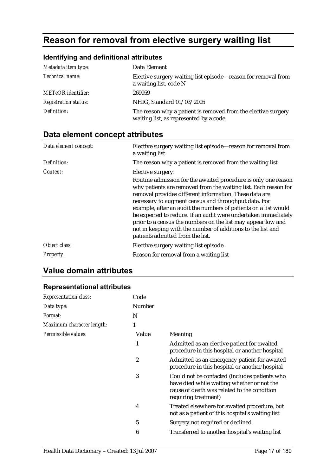# **Reason for removal from elective surgery waiting list**

## **Identifying and definitional attributes**

| Metadata item type:         | Data Element                                                                                             |
|-----------------------------|----------------------------------------------------------------------------------------------------------|
| Technical name:             | Elective surgery waiting list episode—reason for removal from<br>a waiting list, code N                  |
| <b>METeOR</b> identifier:   | 269959                                                                                                   |
| <b>Registration status:</b> | NHIG, Standard 01/03/2005                                                                                |
| Definition:                 | The reason why a patient is removed from the elective surgery<br>waiting list, as represented by a code. |

# **Data element concept attributes**

| Data element concept: | Elective surgery waiting list episode—reason for removal from<br>a waiting list                                                                                                                                                                                                                                                                                                                                                                                                                                                                             |
|-----------------------|-------------------------------------------------------------------------------------------------------------------------------------------------------------------------------------------------------------------------------------------------------------------------------------------------------------------------------------------------------------------------------------------------------------------------------------------------------------------------------------------------------------------------------------------------------------|
| Definition:           | The reason why a patient is removed from the waiting list.                                                                                                                                                                                                                                                                                                                                                                                                                                                                                                  |
| Context:              | Elective surgery:                                                                                                                                                                                                                                                                                                                                                                                                                                                                                                                                           |
|                       | Routine admission for the awaited procedure is only one reason<br>why patients are removed from the waiting list. Each reason for<br>removal provides different information. These data are<br>necessary to augment census and throughput data. For<br>example, after an audit the numbers of patients on a list would<br>be expected to reduce. If an audit were undertaken immediately<br>prior to a census the numbers on the list may appear low and<br>not in keeping with the number of additions to the list and<br>patients admitted from the list. |
| Object class:         | Elective surgery waiting list episode                                                                                                                                                                                                                                                                                                                                                                                                                                                                                                                       |
| <b>Property:</b>      | Reason for removal from a waiting list                                                                                                                                                                                                                                                                                                                                                                                                                                                                                                                      |

# **Value domain attributes**

### **Representational attributes**

| Code   |                                                                                                                                                                    |
|--------|--------------------------------------------------------------------------------------------------------------------------------------------------------------------|
| Number |                                                                                                                                                                    |
| N      |                                                                                                                                                                    |
| 1      |                                                                                                                                                                    |
| Value  | Meaning                                                                                                                                                            |
| 1      | Admitted as an elective patient for awaited<br>procedure in this hospital or another hospital                                                                      |
| 2      | Admitted as an emergency patient for awaited<br>procedure in this hospital or another hospital                                                                     |
| 3      | Could not be contacted (includes patients who<br>have died while waiting whether or not the<br>cause of death was related to the condition<br>requiring treatment) |
| 4      | Treated elsewhere for awaited procedure, but<br>not as a patient of this hospital's waiting list                                                                   |
| 5      | Surgery not required or declined                                                                                                                                   |
| 6      | Transferred to another hospital's waiting list                                                                                                                     |
|        |                                                                                                                                                                    |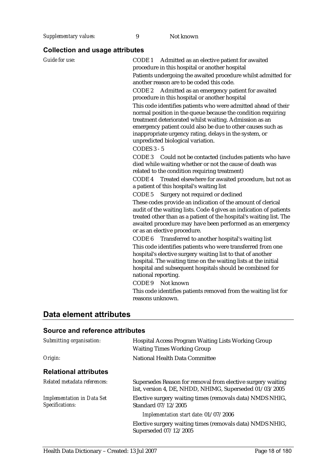**Supplementary values:** 9 Not known

## **Collection and usage attributes**

| Guide for use: | CODE 1 Admitted as an elective patient for awaited<br>procedure in this hospital or another hospital<br>Patients undergoing the awaited procedure whilst admitted for<br>another reason are to be coded this code.<br>CODE 2<br>Admitted as an emergency patient for awaited<br>procedure in this hospital or another hospital<br>This code identifies patients who were admitted ahead of their<br>normal position in the queue because the condition requiring<br>treatment deteriorated whilst waiting. Admission as an<br>emergency patient could also be due to other causes such as<br>inappropriate urgency rating, delays in the system, or<br>unpredicted biological variation.<br>CODES 3 - 5<br>CODE 3<br>Could not be contacted (includes patients who have<br>died while waiting whether or not the cause of death was<br>related to the condition requiring treatment)<br>CODE 4 Treated elsewhere for awaited procedure, but not as<br>a patient of this hospital's waiting list<br>Surgery not required or declined<br>CODE <sub>5</sub><br>These codes provide an indication of the amount of clerical<br>audit of the waiting lists. Code 4 gives an indication of patients<br>treated other than as a patient of the hospital's waiting list. The<br>awaited procedure may have been performed as an emergency<br>or as an elective procedure.<br>CODE 6<br>Transferred to another hospital's waiting list<br>This code identifies patients who were transferred from one<br>hospital's elective surgery waiting list to that of another<br>hospital. The waiting time on the waiting lists at the initial<br>hospital and subsequent hospitals should be combined for<br>national reporting.<br>CODE 9<br>Not known<br>This code identifies patients removed from the waiting list for |
|----------------|------------------------------------------------------------------------------------------------------------------------------------------------------------------------------------------------------------------------------------------------------------------------------------------------------------------------------------------------------------------------------------------------------------------------------------------------------------------------------------------------------------------------------------------------------------------------------------------------------------------------------------------------------------------------------------------------------------------------------------------------------------------------------------------------------------------------------------------------------------------------------------------------------------------------------------------------------------------------------------------------------------------------------------------------------------------------------------------------------------------------------------------------------------------------------------------------------------------------------------------------------------------------------------------------------------------------------------------------------------------------------------------------------------------------------------------------------------------------------------------------------------------------------------------------------------------------------------------------------------------------------------------------------------------------------------------------------------------------------------------------------------------------------------------------------------|
|                | reasons unknown.                                                                                                                                                                                                                                                                                                                                                                                                                                                                                                                                                                                                                                                                                                                                                                                                                                                                                                                                                                                                                                                                                                                                                                                                                                                                                                                                                                                                                                                                                                                                                                                                                                                                                                                                                                                           |

# **Data element attributes**

| Submitting organisation:                             | <b>Hospital Access Program Waiting Lists Working Group</b><br><b>Waiting Times Working Group</b>                       |
|------------------------------------------------------|------------------------------------------------------------------------------------------------------------------------|
| Origin:                                              | National Health Data Committee                                                                                         |
| <b>Relational attributes</b>                         |                                                                                                                        |
| Related metadata references:                         | Supersedes Reason for removal from elective surgery waiting<br>list, version 4, DE, NHDD, NHIMG, Superseded 01/03/2005 |
| <b>Implementation in Data Set</b><br>Specifications: | Elective surgery waiting times (removals data) NMDS NHIG,<br>Standard 07/12/2005                                       |
|                                                      | Implementation start date: 01/07/2006                                                                                  |
|                                                      | Elective surgery waiting times (removals data) NMDS NHIG,<br>Superseded 07/12/2005                                     |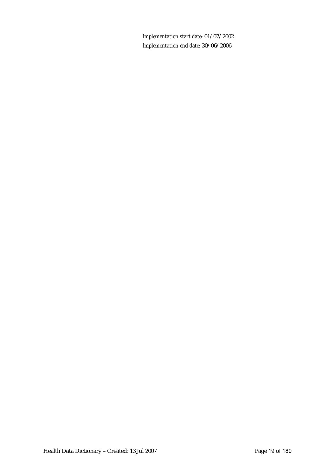*Implementation start date:* 01/07/2002 *Implementation end date:* 30/06/2006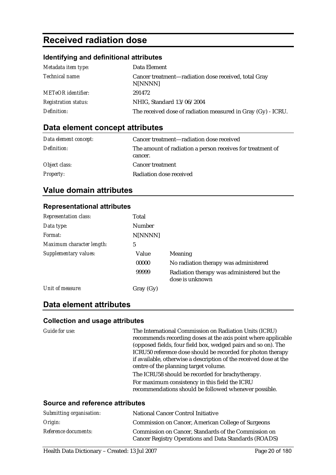# **Received radiation dose**

### **Identifying and definitional attributes**

| Metadata item type:         | Data Element                                                    |
|-----------------------------|-----------------------------------------------------------------|
| Technical name:             | Cancer treatment—radiation dose received, total Gray<br>N[NNNN] |
| <b>METeOR</b> identifier:   | 291472                                                          |
| <b>Registration status:</b> | NHIG, Standard 13/06/2004                                       |
| Definition:                 | The received dose of radiation measured in Gray (Gy) - ICRU.    |

# **Data element concept attributes**

| Data element concept: | Cancer treatment—radiation dose received                              |
|-----------------------|-----------------------------------------------------------------------|
| Definition:           | The amount of radiation a person receives for treatment of<br>cancer. |
| Object class:         | <b>Cancer treatment</b>                                               |
| <b>Property:</b>      | Radiation dose received                                               |

# **Value domain attributes**

### **Representational attributes**

| <b>Representation class:</b> | Total     |                                                               |
|------------------------------|-----------|---------------------------------------------------------------|
| Data type:                   | Number    |                                                               |
| Format:                      | N[NNNN]   |                                                               |
| Maximum character length:    | 5         |                                                               |
| Supplementary values:        | Value     | <b>Meaning</b>                                                |
|                              | 00000     | No radiation therapy was administered                         |
|                              | 99999     | Radiation therapy was administered but the<br>dose is unknown |
| Unit of measure:             | Gray (Gy) |                                                               |

### **Data element attributes**

| Guide for use:                         | The International Commission on Radiation Units (ICRU)            |
|----------------------------------------|-------------------------------------------------------------------|
|                                        | recommends recording doses at the axis point where applicable     |
|                                        | (opposed fields, four field box, wedged pairs and so on). The     |
|                                        | ICRU50 reference dose should be recorded for photon therapy       |
|                                        | if available, otherwise a description of the received dose at the |
|                                        | centre of the planning target volume.                             |
|                                        | The ICRU58 should be recorded for brachytherapy.                  |
|                                        | For maximum consistency in this field the ICRU                    |
|                                        | recommendations should be followed whenever possible.             |
|                                        |                                                                   |
| <b>Source and reference attributes</b> |                                                                   |

| Submitting organisation: | <b>National Cancer Control Initiative</b>                                                                     |
|--------------------------|---------------------------------------------------------------------------------------------------------------|
| Origin:                  | Commission on Cancer, American College of Surgeons                                                            |
| Reference documents:     | Commission on Cancer, Standards of the Commission on<br>Cancer Registry Operations and Data Standards (ROADS) |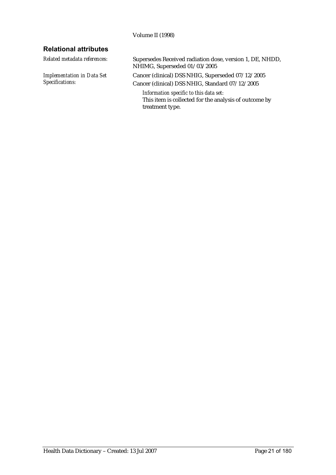Volume II (1998)

### **Relational attributes**

*Implementation in Data Set Specifications:*

*Related metadata references:* Supersedes Received radiation dose, version 1, DE, NHDD, NHIMG, Superseded 01/03/2005

> Cancer (clinical) DSS NHIG, Superseded 07/12/2005 Cancer (clinical) DSS NHIG, Standard 07/12/2005

*Information specific to this data set:* This item is collected for the analysis of outcome by treatment type.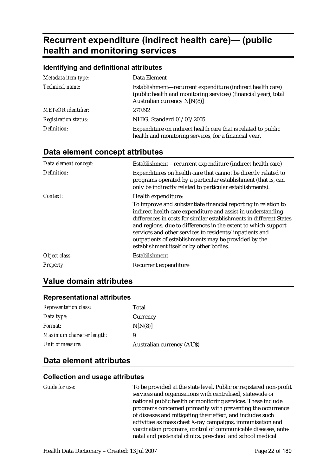# **Recurrent expenditure (indirect health care)— (public health and monitoring services**

#### **Identifying and definitional attributes**

| Metadata item type:         | Data Element                                                                                                                                                 |
|-----------------------------|--------------------------------------------------------------------------------------------------------------------------------------------------------------|
| Technical name:             | Establishment—recurrent expenditure (indirect health care)<br>(public health and monitoring services) (financial year), total<br>Australian currency N[N(8)] |
| <b>METeOR</b> identifier:   | 270292                                                                                                                                                       |
| <b>Registration status:</b> | NHIG, Standard 01/03/2005                                                                                                                                    |
| Definition:                 | Expenditure on indirect health care that is related to public<br>health and monitoring services, for a financial year.                                       |

### **Data element concept attributes**

| Data element concept: | Establishment—recurrent expenditure (indirect health care)                                                                                                                                                                                                                                                                                                                                                                             |
|-----------------------|----------------------------------------------------------------------------------------------------------------------------------------------------------------------------------------------------------------------------------------------------------------------------------------------------------------------------------------------------------------------------------------------------------------------------------------|
| Definition:           | Expenditures on health care that cannot be directly related to<br>programs operated by a particular establishment (that is, can<br>only be indirectly related to particular establishments).                                                                                                                                                                                                                                           |
| Context:              | Health expenditure:                                                                                                                                                                                                                                                                                                                                                                                                                    |
|                       | To improve and substantiate financial reporting in relation to<br>indirect health care expenditure and assist in understanding<br>differences in costs for similar establishments in different States<br>and regions, due to differences in the extent to which support<br>services and other services to residents/inpatients and<br>outpatients of establishments may be provided by the<br>establishment itself or by other bodies. |
| Object class:         | Establishment                                                                                                                                                                                                                                                                                                                                                                                                                          |
| <b>Property:</b>      | Recurrent expenditure                                                                                                                                                                                                                                                                                                                                                                                                                  |

### **Value domain attributes**

#### **Representational attributes**

| <b>Representation class:</b> | Total                            |
|------------------------------|----------------------------------|
| Data type:                   | Currency                         |
| <i>Format:</i>               | N[N(8)]                          |
| Maximum character length:    | 9                                |
| Unit of measure:             | <b>Australian currency (AUS)</b> |

### **Data element attributes**

#### **Collection and usage attributes**

| Guide for use: |  |  |
|----------------|--|--|
|----------------|--|--|

To be provided at the state level. Public or registered non-profit services and organisations with centralised, statewide or national public health or monitoring services. These include programs concerned primarily with preventing the occurrence of diseases and mitigating their effect, and includes such activities as mass chest X-ray campaigns, immunisation and vaccination programs, control of communicable diseases, antenatal and post-natal clinics, preschool and school medical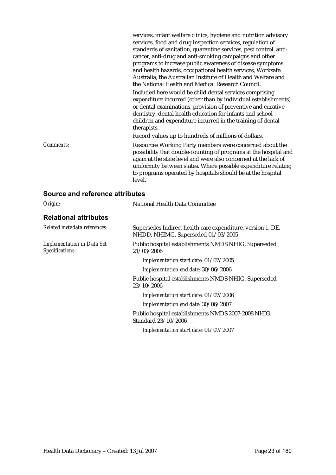|                                 | services, infant welfare clinics, hygiene and nutrition advisory<br>services, food and drug inspection services, regulation of<br>standards of sanitation, quarantine services, pest control, anti-<br>cancer, anti-drug and anti-smoking campaigns and other<br>programs to increase public awareness of disease symptoms<br>and health hazards, occupational health services, Worksafe<br>Australia, the Australian Institute of Health and Welfare and<br>the National Health and Medical Research Council. |
|---------------------------------|----------------------------------------------------------------------------------------------------------------------------------------------------------------------------------------------------------------------------------------------------------------------------------------------------------------------------------------------------------------------------------------------------------------------------------------------------------------------------------------------------------------|
|                                 | Included here would be child dental services comprising<br>expenditure incurred (other than by individual establishments)<br>or dental examinations, provision of preventive and curative<br>dentistry, dental health education for infants and school<br>children and expenditure incurred in the training of dental<br>therapists.                                                                                                                                                                           |
|                                 | Record values up to hundreds of millions of dollars.                                                                                                                                                                                                                                                                                                                                                                                                                                                           |
| Comments:                       | Resources Working Party members were concerned about the<br>possibility that double-counting of programs at the hospital and<br>again at the state level and were also concerned at the lack of<br>uniformity between states. Where possible expenditure relating<br>to programs operated by hospitals should be at the hospital<br>level.                                                                                                                                                                     |
| Course and reference offributes |                                                                                                                                                                                                                                                                                                                                                                                                                                                                                                                |

#### **Source and reference attributes**  *Origin:* National Health Data Committee

| OII <sub>5</sub> III                                 | $\alpha$ rational Fieann Data Committee                                                           |
|------------------------------------------------------|---------------------------------------------------------------------------------------------------|
| <b>Relational attributes</b>                         |                                                                                                   |
| Related metadata references:                         | Supersedes Indirect health care expenditure, version 1, DE,<br>NHDD, NHIMG, Superseded 01/03/2005 |
| <b>Implementation in Data Set</b><br>Specifications: | Public hospital establishments NMDS NHIG, Superseded<br>21/03/2006                                |
|                                                      | Implementation start date: 01/07/2005                                                             |
|                                                      | Implementation end date: 30/06/2006                                                               |
|                                                      | Public hospital establishments NMDS NHIG, Superseded<br>23/10/2006                                |
|                                                      | Implementation start date: 01/07/2006                                                             |
|                                                      | Implementation end date: 30/06/2007                                                               |
|                                                      | Public hospital establishments NMDS 2007-2008 NHIG,<br>Standard 23/10/2006                        |
|                                                      | Implementation start date: 01/07/2007                                                             |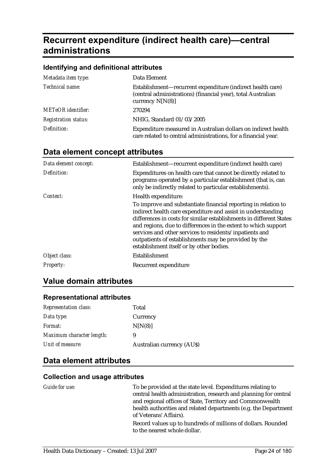# **Recurrent expenditure (indirect health care)—central administrations**

### **Identifying and definitional attributes**

| Metadata item type:         | Data Element                                                                                                                                     |
|-----------------------------|--------------------------------------------------------------------------------------------------------------------------------------------------|
| Technical name:             | Establishment—recurrent expenditure (indirect health care)<br>(central administrations) (financial year), total Australian<br>currency $N[N(8)]$ |
| <b>METeOR</b> identifier:   | 270294                                                                                                                                           |
| <b>Registration status:</b> | NHIG, Standard 01/03/2005                                                                                                                        |
| Definition:                 | Expenditure measured in Australian dollars on indirect health<br>care related to central administrations, for a financial year.                  |

# **Data element concept attributes**

| Data element concept: | Establishment—recurrent expenditure (indirect health care)                                                                                                                                                                                                                                                                                                                                                                             |
|-----------------------|----------------------------------------------------------------------------------------------------------------------------------------------------------------------------------------------------------------------------------------------------------------------------------------------------------------------------------------------------------------------------------------------------------------------------------------|
| Definition:           | Expenditures on health care that cannot be directly related to<br>programs operated by a particular establishment (that is, can<br>only be indirectly related to particular establishments).                                                                                                                                                                                                                                           |
| Context:              | Health expenditure:                                                                                                                                                                                                                                                                                                                                                                                                                    |
|                       | To improve and substantiate financial reporting in relation to<br>indirect health care expenditure and assist in understanding<br>differences in costs for similar establishments in different States<br>and regions, due to differences in the extent to which support<br>services and other services to residents/inpatients and<br>outpatients of establishments may be provided by the<br>establishment itself or by other bodies. |
| Object class:         | Establishment                                                                                                                                                                                                                                                                                                                                                                                                                          |
| <b>Property:</b>      | Recurrent expenditure                                                                                                                                                                                                                                                                                                                                                                                                                  |

### **Value domain attributes**

### **Representational attributes**

| <b>Representation class:</b> | Total                            |
|------------------------------|----------------------------------|
| Data type:                   | Currency                         |
| <i>Format:</i>               | N[N(8)]                          |
| Maximum character length:    | 9                                |
| Unit of measure:             | <b>Australian currency (AUS)</b> |

### **Data element attributes**

| <i>Guide for use:</i> | To be provided at the state level. Expenditures relating to<br>central health administration, research and planning for central<br>and regional offices of State, Territory and Commonwealth<br>health authorities and related departments (e.g. the Department<br>of Veterans' Affairs). |
|-----------------------|-------------------------------------------------------------------------------------------------------------------------------------------------------------------------------------------------------------------------------------------------------------------------------------------|
|                       | Record values up to hundreds of millions of dollars. Rounded<br>to the nearest whole dollar.                                                                                                                                                                                              |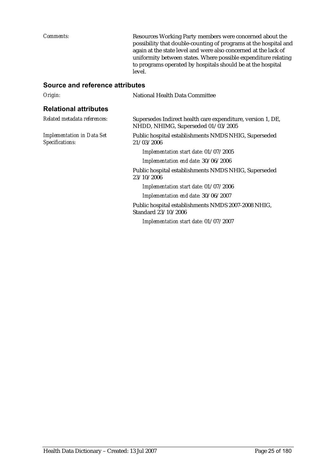*Comments:* Resources Working Party members were concerned about the possibility that double-counting of programs at the hospital and again at the state level and were also concerned at the lack of uniformity between states. Where possible expenditure relating to programs operated by hospitals should be at the hospital level.

| Origin:                                              | National Health Data Committee                                                                    |
|------------------------------------------------------|---------------------------------------------------------------------------------------------------|
| <b>Relational attributes</b>                         |                                                                                                   |
| Related metadata references:                         | Supersedes Indirect health care expenditure, version 1, DE,<br>NHDD, NHIMG, Superseded 01/03/2005 |
| <b>Implementation in Data Set</b><br>Specifications: | Public hospital establishments NMDS NHIG, Superseded<br>21/03/2006                                |
|                                                      | Implementation start date: 01/07/2005                                                             |
|                                                      | Implementation end date: 30/06/2006                                                               |
|                                                      | Public hospital establishments NMDS NHIG, Superseded<br>23/10/2006                                |
|                                                      | Implementation start date: 01/07/2006                                                             |
|                                                      | Implementation end date: 30/06/2007                                                               |
|                                                      | Public hospital establishments NMDS 2007-2008 NHIG,<br>Standard 23/10/2006                        |
|                                                      | Implementation start date: 01/07/2007                                                             |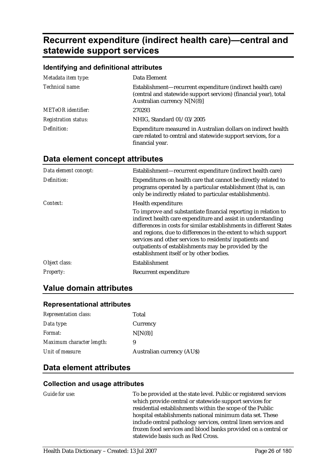# **Recurrent expenditure (indirect health care)—central and statewide support services**

#### **Identifying and definitional attributes**

| Metadata item type:         | Data Element                                                                                                                                                  |
|-----------------------------|---------------------------------------------------------------------------------------------------------------------------------------------------------------|
| Technical name:             | Establishment-recurrent expenditure (indirect health care)<br>(central and statewide support services) (financial year), total<br>Australian currency N[N(8)] |
| <b>METeOR</b> identifier:   | 270293                                                                                                                                                        |
| <b>Registration status:</b> | NHIG, Standard 01/03/2005                                                                                                                                     |
| Definition:                 | Expenditure measured in Australian dollars on indirect health<br>care related to central and statewide support services, for a<br>financial year.             |

### **Data element concept attributes**

| Data element concept: | Establishment-recurrent expenditure (indirect health care)                                                                                                                                                                                                                                                                                                                                                                             |
|-----------------------|----------------------------------------------------------------------------------------------------------------------------------------------------------------------------------------------------------------------------------------------------------------------------------------------------------------------------------------------------------------------------------------------------------------------------------------|
| Definition:           | Expenditures on health care that cannot be directly related to<br>programs operated by a particular establishment (that is, can<br>only be indirectly related to particular establishments).                                                                                                                                                                                                                                           |
| Context:              | Health expenditure:                                                                                                                                                                                                                                                                                                                                                                                                                    |
|                       | To improve and substantiate financial reporting in relation to<br>indirect health care expenditure and assist in understanding<br>differences in costs for similar establishments in different States<br>and regions, due to differences in the extent to which support<br>services and other services to residents/inpatients and<br>outpatients of establishments may be provided by the<br>establishment itself or by other bodies. |
| Object class:         | Establishment                                                                                                                                                                                                                                                                                                                                                                                                                          |
| <b>Property:</b>      | Recurrent expenditure                                                                                                                                                                                                                                                                                                                                                                                                                  |

### **Value domain attributes**

#### **Representational attributes**

| Total                            |
|----------------------------------|
| Currency                         |
| N[N(8)]                          |
| 9                                |
| <b>Australian currency (AUS)</b> |
|                                  |

### **Data element attributes**

#### **Collection and usage attributes**

*Guide for use:* To be provided at the state level. Public or registered services which provide central or statewide support services for residential establishments within the scope of the Public hospital establishments national minimum data set. These include central pathology services, central linen services and frozen food services and blood banks provided on a central or statewide basis such as Red Cross.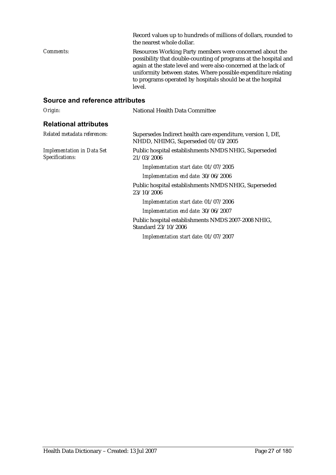|                                 | Record values up to hundreds of millions of dollars, rounded to<br>the nearest whole dollar.                                                                                                                                                                                                                                               |
|---------------------------------|--------------------------------------------------------------------------------------------------------------------------------------------------------------------------------------------------------------------------------------------------------------------------------------------------------------------------------------------|
| Comments:                       | Resources Working Party members were concerned about the<br>possibility that double-counting of programs at the hospital and<br>again at the state level and were also concerned at the lack of<br>uniformity between states. Where possible expenditure relating<br>to programs operated by hospitals should be at the hospital<br>level. |
| Source and reference attributes |                                                                                                                                                                                                                                                                                                                                            |
| Origin:                         | National Health Data Committee                                                                                                                                                                                                                                                                                                             |
| <b>Relational attributes</b>    |                                                                                                                                                                                                                                                                                                                                            |
| Related metadata references:    | Supersedes Indirect health care expenditure, version 1, DE,                                                                                                                                                                                                                                                                                |

21/03/2006

23/10/2006

Standard 23/10/2006

NHDD, NHIMG, Superseded 01/03/2005

*Implementation start date:* 01/07/2005 *Implementation end date:* 30/06/2006

*Implementation start date:* 01/07/2006 *Implementation end date:* 30/06/2007

*Implementation start date:* 01/07/2007

Public hospital establishments NMDS NHIG, Superseded

Public hospital establishments NMDS NHIG, Superseded

Public hospital establishments NMDS 2007-2008 NHIG,

*Implementation in Data Set Specifications:*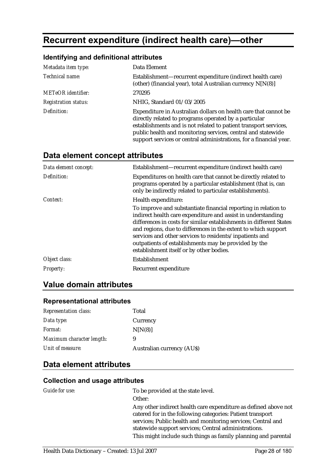# **Recurrent expenditure (indirect health care)—other**

### **Identifying and definitional attributes**

| Metadata item type:         | Data Element                                                                                                                                                                                                                                                                                                                       |
|-----------------------------|------------------------------------------------------------------------------------------------------------------------------------------------------------------------------------------------------------------------------------------------------------------------------------------------------------------------------------|
| Technical name:             | Establishment—recurrent expenditure (indirect health care)<br>(other) (financial year), total Australian currency N[N(8)]                                                                                                                                                                                                          |
| <b>METeOR</b> identifier:   | 270295                                                                                                                                                                                                                                                                                                                             |
| <b>Registration status:</b> | NHIG, Standard 01/03/2005                                                                                                                                                                                                                                                                                                          |
| Definition:                 | Expenditure in Australian dollars on health care that cannot be<br>directly related to programs operated by a particular<br>establishments and is not related to patient transport services,<br>public health and monitoring services, central and statewide<br>support services or central administrations, for a financial year. |

# **Data element concept attributes**

| Data element concept: | Establishment—recurrent expenditure (indirect health care)                                                                                                                                                                                                                                                                                                                                                                             |
|-----------------------|----------------------------------------------------------------------------------------------------------------------------------------------------------------------------------------------------------------------------------------------------------------------------------------------------------------------------------------------------------------------------------------------------------------------------------------|
| Definition:           | Expenditures on health care that cannot be directly related to<br>programs operated by a particular establishment (that is, can<br>only be indirectly related to particular establishments).                                                                                                                                                                                                                                           |
| Context:              | Health expenditure:                                                                                                                                                                                                                                                                                                                                                                                                                    |
|                       | To improve and substantiate financial reporting in relation to<br>indirect health care expenditure and assist in understanding<br>differences in costs for similar establishments in different States<br>and regions, due to differences in the extent to which support<br>services and other services to residents/inpatients and<br>outpatients of establishments may be provided by the<br>establishment itself or by other bodies. |
| Object class:         | Establishment                                                                                                                                                                                                                                                                                                                                                                                                                          |
| <b>Property:</b>      | Recurrent expenditure                                                                                                                                                                                                                                                                                                                                                                                                                  |

## **Value domain attributes**

### **Representational attributes**

| <b>Representation class:</b> | Total                            |
|------------------------------|----------------------------------|
| Data type:                   | Currency                         |
| <i>Format:</i>               | N[N(8)]                          |
| Maximum character length:    | 9                                |
| Unit of measure:             | <b>Australian currency (AUS)</b> |

### **Data element attributes**

| Guide for use: | To be provided at the state level.                              |
|----------------|-----------------------------------------------------------------|
|                | Other:                                                          |
|                | Any other indirect health care expenditure as defined above not |
|                | catered for in the following categories: Patient transport      |
|                | services; Public health and monitoring services; Central and    |
|                | statewide support services; Central administrations.            |
|                | This might include such things as family planning and parental  |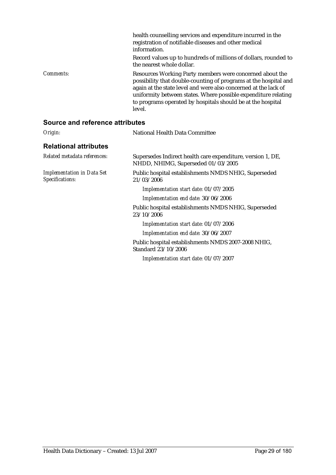|           | health counselling services and expenditure incurred in the<br>registration of notifiable diseases and other medical<br>information.                                                                                                                                                                                                       |
|-----------|--------------------------------------------------------------------------------------------------------------------------------------------------------------------------------------------------------------------------------------------------------------------------------------------------------------------------------------------|
|           | Record values up to hundreds of millions of dollars, rounded to<br>the nearest whole dollar.                                                                                                                                                                                                                                               |
| Comments: | Resources Working Party members were concerned about the<br>possibility that double-counting of programs at the hospital and<br>again at the state level and were also concerned at the lack of<br>uniformity between states. Where possible expenditure relating<br>to programs operated by hospitals should be at the hospital<br>level. |

| Origin:                                              | National Health Data Committee                                                                    |
|------------------------------------------------------|---------------------------------------------------------------------------------------------------|
| <b>Relational attributes</b>                         |                                                                                                   |
| Related metadata references:                         | Supersedes Indirect health care expenditure, version 1, DE,<br>NHDD, NHIMG, Superseded 01/03/2005 |
| <b>Implementation in Data Set</b><br>Specifications: | Public hospital establishments NMDS NHIG, Superseded<br>21/03/2006                                |
|                                                      | Implementation start date: 01/07/2005                                                             |
|                                                      | Implementation end date: 30/06/2006                                                               |
|                                                      | Public hospital establishments NMDS NHIG, Superseded<br>23/10/2006                                |
|                                                      | Implementation start date: 01/07/2006                                                             |
|                                                      | Implementation end date: 30/06/2007                                                               |
|                                                      | Public hospital establishments NMDS 2007-2008 NHIG,<br>Standard 23/10/2006                        |
|                                                      | Implementation start date: 01/07/2007                                                             |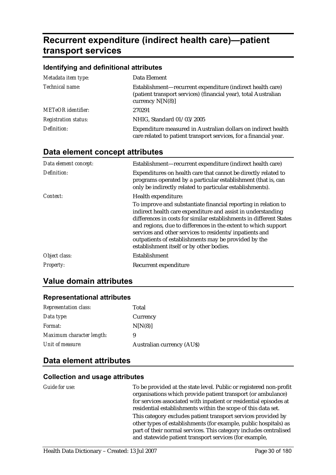# **Recurrent expenditure (indirect health care)—patient transport services**

### **Identifying and definitional attributes**

| Metadata item type:         | Data Element                                                                                                                                        |
|-----------------------------|-----------------------------------------------------------------------------------------------------------------------------------------------------|
| Technical name:             | Establishment—recurrent expenditure (indirect health care)<br>(patient transport services) (financial year), total Australian<br>currency $N[N(8)]$ |
| <b>METeOR</b> identifier:   | 270291                                                                                                                                              |
| <b>Registration status:</b> | NHIG, Standard 01/03/2005                                                                                                                           |
| Definition:                 | Expenditure measured in Australian dollars on indirect health<br>care related to patient transport services, for a financial year.                  |

# **Data element concept attributes**

| Data element concept: | Establishment—recurrent expenditure (indirect health care)                                                                                                                                                                                                                                                                                                                                                                             |
|-----------------------|----------------------------------------------------------------------------------------------------------------------------------------------------------------------------------------------------------------------------------------------------------------------------------------------------------------------------------------------------------------------------------------------------------------------------------------|
| Definition:           | Expenditures on health care that cannot be directly related to<br>programs operated by a particular establishment (that is, can<br>only be indirectly related to particular establishments).                                                                                                                                                                                                                                           |
| Context:              | Health expenditure:                                                                                                                                                                                                                                                                                                                                                                                                                    |
|                       | To improve and substantiate financial reporting in relation to<br>indirect health care expenditure and assist in understanding<br>differences in costs for similar establishments in different States<br>and regions, due to differences in the extent to which support<br>services and other services to residents/inpatients and<br>outpatients of establishments may be provided by the<br>establishment itself or by other bodies. |
| Object class:         | Establishment                                                                                                                                                                                                                                                                                                                                                                                                                          |
| <b>Property:</b>      | Recurrent expenditure                                                                                                                                                                                                                                                                                                                                                                                                                  |

## **Value domain attributes**

### **Representational attributes**

| <b>Representation class:</b> | Total                            |
|------------------------------|----------------------------------|
| Data type:                   | Currency                         |
| <i>Format:</i>               | N[N(8)]                          |
| Maximum character length:    | 9                                |
| Unit of measure:             | <b>Australian currency (AUS)</b> |

### **Data element attributes**

| Guide for use: | To be provided at the state level. Public or registered non-profit<br>organisations which provide patient transport (or ambulance)<br>for services associated with inpatient or residential episodes at<br>residential establishments within the scope of this data set. |
|----------------|--------------------------------------------------------------------------------------------------------------------------------------------------------------------------------------------------------------------------------------------------------------------------|
|                | This category excludes patient transport services provided by<br>other types of establishments (for example, public hospitals) as<br>part of their normal services. This category includes centralised<br>and statewide patient transport services (for example,         |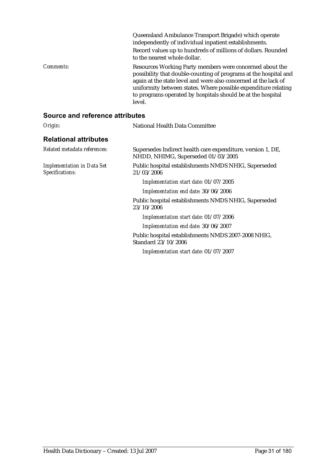|           | Queensland Ambulance Transport Brigade) which operate<br>independently of individual inpatient establishments.<br>Record values up to hundreds of millions of dollars. Rounded<br>to the nearest whole dollar.                                                                                                                             |
|-----------|--------------------------------------------------------------------------------------------------------------------------------------------------------------------------------------------------------------------------------------------------------------------------------------------------------------------------------------------|
| Comments: | Resources Working Party members were concerned about the<br>possibility that double-counting of programs at the hospital and<br>again at the state level and were also concerned at the lack of<br>uniformity between states. Where possible expenditure relating<br>to programs operated by hospitals should be at the hospital<br>level. |

| Origin:                                              | National Health Data Committee                                                                    |
|------------------------------------------------------|---------------------------------------------------------------------------------------------------|
| <b>Relational attributes</b>                         |                                                                                                   |
| Related metadata references:                         | Supersedes Indirect health care expenditure, version 1, DE,<br>NHDD, NHIMG, Superseded 01/03/2005 |
| <b>Implementation in Data Set</b><br>Specifications: | Public hospital establishments NMDS NHIG, Superseded<br>21/03/2006                                |
|                                                      | Implementation start date: 01/07/2005                                                             |
|                                                      | Implementation end date: 30/06/2006                                                               |
|                                                      | Public hospital establishments NMDS NHIG, Superseded<br>23/10/2006                                |
|                                                      | Implementation start date: 01/07/2006                                                             |
|                                                      | Implementation end date: 30/06/2007                                                               |
|                                                      | Public hospital establishments NMDS 2007-2008 NHIG,<br>Standard 23/10/2006                        |
|                                                      | Implementation start date: 01/07/2007                                                             |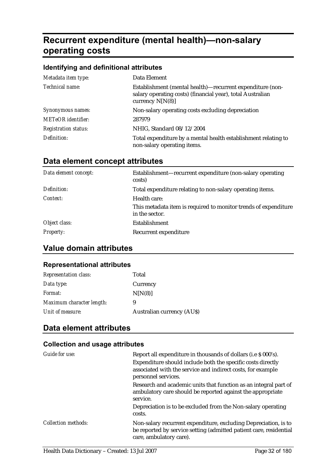# **Recurrent expenditure (mental health)—non-salary operating costs**

### **Identifying and definitional attributes**

| Metadata item type:         | Data Element                                                                                                                                  |
|-----------------------------|-----------------------------------------------------------------------------------------------------------------------------------------------|
| Technical name:             | Establishment (mental health)—recurrent expenditure (non-<br>salary operating costs) (financial year), total Australian<br>currency $N[N(8)]$ |
| Synonymous names:           | Non-salary operating costs excluding depreciation                                                                                             |
| <b>METeOR</b> identifier:   | 287979                                                                                                                                        |
| <b>Registration status:</b> | NHIG, Standard 08/12/2004                                                                                                                     |
| Definition:                 | Total expenditure by a mental health establishment relating to<br>non-salary operating items.                                                 |

|  |  | Data element concept attributes |  |
|--|--|---------------------------------|--|
|--|--|---------------------------------|--|

| Data element concept: | Establishment—recurrent expenditure (non-salary operating<br>costs)                               |
|-----------------------|---------------------------------------------------------------------------------------------------|
| Definition:           | Total expenditure relating to non-salary operating items.                                         |
| Context:              | Health care:<br>This metadata item is required to monitor trends of expenditure<br>in the sector. |
| Object class:         | Establishment                                                                                     |
| <i>Property:</i>      | Recurrent expenditure                                                                             |

# **Value domain attributes**

### **Representational attributes**

| <b>Representation class:</b> | Total                            |
|------------------------------|----------------------------------|
| Data type:                   | Currency                         |
| <i>Format:</i>               | N[N(8)]                          |
| Maximum character length:    | 9                                |
| Unit of measure:             | <b>Australian currency (AUS)</b> |

### **Data element attributes**

| Guide for use:             | Report all expenditure in thousands of dollars (i.e \$ 000's).                                                                                                   |
|----------------------------|------------------------------------------------------------------------------------------------------------------------------------------------------------------|
|                            | Expenditure should include both the specific costs directly                                                                                                      |
|                            | associated with the service and indirect costs, for example<br>personnel services.                                                                               |
|                            | Research and academic units that function as an integral part of<br>ambulatory care should be reported against the appropriate<br>service.                       |
|                            | Depreciation is to be excluded from the Non-salary operating<br>costs.                                                                                           |
| <b>Collection methods:</b> | Non-salary recurrent expenditure, excluding Depreciation, is to<br>be reported by service setting (admitted patient care, residential<br>care, ambulatory care). |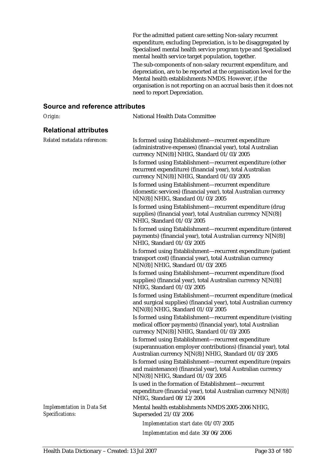For the admitted patient care setting Non-salary recurrent expenditure, excluding Depreciation, is to be disaggregated by Specialised mental health service program type and Specialised mental health service target population, together. The sub-components of non-salary recurrent expenditure, and depreciation, are to be reported at the organisation level for the Mental health establishments NMDS. However, if the organisation is not reporting on an accrual basis then it does not need to report Depreciation.

| Origin:                                              | National Health Data Committee                                                                                                                                                                                                                                                                                                                                                                    |
|------------------------------------------------------|---------------------------------------------------------------------------------------------------------------------------------------------------------------------------------------------------------------------------------------------------------------------------------------------------------------------------------------------------------------------------------------------------|
| <b>Relational attributes</b>                         |                                                                                                                                                                                                                                                                                                                                                                                                   |
| Related metadata references:                         | Is formed using Establishment-recurrent expenditure<br>(administrative expenses) (financial year), total Australian<br>currency N[N(8)] NHIG, Standard 01/03/2005<br>Is formed using Establishment-recurrent expenditure (other<br>recurrent expenditure) (financial year), total Australian<br>currency N[N(8)] NHIG, Standard 01/03/2005<br>Is formed using Establishment-recurrent expenditure |
|                                                      | (domestic services) (financial year), total Australian currency<br>N[N(8)] NHIG, Standard 01/03/2005                                                                                                                                                                                                                                                                                              |
|                                                      | Is formed using Establishment-recurrent expenditure (drug<br>supplies) (financial year), total Australian currency N[N(8)]<br>NHIG, Standard 01/03/2005                                                                                                                                                                                                                                           |
|                                                      | Is formed using Establishment-recurrent expenditure (interest<br>payments) (financial year), total Australian currency N[N(8)]<br>NHIG, Standard 01/03/2005                                                                                                                                                                                                                                       |
|                                                      | Is formed using Establishment-recurrent expenditure (patient<br>transport cost) (financial year), total Australian currency<br>N[N(8)] NHIG, Standard 01/03/2005                                                                                                                                                                                                                                  |
|                                                      | Is formed using Establishment-recurrent expenditure (food<br>supplies) (financial year), total Australian currency N[N(8)]<br>NHIG, Standard 01/03/2005                                                                                                                                                                                                                                           |
|                                                      | Is formed using Establishment-recurrent expenditure (medical<br>and surgical supplies) (financial year), total Australian currency<br>N[N(8)] NHIG, Standard 01/03/2005                                                                                                                                                                                                                           |
|                                                      | Is formed using Establishment-recurrent expenditure (visiting<br>medical officer payments) (financial year), total Australian<br>currency N[N(8)] NHIG, Standard 01/03/2005                                                                                                                                                                                                                       |
|                                                      | Is formed using Establishment-recurrent expenditure<br>(superannuation employer contributions) (financial year), total<br>Australian currency N[N(8)] NHIG, Standard 01/03/2005                                                                                                                                                                                                                   |
|                                                      | Is formed using Establishment-recurrent expenditure (repairs<br>and maintenance) (financial year), total Australian currency<br>N[N(8)] NHIG, Standard 01/03/2005                                                                                                                                                                                                                                 |
|                                                      | Is used in the formation of Establishment-recurrent<br>expenditure (financial year), total Australian currency N[N(8)]<br>NHIG, Standard 08/12/2004                                                                                                                                                                                                                                               |
| <b>Implementation in Data Set</b><br>Specifications: | Mental health establishments NMDS 2005-2006 NHIG,<br>Superseded 21/03/2006                                                                                                                                                                                                                                                                                                                        |
|                                                      | Implementation start date: 01/07/2005                                                                                                                                                                                                                                                                                                                                                             |
|                                                      | Implementation end date: 30/06/2006                                                                                                                                                                                                                                                                                                                                                               |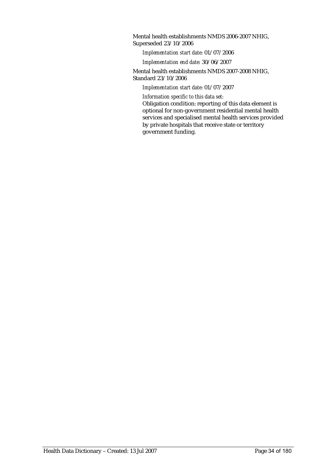Mental health establishments NMDS 2006-2007 NHIG, Superseded 23/10/2006

*Implementation start date:* 01/07/2006

*Implementation end date:* 30/06/2007

Mental health establishments NMDS 2007-2008 NHIG, Standard 23/10/2006

*Implementation start date:* 01/07/2007

*Information specific to this data set:*

Obligation condition: reporting of this data element is optional for non-government residential mental health services and specialised mental health services provided by private hospitals that receive state or territory government funding.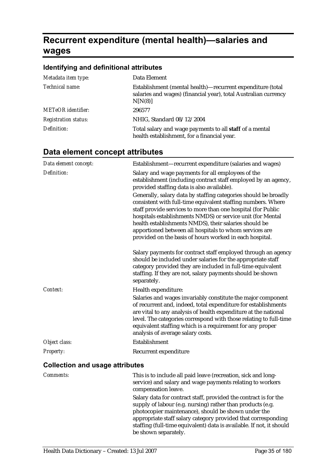# **Recurrent expenditure (mental health)—salaries and wages**

## **Identifying and definitional attributes**

| Metadata item type:         | Data Element                                                                                                                             |
|-----------------------------|------------------------------------------------------------------------------------------------------------------------------------------|
| Technical name:             | Establishment (mental health)—recurrent expenditure (total<br>salaries and wages) (financial year), total Australian currency<br>N[N(8)] |
| <b>METeOR</b> identifier:   | 296577                                                                                                                                   |
| <b>Registration status:</b> | NHIG, Standard 08/12/2004                                                                                                                |
| Definition:                 | Total salary and wage payments to all staff of a mental<br>health establishment, for a financial year.                                   |

# **Data element concept attributes**

| Data element concept:                  | Establishment-recurrent expenditure (salaries and wages)                                                                                                                                                                                                                                                                                                                                                                                    |
|----------------------------------------|---------------------------------------------------------------------------------------------------------------------------------------------------------------------------------------------------------------------------------------------------------------------------------------------------------------------------------------------------------------------------------------------------------------------------------------------|
| Definition:                            | Salary and wage payments for all employees of the<br>establishment (including contract staff employed by an agency,<br>provided staffing data is also available).                                                                                                                                                                                                                                                                           |
|                                        | Generally, salary data by staffing categories should be broadly<br>consistent with full-time equivalent staffing numbers. Where<br>staff provide services to more than one hospital (for Public<br>hospitals establishments NMDS) or service unit (for Mental<br>health establishments NMDS), their salaries should be<br>apportioned between all hospitals to whom services are<br>provided on the basis of hours worked in each hospital. |
|                                        | Salary payments for contract staff employed through an agency<br>should be included under salaries for the appropriate staff<br>category provided they are included in full-time equivalent<br>staffing. If they are not, salary payments should be shown<br>separately.                                                                                                                                                                    |
| Context:                               | Health expenditure:<br>Salaries and wages invariably constitute the major component<br>of recurrent and, indeed, total expenditure for establishments<br>are vital to any analysis of health expenditure at the national<br>level. The categories correspond with those relating to full-time<br>equivalent staffing which is a requirement for any proper<br>analysis of average salary costs.                                             |
| Object class:                          | Establishment                                                                                                                                                                                                                                                                                                                                                                                                                               |
| Property:                              | Recurrent expenditure                                                                                                                                                                                                                                                                                                                                                                                                                       |
| <b>Collection and usage attributes</b> |                                                                                                                                                                                                                                                                                                                                                                                                                                             |

| <b>Comments:</b> | This is to include all paid leave (recreation, sick and long-<br>service) and salary and wage payments relating to workers<br>compensation leave.                                                                                                      |
|------------------|--------------------------------------------------------------------------------------------------------------------------------------------------------------------------------------------------------------------------------------------------------|
|                  | Salary data for contract staff, provided the contract is for the<br>supply of labour (e.g. nursing) rather than products (e.g.<br>photocopier maintenance), should be shown under the<br>appropriate staff salary category provided that corresponding |
|                  | staffing (full-time equivalent) data is available. If not, it should<br>be shown separately.                                                                                                                                                           |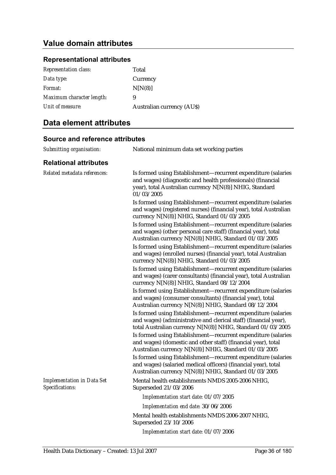# **Value domain attributes**

### **Representational attributes**

| <b>Representation class:</b> | Total                            |
|------------------------------|----------------------------------|
| Data type:                   | Currency                         |
| Format:                      | N[N(8)]                          |
| Maximum character length:    | 9                                |
| Unit of measure:             | <b>Australian currency (AUS)</b> |

### **Data element attributes**

| Submitting organisation:                             | National minimum data set working parties                                                                                                                                                             |
|------------------------------------------------------|-------------------------------------------------------------------------------------------------------------------------------------------------------------------------------------------------------|
| <b>Relational attributes</b>                         |                                                                                                                                                                                                       |
| Related metadata references:                         | Is formed using Establishment-recurrent expenditure (salaries<br>and wages) (diagnostic and health professionals) (financial<br>year), total Australian currency N[N(8)] NHIG, Standard<br>01/03/2005 |
|                                                      | Is formed using Establishment-recurrent expenditure (salaries<br>and wages) (registered nurses) (financial year), total Australian<br>currency N[N(8)] NHIG, Standard 01/03/2005                      |
|                                                      | Is formed using Establishment-recurrent expenditure (salaries<br>and wages) (other personal care staff) (financial year), total<br>Australian currency N[N(8)] NHIG, Standard 01/03/2005              |
|                                                      | Is formed using Establishment-recurrent expenditure (salaries<br>and wages) (enrolled nurses) (financial year), total Australian<br>currency N[N(8)] NHIG, Standard 01/03/2005                        |
|                                                      | Is formed using Establishment-recurrent expenditure (salaries<br>and wages) (carer consultants) (financial year), total Australian<br>currency N[N(8)] NHIG, Standard 08/12/2004                      |
|                                                      | Is formed using Establishment-recurrent expenditure (salaries<br>and wages) (consumer consultants) (financial year), total<br>Australian currency N[N(8)] NHIG, Standard 08/12/2004                   |
|                                                      | Is formed using Establishment-recurrent expenditure (salaries<br>and wages) (administrative and clerical staff) (financial year),<br>total Australian currency N[N(8)] NHIG, Standard 01/03/2005      |
|                                                      | Is formed using Establishment-recurrent expenditure (salaries<br>and wages) (domestic and other staff) (financial year), total<br>Australian currency N[N(8)] NHIG, Standard 01/03/2005               |
|                                                      | Is formed using Establishment-recurrent expenditure (salaries<br>and wages) (salaried medical officers) (financial year), total<br>Australian currency N[N(8)] NHIG, Standard 01/03/2005              |
| <b>Implementation in Data Set</b><br>Specifications: | Mental health establishments NMDS 2005-2006 NHIG,<br>Superseded 21/03/2006                                                                                                                            |
|                                                      | Implementation start date: 01/07/2005                                                                                                                                                                 |
|                                                      | Implementation end date: 30/06/2006                                                                                                                                                                   |
|                                                      | Mental health establishments NMDS 2006-2007 NHIG,<br>Superseded 23/10/2006                                                                                                                            |
|                                                      | Implementation start date: 01/07/2006                                                                                                                                                                 |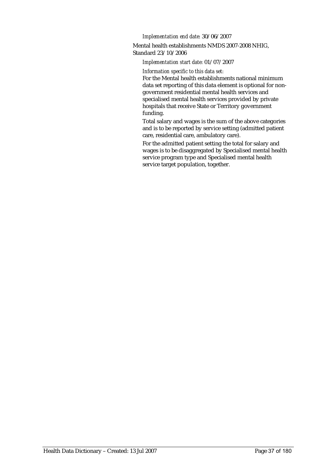*Implementation end date:* 30/06/2007

Mental health establishments NMDS 2007-2008 NHIG, Standard 23/10/2006

#### *Implementation start date:* 01/07/2007

*Information specific to this data set:*

For the Mental health establishments national minimum data set reporting of this data element is optional for nongovernment residential mental health services and specialised mental health services provided by private hospitals that receive State or Territory government funding.

Total salary and wages is the sum of the above categories and is to be reported by service setting (admitted patient care, residential care, ambulatory care).

For the admitted patient setting the total for salary and wages is to be disaggregated by Specialised mental health service program type and Specialised mental health service target population, together.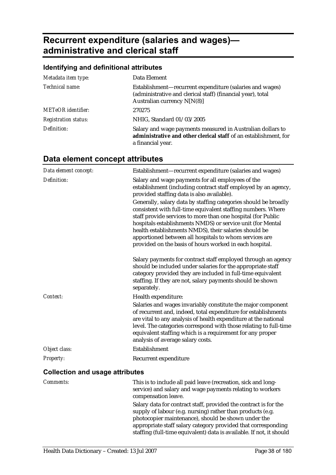# **Recurrent expenditure (salaries and wages) administrative and clerical staff**

### **Identifying and definitional attributes**

| Metadata item type:         | Data Element                                                                                                                                             |
|-----------------------------|----------------------------------------------------------------------------------------------------------------------------------------------------------|
| Technical name:             | Establishment-recurrent expenditure (salaries and wages)<br>(administrative and clerical staff) (financial year), total<br>Australian currency $N[N(8)]$ |
| <b>METeOR</b> identifier:   | 270275                                                                                                                                                   |
| <b>Registration status:</b> | NHIG, Standard 01/03/2005                                                                                                                                |
| Definition:                 | Salary and wage payments measured in Australian dollars to<br>administrative and other clerical staff of an establishment, for<br>a financial year.      |

| Data element concept:                  | Establishment-recurrent expenditure (salaries and wages)                                                                                                                                                                                                                                                                                                                                                                                    |  |
|----------------------------------------|---------------------------------------------------------------------------------------------------------------------------------------------------------------------------------------------------------------------------------------------------------------------------------------------------------------------------------------------------------------------------------------------------------------------------------------------|--|
| Definition:                            | Salary and wage payments for all employees of the<br>establishment (including contract staff employed by an agency,<br>provided staffing data is also available).                                                                                                                                                                                                                                                                           |  |
|                                        | Generally, salary data by staffing categories should be broadly<br>consistent with full-time equivalent staffing numbers. Where<br>staff provide services to more than one hospital (for Public<br>hospitals establishments NMDS) or service unit (for Mental<br>health establishments NMDS), their salaries should be<br>apportioned between all hospitals to whom services are<br>provided on the basis of hours worked in each hospital. |  |
|                                        | Salary payments for contract staff employed through an agency<br>should be included under salaries for the appropriate staff<br>category provided they are included in full-time equivalent<br>staffing. If they are not, salary payments should be shown<br>separately.                                                                                                                                                                    |  |
| Context:                               | Health expenditure:                                                                                                                                                                                                                                                                                                                                                                                                                         |  |
|                                        | Salaries and wages invariably constitute the major component<br>of recurrent and, indeed, total expenditure for establishments<br>are vital to any analysis of health expenditure at the national<br>level. The categories correspond with those relating to full-time<br>equivalent staffing which is a requirement for any proper<br>analysis of average salary costs.                                                                    |  |
| Object class:                          | Establishment                                                                                                                                                                                                                                                                                                                                                                                                                               |  |
| <b>Property:</b>                       | Recurrent expenditure                                                                                                                                                                                                                                                                                                                                                                                                                       |  |
| <b>Collection and usage attributes</b> |                                                                                                                                                                                                                                                                                                                                                                                                                                             |  |
| <b>Comments:</b>                       | This is to include all paid leave (recreation, sick and long-<br>service) and salary and wage payments relating to workers<br>compensation leave.                                                                                                                                                                                                                                                                                           |  |
|                                        | Salary data for contract staff, provided the contract is for the<br>supply of labour (e.g. nursing) rather than products (e.g.<br>photocopier maintenance), should be shown under the<br>appropriate staff salary category provided that corresponding<br>staffing (full-time equivalent) data is available. If not, it should                                                                                                              |  |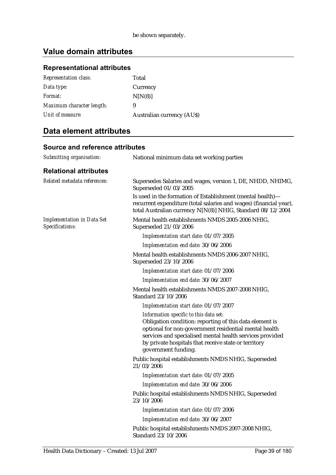## **Representational attributes**

| <b>Representation class:</b> | Total                            |
|------------------------------|----------------------------------|
| Data type:                   | Currency                         |
| Format:                      | N[N(8)]                          |
| Maximum character length:    | 9                                |
| Unit of measure:             | <b>Australian currency (AUS)</b> |

## **Data element attributes**

| Submitting organisation:                             | National minimum data set working parties                                                                                                                                                                                                                                                             |
|------------------------------------------------------|-------------------------------------------------------------------------------------------------------------------------------------------------------------------------------------------------------------------------------------------------------------------------------------------------------|
| <b>Relational attributes</b>                         |                                                                                                                                                                                                                                                                                                       |
| Related metadata references:                         | Supersedes Salaries and wages, version 1, DE, NHDD, NHIMG,<br>Superseded 01/03/2005                                                                                                                                                                                                                   |
|                                                      | Is used in the formation of Establishment (mental health)-<br>recurrent expenditure (total salaries and wages) (financial year),<br>total Australian currency N[N(8)] NHIG, Standard 08/12/2004                                                                                                       |
| <b>Implementation in Data Set</b><br>Specifications: | Mental health establishments NMDS 2005-2006 NHIG,<br>Superseded 21/03/2006                                                                                                                                                                                                                            |
|                                                      | Implementation start date: 01/07/2005                                                                                                                                                                                                                                                                 |
|                                                      | Implementation end date: 30/06/2006                                                                                                                                                                                                                                                                   |
|                                                      | Mental health establishments NMDS 2006-2007 NHIG,<br>Superseded 23/10/2006                                                                                                                                                                                                                            |
|                                                      | Implementation start date: 01/07/2006                                                                                                                                                                                                                                                                 |
|                                                      | Implementation end date: 30/06/2007                                                                                                                                                                                                                                                                   |
|                                                      | Mental health establishments NMDS 2007-2008 NHIG,<br>Standard 23/10/2006                                                                                                                                                                                                                              |
|                                                      | Implementation start date: 01/07/2007                                                                                                                                                                                                                                                                 |
|                                                      | Information specific to this data set:<br>Obligation condition: reporting of this data element is<br>optional for non-government residential mental health<br>services and specialised mental health services provided<br>by private hospitals that receive state or territory<br>government funding. |
|                                                      | Public hospital establishments NMDS NHIG, Superseded<br>21/03/2006                                                                                                                                                                                                                                    |
|                                                      | Implementation start date: 01/07/2005                                                                                                                                                                                                                                                                 |
|                                                      | Implementation end date: 30/06/2006                                                                                                                                                                                                                                                                   |
|                                                      | Public hospital establishments NMDS NHIG, Superseded<br>23/10/2006                                                                                                                                                                                                                                    |
|                                                      | Implementation start date: 01/07/2006                                                                                                                                                                                                                                                                 |
|                                                      | Implementation end date: 30/06/2007                                                                                                                                                                                                                                                                   |
|                                                      | Public hospital establishments NMDS 2007-2008 NHIG,<br>Standard 23/10/2006                                                                                                                                                                                                                            |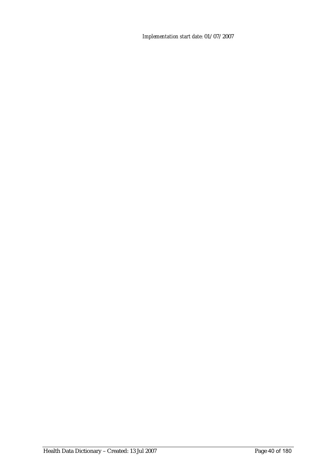*Implementation start date:* 01/07/2007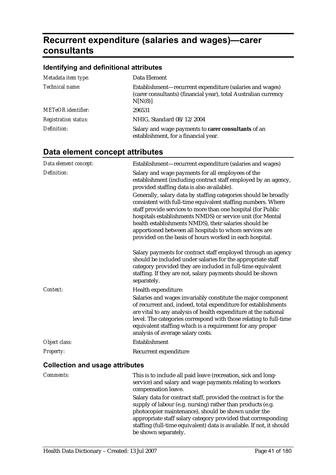# **Recurrent expenditure (salaries and wages)—carer consultants**

## **Identifying and definitional attributes**

| Metadata item type:         | Data Element                                                                                                                           |
|-----------------------------|----------------------------------------------------------------------------------------------------------------------------------------|
| Technical name:             | Establishment-recurrent expenditure (salaries and wages)<br>(carer consultants) (financial year), total Australian currency<br>N[N(8)] |
| <b>METeOR</b> identifier:   | 296531                                                                                                                                 |
| <b>Registration status:</b> | NHIG, Standard 08/12/2004                                                                                                              |
| Definition:                 | Salary and wage payments to carer consultants of an<br>establishment, for a financial year.                                            |

| Data element concept:                  | Establishment-recurrent expenditure (salaries and wages)                                                                                                                                                                                                                                                                                                                                                                                    |
|----------------------------------------|---------------------------------------------------------------------------------------------------------------------------------------------------------------------------------------------------------------------------------------------------------------------------------------------------------------------------------------------------------------------------------------------------------------------------------------------|
| Definition:                            | Salary and wage payments for all employees of the<br>establishment (including contract staff employed by an agency,<br>provided staffing data is also available).                                                                                                                                                                                                                                                                           |
|                                        | Generally, salary data by staffing categories should be broadly<br>consistent with full-time equivalent staffing numbers. Where<br>staff provide services to more than one hospital (for Public<br>hospitals establishments NMDS) or service unit (for Mental<br>health establishments NMDS), their salaries should be<br>apportioned between all hospitals to whom services are<br>provided on the basis of hours worked in each hospital. |
|                                        | Salary payments for contract staff employed through an agency<br>should be included under salaries for the appropriate staff<br>category provided they are included in full-time equivalent<br>staffing. If they are not, salary payments should be shown<br>separately.                                                                                                                                                                    |
| Context:                               | Health expenditure:<br>Salaries and wages invariably constitute the major component<br>of recurrent and, indeed, total expenditure for establishments<br>are vital to any analysis of health expenditure at the national<br>level. The categories correspond with those relating to full-time<br>equivalent staffing which is a requirement for any proper<br>analysis of average salary costs.                                             |
| Object class:                          | Establishment                                                                                                                                                                                                                                                                                                                                                                                                                               |
| Property:                              | Recurrent expenditure                                                                                                                                                                                                                                                                                                                                                                                                                       |
| <b>Collection and usage attributes</b> |                                                                                                                                                                                                                                                                                                                                                                                                                                             |

| <i>Comments:</i> | This is to include all paid leave (recreation, sick and long-<br>service) and salary and wage payments relating to workers<br>compensation leave.                                                                                                      |
|------------------|--------------------------------------------------------------------------------------------------------------------------------------------------------------------------------------------------------------------------------------------------------|
|                  | Salary data for contract staff, provided the contract is for the<br>supply of labour (e.g. nursing) rather than products (e.g.<br>photocopier maintenance), should be shown under the<br>appropriate staff salary category provided that corresponding |
|                  | staffing (full-time equivalent) data is available. If not, it should<br>be shown separately.                                                                                                                                                           |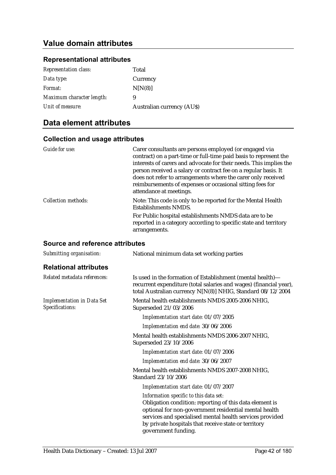### **Representational attributes**

| <b>Representation class:</b> | Total                            |
|------------------------------|----------------------------------|
| Data type:                   | Currency                         |
| Format:                      | N[N(8)]                          |
| Maximum character length:    | 9                                |
| Unit of measure:             | <b>Australian currency (AUS)</b> |

## **Data element attributes**

### **Collection and usage attributes**

| Guide for use:             | Carer consultants are persons employed (or engaged via<br>contract) on a part-time or full-time paid basis to represent the<br>interests of carers and advocate for their needs. This implies the<br>person received a salary or contract fee on a regular basis. It<br>does not refer to arrangements where the carer only received<br>reimbursements of expenses or occasional sitting fees for<br>attendance at meetings. |
|----------------------------|------------------------------------------------------------------------------------------------------------------------------------------------------------------------------------------------------------------------------------------------------------------------------------------------------------------------------------------------------------------------------------------------------------------------------|
| <b>Collection methods:</b> | Note: This code is only to be reported for the Mental Health<br>Establishments NMDS.                                                                                                                                                                                                                                                                                                                                         |
|                            | For Public hospital establishments NMDS data are to be<br>reported in a category according to specific state and territory<br>arrangements.                                                                                                                                                                                                                                                                                  |

| Submitting organisation:                             | National minimum data set working parties                                                                                                                                                                                                                                                             |
|------------------------------------------------------|-------------------------------------------------------------------------------------------------------------------------------------------------------------------------------------------------------------------------------------------------------------------------------------------------------|
| <b>Relational attributes</b>                         |                                                                                                                                                                                                                                                                                                       |
| Related metadata references:                         | Is used in the formation of Establishment (mental health)—<br>recurrent expenditure (total salaries and wages) (financial year),<br>total Australian currency N[N(8)] NHIG, Standard 08/12/2004                                                                                                       |
| <b>Implementation in Data Set</b><br>Specifications: | Mental health establishments NMDS 2005-2006 NHIG,<br>Superseded 21/03/2006                                                                                                                                                                                                                            |
|                                                      | Implementation start date: 01/07/2005                                                                                                                                                                                                                                                                 |
|                                                      | Implementation end date: 30/06/2006                                                                                                                                                                                                                                                                   |
|                                                      | Mental health establishments NMDS 2006-2007 NHIG,<br>Superseded 23/10/2006                                                                                                                                                                                                                            |
|                                                      | Implementation start date: 01/07/2006                                                                                                                                                                                                                                                                 |
|                                                      | Implementation end date: 30/06/2007                                                                                                                                                                                                                                                                   |
|                                                      | Mental health establishments NMDS 2007-2008 NHIG,<br>Standard 23/10/2006                                                                                                                                                                                                                              |
|                                                      | Implementation start date: 01/07/2007                                                                                                                                                                                                                                                                 |
|                                                      | Information specific to this data set:<br>Obligation condition: reporting of this data element is<br>optional for non-government residential mental health<br>services and specialised mental health services provided<br>by private hospitals that receive state or territory<br>government funding. |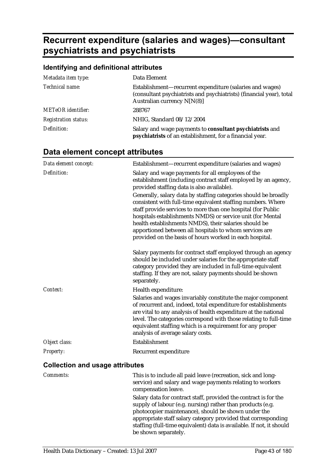# **Recurrent expenditure (salaries and wages)—consultant psychiatrists and psychiatrists**

## **Identifying and definitional attributes**

| Metadata item type:         | Data Element                                                                                                                                                    |
|-----------------------------|-----------------------------------------------------------------------------------------------------------------------------------------------------------------|
| Technical name:             | Establishment-recurrent expenditure (salaries and wages)<br>(consultant psychiatrists and psychiatrists) (financial year), total<br>Australian currency N[N(8)] |
| <b>METeOR</b> identifier:   | 288767                                                                                                                                                          |
| <b>Registration status:</b> | NHIG, Standard 08/12/2004                                                                                                                                       |
| Definition:                 | Salary and wage payments to consultant psychiatrists and<br>psychiatrists of an establishment, for a financial year.                                            |

| Data element concept:                  | Establishment-recurrent expenditure (salaries and wages)                                                                                                                                                                                                                                                                                                                                                                                    |
|----------------------------------------|---------------------------------------------------------------------------------------------------------------------------------------------------------------------------------------------------------------------------------------------------------------------------------------------------------------------------------------------------------------------------------------------------------------------------------------------|
| Definition:                            | Salary and wage payments for all employees of the<br>establishment (including contract staff employed by an agency,<br>provided staffing data is also available).                                                                                                                                                                                                                                                                           |
|                                        | Generally, salary data by staffing categories should be broadly<br>consistent with full-time equivalent staffing numbers. Where<br>staff provide services to more than one hospital (for Public<br>hospitals establishments NMDS) or service unit (for Mental<br>health establishments NMDS), their salaries should be<br>apportioned between all hospitals to whom services are<br>provided on the basis of hours worked in each hospital. |
|                                        | Salary payments for contract staff employed through an agency<br>should be included under salaries for the appropriate staff<br>category provided they are included in full-time equivalent<br>staffing. If they are not, salary payments should be shown<br>separately.                                                                                                                                                                    |
| Context:                               | Health expenditure:                                                                                                                                                                                                                                                                                                                                                                                                                         |
|                                        | Salaries and wages invariably constitute the major component<br>of recurrent and, indeed, total expenditure for establishments<br>are vital to any analysis of health expenditure at the national<br>level. The categories correspond with those relating to full-time<br>equivalent staffing which is a requirement for any proper<br>analysis of average salary costs.                                                                    |
| Object class:                          | Establishment                                                                                                                                                                                                                                                                                                                                                                                                                               |
| Property:                              | Recurrent expenditure                                                                                                                                                                                                                                                                                                                                                                                                                       |
| <b>Collection and usage attributes</b> |                                                                                                                                                                                                                                                                                                                                                                                                                                             |

| <i>Comments:</i> | This is to include all paid leave (recreation, sick and long-<br>service) and salary and wage payments relating to workers<br>compensation leave.                                                                                                                                                                                                      |
|------------------|--------------------------------------------------------------------------------------------------------------------------------------------------------------------------------------------------------------------------------------------------------------------------------------------------------------------------------------------------------|
|                  | Salary data for contract staff, provided the contract is for the<br>supply of labour (e.g. nursing) rather than products (e.g.<br>photocopier maintenance), should be shown under the<br>appropriate staff salary category provided that corresponding<br>staffing (full-time equivalent) data is available. If not, it should<br>be shown separately. |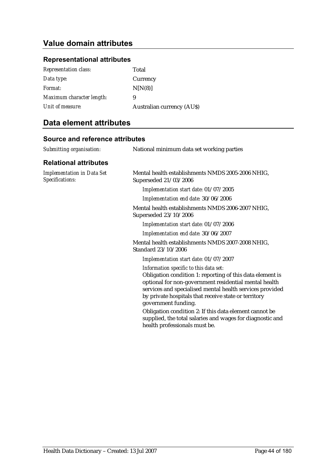### **Representational attributes**

| <b>Representation class:</b> | Total                            |
|------------------------------|----------------------------------|
| Data type:                   | Currency                         |
| Format:                      | N[N(8)]                          |
| Maximum character length:    | 9                                |
| Unit of measure:             | <b>Australian currency (AUS)</b> |

## **Data element attributes**

| Submitting organisation:                             | National minimum data set working parties                                                                                                                                                                                                                                                                                                                                                                                                                       |
|------------------------------------------------------|-----------------------------------------------------------------------------------------------------------------------------------------------------------------------------------------------------------------------------------------------------------------------------------------------------------------------------------------------------------------------------------------------------------------------------------------------------------------|
| <b>Relational attributes</b>                         |                                                                                                                                                                                                                                                                                                                                                                                                                                                                 |
| <b>Implementation in Data Set</b><br>Specifications: | Mental health establishments NMDS 2005-2006 NHIG,<br>Superseded 21/03/2006                                                                                                                                                                                                                                                                                                                                                                                      |
|                                                      | Implementation start date: 01/07/2005                                                                                                                                                                                                                                                                                                                                                                                                                           |
|                                                      | Implementation end date: 30/06/2006                                                                                                                                                                                                                                                                                                                                                                                                                             |
|                                                      | Mental health establishments NMDS 2006-2007 NHIG,<br>Superseded 23/10/2006                                                                                                                                                                                                                                                                                                                                                                                      |
|                                                      | Implementation start date: 01/07/2006                                                                                                                                                                                                                                                                                                                                                                                                                           |
|                                                      | Implementation end date: 30/06/2007                                                                                                                                                                                                                                                                                                                                                                                                                             |
|                                                      | Mental health establishments NMDS 2007-2008 NHIG,<br>Standard 23/10/2006                                                                                                                                                                                                                                                                                                                                                                                        |
|                                                      | Implementation start date: 01/07/2007                                                                                                                                                                                                                                                                                                                                                                                                                           |
|                                                      | Information specific to this data set:<br>Obligation condition 1: reporting of this data element is<br>optional for non-government residential mental health<br>services and specialised mental health services provided<br>by private hospitals that receive state or territory<br>government funding.<br>Obligation condition 2: If this data element cannot be<br>supplied, the total salaries and wages for diagnostic and<br>health professionals must be. |
|                                                      |                                                                                                                                                                                                                                                                                                                                                                                                                                                                 |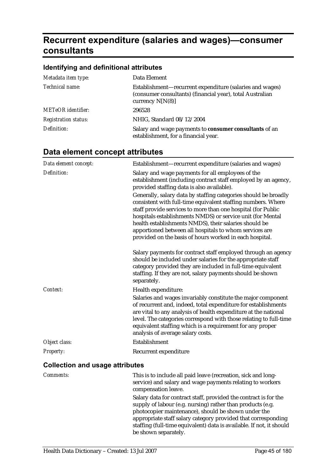# **Recurrent expenditure (salaries and wages)—consumer consultants**

## **Identifying and definitional attributes**

| Metadata item type:         | Data Element                                                                                                                                |
|-----------------------------|---------------------------------------------------------------------------------------------------------------------------------------------|
| Technical name:             | Establishment—recurrent expenditure (salaries and wages)<br>(consumer consultants) (financial year), total Australian<br>currency $N[N(8)]$ |
| <b>METeOR</b> identifier:   | 296528                                                                                                                                      |
| <b>Registration status:</b> | NHIG, Standard 08/12/2004                                                                                                                   |
| Definition:                 | Salary and wage payments to consumer consultants of an<br>establishment, for a financial year.                                              |

| Data element concept:                  | Establishment-recurrent expenditure (salaries and wages)                                                                                                                                                                                                                                                                                                                                                                                    |
|----------------------------------------|---------------------------------------------------------------------------------------------------------------------------------------------------------------------------------------------------------------------------------------------------------------------------------------------------------------------------------------------------------------------------------------------------------------------------------------------|
| Definition:                            | Salary and wage payments for all employees of the<br>establishment (including contract staff employed by an agency,<br>provided staffing data is also available).                                                                                                                                                                                                                                                                           |
|                                        | Generally, salary data by staffing categories should be broadly<br>consistent with full-time equivalent staffing numbers. Where<br>staff provide services to more than one hospital (for Public<br>hospitals establishments NMDS) or service unit (for Mental<br>health establishments NMDS), their salaries should be<br>apportioned between all hospitals to whom services are<br>provided on the basis of hours worked in each hospital. |
|                                        | Salary payments for contract staff employed through an agency<br>should be included under salaries for the appropriate staff<br>category provided they are included in full-time equivalent<br>staffing. If they are not, salary payments should be shown<br>separately.                                                                                                                                                                    |
| Context:                               | Health expenditure:<br>Salaries and wages invariably constitute the major component<br>of recurrent and, indeed, total expenditure for establishments<br>are vital to any analysis of health expenditure at the national<br>level. The categories correspond with those relating to full-time<br>equivalent staffing which is a requirement for any proper<br>analysis of average salary costs.                                             |
| Object class:                          | Establishment                                                                                                                                                                                                                                                                                                                                                                                                                               |
| Property:                              | Recurrent expenditure                                                                                                                                                                                                                                                                                                                                                                                                                       |
| <b>Collection and usage attributes</b> |                                                                                                                                                                                                                                                                                                                                                                                                                                             |

| <b>Comments:</b> | This is to include all paid leave (recreation, sick and long-<br>service) and salary and wage payments relating to workers<br>compensation leave.                                                                                                      |
|------------------|--------------------------------------------------------------------------------------------------------------------------------------------------------------------------------------------------------------------------------------------------------|
|                  | Salary data for contract staff, provided the contract is for the<br>supply of labour (e.g. nursing) rather than products (e.g.<br>photocopier maintenance), should be shown under the<br>appropriate staff salary category provided that corresponding |
|                  | staffing (full-time equivalent) data is available. If not, it should<br>be shown separately.                                                                                                                                                           |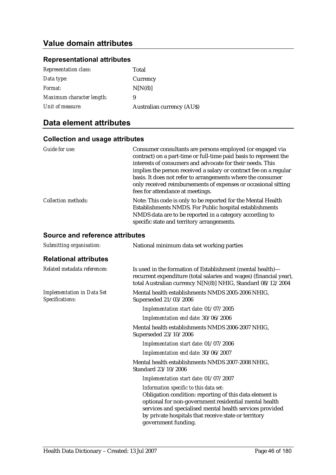### **Representational attributes**

| <b>Representation class:</b> | Total                            |
|------------------------------|----------------------------------|
| Data type:                   | Currency                         |
| Format:                      | N[N(8)]                          |
| Maximum character length:    | 9                                |
| Unit of measure:             | <b>Australian currency (AUS)</b> |

## **Data element attributes**

### **Collection and usage attributes**

| Guide for use:             | Consumer consultants are persons employed (or engaged via<br>contract) on a part-time or full-time paid basis to represent the<br>interests of consumers and advocate for their needs. This<br>implies the person received a salary or contract fee on a regular<br>basis. It does not refer to arrangements where the consumer<br>only received reimbursements of expenses or occasional sitting<br>fees for attendance at meetings. |
|----------------------------|---------------------------------------------------------------------------------------------------------------------------------------------------------------------------------------------------------------------------------------------------------------------------------------------------------------------------------------------------------------------------------------------------------------------------------------|
| <b>Collection methods:</b> | Note: This code is only to be reported for the Mental Health<br>Establishments NMDS. For Public hospital establishments<br>NMDS data are to be reported in a category according to<br>specific state and territory arrangements.                                                                                                                                                                                                      |

| Submitting organisation:                             | National minimum data set working parties                                                                                                                                                                                                                                                             |  |
|------------------------------------------------------|-------------------------------------------------------------------------------------------------------------------------------------------------------------------------------------------------------------------------------------------------------------------------------------------------------|--|
| <b>Relational attributes</b>                         |                                                                                                                                                                                                                                                                                                       |  |
| Related metadata references:                         | Is used in the formation of Establishment (mental health)—<br>recurrent expenditure (total salaries and wages) (financial year),<br>total Australian currency N[N(8)] NHIG, Standard 08/12/2004                                                                                                       |  |
| <b>Implementation in Data Set</b><br>Specifications: | Mental health establishments NMDS 2005-2006 NHIG,<br>Superseded 21/03/2006                                                                                                                                                                                                                            |  |
|                                                      | Implementation start date: 01/07/2005                                                                                                                                                                                                                                                                 |  |
|                                                      | Implementation end date: 30/06/2006                                                                                                                                                                                                                                                                   |  |
|                                                      | Mental health establishments NMDS 2006-2007 NHIG,<br>Superseded 23/10/2006                                                                                                                                                                                                                            |  |
|                                                      | Implementation start date: 01/07/2006                                                                                                                                                                                                                                                                 |  |
|                                                      | Implementation end date: 30/06/2007                                                                                                                                                                                                                                                                   |  |
|                                                      | Mental health establishments NMDS 2007-2008 NHIG,<br>Standard 23/10/2006                                                                                                                                                                                                                              |  |
|                                                      | Implementation start date: 01/07/2007                                                                                                                                                                                                                                                                 |  |
|                                                      | Information specific to this data set:<br>Obligation condition: reporting of this data element is<br>optional for non-government residential mental health<br>services and specialised mental health services provided<br>by private hospitals that receive state or territory<br>government funding. |  |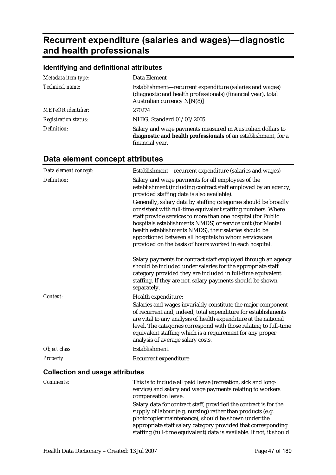# **Recurrent expenditure (salaries and wages)—diagnostic and health professionals**

### **Identifying and definitional attributes**

| Metadata item type:         | Data Element                                                                                                                                             |
|-----------------------------|----------------------------------------------------------------------------------------------------------------------------------------------------------|
| Technical name:             | Establishment-recurrent expenditure (salaries and wages)<br>(diagnostic and health professionals) (financial year), total<br>Australian currency N[N(8)] |
| <b>METeOR</b> identifier:   | 270274                                                                                                                                                   |
| <b>Registration status:</b> | NHIG, Standard 01/03/2005                                                                                                                                |
| Definition:                 | Salary and wage payments measured in Australian dollars to<br>diagnostic and health professionals of an establishment, for a<br>financial year.          |

## **Data element concept attributes**

| Data element concept:                  | Establishment-recurrent expenditure (salaries and wages)                                                                                                                                                                                                                                                                                                                                                                                    |
|----------------------------------------|---------------------------------------------------------------------------------------------------------------------------------------------------------------------------------------------------------------------------------------------------------------------------------------------------------------------------------------------------------------------------------------------------------------------------------------------|
| Definition:                            | Salary and wage payments for all employees of the<br>establishment (including contract staff employed by an agency,<br>provided staffing data is also available).                                                                                                                                                                                                                                                                           |
|                                        | Generally, salary data by staffing categories should be broadly<br>consistent with full-time equivalent staffing numbers. Where<br>staff provide services to more than one hospital (for Public<br>hospitals establishments NMDS) or service unit (for Mental<br>health establishments NMDS), their salaries should be<br>apportioned between all hospitals to whom services are<br>provided on the basis of hours worked in each hospital. |
|                                        | Salary payments for contract staff employed through an agency<br>should be included under salaries for the appropriate staff<br>category provided they are included in full-time equivalent<br>staffing. If they are not, salary payments should be shown<br>separately.                                                                                                                                                                    |
| Context:                               | Health expenditure:                                                                                                                                                                                                                                                                                                                                                                                                                         |
|                                        | Salaries and wages invariably constitute the major component<br>of recurrent and, indeed, total expenditure for establishments<br>are vital to any analysis of health expenditure at the national<br>level. The categories correspond with those relating to full-time<br>equivalent staffing which is a requirement for any proper<br>analysis of average salary costs.                                                                    |
| Object class:                          | Establishment                                                                                                                                                                                                                                                                                                                                                                                                                               |
| Property:                              | Recurrent expenditure                                                                                                                                                                                                                                                                                                                                                                                                                       |
| <b>Collection and usage attributes</b> |                                                                                                                                                                                                                                                                                                                                                                                                                                             |
| Comments:                              | This is to include all paid leave (recreation, sick and long-<br>service) and salary and wage payments relating to workers<br>compensation leave.                                                                                                                                                                                                                                                                                           |
|                                        | Salary data for contract staff, provided the contract is for the<br>supply of labour (e.g. nursing) rather than products (e.g.<br>photocopier maintenance), should be shown under the<br>appropriate staff salary category provided that corresponding                                                                                                                                                                                      |

staffing (full-time equivalent) data is available. If not, it should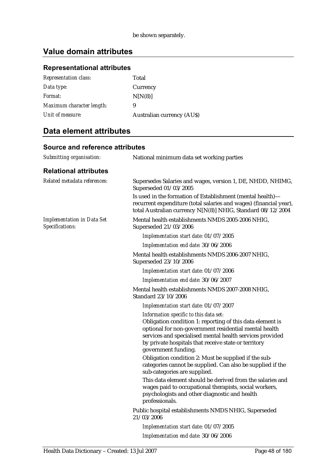## **Representational attributes**

| <b>Representation class:</b> | Total                            |
|------------------------------|----------------------------------|
| Data type:                   | Currency                         |
| Format:                      | N[N(8)]                          |
| Maximum character length:    | 9                                |
| Unit of measure:             | <b>Australian currency (AUS)</b> |

## **Data element attributes**

| Submitting organisation:                             | National minimum data set working parties                                                                                                                                                                                                                                                               |
|------------------------------------------------------|---------------------------------------------------------------------------------------------------------------------------------------------------------------------------------------------------------------------------------------------------------------------------------------------------------|
| <b>Relational attributes</b>                         |                                                                                                                                                                                                                                                                                                         |
| Related metadata references:                         | Supersedes Salaries and wages, version 1, DE, NHDD, NHIMG,<br>Superseded 01/03/2005                                                                                                                                                                                                                     |
|                                                      | Is used in the formation of Establishment (mental health)-<br>recurrent expenditure (total salaries and wages) (financial year),<br>total Australian currency N[N(8)] NHIG, Standard 08/12/2004                                                                                                         |
| <b>Implementation in Data Set</b><br>Specifications: | Mental health establishments NMDS 2005-2006 NHIG,<br>Superseded 21/03/2006                                                                                                                                                                                                                              |
|                                                      | Implementation start date: 01/07/2005                                                                                                                                                                                                                                                                   |
|                                                      | Implementation end date: 30/06/2006                                                                                                                                                                                                                                                                     |
|                                                      | Mental health establishments NMDS 2006-2007 NHIG,<br>Superseded 23/10/2006                                                                                                                                                                                                                              |
|                                                      | Implementation start date: 01/07/2006                                                                                                                                                                                                                                                                   |
|                                                      | Implementation end date: 30/06/2007                                                                                                                                                                                                                                                                     |
|                                                      | Mental health establishments NMDS 2007-2008 NHIG,<br>Standard 23/10/2006                                                                                                                                                                                                                                |
|                                                      | Implementation start date: 01/07/2007                                                                                                                                                                                                                                                                   |
|                                                      | Information specific to this data set:<br>Obligation condition 1: reporting of this data element is<br>optional for non-government residential mental health<br>services and specialised mental health services provided<br>by private hospitals that receive state or territory<br>government funding. |
|                                                      | Obligation condition 2: Must be supplied if the sub-<br>categories cannot be supplied. Can also be supplied if the<br>sub-categories are supplied.                                                                                                                                                      |
|                                                      | This data element should be derived from the salaries and<br>wages paid to occupational therapists, social workers,<br>psychologists and other diagnostic and health<br>professionals.                                                                                                                  |
|                                                      | Public hospital establishments NMDS NHIG, Superseded<br>21/03/2006                                                                                                                                                                                                                                      |
|                                                      | Implementation start date: 01/07/2005                                                                                                                                                                                                                                                                   |
|                                                      | Implementation end date: 30/06/2006                                                                                                                                                                                                                                                                     |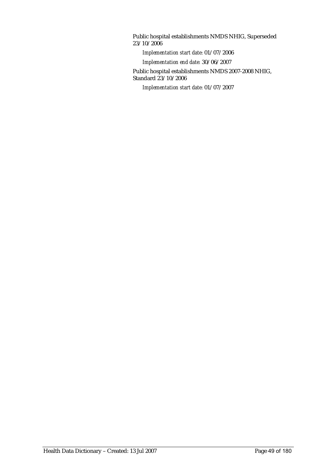Public hospital establishments NMDS NHIG, Superseded 23/10/2006

*Implementation start date:* 01/07/2006

*Implementation end date:* 30/06/2007

Public hospital establishments NMDS 2007-2008 NHIG, Standard 23/10/2006

*Implementation start date:* 01/07/2007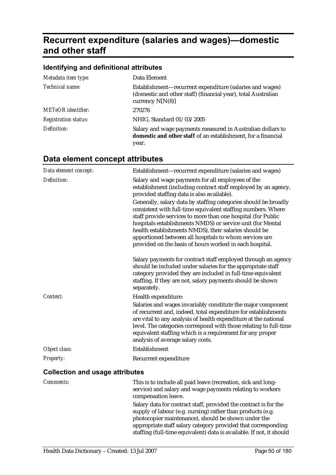# **Recurrent expenditure (salaries and wages)—domestic and other staff**

### **Identifying and definitional attributes**

| Metadata item type:         | Data Element                                                                                                                                    |
|-----------------------------|-------------------------------------------------------------------------------------------------------------------------------------------------|
| Technical name:             | Establishment—recurrent expenditure (salaries and wages)<br>(domestic and other staff) (financial year), total Australian<br>currency $N[N(8)]$ |
| <b>METeOR</b> identifier:   | 270276                                                                                                                                          |
| <b>Registration status:</b> | NHIG, Standard 01/03/2005                                                                                                                       |
| Definition:                 | Salary and wage payments measured in Australian dollars to<br>domestic and other staff of an establishment, for a financial<br>year.            |

## **Data element concept attributes**

| Data element concept:                  | Establishment-recurrent expenditure (salaries and wages)                                                                                                                                                                                                                                                                                                                                                                                    |
|----------------------------------------|---------------------------------------------------------------------------------------------------------------------------------------------------------------------------------------------------------------------------------------------------------------------------------------------------------------------------------------------------------------------------------------------------------------------------------------------|
| Definition:                            | Salary and wage payments for all employees of the<br>establishment (including contract staff employed by an agency,<br>provided staffing data is also available).                                                                                                                                                                                                                                                                           |
|                                        | Generally, salary data by staffing categories should be broadly<br>consistent with full-time equivalent staffing numbers. Where<br>staff provide services to more than one hospital (for Public<br>hospitals establishments NMDS) or service unit (for Mental<br>health establishments NMDS), their salaries should be<br>apportioned between all hospitals to whom services are<br>provided on the basis of hours worked in each hospital. |
|                                        | Salary payments for contract staff employed through an agency<br>should be included under salaries for the appropriate staff<br>category provided they are included in full-time equivalent<br>staffing. If they are not, salary payments should be shown<br>separately.                                                                                                                                                                    |
| Context:                               | Health expenditure:                                                                                                                                                                                                                                                                                                                                                                                                                         |
|                                        | Salaries and wages invariably constitute the major component<br>of recurrent and, indeed, total expenditure for establishments<br>are vital to any analysis of health expenditure at the national<br>level. The categories correspond with those relating to full-time<br>equivalent staffing which is a requirement for any proper<br>analysis of average salary costs.                                                                    |
| Object class:                          | Establishment                                                                                                                                                                                                                                                                                                                                                                                                                               |
| Property:                              | Recurrent expenditure                                                                                                                                                                                                                                                                                                                                                                                                                       |
| <b>Collection and usage attributes</b> |                                                                                                                                                                                                                                                                                                                                                                                                                                             |
| Comments:                              | This is to include all paid leave (recreation, sick and long-<br>service) and salary and wage payments relating to workers<br>compensation leave.                                                                                                                                                                                                                                                                                           |
|                                        | Salary data for contract staff, provided the contract is for the<br>supply of labour (e.g. nursing) rather than products (e.g.<br>photocopier maintenance), should be shown under the<br>appropriate staff salary category provided that corresponding                                                                                                                                                                                      |

staffing (full-time equivalent) data is available. If not, it should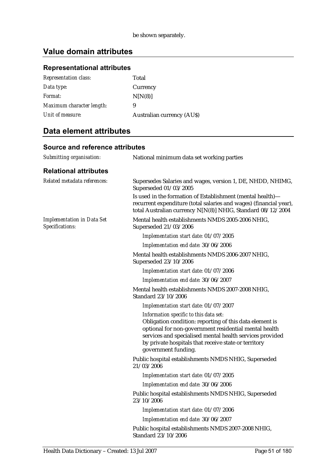## **Representational attributes**

| <b>Representation class:</b> | Total                            |
|------------------------------|----------------------------------|
| Data type:                   | Currency                         |
| Format:                      | N[N(8)]                          |
| Maximum character length:    | 9                                |
| Unit of measure:             | <b>Australian currency (AUS)</b> |

## **Data element attributes**

| Submitting organisation:                             | National minimum data set working parties                                                                                                                                                                                                                                                             |
|------------------------------------------------------|-------------------------------------------------------------------------------------------------------------------------------------------------------------------------------------------------------------------------------------------------------------------------------------------------------|
| <b>Relational attributes</b>                         |                                                                                                                                                                                                                                                                                                       |
| Related metadata references:                         | Supersedes Salaries and wages, version 1, DE, NHDD, NHIMG,<br>Superseded 01/03/2005                                                                                                                                                                                                                   |
|                                                      | Is used in the formation of Establishment (mental health)-<br>recurrent expenditure (total salaries and wages) (financial year),<br>total Australian currency N[N(8)] NHIG, Standard 08/12/2004                                                                                                       |
| <b>Implementation in Data Set</b><br>Specifications: | Mental health establishments NMDS 2005-2006 NHIG,<br>Superseded 21/03/2006                                                                                                                                                                                                                            |
|                                                      | Implementation start date: 01/07/2005                                                                                                                                                                                                                                                                 |
|                                                      | Implementation end date: 30/06/2006                                                                                                                                                                                                                                                                   |
|                                                      | Mental health establishments NMDS 2006-2007 NHIG,<br>Superseded 23/10/2006                                                                                                                                                                                                                            |
|                                                      | Implementation start date: 01/07/2006                                                                                                                                                                                                                                                                 |
|                                                      | Implementation end date: 30/06/2007                                                                                                                                                                                                                                                                   |
|                                                      | Mental health establishments NMDS 2007-2008 NHIG,<br>Standard 23/10/2006                                                                                                                                                                                                                              |
|                                                      | Implementation start date: 01/07/2007                                                                                                                                                                                                                                                                 |
|                                                      | Information specific to this data set:<br>Obligation condition: reporting of this data element is<br>optional for non-government residential mental health<br>services and specialised mental health services provided<br>by private hospitals that receive state or territory<br>government funding. |
|                                                      | Public hospital establishments NMDS NHIG, Superseded<br>21/03/2006                                                                                                                                                                                                                                    |
|                                                      | Implementation start date: 01/07/2005                                                                                                                                                                                                                                                                 |
|                                                      | Implementation end date: 30/06/2006                                                                                                                                                                                                                                                                   |
|                                                      | Public hospital establishments NMDS NHIG, Superseded<br>23/10/2006                                                                                                                                                                                                                                    |
|                                                      | Implementation start date: 01/07/2006                                                                                                                                                                                                                                                                 |
|                                                      | Implementation end date: 30/06/2007                                                                                                                                                                                                                                                                   |
|                                                      | Public hospital establishments NMDS 2007-2008 NHIG,<br>Standard 23/10/2006                                                                                                                                                                                                                            |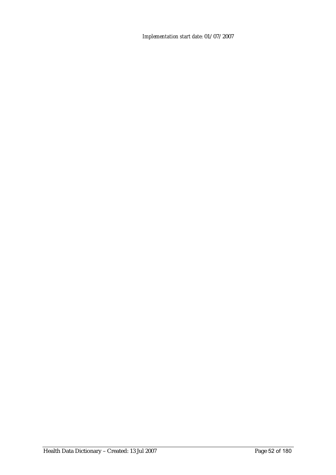*Implementation start date:* 01/07/2007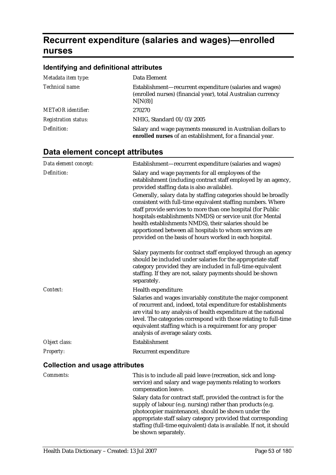# **Recurrent expenditure (salaries and wages)—enrolled nurses**

## **Identifying and definitional attributes**

| Metadata item type:         | Data Element                                                                                                                         |
|-----------------------------|--------------------------------------------------------------------------------------------------------------------------------------|
| Technical name:             | Establishment-recurrent expenditure (salaries and wages)<br>(enrolled nurses) (financial year), total Australian currency<br>N[N(8)] |
| <b>METeOR</b> identifier:   | 270270                                                                                                                               |
| <b>Registration status:</b> | NHIG, Standard 01/03/2005                                                                                                            |
| Definition:                 | Salary and wage payments measured in Australian dollars to<br>enrolled nurses of an establishment, for a financial year.             |

| Data element concept:                  | Establishment-recurrent expenditure (salaries and wages)                                                                                                                                                                                                                                                                                                                                                                                    |
|----------------------------------------|---------------------------------------------------------------------------------------------------------------------------------------------------------------------------------------------------------------------------------------------------------------------------------------------------------------------------------------------------------------------------------------------------------------------------------------------|
| Definition:                            | Salary and wage payments for all employees of the<br>establishment (including contract staff employed by an agency,<br>provided staffing data is also available).                                                                                                                                                                                                                                                                           |
|                                        | Generally, salary data by staffing categories should be broadly<br>consistent with full-time equivalent staffing numbers. Where<br>staff provide services to more than one hospital (for Public<br>hospitals establishments NMDS) or service unit (for Mental<br>health establishments NMDS), their salaries should be<br>apportioned between all hospitals to whom services are<br>provided on the basis of hours worked in each hospital. |
|                                        | Salary payments for contract staff employed through an agency<br>should be included under salaries for the appropriate staff<br>category provided they are included in full-time equivalent<br>staffing. If they are not, salary payments should be shown<br>separately.                                                                                                                                                                    |
| Context:                               | Health expenditure:<br>Salaries and wages invariably constitute the major component<br>of recurrent and, indeed, total expenditure for establishments<br>are vital to any analysis of health expenditure at the national<br>level. The categories correspond with those relating to full-time<br>equivalent staffing which is a requirement for any proper<br>analysis of average salary costs.                                             |
| Object class:                          | Establishment                                                                                                                                                                                                                                                                                                                                                                                                                               |
| <b>Property:</b>                       | Recurrent expenditure                                                                                                                                                                                                                                                                                                                                                                                                                       |
| <b>Collection and usage attributes</b> |                                                                                                                                                                                                                                                                                                                                                                                                                                             |

| <i>Comments:</i> | This is to include all paid leave (recreation, sick and long-<br>service) and salary and wage payments relating to workers<br>compensation leave.                                                                                                      |
|------------------|--------------------------------------------------------------------------------------------------------------------------------------------------------------------------------------------------------------------------------------------------------|
|                  | Salary data for contract staff, provided the contract is for the<br>supply of labour (e.g. nursing) rather than products (e.g.<br>photocopier maintenance), should be shown under the<br>appropriate staff salary category provided that corresponding |
|                  | staffing (full-time equivalent) data is available. If not, it should<br>be shown separately.                                                                                                                                                           |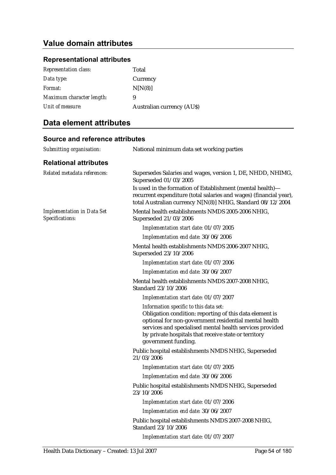#### **Representational attributes**

| <b>Representation class:</b> | Total                            |
|------------------------------|----------------------------------|
| Data type:                   | Currency                         |
| Format:                      | N[N(8)]                          |
| Maximum character length:    | 9                                |
| Unit of measure:             | <b>Australian currency (AUS)</b> |

### **Data element attributes**

### **Source and reference attributes**  *Submitting organisation:* National minimum data set working parties **Relational attributes**  *Related metadata references:* Supersedes Salaries and wages, version 1, DE, NHDD, NHIMG, Superseded 01/03/2005 Is used in the formation of Establishment (mental health) recurrent expenditure (total salaries and wages) (financial year), total Australian currency N[N(8)] NHIG, Standard 08/12/2004 *Implementation in Data Set Specifications:* Mental health establishments NMDS 2005-2006 NHIG, Superseded 21/03/2006 *Implementation start date:* 01/07/2005 *Implementation end date:* 30/06/2006 Mental health establishments NMDS 2006-2007 NHIG, Superseded 23/10/2006 *Implementation start date:* 01/07/2006 *Implementation end date:* 30/06/2007 Mental health establishments NMDS 2007-2008 NHIG, Standard 23/10/2006 *Implementation start date:* 01/07/2007 *Information specific to this data set:* Obligation condition: reporting of this data element is optional for non-government residential mental health services and specialised mental health services provided by private hospitals that receive state or territory government funding. Public hospital establishments NMDS NHIG, Superseded 21/03/2006 *Implementation start date:* 01/07/2005 *Implementation end date:* 30/06/2006 Public hospital establishments NMDS NHIG, Superseded 23/10/2006 *Implementation start date:* 01/07/2006 *Implementation end date:* 30/06/2007 Public hospital establishments NMDS 2007-2008 NHIG, Standard 23/10/2006 *Implementation start date:* 01/07/2007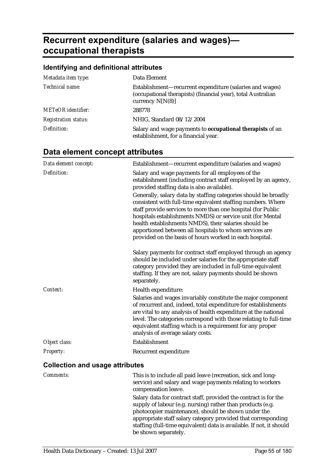# **Recurrent expenditure (salaries and wages) occupational therapists**

## **Identifying and definitional attributes**

| Metadata item type:         | Data Element                                                                                                                                   |
|-----------------------------|------------------------------------------------------------------------------------------------------------------------------------------------|
| Technical name:             | Establishment-recurrent expenditure (salaries and wages)<br>(occupational therapists) (financial year), total Australian<br>currency $N[N(8)]$ |
| <b>METeOR</b> identifier:   | 288778                                                                                                                                         |
| <b>Registration status:</b> | NHIG, Standard 08/12/2004                                                                                                                      |
| Definition:                 | Salary and wage payments to occupational therapists of an<br>establishment, for a financial year.                                              |

| Data element concept:                  | Establishment-recurrent expenditure (salaries and wages)                                                                                                                                                                                                                                                                                                                                                                                    |
|----------------------------------------|---------------------------------------------------------------------------------------------------------------------------------------------------------------------------------------------------------------------------------------------------------------------------------------------------------------------------------------------------------------------------------------------------------------------------------------------|
| Definition:                            | Salary and wage payments for all employees of the<br>establishment (including contract staff employed by an agency,<br>provided staffing data is also available).                                                                                                                                                                                                                                                                           |
|                                        | Generally, salary data by staffing categories should be broadly<br>consistent with full-time equivalent staffing numbers. Where<br>staff provide services to more than one hospital (for Public<br>hospitals establishments NMDS) or service unit (for Mental<br>health establishments NMDS), their salaries should be<br>apportioned between all hospitals to whom services are<br>provided on the basis of hours worked in each hospital. |
|                                        | Salary payments for contract staff employed through an agency<br>should be included under salaries for the appropriate staff<br>category provided they are included in full-time equivalent<br>staffing. If they are not, salary payments should be shown<br>separately.                                                                                                                                                                    |
| Context:                               | Health expenditure:                                                                                                                                                                                                                                                                                                                                                                                                                         |
|                                        | Salaries and wages invariably constitute the major component<br>of recurrent and, indeed, total expenditure for establishments<br>are vital to any analysis of health expenditure at the national<br>level. The categories correspond with those relating to full-time<br>equivalent staffing which is a requirement for any proper<br>analysis of average salary costs.                                                                    |
| Object class:                          | Establishment                                                                                                                                                                                                                                                                                                                                                                                                                               |
| Property:                              | Recurrent expenditure                                                                                                                                                                                                                                                                                                                                                                                                                       |
| <b>Collection and usage attributes</b> |                                                                                                                                                                                                                                                                                                                                                                                                                                             |

| <i>Comments:</i> | This is to include all paid leave (recreation, sick and long-<br>service) and salary and wage payments relating to workers<br>compensation leave.                                     |
|------------------|---------------------------------------------------------------------------------------------------------------------------------------------------------------------------------------|
|                  | Salary data for contract staff, provided the contract is for the<br>supply of labour (e.g. nursing) rather than products (e.g.<br>photocopier maintenance), should be shown under the |
|                  | appropriate staff salary category provided that corresponding<br>staffing (full-time equivalent) data is available. If not, it should<br>be shown separately.                         |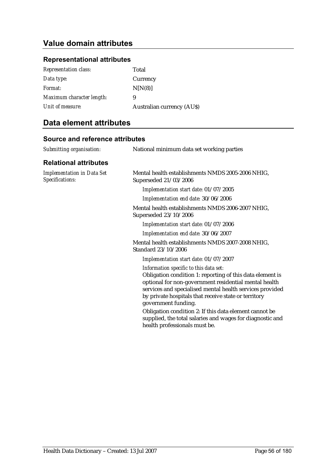### **Representational attributes**

| <b>Representation class:</b> | Total                            |
|------------------------------|----------------------------------|
| Data type:                   | Currency                         |
| Format:                      | N[N(8)]                          |
| Maximum character length:    | 9                                |
| Unit of measure:             | <b>Australian currency (AUS)</b> |

## **Data element attributes**

| Submitting organisation:                             | National minimum data set working parties                                                                                                                                                                                                                                                                                                                                                                                                                       |  |
|------------------------------------------------------|-----------------------------------------------------------------------------------------------------------------------------------------------------------------------------------------------------------------------------------------------------------------------------------------------------------------------------------------------------------------------------------------------------------------------------------------------------------------|--|
| <b>Relational attributes</b>                         |                                                                                                                                                                                                                                                                                                                                                                                                                                                                 |  |
| <b>Implementation in Data Set</b><br>Specifications: | Mental health establishments NMDS 2005-2006 NHIG,<br>Superseded 21/03/2006                                                                                                                                                                                                                                                                                                                                                                                      |  |
|                                                      | Implementation start date: 01/07/2005                                                                                                                                                                                                                                                                                                                                                                                                                           |  |
|                                                      | Implementation end date: 30/06/2006                                                                                                                                                                                                                                                                                                                                                                                                                             |  |
|                                                      | Mental health establishments NMDS 2006-2007 NHIG,<br>Superseded 23/10/2006                                                                                                                                                                                                                                                                                                                                                                                      |  |
|                                                      | Implementation start date: 01/07/2006                                                                                                                                                                                                                                                                                                                                                                                                                           |  |
|                                                      | Implementation end date: 30/06/2007                                                                                                                                                                                                                                                                                                                                                                                                                             |  |
|                                                      | Mental health establishments NMDS 2007-2008 NHIG,<br>Standard 23/10/2006                                                                                                                                                                                                                                                                                                                                                                                        |  |
|                                                      | Implementation start date: 01/07/2007                                                                                                                                                                                                                                                                                                                                                                                                                           |  |
|                                                      | Information specific to this data set:<br>Obligation condition 1: reporting of this data element is<br>optional for non-government residential mental health<br>services and specialised mental health services provided<br>by private hospitals that receive state or territory<br>government funding.<br>Obligation condition 2: If this data element cannot be<br>supplied, the total salaries and wages for diagnostic and<br>health professionals must be. |  |
|                                                      |                                                                                                                                                                                                                                                                                                                                                                                                                                                                 |  |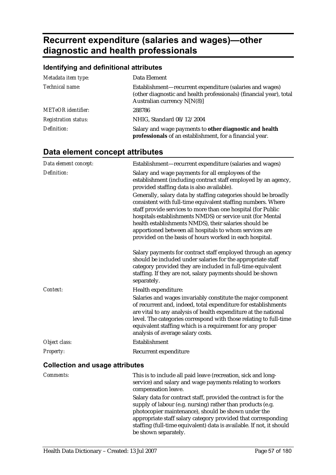# **Recurrent expenditure (salaries and wages)—other diagnostic and health professionals**

## **Identifying and definitional attributes**

| Metadata item type:         | Data Element                                                                                                                                                     |
|-----------------------------|------------------------------------------------------------------------------------------------------------------------------------------------------------------|
| Technical name:             | Establishment-recurrent expenditure (salaries and wages)<br>(other diagnostic and health professionals) (financial year), total<br>Australian currency $N[N(8)]$ |
| <b>METeOR</b> identifier:   | 288786                                                                                                                                                           |
| <b>Registration status:</b> | NHIG, Standard 08/12/2004                                                                                                                                        |
| Definition:                 | Salary and wage payments to other diagnostic and health<br>professionals of an establishment, for a financial year.                                              |

| Data element concept:                  | Establishment-recurrent expenditure (salaries and wages)                                                                                                                                                                                                                                                                                                                                                                                    |
|----------------------------------------|---------------------------------------------------------------------------------------------------------------------------------------------------------------------------------------------------------------------------------------------------------------------------------------------------------------------------------------------------------------------------------------------------------------------------------------------|
| Definition:                            | Salary and wage payments for all employees of the<br>establishment (including contract staff employed by an agency,<br>provided staffing data is also available).                                                                                                                                                                                                                                                                           |
|                                        | Generally, salary data by staffing categories should be broadly<br>consistent with full-time equivalent staffing numbers. Where<br>staff provide services to more than one hospital (for Public<br>hospitals establishments NMDS) or service unit (for Mental<br>health establishments NMDS), their salaries should be<br>apportioned between all hospitals to whom services are<br>provided on the basis of hours worked in each hospital. |
|                                        | Salary payments for contract staff employed through an agency<br>should be included under salaries for the appropriate staff<br>category provided they are included in full-time equivalent<br>staffing. If they are not, salary payments should be shown<br>separately.                                                                                                                                                                    |
| Context:                               | Health expenditure:<br>Salaries and wages invariably constitute the major component<br>of recurrent and, indeed, total expenditure for establishments<br>are vital to any analysis of health expenditure at the national<br>level. The categories correspond with those relating to full-time<br>equivalent staffing which is a requirement for any proper<br>analysis of average salary costs.                                             |
| Object class:                          | Establishment                                                                                                                                                                                                                                                                                                                                                                                                                               |
| Property:                              | Recurrent expenditure                                                                                                                                                                                                                                                                                                                                                                                                                       |
| <b>Collection and usage attributes</b> |                                                                                                                                                                                                                                                                                                                                                                                                                                             |

| <i>Comments:</i> | This is to include all paid leave (recreation, sick and long-<br>service) and salary and wage payments relating to workers<br>compensation leave.                                     |
|------------------|---------------------------------------------------------------------------------------------------------------------------------------------------------------------------------------|
|                  | Salary data for contract staff, provided the contract is for the<br>supply of labour (e.g. nursing) rather than products (e.g.<br>photocopier maintenance), should be shown under the |
|                  | appropriate staff salary category provided that corresponding<br>staffing (full-time equivalent) data is available. If not, it should<br>be shown separately.                         |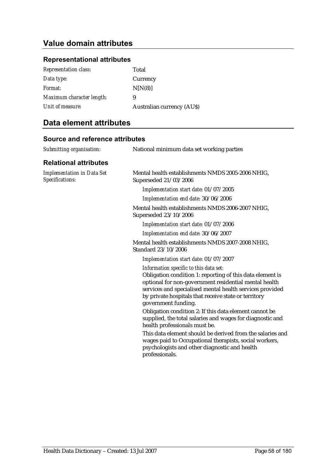### **Representational attributes**

| <b>Representation class:</b> | Total                            |
|------------------------------|----------------------------------|
| Data type:                   | Currency                         |
| Format:                      | N[N(8)]                          |
| Maximum character length:    | 9                                |
| Unit of measure:             | <b>Australian currency (AUS)</b> |

## **Data element attributes**

| National minimum data set working parties                                                                                                                                                                                                                                                                                                                                                                                                                                                                                                                                                                                               |
|-----------------------------------------------------------------------------------------------------------------------------------------------------------------------------------------------------------------------------------------------------------------------------------------------------------------------------------------------------------------------------------------------------------------------------------------------------------------------------------------------------------------------------------------------------------------------------------------------------------------------------------------|
|                                                                                                                                                                                                                                                                                                                                                                                                                                                                                                                                                                                                                                         |
| Mental health establishments NMDS 2005-2006 NHIG,<br>Superseded 21/03/2006                                                                                                                                                                                                                                                                                                                                                                                                                                                                                                                                                              |
| Implementation start date: 01/07/2005                                                                                                                                                                                                                                                                                                                                                                                                                                                                                                                                                                                                   |
| Implementation end date: 30/06/2006                                                                                                                                                                                                                                                                                                                                                                                                                                                                                                                                                                                                     |
| Mental health establishments NMDS 2006-2007 NHIG.<br>Superseded 23/10/2006                                                                                                                                                                                                                                                                                                                                                                                                                                                                                                                                                              |
| Implementation start date: 01/07/2006                                                                                                                                                                                                                                                                                                                                                                                                                                                                                                                                                                                                   |
| Implementation end date: 30/06/2007                                                                                                                                                                                                                                                                                                                                                                                                                                                                                                                                                                                                     |
| Mental health establishments NMDS 2007-2008 NHIG,<br>Standard 23/10/2006                                                                                                                                                                                                                                                                                                                                                                                                                                                                                                                                                                |
| Implementation start date: 01/07/2007                                                                                                                                                                                                                                                                                                                                                                                                                                                                                                                                                                                                   |
| Information specific to this data set:<br>Obligation condition 1: reporting of this data element is<br>optional for non-government residential mental health<br>services and specialised mental health services provided<br>by private hospitals that receive state or territory<br>government funding.<br>Obligation condition 2: If this data element cannot be<br>supplied, the total salaries and wages for diagnostic and<br>health professionals must be.<br>This data element should be derived from the salaries and<br>wages paid to Occupational therapists, social workers,<br>psychologists and other diagnostic and health |
|                                                                                                                                                                                                                                                                                                                                                                                                                                                                                                                                                                                                                                         |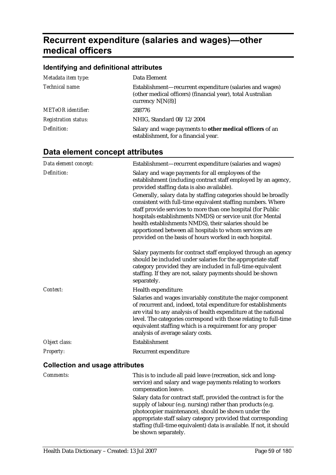# **Recurrent expenditure (salaries and wages)—other medical officers**

## **Identifying and definitional attributes**

| Metadata item type:         | Data Element                                                                                                                                  |  |
|-----------------------------|-----------------------------------------------------------------------------------------------------------------------------------------------|--|
| Technical name:             | Establishment—recurrent expenditure (salaries and wages)<br>(other medical officers) (financial year), total Australian<br>currency $N[N(8)]$ |  |
| <b>METeOR</b> identifier:   | 288776                                                                                                                                        |  |
| <b>Registration status:</b> | NHIG, Standard 08/12/2004                                                                                                                     |  |
| Definition:                 | Salary and wage payments to other medical officers of an<br>establishment, for a financial year.                                              |  |

| Data element concept:                  | Establishment-recurrent expenditure (salaries and wages)                                                                                                                                                                                                                                                                                                                                                                                    |
|----------------------------------------|---------------------------------------------------------------------------------------------------------------------------------------------------------------------------------------------------------------------------------------------------------------------------------------------------------------------------------------------------------------------------------------------------------------------------------------------|
| Definition:                            | Salary and wage payments for all employees of the<br>establishment (including contract staff employed by an agency,<br>provided staffing data is also available).                                                                                                                                                                                                                                                                           |
|                                        | Generally, salary data by staffing categories should be broadly<br>consistent with full-time equivalent staffing numbers. Where<br>staff provide services to more than one hospital (for Public<br>hospitals establishments NMDS) or service unit (for Mental<br>health establishments NMDS), their salaries should be<br>apportioned between all hospitals to whom services are<br>provided on the basis of hours worked in each hospital. |
|                                        | Salary payments for contract staff employed through an agency<br>should be included under salaries for the appropriate staff<br>category provided they are included in full-time equivalent<br>staffing. If they are not, salary payments should be shown<br>separately.                                                                                                                                                                    |
| Context:                               | Health expenditure:<br>Salaries and wages invariably constitute the major component<br>of recurrent and, indeed, total expenditure for establishments<br>are vital to any analysis of health expenditure at the national<br>level. The categories correspond with those relating to full-time<br>equivalent staffing which is a requirement for any proper<br>analysis of average salary costs.                                             |
| Object class:                          | Establishment                                                                                                                                                                                                                                                                                                                                                                                                                               |
| Property:                              | Recurrent expenditure                                                                                                                                                                                                                                                                                                                                                                                                                       |
| <b>Collection and usage attributes</b> |                                                                                                                                                                                                                                                                                                                                                                                                                                             |

| <i>Comments:</i> | This is to include all paid leave (recreation, sick and long-<br>service) and salary and wage payments relating to workers<br>compensation leave.                                     |
|------------------|---------------------------------------------------------------------------------------------------------------------------------------------------------------------------------------|
|                  | Salary data for contract staff, provided the contract is for the<br>supply of labour (e.g. nursing) rather than products (e.g.<br>photocopier maintenance), should be shown under the |
|                  | appropriate staff salary category provided that corresponding<br>staffing (full-time equivalent) data is available. If not, it should<br>be shown separately.                         |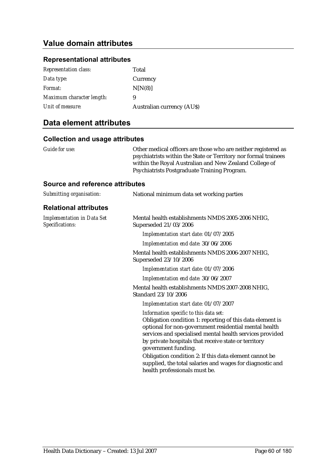### **Representational attributes**

| <b>Representation class:</b> | Total                            |
|------------------------------|----------------------------------|
| Data type:                   | Currency                         |
| Format:                      | N[N(8)]                          |
| Maximum character length:    | 9                                |
| Unit of measure:             | <b>Australian currency (AUS)</b> |

### **Data element attributes**

#### **Collection and usage attributes**

|  | Guide for use: |  |  |
|--|----------------|--|--|
|--|----------------|--|--|

Other medical officers are those who are neither registered as psychiatrists within the State or Territory nor formal trainees within the Royal Australian and New Zealand College of Psychiatrists Postgraduate Training Program.

| National minimum data set working parties                                                                                                                                                                                                                                                                                                                                                                                                                       |
|-----------------------------------------------------------------------------------------------------------------------------------------------------------------------------------------------------------------------------------------------------------------------------------------------------------------------------------------------------------------------------------------------------------------------------------------------------------------|
|                                                                                                                                                                                                                                                                                                                                                                                                                                                                 |
| Mental health establishments NMDS 2005-2006 NHIG,<br>Superseded 21/03/2006                                                                                                                                                                                                                                                                                                                                                                                      |
| Implementation start date: 01/07/2005                                                                                                                                                                                                                                                                                                                                                                                                                           |
| Implementation end date: 30/06/2006                                                                                                                                                                                                                                                                                                                                                                                                                             |
| Mental health establishments NMDS 2006-2007 NHIG,<br>Superseded 23/10/2006                                                                                                                                                                                                                                                                                                                                                                                      |
| Implementation start date: 01/07/2006                                                                                                                                                                                                                                                                                                                                                                                                                           |
| Implementation end date: 30/06/2007                                                                                                                                                                                                                                                                                                                                                                                                                             |
| Mental health establishments NMDS 2007-2008 NHIG,<br>Standard 23/10/2006                                                                                                                                                                                                                                                                                                                                                                                        |
| Implementation start date: 01/07/2007                                                                                                                                                                                                                                                                                                                                                                                                                           |
| Information specific to this data set:<br>Obligation condition 1: reporting of this data element is<br>optional for non-government residential mental health<br>services and specialised mental health services provided<br>by private hospitals that receive state or territory<br>government funding.<br>Obligation condition 2: If this data element cannot be<br>supplied, the total salaries and wages for diagnostic and<br>health professionals must be. |
|                                                                                                                                                                                                                                                                                                                                                                                                                                                                 |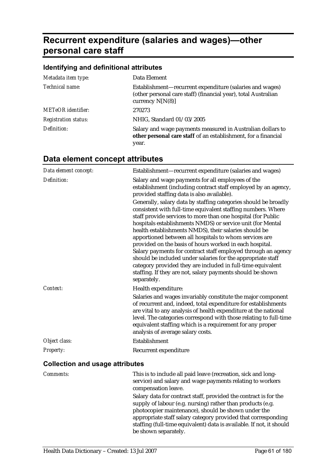# **Recurrent expenditure (salaries and wages)—other personal care staff**

### **Identifying and definitional attributes**

| Metadata item type:         | Data Element                                                                                                                                     |
|-----------------------------|--------------------------------------------------------------------------------------------------------------------------------------------------|
| Technical name:             | Establishment—recurrent expenditure (salaries and wages)<br>(other personal care staff) (financial year), total Australian<br>currency $N[N(8)]$ |
| <b>METeOR</b> identifier:   | 270273                                                                                                                                           |
| <b>Registration status:</b> | NHIG, Standard 01/03/2005                                                                                                                        |
| Definition:                 | Salary and wage payments measured in Australian dollars to<br>other personal care staff of an establishment, for a financial<br>year.            |

# **Data element concept attributes**

| Data element concept:                                                                                                                                                                                                            | Establishment-recurrent expenditure (salaries and wages)                                                                                                                                                                                                                                                                                                                                                                                                                                                                                                                                                                                                                                                                |
|----------------------------------------------------------------------------------------------------------------------------------------------------------------------------------------------------------------------------------|-------------------------------------------------------------------------------------------------------------------------------------------------------------------------------------------------------------------------------------------------------------------------------------------------------------------------------------------------------------------------------------------------------------------------------------------------------------------------------------------------------------------------------------------------------------------------------------------------------------------------------------------------------------------------------------------------------------------------|
| Definition:                                                                                                                                                                                                                      | Salary and wage payments for all employees of the<br>establishment (including contract staff employed by an agency,<br>provided staffing data is also available).                                                                                                                                                                                                                                                                                                                                                                                                                                                                                                                                                       |
|                                                                                                                                                                                                                                  | Generally, salary data by staffing categories should be broadly<br>consistent with full-time equivalent staffing numbers. Where<br>staff provide services to more than one hospital (for Public<br>hospitals establishments NMDS) or service unit (for Mental<br>health establishments NMDS), their salaries should be<br>apportioned between all hospitals to whom services are<br>provided on the basis of hours worked in each hospital.<br>Salary payments for contract staff employed through an agency<br>should be included under salaries for the appropriate staff<br>category provided they are included in full-time equivalent<br>staffing. If they are not, salary payments should be shown<br>separately. |
| Context:                                                                                                                                                                                                                         | Health expenditure:                                                                                                                                                                                                                                                                                                                                                                                                                                                                                                                                                                                                                                                                                                     |
|                                                                                                                                                                                                                                  | Salaries and wages invariably constitute the major component<br>of recurrent and, indeed, total expenditure for establishments<br>are vital to any analysis of health expenditure at the national<br>level. The categories correspond with those relating to full-time<br>equivalent staffing which is a requirement for any proper<br>analysis of average salary costs.                                                                                                                                                                                                                                                                                                                                                |
| Object class:                                                                                                                                                                                                                    | Establishment                                                                                                                                                                                                                                                                                                                                                                                                                                                                                                                                                                                                                                                                                                           |
| <b>Property:</b>                                                                                                                                                                                                                 | Recurrent expenditure                                                                                                                                                                                                                                                                                                                                                                                                                                                                                                                                                                                                                                                                                                   |
| $\mathbf{r}$ , and the set of the set of the set of the set of the set of the set of the set of the set of the set of the set of the set of the set of the set of the set of the set of the set of the set of the set of the set |                                                                                                                                                                                                                                                                                                                                                                                                                                                                                                                                                                                                                                                                                                                         |

#### **Collection and usage attributes**

| <i>Comments:</i> | This is to include all paid leave (recreation, sick and long-<br>service) and salary and wage payments relating to workers<br>compensation leave.                                     |
|------------------|---------------------------------------------------------------------------------------------------------------------------------------------------------------------------------------|
|                  | Salary data for contract staff, provided the contract is for the<br>supply of labour (e.g. nursing) rather than products (e.g.<br>photocopier maintenance), should be shown under the |
|                  | appropriate staff salary category provided that corresponding<br>staffing (full-time equivalent) data is available. If not, it should<br>be shown separately.                         |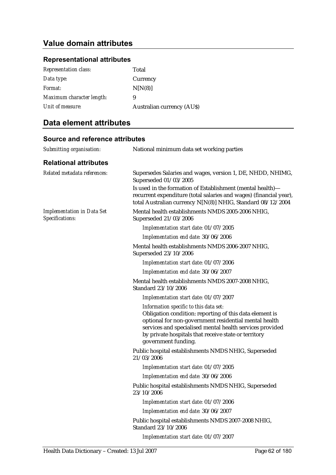#### **Representational attributes**

| <b>Representation class:</b> | Total                            |
|------------------------------|----------------------------------|
| Data type:                   | Currency                         |
| Format:                      | N[N(8)]                          |
| Maximum character length:    | 9                                |
| Unit of measure:             | <b>Australian currency (AUS)</b> |

### **Data element attributes**

### **Source and reference attributes**  *Submitting organisation:* National minimum data set working parties **Relational attributes**  *Related metadata references:* Supersedes Salaries and wages, version 1, DE, NHDD, NHIMG, Superseded 01/03/2005 Is used in the formation of Establishment (mental health) recurrent expenditure (total salaries and wages) (financial year), total Australian currency N[N(8)] NHIG, Standard 08/12/2004 *Implementation in Data Set Specifications:* Mental health establishments NMDS 2005-2006 NHIG, Superseded 21/03/2006 *Implementation start date:* 01/07/2005 *Implementation end date:* 30/06/2006 Mental health establishments NMDS 2006-2007 NHIG, Superseded 23/10/2006 *Implementation start date:* 01/07/2006 *Implementation end date:* 30/06/2007 Mental health establishments NMDS 2007-2008 NHIG, Standard 23/10/2006 *Implementation start date:* 01/07/2007 *Information specific to this data set:* Obligation condition: reporting of this data element is optional for non-government residential mental health services and specialised mental health services provided by private hospitals that receive state or territory government funding. Public hospital establishments NMDS NHIG, Superseded 21/03/2006 *Implementation start date:* 01/07/2005 *Implementation end date:* 30/06/2006 Public hospital establishments NMDS NHIG, Superseded 23/10/2006 *Implementation start date:* 01/07/2006 *Implementation end date:* 30/06/2007 Public hospital establishments NMDS 2007-2008 NHIG, Standard 23/10/2006 *Implementation start date:* 01/07/2007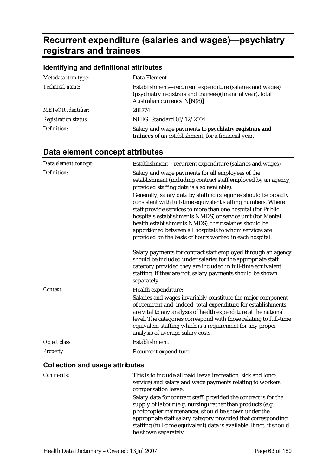# **Recurrent expenditure (salaries and wages)—psychiatry registrars and trainees**

# **Identifying and definitional attributes**

| Metadata item type:         | Data Element                                                                                                                                              |
|-----------------------------|-----------------------------------------------------------------------------------------------------------------------------------------------------------|
| Technical name:             | Establishment-recurrent expenditure (salaries and wages)<br>(psychiatry registrars and trainees) (financial year), total<br>Australian currency $N[N(8)]$ |
| <b>METeOR</b> identifier:   | 288774                                                                                                                                                    |
| <b>Registration status:</b> | NHIG, Standard 08/12/2004                                                                                                                                 |
| Definition:                 | Salary and wage payments to <b>psychiatry registrars and</b><br>trainees of an establishment, for a financial year.                                       |

| Data element concept:                  | Establishment-recurrent expenditure (salaries and wages)                                                                                                                                                                                                                                                                                                                                                                                    |
|----------------------------------------|---------------------------------------------------------------------------------------------------------------------------------------------------------------------------------------------------------------------------------------------------------------------------------------------------------------------------------------------------------------------------------------------------------------------------------------------|
| Definition:                            | Salary and wage payments for all employees of the<br>establishment (including contract staff employed by an agency,<br>provided staffing data is also available).                                                                                                                                                                                                                                                                           |
|                                        | Generally, salary data by staffing categories should be broadly<br>consistent with full-time equivalent staffing numbers. Where<br>staff provide services to more than one hospital (for Public<br>hospitals establishments NMDS) or service unit (for Mental<br>health establishments NMDS), their salaries should be<br>apportioned between all hospitals to whom services are<br>provided on the basis of hours worked in each hospital. |
|                                        | Salary payments for contract staff employed through an agency<br>should be included under salaries for the appropriate staff<br>category provided they are included in full-time equivalent<br>staffing. If they are not, salary payments should be shown<br>separately.                                                                                                                                                                    |
| Context:                               | Health expenditure:<br>Salaries and wages invariably constitute the major component<br>of recurrent and, indeed, total expenditure for establishments<br>are vital to any analysis of health expenditure at the national<br>level. The categories correspond with those relating to full-time<br>equivalent staffing which is a requirement for any proper<br>analysis of average salary costs.                                             |
| Object class:                          | Establishment                                                                                                                                                                                                                                                                                                                                                                                                                               |
| Property:                              | Recurrent expenditure                                                                                                                                                                                                                                                                                                                                                                                                                       |
| <b>Collection and usage attributes</b> |                                                                                                                                                                                                                                                                                                                                                                                                                                             |

| <i>Comments:</i> | This is to include all paid leave (recreation, sick and long-<br>service) and salary and wage payments relating to workers<br>compensation leave.                                                                                                      |
|------------------|--------------------------------------------------------------------------------------------------------------------------------------------------------------------------------------------------------------------------------------------------------|
|                  | Salary data for contract staff, provided the contract is for the<br>supply of labour (e.g. nursing) rather than products (e.g.<br>photocopier maintenance), should be shown under the<br>appropriate staff salary category provided that corresponding |
|                  | staffing (full-time equivalent) data is available. If not, it should<br>be shown separately.                                                                                                                                                           |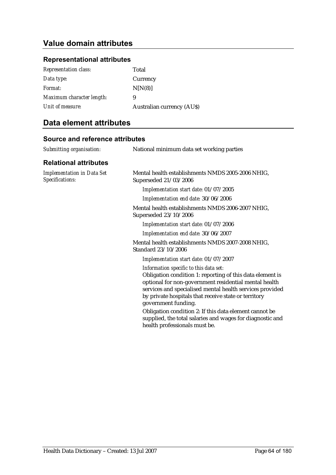### **Representational attributes**

| <b>Representation class:</b> | Total                            |
|------------------------------|----------------------------------|
| Data type:                   | Currency                         |
| Format:                      | N[N(8)]                          |
| Maximum character length:    | 9                                |
| Unit of measure:             | <b>Australian currency (AUS)</b> |

## **Data element attributes**

| Submitting organisation:                             | National minimum data set working parties                                                                                                                                                                                                                                                                                                                                                                                                                       |
|------------------------------------------------------|-----------------------------------------------------------------------------------------------------------------------------------------------------------------------------------------------------------------------------------------------------------------------------------------------------------------------------------------------------------------------------------------------------------------------------------------------------------------|
| <b>Relational attributes</b>                         |                                                                                                                                                                                                                                                                                                                                                                                                                                                                 |
| <b>Implementation in Data Set</b><br>Specifications: | Mental health establishments NMDS 2005-2006 NHIG,<br>Superseded 21/03/2006                                                                                                                                                                                                                                                                                                                                                                                      |
|                                                      | Implementation start date: 01/07/2005                                                                                                                                                                                                                                                                                                                                                                                                                           |
|                                                      | Implementation end date: 30/06/2006                                                                                                                                                                                                                                                                                                                                                                                                                             |
|                                                      | Mental health establishments NMDS 2006-2007 NHIG,<br>Superseded 23/10/2006                                                                                                                                                                                                                                                                                                                                                                                      |
|                                                      | Implementation start date: 01/07/2006                                                                                                                                                                                                                                                                                                                                                                                                                           |
|                                                      | Implementation end date: 30/06/2007                                                                                                                                                                                                                                                                                                                                                                                                                             |
|                                                      | Mental health establishments NMDS 2007-2008 NHIG,<br>Standard 23/10/2006                                                                                                                                                                                                                                                                                                                                                                                        |
|                                                      | Implementation start date: 01/07/2007                                                                                                                                                                                                                                                                                                                                                                                                                           |
|                                                      | Information specific to this data set:<br>Obligation condition 1: reporting of this data element is<br>optional for non-government residential mental health<br>services and specialised mental health services provided<br>by private hospitals that receive state or territory<br>government funding.<br>Obligation condition 2: If this data element cannot be<br>supplied, the total salaries and wages for diagnostic and<br>health professionals must be. |
|                                                      |                                                                                                                                                                                                                                                                                                                                                                                                                                                                 |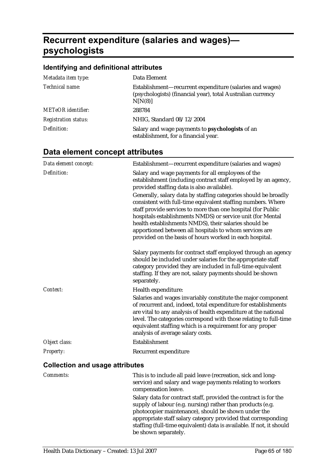# **Recurrent expenditure (salaries and wages) psychologists**

## **Identifying and definitional attributes**

| Metadata item type:         | Data Element                                                                                                                       |
|-----------------------------|------------------------------------------------------------------------------------------------------------------------------------|
| Technical name:             | Establishment-recurrent expenditure (salaries and wages)<br>(psychologists) (financial year), total Australian currency<br>N[N(8)] |
| <b>METeOR</b> identifier:   | 288784                                                                                                                             |
| <b>Registration status:</b> | NHIG, Standard 08/12/2004                                                                                                          |
| Definition:                 | Salary and wage payments to psychologists of an<br>establishment, for a financial year.                                            |

| Data element concept:                  | Establishment-recurrent expenditure (salaries and wages)                                                                                                                                                                                                                                                                                                                                                                                    |
|----------------------------------------|---------------------------------------------------------------------------------------------------------------------------------------------------------------------------------------------------------------------------------------------------------------------------------------------------------------------------------------------------------------------------------------------------------------------------------------------|
| Definition:                            | Salary and wage payments for all employees of the<br>establishment (including contract staff employed by an agency,<br>provided staffing data is also available).                                                                                                                                                                                                                                                                           |
|                                        | Generally, salary data by staffing categories should be broadly<br>consistent with full-time equivalent staffing numbers. Where<br>staff provide services to more than one hospital (for Public<br>hospitals establishments NMDS) or service unit (for Mental<br>health establishments NMDS), their salaries should be<br>apportioned between all hospitals to whom services are<br>provided on the basis of hours worked in each hospital. |
|                                        | Salary payments for contract staff employed through an agency<br>should be included under salaries for the appropriate staff<br>category provided they are included in full-time equivalent<br>staffing. If they are not, salary payments should be shown<br>separately.                                                                                                                                                                    |
| Context:                               | Health expenditure:<br>Salaries and wages invariably constitute the major component<br>of recurrent and, indeed, total expenditure for establishments<br>are vital to any analysis of health expenditure at the national<br>level. The categories correspond with those relating to full-time<br>equivalent staffing which is a requirement for any proper                                                                                  |
|                                        | analysis of average salary costs.                                                                                                                                                                                                                                                                                                                                                                                                           |
| Object class:                          | <b>Establishment</b>                                                                                                                                                                                                                                                                                                                                                                                                                        |
| Property:                              | Recurrent expenditure                                                                                                                                                                                                                                                                                                                                                                                                                       |
| <b>Collection and usage attributes</b> |                                                                                                                                                                                                                                                                                                                                                                                                                                             |

| <i>Comments:</i> | This is to include all paid leave (recreation, sick and long-<br>service) and salary and wage payments relating to workers<br>compensation leave.                                                                                                                                                                                                      |
|------------------|--------------------------------------------------------------------------------------------------------------------------------------------------------------------------------------------------------------------------------------------------------------------------------------------------------------------------------------------------------|
|                  | Salary data for contract staff, provided the contract is for the<br>supply of labour (e.g. nursing) rather than products (e.g.<br>photocopier maintenance), should be shown under the<br>appropriate staff salary category provided that corresponding<br>staffing (full-time equivalent) data is available. If not, it should<br>be shown separately. |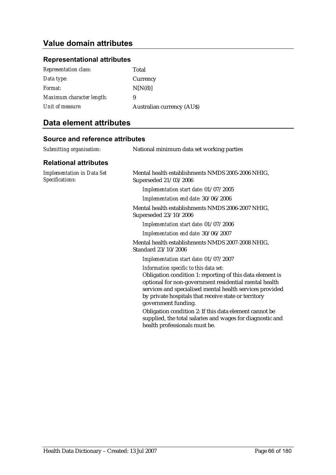### **Representational attributes**

| <b>Representation class:</b> | Total                            |
|------------------------------|----------------------------------|
| Data type:                   | Currency                         |
| Format:                      | N[N(8)]                          |
| Maximum character length:    | 9                                |
| Unit of measure:             | <b>Australian currency (AUS)</b> |

## **Data element attributes**

| Submitting organisation:                             | National minimum data set working parties                                                                                                                                                                                                                                                                                                                                                                                                                       |
|------------------------------------------------------|-----------------------------------------------------------------------------------------------------------------------------------------------------------------------------------------------------------------------------------------------------------------------------------------------------------------------------------------------------------------------------------------------------------------------------------------------------------------|
| <b>Relational attributes</b>                         |                                                                                                                                                                                                                                                                                                                                                                                                                                                                 |
| <b>Implementation in Data Set</b><br>Specifications: | Mental health establishments NMDS 2005-2006 NHIG,<br>Superseded 21/03/2006                                                                                                                                                                                                                                                                                                                                                                                      |
|                                                      | Implementation start date: 01/07/2005                                                                                                                                                                                                                                                                                                                                                                                                                           |
|                                                      | Implementation end date: 30/06/2006                                                                                                                                                                                                                                                                                                                                                                                                                             |
|                                                      | Mental health establishments NMDS 2006-2007 NHIG,<br>Superseded 23/10/2006                                                                                                                                                                                                                                                                                                                                                                                      |
|                                                      | Implementation start date: 01/07/2006                                                                                                                                                                                                                                                                                                                                                                                                                           |
|                                                      | Implementation end date: 30/06/2007                                                                                                                                                                                                                                                                                                                                                                                                                             |
|                                                      | Mental health establishments NMDS 2007-2008 NHIG,<br>Standard 23/10/2006                                                                                                                                                                                                                                                                                                                                                                                        |
|                                                      | Implementation start date: 01/07/2007                                                                                                                                                                                                                                                                                                                                                                                                                           |
|                                                      | Information specific to this data set:<br>Obligation condition 1: reporting of this data element is<br>optional for non-government residential mental health<br>services and specialised mental health services provided<br>by private hospitals that receive state or territory<br>government funding.<br>Obligation condition 2: If this data element cannot be<br>supplied, the total salaries and wages for diagnostic and<br>health professionals must be. |
|                                                      |                                                                                                                                                                                                                                                                                                                                                                                                                                                                 |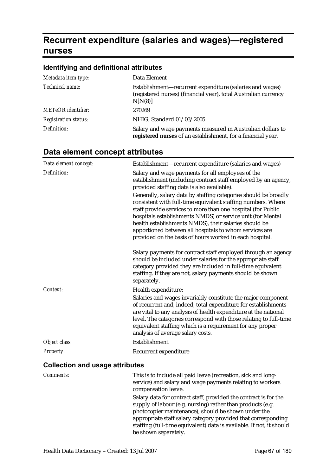# **Recurrent expenditure (salaries and wages)—registered nurses**

## **Identifying and definitional attributes**

| Metadata item type:         | Data Element                                                                                                                           |
|-----------------------------|----------------------------------------------------------------------------------------------------------------------------------------|
| Technical name:             | Establishment-recurrent expenditure (salaries and wages)<br>(registered nurses) (financial year), total Australian currency<br>N[N(8)] |
| <b>METeOR</b> identifier:   | 270269                                                                                                                                 |
| <b>Registration status:</b> | NHIG, Standard 01/03/2005                                                                                                              |
| Definition:                 | Salary and wage payments measured in Australian dollars to<br>registered nurses of an establishment, for a financial year.             |

| Data element concept:                  | Establishment-recurrent expenditure (salaries and wages)                                                                                                                                                                                                                                                                                                                                                                                    |
|----------------------------------------|---------------------------------------------------------------------------------------------------------------------------------------------------------------------------------------------------------------------------------------------------------------------------------------------------------------------------------------------------------------------------------------------------------------------------------------------|
| Definition:                            | Salary and wage payments for all employees of the<br>establishment (including contract staff employed by an agency,<br>provided staffing data is also available).                                                                                                                                                                                                                                                                           |
|                                        | Generally, salary data by staffing categories should be broadly<br>consistent with full-time equivalent staffing numbers. Where<br>staff provide services to more than one hospital (for Public<br>hospitals establishments NMDS) or service unit (for Mental<br>health establishments NMDS), their salaries should be<br>apportioned between all hospitals to whom services are<br>provided on the basis of hours worked in each hospital. |
|                                        | Salary payments for contract staff employed through an agency<br>should be included under salaries for the appropriate staff<br>category provided they are included in full-time equivalent<br>staffing. If they are not, salary payments should be shown<br>separately.                                                                                                                                                                    |
| Context:                               | Health expenditure:<br>Salaries and wages invariably constitute the major component<br>of recurrent and, indeed, total expenditure for establishments<br>are vital to any analysis of health expenditure at the national<br>level. The categories correspond with those relating to full-time<br>equivalent staffing which is a requirement for any proper<br>analysis of average salary costs.                                             |
| Object class:                          | Establishment                                                                                                                                                                                                                                                                                                                                                                                                                               |
| Property:                              | Recurrent expenditure                                                                                                                                                                                                                                                                                                                                                                                                                       |
| <b>Collection and usage attributes</b> |                                                                                                                                                                                                                                                                                                                                                                                                                                             |

| <i>Comments:</i> | This is to include all paid leave (recreation, sick and long-<br>service) and salary and wage payments relating to workers<br>compensation leave.                                                                                                      |
|------------------|--------------------------------------------------------------------------------------------------------------------------------------------------------------------------------------------------------------------------------------------------------|
|                  | Salary data for contract staff, provided the contract is for the<br>supply of labour (e.g. nursing) rather than products (e.g.<br>photocopier maintenance), should be shown under the<br>appropriate staff salary category provided that corresponding |
|                  | staffing (full-time equivalent) data is available. If not, it should<br>be shown separately.                                                                                                                                                           |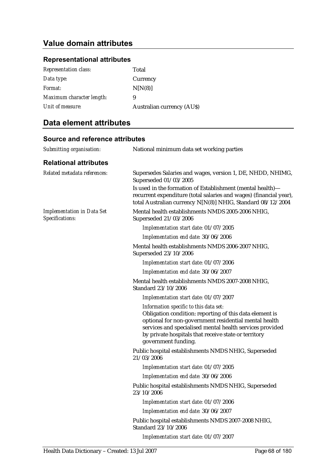#### **Representational attributes**

| <b>Representation class:</b> | Total                            |
|------------------------------|----------------------------------|
| Data type:                   | Currency                         |
| Format:                      | N[N(8)]                          |
| Maximum character length:    | 9                                |
| Unit of measure:             | <b>Australian currency (AUS)</b> |

### **Data element attributes**

### **Source and reference attributes**  *Submitting organisation:* National minimum data set working parties **Relational attributes**  *Related metadata references:* Supersedes Salaries and wages, version 1, DE, NHDD, NHIMG, Superseded 01/03/2005 Is used in the formation of Establishment (mental health) recurrent expenditure (total salaries and wages) (financial year), total Australian currency N[N(8)] NHIG, Standard 08/12/2004 *Implementation in Data Set Specifications:* Mental health establishments NMDS 2005-2006 NHIG, Superseded 21/03/2006 *Implementation start date:* 01/07/2005 *Implementation end date:* 30/06/2006 Mental health establishments NMDS 2006-2007 NHIG, Superseded 23/10/2006 *Implementation start date:* 01/07/2006 *Implementation end date:* 30/06/2007 Mental health establishments NMDS 2007-2008 NHIG, Standard 23/10/2006 *Implementation start date:* 01/07/2007 *Information specific to this data set:* Obligation condition: reporting of this data element is optional for non-government residential mental health services and specialised mental health services provided by private hospitals that receive state or territory government funding. Public hospital establishments NMDS NHIG, Superseded 21/03/2006 *Implementation start date:* 01/07/2005 *Implementation end date:* 30/06/2006 Public hospital establishments NMDS NHIG, Superseded 23/10/2006 *Implementation start date:* 01/07/2006 *Implementation end date:* 30/06/2007 Public hospital establishments NMDS 2007-2008 NHIG, Standard 23/10/2006 *Implementation start date:* 01/07/2007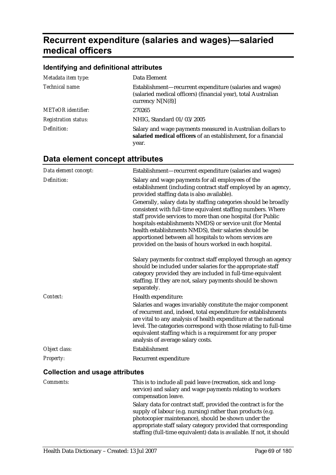# **Recurrent expenditure (salaries and wages)—salaried medical officers**

### **Identifying and definitional attributes**

| Metadata item type:         | Data Element                                                                                                                                     |
|-----------------------------|--------------------------------------------------------------------------------------------------------------------------------------------------|
| Technical name:             | Establishment—recurrent expenditure (salaries and wages)<br>(salaried medical officers) (financial year), total Australian<br>currency $N[N(8)]$ |
| <b>METeOR</b> identifier:   | 270265                                                                                                                                           |
| <b>Registration status:</b> | NHIG, Standard 01/03/2005                                                                                                                        |
| Definition:                 | Salary and wage payments measured in Australian dollars to<br>salaried medical officers of an establishment, for a financial<br>year.            |

# **Data element concept attributes**

| Data element concept:                  | Establishment-recurrent expenditure (salaries and wages)                                                                                                                                                                                                                                                                                                                                                                                    |
|----------------------------------------|---------------------------------------------------------------------------------------------------------------------------------------------------------------------------------------------------------------------------------------------------------------------------------------------------------------------------------------------------------------------------------------------------------------------------------------------|
| Definition:                            | Salary and wage payments for all employees of the<br>establishment (including contract staff employed by an agency,<br>provided staffing data is also available).                                                                                                                                                                                                                                                                           |
|                                        | Generally, salary data by staffing categories should be broadly<br>consistent with full-time equivalent staffing numbers. Where<br>staff provide services to more than one hospital (for Public<br>hospitals establishments NMDS) or service unit (for Mental<br>health establishments NMDS), their salaries should be<br>apportioned between all hospitals to whom services are<br>provided on the basis of hours worked in each hospital. |
|                                        | Salary payments for contract staff employed through an agency<br>should be included under salaries for the appropriate staff<br>category provided they are included in full-time equivalent<br>staffing. If they are not, salary payments should be shown<br>separately.                                                                                                                                                                    |
| Context:                               | Health expenditure:                                                                                                                                                                                                                                                                                                                                                                                                                         |
|                                        | Salaries and wages invariably constitute the major component<br>of recurrent and, indeed, total expenditure for establishments<br>are vital to any analysis of health expenditure at the national<br>level. The categories correspond with those relating to full-time<br>equivalent staffing which is a requirement for any proper<br>analysis of average salary costs.                                                                    |
| Object class:                          | Establishment                                                                                                                                                                                                                                                                                                                                                                                                                               |
| Property:                              | Recurrent expenditure                                                                                                                                                                                                                                                                                                                                                                                                                       |
| <b>Collection and usage attributes</b> |                                                                                                                                                                                                                                                                                                                                                                                                                                             |
| Comments:                              | This is to include all paid leave (recreation, sick and long-<br>service) and salary and wage payments relating to workers<br>compensation leave.                                                                                                                                                                                                                                                                                           |
|                                        | Salary data for contract staff, provided the contract is for the<br>supply of labour (e.g. nursing) rather than products (e.g.<br>photocopier maintenance), should be shown under the<br>appropriate staff salary category provided that corresponding                                                                                                                                                                                      |

staffing (full-time equivalent) data is available. If not, it should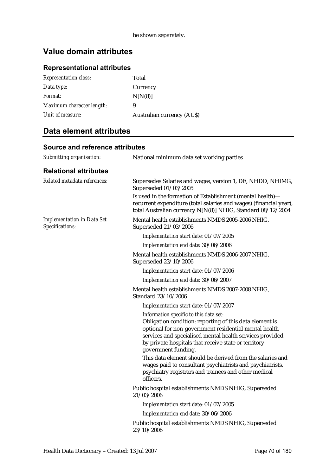## **Representational attributes**

| <b>Representation class:</b> | Total                            |
|------------------------------|----------------------------------|
| Data type:                   | Currency                         |
| Format:                      | N[N(8)]                          |
| Maximum character length:    | 9                                |
| Unit of measure:             | <b>Australian currency (AUS)</b> |

## **Data element attributes**

| Submitting organisation:                             | National minimum data set working parties                                                                                                                                                                                                                                                             |
|------------------------------------------------------|-------------------------------------------------------------------------------------------------------------------------------------------------------------------------------------------------------------------------------------------------------------------------------------------------------|
| <b>Relational attributes</b>                         |                                                                                                                                                                                                                                                                                                       |
| Related metadata references:                         | Supersedes Salaries and wages, version 1, DE, NHDD, NHIMG,<br>Superseded 01/03/2005                                                                                                                                                                                                                   |
|                                                      | Is used in the formation of Establishment (mental health)-<br>recurrent expenditure (total salaries and wages) (financial year),<br>total Australian currency N[N(8)] NHIG, Standard 08/12/2004                                                                                                       |
| <b>Implementation in Data Set</b><br>Specifications: | Mental health establishments NMDS 2005-2006 NHIG,<br>Superseded 21/03/2006                                                                                                                                                                                                                            |
|                                                      | Implementation start date: 01/07/2005                                                                                                                                                                                                                                                                 |
|                                                      | Implementation end date: 30/06/2006                                                                                                                                                                                                                                                                   |
|                                                      | Mental health establishments NMDS 2006-2007 NHIG,<br>Superseded 23/10/2006                                                                                                                                                                                                                            |
|                                                      | Implementation start date: 01/07/2006                                                                                                                                                                                                                                                                 |
|                                                      | Implementation end date: 30/06/2007                                                                                                                                                                                                                                                                   |
|                                                      | Mental health establishments NMDS 2007-2008 NHIG,<br>Standard 23/10/2006                                                                                                                                                                                                                              |
|                                                      | Implementation start date: 01/07/2007                                                                                                                                                                                                                                                                 |
|                                                      | Information specific to this data set:<br>Obligation condition: reporting of this data element is<br>optional for non-government residential mental health<br>services and specialised mental health services provided<br>by private hospitals that receive state or territory<br>government funding. |
|                                                      | This data element should be derived from the salaries and<br>wages paid to consultant psychiatrists and psychiatrists,<br>psychiatry registrars and trainees and other medical<br>officers.                                                                                                           |
|                                                      | Public hospital establishments NMDS NHIG, Superseded<br>21/03/2006                                                                                                                                                                                                                                    |
|                                                      | Implementation start date: 01/07/2005                                                                                                                                                                                                                                                                 |
|                                                      | Implementation end date: 30/06/2006                                                                                                                                                                                                                                                                   |
|                                                      | Public hospital establishments NMDS NHIG, Superseded<br>23/10/2006                                                                                                                                                                                                                                    |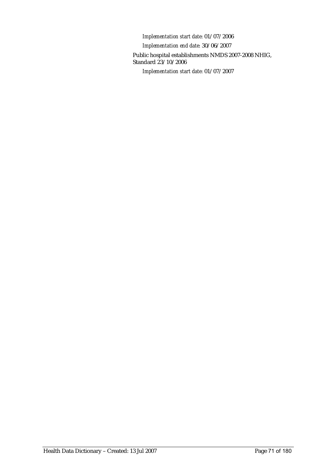*Implementation start date:* 01/07/2006 *Implementation end date:* 30/06/2007 Public hospital establishments NMDS 2007-2008 NHIG, Standard 23/10/2006 *Implementation start date:* 01/07/2007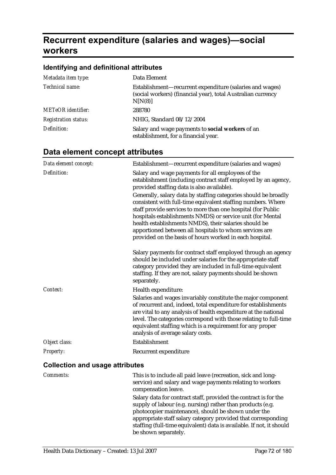# **Recurrent expenditure (salaries and wages)—social workers**

## **Identifying and definitional attributes**

| Metadata item type:         | Data Element                                                                                                                        |
|-----------------------------|-------------------------------------------------------------------------------------------------------------------------------------|
| Technical name:             | Establishment-recurrent expenditure (salaries and wages)<br>(social workers) (financial year), total Australian currency<br>N[N(8)] |
| <b>METeOR</b> identifier:   | 288780                                                                                                                              |
| <b>Registration status:</b> | NHIG, Standard 08/12/2004                                                                                                           |
| Definition:                 | Salary and wage payments to social workers of an<br>establishment, for a financial year.                                            |

| Data element concept:                  | Establishment-recurrent expenditure (salaries and wages)                                                                                                                                                                                                                                                                                                                                                                                    |
|----------------------------------------|---------------------------------------------------------------------------------------------------------------------------------------------------------------------------------------------------------------------------------------------------------------------------------------------------------------------------------------------------------------------------------------------------------------------------------------------|
| Definition:                            | Salary and wage payments for all employees of the<br>establishment (including contract staff employed by an agency,<br>provided staffing data is also available).                                                                                                                                                                                                                                                                           |
|                                        | Generally, salary data by staffing categories should be broadly<br>consistent with full-time equivalent staffing numbers. Where<br>staff provide services to more than one hospital (for Public<br>hospitals establishments NMDS) or service unit (for Mental<br>health establishments NMDS), their salaries should be<br>apportioned between all hospitals to whom services are<br>provided on the basis of hours worked in each hospital. |
|                                        | Salary payments for contract staff employed through an agency<br>should be included under salaries for the appropriate staff<br>category provided they are included in full-time equivalent<br>staffing. If they are not, salary payments should be shown<br>separately.                                                                                                                                                                    |
| Context:                               | Health expenditure:<br>Salaries and wages invariably constitute the major component<br>of recurrent and, indeed, total expenditure for establishments<br>are vital to any analysis of health expenditure at the national<br>level. The categories correspond with those relating to full-time<br>equivalent staffing which is a requirement for any proper<br>analysis of average salary costs.                                             |
| Object class:                          | Establishment                                                                                                                                                                                                                                                                                                                                                                                                                               |
| Property:                              | Recurrent expenditure                                                                                                                                                                                                                                                                                                                                                                                                                       |
| <b>Collection and usage attributes</b> |                                                                                                                                                                                                                                                                                                                                                                                                                                             |

| <i>Comments:</i> | This is to include all paid leave (recreation, sick and long-<br>service) and salary and wage payments relating to workers<br>compensation leave.                                                                                                      |
|------------------|--------------------------------------------------------------------------------------------------------------------------------------------------------------------------------------------------------------------------------------------------------|
|                  | Salary data for contract staff, provided the contract is for the<br>supply of labour (e.g. nursing) rather than products (e.g.<br>photocopier maintenance), should be shown under the<br>appropriate staff salary category provided that corresponding |
|                  | staffing (full-time equivalent) data is available. If not, it should<br>be shown separately.                                                                                                                                                           |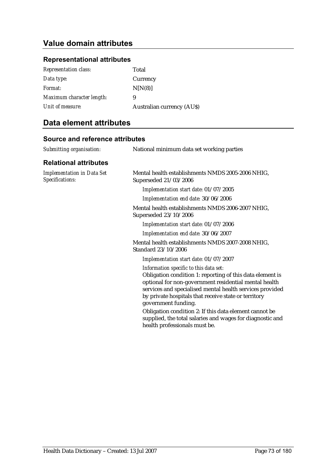# **Value domain attributes**

### **Representational attributes**

| <b>Representation class:</b> | Total                            |
|------------------------------|----------------------------------|
| Data type:                   | Currency                         |
| Format:                      | N[N(8)]                          |
| Maximum character length:    | 9                                |
| Unit of measure:             | <b>Australian currency (AUS)</b> |

# **Data element attributes**

| Submitting organisation:                             | National minimum data set working parties                                                                                                                                                                                                                                                                                                                                                                                                                       |
|------------------------------------------------------|-----------------------------------------------------------------------------------------------------------------------------------------------------------------------------------------------------------------------------------------------------------------------------------------------------------------------------------------------------------------------------------------------------------------------------------------------------------------|
| <b>Relational attributes</b>                         |                                                                                                                                                                                                                                                                                                                                                                                                                                                                 |
| <b>Implementation in Data Set</b><br>Specifications: | Mental health establishments NMDS 2005-2006 NHIG,<br>Superseded 21/03/2006                                                                                                                                                                                                                                                                                                                                                                                      |
|                                                      | Implementation start date: 01/07/2005                                                                                                                                                                                                                                                                                                                                                                                                                           |
|                                                      | Implementation end date: 30/06/2006                                                                                                                                                                                                                                                                                                                                                                                                                             |
|                                                      | Mental health establishments NMDS 2006-2007 NHIG,<br>Superseded 23/10/2006                                                                                                                                                                                                                                                                                                                                                                                      |
|                                                      | Implementation start date: 01/07/2006                                                                                                                                                                                                                                                                                                                                                                                                                           |
|                                                      | Implementation end date: 30/06/2007                                                                                                                                                                                                                                                                                                                                                                                                                             |
|                                                      | Mental health establishments NMDS 2007-2008 NHIG,<br>Standard 23/10/2006                                                                                                                                                                                                                                                                                                                                                                                        |
|                                                      | Implementation start date: 01/07/2007                                                                                                                                                                                                                                                                                                                                                                                                                           |
|                                                      | Information specific to this data set:<br>Obligation condition 1: reporting of this data element is<br>optional for non-government residential mental health<br>services and specialised mental health services provided<br>by private hospitals that receive state or territory<br>government funding.<br>Obligation condition 2: If this data element cannot be<br>supplied, the total salaries and wages for diagnostic and<br>health professionals must be. |
|                                                      |                                                                                                                                                                                                                                                                                                                                                                                                                                                                 |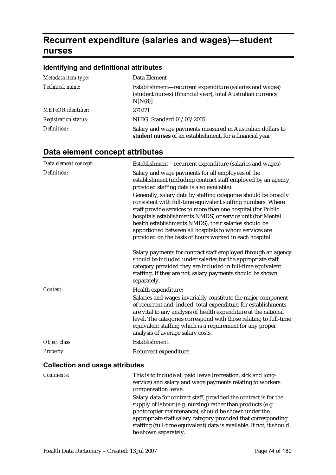# **Recurrent expenditure (salaries and wages)—student nurses**

# **Identifying and definitional attributes**

| Metadata item type:         | Data Element                                                                                                                        |
|-----------------------------|-------------------------------------------------------------------------------------------------------------------------------------|
| Technical name:             | Establishment-recurrent expenditure (salaries and wages)<br>(student nurses) (financial year), total Australian currency<br>N[N(8)] |
| <b>METeOR</b> identifier:   | 270271                                                                                                                              |
| <b>Registration status:</b> | NHIG, Standard 01/03/2005                                                                                                           |
| Definition:                 | Salary and wage payments measured in Australian dollars to<br>student nurses of an establishment, for a financial year.             |

# **Data element concept attributes**

| Data element concept:                  | Establishment-recurrent expenditure (salaries and wages)                                                                                                                                                                                                                                                                                                                                                                                    |
|----------------------------------------|---------------------------------------------------------------------------------------------------------------------------------------------------------------------------------------------------------------------------------------------------------------------------------------------------------------------------------------------------------------------------------------------------------------------------------------------|
| Definition:                            | Salary and wage payments for all employees of the<br>establishment (including contract staff employed by an agency,<br>provided staffing data is also available).                                                                                                                                                                                                                                                                           |
|                                        | Generally, salary data by staffing categories should be broadly<br>consistent with full-time equivalent staffing numbers. Where<br>staff provide services to more than one hospital (for Public<br>hospitals establishments NMDS) or service unit (for Mental<br>health establishments NMDS), their salaries should be<br>apportioned between all hospitals to whom services are<br>provided on the basis of hours worked in each hospital. |
|                                        | Salary payments for contract staff employed through an agency<br>should be included under salaries for the appropriate staff<br>category provided they are included in full-time equivalent<br>staffing. If they are not, salary payments should be shown<br>separately.                                                                                                                                                                    |
| Context:                               | Health expenditure:<br>Salaries and wages invariably constitute the major component<br>of recurrent and, indeed, total expenditure for establishments<br>are vital to any analysis of health expenditure at the national<br>level. The categories correspond with those relating to full-time<br>equivalent staffing which is a requirement for any proper<br>analysis of average salary costs.                                             |
| Object class:                          | Establishment                                                                                                                                                                                                                                                                                                                                                                                                                               |
| Property:                              | Recurrent expenditure                                                                                                                                                                                                                                                                                                                                                                                                                       |
| <b>Collection and usage attributes</b> |                                                                                                                                                                                                                                                                                                                                                                                                                                             |

| <i>Comments:</i> | This is to include all paid leave (recreation, sick and long-<br>service) and salary and wage payments relating to workers<br>compensation leave.                                                                                                      |
|------------------|--------------------------------------------------------------------------------------------------------------------------------------------------------------------------------------------------------------------------------------------------------|
|                  | Salary data for contract staff, provided the contract is for the<br>supply of labour (e.g. nursing) rather than products (e.g.<br>photocopier maintenance), should be shown under the<br>appropriate staff salary category provided that corresponding |
|                  | staffing (full-time equivalent) data is available. If not, it should<br>be shown separately.                                                                                                                                                           |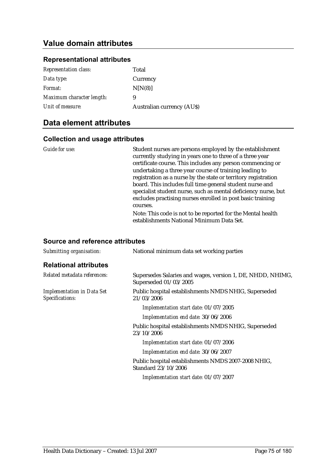# **Value domain attributes**

### **Representational attributes**

| <b>Representation class:</b> | Total                            |
|------------------------------|----------------------------------|
| Data type:                   | Currency                         |
| Format:                      | N[N(8)]                          |
| Maximum character length:    | 9                                |
| Unit of measure:             | <b>Australian currency (AUS)</b> |

## **Data element attributes**

| Guide for use: | Student nurses are persons employed by the establishment<br>currently studying in years one to three of a three year<br>certificate course. This includes any person commencing or<br>undertaking a three year course of training leading to<br>registration as a nurse by the state or territory registration<br>board. This includes full time general student nurse and |
|----------------|----------------------------------------------------------------------------------------------------------------------------------------------------------------------------------------------------------------------------------------------------------------------------------------------------------------------------------------------------------------------------|
|                | specialist student nurse, such as mental deficiency nurse, but<br>excludes practising nurses enrolled in post basic training<br>courses.                                                                                                                                                                                                                                   |
|                | Note: This code is not to be reported for the Mental health<br>establishments National Minimum Data Set.                                                                                                                                                                                                                                                                   |

| <b>Source and reference attributes</b>               |                                                                                     |
|------------------------------------------------------|-------------------------------------------------------------------------------------|
| Submitting organisation:                             | National minimum data set working parties                                           |
| <b>Relational attributes</b>                         |                                                                                     |
| Related metadata references:                         | Supersedes Salaries and wages, version 1, DE, NHDD, NHIMG,<br>Superseded 01/03/2005 |
| <b>Implementation in Data Set</b><br>Specifications: | Public hospital establishments NMDS NHIG, Superseded<br>21/03/2006                  |
|                                                      | Implementation start date: 01/07/2005                                               |
|                                                      | Implementation end date: 30/06/2006                                                 |
|                                                      | Public hospital establishments NMDS NHIG, Superseded<br>23/10/2006                  |
|                                                      | Implementation start date: 01/07/2006                                               |
|                                                      | Implementation end date: 30/06/2007                                                 |
|                                                      | Public hospital establishments NMDS 2007-2008 NHIG,<br>Standard 23/10/2006          |
|                                                      | Implementation start date: 01/07/2007                                               |
|                                                      |                                                                                     |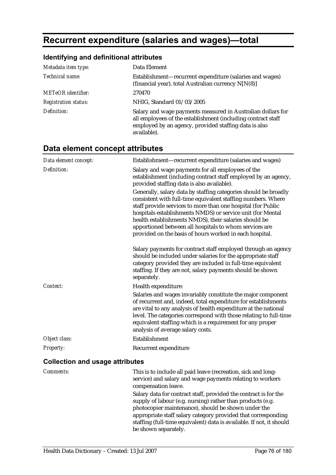# **Recurrent expenditure (salaries and wages)—total**

#### **Identifying and definitional attributes**

| Metadata item type:         | Data Element                                                                                                                                                                                        |
|-----------------------------|-----------------------------------------------------------------------------------------------------------------------------------------------------------------------------------------------------|
| Technical name:             | Establishment—recurrent expenditure (salaries and wages)<br>(financial year), total Australian currency N[N(8)]                                                                                     |
| <b>METeOR</b> identifier:   | 270470                                                                                                                                                                                              |
| <b>Registration status:</b> | NHIG, Standard 01/03/2005                                                                                                                                                                           |
| Definition:                 | Salary and wage payments measured in Australian dollars for<br>all employees of the establishment (including contract staff<br>employed by an agency, provided staffing data is also<br>available). |

### **Data element concept attributes**

| Data element concept:                  | Establishment-recurrent expenditure (salaries and wages)                                                                                                                                                                                                                                                                                                                                                                                    |
|----------------------------------------|---------------------------------------------------------------------------------------------------------------------------------------------------------------------------------------------------------------------------------------------------------------------------------------------------------------------------------------------------------------------------------------------------------------------------------------------|
| Definition:                            | Salary and wage payments for all employees of the<br>establishment (including contract staff employed by an agency,<br>provided staffing data is also available).                                                                                                                                                                                                                                                                           |
|                                        | Generally, salary data by staffing categories should be broadly<br>consistent with full-time equivalent staffing numbers. Where<br>staff provide services to more than one hospital (for Public<br>hospitals establishments NMDS) or service unit (for Mental<br>health establishments NMDS), their salaries should be<br>apportioned between all hospitals to whom services are<br>provided on the basis of hours worked in each hospital. |
|                                        | Salary payments for contract staff employed through an agency<br>should be included under salaries for the appropriate staff<br>category provided they are included in full-time equivalent<br>staffing. If they are not, salary payments should be shown<br>separately.                                                                                                                                                                    |
| Context:                               | Health expenditure:                                                                                                                                                                                                                                                                                                                                                                                                                         |
|                                        | Salaries and wages invariably constitute the major component<br>of recurrent and, indeed, total expenditure for establishments<br>are vital to any analysis of health expenditure at the national<br>level. The categories correspond with those relating to full-time<br>equivalent staffing which is a requirement for any proper<br>analysis of average salary costs.                                                                    |
| Object class:                          | Establishment                                                                                                                                                                                                                                                                                                                                                                                                                               |
| Property:                              | Recurrent expenditure                                                                                                                                                                                                                                                                                                                                                                                                                       |
| <b>Collection and usage attributes</b> |                                                                                                                                                                                                                                                                                                                                                                                                                                             |

*Comments:* This is to include all paid leave (recreation, sick and longservice) and salary and wage payments relating to workers compensation leave. Salary data for contract staff, provided the contract is for the supply of labour (e.g. nursing) rather than products (e.g. photocopier maintenance), should be shown under the appropriate staff salary category provided that corresponding staffing (full-time equivalent) data is available. If not, it should be shown separately.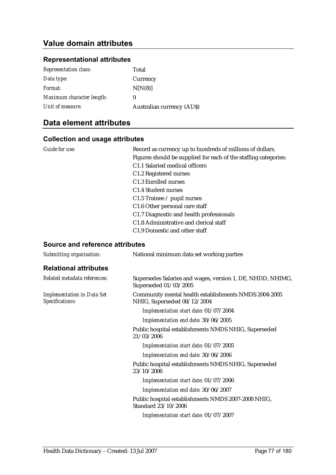# **Value domain attributes**

#### **Representational attributes**

| Total                            |
|----------------------------------|
| Currency                         |
| N[N(8)]                          |
| 9                                |
| <b>Australian currency (AUS)</b> |
|                                  |

## **Data element attributes**

#### **Collection and usage attributes**

| Guide for use: | Record as currency up to hundreds of millions of dollars.       |
|----------------|-----------------------------------------------------------------|
|                | Figures should be supplied for each of the staffing categories: |
|                | C1.1 Salaried medical officers                                  |
|                | C1.2 Registered nurses                                          |
|                | C <sub>1.3</sub> Enrolled nurses                                |
|                | C <sub>1.4</sub> Student nurses                                 |
|                | C1.5 Trainee $\ell$ pupil nurses                                |
|                | C1.6 Other personal care staff                                  |
|                | C1.7 Diagnostic and health professionals                        |
|                | C <sub>1.8</sub> Administrative and clerical staff              |
|                | C <sub>1.9</sub> Domestic and other staff                       |
|                |                                                                 |

| Submitting organisation:                             | National minimum data set working parties                                            |
|------------------------------------------------------|--------------------------------------------------------------------------------------|
| <b>Relational attributes</b>                         |                                                                                      |
| Related metadata references:                         | Supersedes Salaries and wages, version 1, DE, NHDD, NHIMG,<br>Superseded 01/03/2005  |
| <b>Implementation in Data Set</b><br>Specifications: | Community mental health establishments NMDS 2004-2005<br>NHIG, Superseded 08/12/2004 |
|                                                      | Implementation start date: 01/07/2004                                                |
|                                                      | Implementation end date: 30/06/2005                                                  |
|                                                      | Public hospital establishments NMDS NHIG, Superseded<br>21/03/2006                   |
|                                                      | Implementation start date: 01/07/2005                                                |
|                                                      | Implementation end date: 30/06/2006                                                  |
|                                                      | Public hospital establishments NMDS NHIG, Superseded<br>23/10/2006                   |
|                                                      | Implementation start date: 01/07/2006                                                |
|                                                      | Implementation end date: 30/06/2007                                                  |
|                                                      | Public hospital establishments NMDS 2007-2008 NHIG,<br>Standard 23/10/2006           |
|                                                      | Implementation start date: 01/07/2007                                                |
|                                                      |                                                                                      |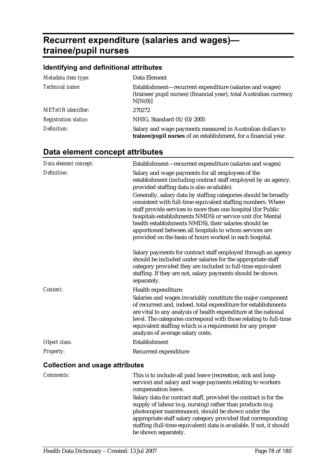# **Recurrent expenditure (salaries and wages) trainee/pupil nurses**

# **Identifying and definitional attributes**

| Metadata item type:         | Data Element                                                                                                                              |
|-----------------------------|-------------------------------------------------------------------------------------------------------------------------------------------|
| Technical name:             | Establishment-recurrent expenditure (salaries and wages)<br>(trainee/pupil nurses) (financial year), total Australian currency<br>N[N(8)] |
| <b>METeOR</b> identifier:   | 270272                                                                                                                                    |
| <b>Registration status:</b> | NHIG, Standard 01/03/2005                                                                                                                 |
| Definition:                 | Salary and wage payments measured in Australian dollars to<br>trainee/pupil nurses of an establishment, for a financial year.             |

# **Data element concept attributes**

| Data element concept:                  | Establishment—recurrent expenditure (salaries and wages)                                                                                                                                                                                                                                                                                                                                                                                    |
|----------------------------------------|---------------------------------------------------------------------------------------------------------------------------------------------------------------------------------------------------------------------------------------------------------------------------------------------------------------------------------------------------------------------------------------------------------------------------------------------|
| Definition:                            | Salary and wage payments for all employees of the<br>establishment (including contract staff employed by an agency,<br>provided staffing data is also available).                                                                                                                                                                                                                                                                           |
|                                        | Generally, salary data by staffing categories should be broadly<br>consistent with full-time equivalent staffing numbers. Where<br>staff provide services to more than one hospital (for Public<br>hospitals establishments NMDS) or service unit (for Mental<br>health establishments NMDS), their salaries should be<br>apportioned between all hospitals to whom services are<br>provided on the basis of hours worked in each hospital. |
|                                        | Salary payments for contract staff employed through an agency<br>should be included under salaries for the appropriate staff<br>category provided they are included in full-time equivalent<br>staffing. If they are not, salary payments should be shown<br>separately.                                                                                                                                                                    |
| Context:                               | Health expenditure:                                                                                                                                                                                                                                                                                                                                                                                                                         |
|                                        | Salaries and wages invariably constitute the major component<br>of recurrent and, indeed, total expenditure for establishments<br>are vital to any analysis of health expenditure at the national<br>level. The categories correspond with those relating to full-time<br>equivalent staffing which is a requirement for any proper<br>analysis of average salary costs.                                                                    |
| Object class:                          | Establishment                                                                                                                                                                                                                                                                                                                                                                                                                               |
| <b>Property:</b>                       | Recurrent expenditure                                                                                                                                                                                                                                                                                                                                                                                                                       |
| <b>Collection and usage attributes</b> |                                                                                                                                                                                                                                                                                                                                                                                                                                             |

| Comments: | This is to include all paid leave (recreation, sick and long-<br>service) and salary and wage payments relating to workers<br>compensation leave.                                                                                                                                                                                                      |
|-----------|--------------------------------------------------------------------------------------------------------------------------------------------------------------------------------------------------------------------------------------------------------------------------------------------------------------------------------------------------------|
|           | Salary data for contract staff, provided the contract is for the<br>supply of labour (e.g. nursing) rather than products (e.g.<br>photocopier maintenance), should be shown under the<br>appropriate staff salary category provided that corresponding<br>staffing (full-time equivalent) data is available. If not, it should<br>be shown separately. |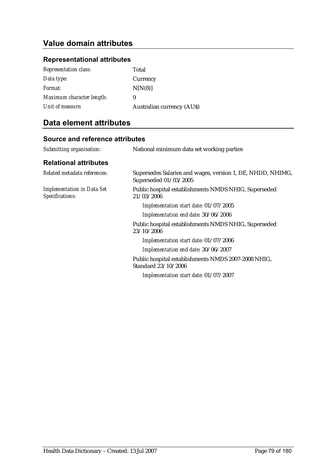# **Value domain attributes**

### **Representational attributes**

| <b>Representation class:</b> | Total                            |
|------------------------------|----------------------------------|
| Data type:                   | Currency                         |
| <i>Format:</i>               | N[N(8)]                          |
| Maximum character length:    | 9                                |
| Unit of measure:             | <b>Australian currency (AUS)</b> |

# **Data element attributes**

| Submitting organisation:                             | National minimum data set working parties                                           |
|------------------------------------------------------|-------------------------------------------------------------------------------------|
| <b>Relational attributes</b>                         |                                                                                     |
| Related metadata references:                         | Supersedes Salaries and wages, version 1, DE, NHDD, NHIMG,<br>Superseded 01/03/2005 |
| <b>Implementation in Data Set</b><br>Specifications: | Public hospital establishments NMDS NHIG, Superseded<br>21/03/2006                  |
|                                                      | Implementation start date: 01/07/2005                                               |
|                                                      | Implementation end date: 30/06/2006                                                 |
|                                                      | Public hospital establishments NMDS NHIG, Superseded<br>23/10/2006                  |
|                                                      | Implementation start date: 01/07/2006                                               |
|                                                      | Implementation end date: 30/06/2007                                                 |
|                                                      | Public hospital establishments NMDS 2007-2008 NHIG,<br>Standard 23/10/2006          |
|                                                      | Implementation start date: 01/07/2007                                               |
|                                                      |                                                                                     |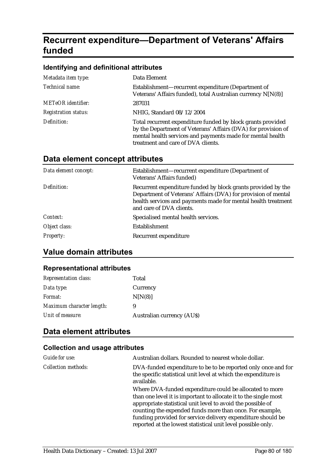# **Recurrent expenditure—Department of Veterans' Affairs funded**

#### **Identifying and definitional attributes**

| Metadata item type:         | Data Element                                                                                                                                                                                                                     |
|-----------------------------|----------------------------------------------------------------------------------------------------------------------------------------------------------------------------------------------------------------------------------|
| Technical name:             | Establishment-recurrent expenditure (Department of<br>Veterans' Affairs funded), total Australian currency N[N(8)]                                                                                                               |
| <b>METeOR</b> identifier:   | 287031                                                                                                                                                                                                                           |
| <b>Registration status:</b> | NHIG, Standard 08/12/2004                                                                                                                                                                                                        |
| Definition:                 | Total recurrent expenditure funded by block grants provided<br>by the Department of Veterans' Affairs (DVA) for provision of<br>mental health services and payments made for mental health<br>treatment and care of DVA clients. |

# **Data element concept attributes**

| Data element concept: | Establishment—recurrent expenditure (Department of<br>Veterans' Affairs funded)                                                                                                                                            |
|-----------------------|----------------------------------------------------------------------------------------------------------------------------------------------------------------------------------------------------------------------------|
| Definition:           | Recurrent expenditure funded by block grants provided by the<br>Department of Veterans' Affairs (DVA) for provision of mental<br>health services and payments made for mental health treatment<br>and care of DVA clients. |
| Context:              | Specialised mental health services.                                                                                                                                                                                        |
| Object class:         | Establishment                                                                                                                                                                                                              |
| <b>Property:</b>      | Recurrent expenditure                                                                                                                                                                                                      |

# **Value domain attributes**

#### **Representational attributes**

| <b>Representation class:</b> | Total                            |
|------------------------------|----------------------------------|
| Data type:                   | Currency                         |
| <i>Format:</i>               | N[N(8)]                          |
| Maximum character length:    | 9                                |
| Unit of measure:             | <b>Australian currency (AUS)</b> |

# **Data element attributes**

| Guide for use:             | Australian dollars. Rounded to nearest whole dollar.                                                                                                                                                                                                                                                                                                                                  |
|----------------------------|---------------------------------------------------------------------------------------------------------------------------------------------------------------------------------------------------------------------------------------------------------------------------------------------------------------------------------------------------------------------------------------|
| <i>Collection methods:</i> | DVA-funded expenditure to be to be reported only once and for<br>the specific statistical unit level at which the expenditure is<br>available.                                                                                                                                                                                                                                        |
|                            | Where DVA-funded expenditure could be allocated to more<br>than one level it is important to allocate it to the single most<br>appropriate statistical unit level to avoid the possible of<br>counting the expended funds more than once. For example,<br>funding provided for service delivery expenditure should be<br>reported at the lowest statistical unit level possible only. |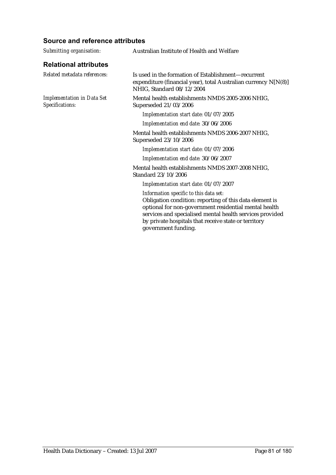| Submitting organisation:                             | Australian Institute of Health and Welfare                                                                                                                                                                                                                                                            |
|------------------------------------------------------|-------------------------------------------------------------------------------------------------------------------------------------------------------------------------------------------------------------------------------------------------------------------------------------------------------|
| <b>Relational attributes</b>                         |                                                                                                                                                                                                                                                                                                       |
| Related metadata references:                         | Is used in the formation of Establishment—recurrent<br>expenditure (financial year), total Australian currency N[N(8)]<br>NHIG, Standard 08/12/2004                                                                                                                                                   |
| <b>Implementation in Data Set</b><br>Specifications: | Mental health establishments NMDS 2005-2006 NHIG,<br>Superseded 21/03/2006                                                                                                                                                                                                                            |
|                                                      | Implementation start date: 01/07/2005                                                                                                                                                                                                                                                                 |
|                                                      | Implementation end date: 30/06/2006                                                                                                                                                                                                                                                                   |
|                                                      | Mental health establishments NMDS 2006-2007 NHIG,<br>Superseded 23/10/2006                                                                                                                                                                                                                            |
|                                                      | Implementation start date: 01/07/2006                                                                                                                                                                                                                                                                 |
|                                                      | Implementation end date: 30/06/2007                                                                                                                                                                                                                                                                   |
|                                                      | Mental health establishments NMDS 2007-2008 NHIG,<br>Standard 23/10/2006                                                                                                                                                                                                                              |
|                                                      | Implementation start date: 01/07/2007                                                                                                                                                                                                                                                                 |
|                                                      | Information specific to this data set:<br>Obligation condition: reporting of this data element is<br>optional for non-government residential mental health<br>services and specialised mental health services provided<br>by private hospitals that receive state or territory<br>government funding. |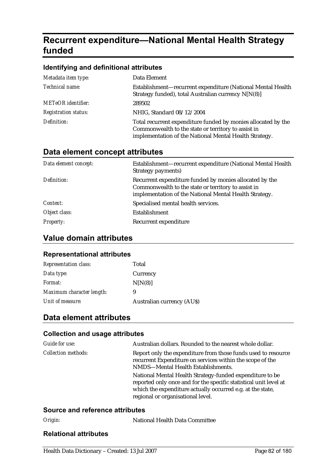# **Recurrent expenditure—National Mental Health Strategy funded**

#### **Identifying and definitional attributes**

| Metadata item type:         | Data Element                                                                                                                                                                   |
|-----------------------------|--------------------------------------------------------------------------------------------------------------------------------------------------------------------------------|
| Technical name:             | Establishment—recurrent expenditure (National Mental Health<br>Strategy funded), total Australian currency N[N(8)]                                                             |
| <b>METeOR</b> identifier:   | 289502                                                                                                                                                                         |
| <b>Registration status:</b> | NHIG, Standard 08/12/2004                                                                                                                                                      |
| Definition:                 | Total recurrent expenditure funded by monies allocated by the<br>Commonwealth to the state or territory to assist in<br>implementation of the National Mental Health Strategy. |

### **Data element concept attributes**

| Data element concept: | Establishment—recurrent expenditure (National Mental Health<br>Strategy payments)                                                                                        |
|-----------------------|--------------------------------------------------------------------------------------------------------------------------------------------------------------------------|
| Definition:           | Recurrent expenditure funded by monies allocated by the<br>Commonwealth to the state or territory to assist in<br>implementation of the National Mental Health Strategy. |
| Context:              | Specialised mental health services.                                                                                                                                      |
| Object class:         | Establishment                                                                                                                                                            |
| <i>Property:</i>      | Recurrent expenditure                                                                                                                                                    |

## **Value domain attributes**

#### **Representational attributes**

| <b>Representation class:</b> | Total                      |
|------------------------------|----------------------------|
| Data type:                   | Currency                   |
| Format:                      | N[N(8)]                    |
| Maximum character length:    | 9                          |
| Unit of measure:             | Australian currency (AU\$) |

## **Data element attributes**

#### **Collection and usage attributes**

| Guide for use:             | Australian dollars. Rounded to the nearest whole dollar.                                                                                                                                                                         |
|----------------------------|----------------------------------------------------------------------------------------------------------------------------------------------------------------------------------------------------------------------------------|
| <i>Collection methods:</i> | Report only the expenditure from those funds used to resource<br>recurrent Expenditure on services within the scope of the<br>NMDS-Mental Health Establishments.                                                                 |
|                            | National Mental Health Strategy-funded expenditure to be<br>reported only once and for the specific statistical unit level at<br>which the expenditure actually occurred e.g. at the state,<br>regional or organisational level. |

#### **Source and reference attributes**

| Origin: | National Health Data Committee |
|---------|--------------------------------|
|         |                                |

### **Relational attributes**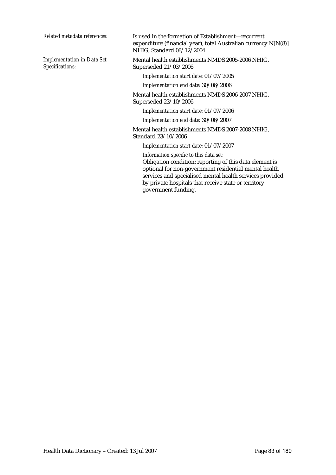*Implementation in Data Set Specifications:*

*Related metadata references:* Is used in the formation of Establishment—recurrent expenditure (financial year), total Australian currency N[N(8)] NHIG, Standard 08/12/2004

> Mental health establishments NMDS 2005-2006 NHIG, Superseded 21/03/2006

*Implementation start date:* 01/07/2005

*Implementation end date:* 30/06/2006

Mental health establishments NMDS 2006-2007 NHIG, Superseded 23/10/2006

*Implementation start date:* 01/07/2006

*Implementation end date:* 30/06/2007

Mental health establishments NMDS 2007-2008 NHIG, Standard 23/10/2006

*Implementation start date:* 01/07/2007

*Information specific to this data set:*

Obligation condition: reporting of this data element is optional for non-government residential mental health services and specialised mental health services provided by private hospitals that receive state or territory government funding.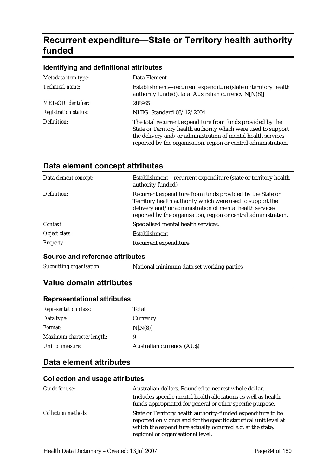# **Recurrent expenditure—State or Territory health authority funded**

#### **Identifying and definitional attributes**

| Metadata item type:         | Data Element                                                                                                                                                                                                                                                    |
|-----------------------------|-----------------------------------------------------------------------------------------------------------------------------------------------------------------------------------------------------------------------------------------------------------------|
| Technical name:             | Establishment—recurrent expenditure (state or territory health<br>authority funded), total Australian currency N[N(8)]                                                                                                                                          |
| <b>METeOR</b> identifier:   | 288965                                                                                                                                                                                                                                                          |
| <b>Registration status:</b> | NHIG, Standard 08/12/2004                                                                                                                                                                                                                                       |
| Definition:                 | The total recurrent expenditure from funds provided by the<br>State or Territory health authority which were used to support<br>the delivery and/or administration of mental health services<br>reported by the organisation, region or central administration. |

### **Data element concept attributes**

| Data element concept: | Establishment-recurrent expenditure (state or territory health<br>authority funded)                                                                                                                                                                   |
|-----------------------|-------------------------------------------------------------------------------------------------------------------------------------------------------------------------------------------------------------------------------------------------------|
| Definition:           | Recurrent expenditure from funds provided by the State or<br>Territory health authority which were used to support the<br>delivery and/or administration of mental health services<br>reported by the organisation, region or central administration. |
| Context:              | Specialised mental health services.                                                                                                                                                                                                                   |
| Object class:         | Establishment                                                                                                                                                                                                                                         |
| <b>Property:</b>      | Recurrent expenditure                                                                                                                                                                                                                                 |

#### **Source and reference attributes**

*Submitting organisation:* National minimum data set working parties

## **Value domain attributes**

#### **Representational attributes**

| <b>Representation class:</b> | Total                            |
|------------------------------|----------------------------------|
| Data type:                   | Currency                         |
| <i>Format:</i>               | N[N(8)]                          |
| Maximum character length:    | 9                                |
| Unit of measure:             | <b>Australian currency (AUS)</b> |

### **Data element attributes**

| Guide for use:             | Australian dollars. Rounded to nearest whole dollar.                                                                                                                                                                                 |
|----------------------------|--------------------------------------------------------------------------------------------------------------------------------------------------------------------------------------------------------------------------------------|
|                            | Includes specific mental health allocations as well as health                                                                                                                                                                        |
|                            | funds appropriated for general or other specific purpose.                                                                                                                                                                            |
| <i>Collection methods:</i> | State or Territory health authority-funded expenditure to be<br>reported only once and for the specific statistical unit level at<br>which the expenditure actually occurred e.g. at the state,<br>regional or organisational level. |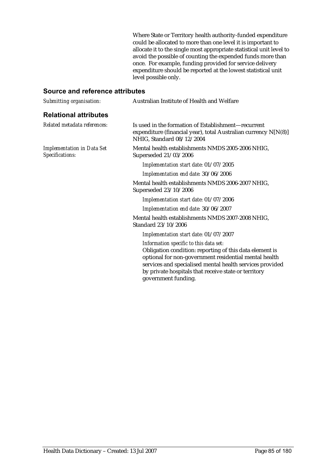Where State or Territory health authority-funded expenditure could be allocated to more than one level it is important to allocate it to the single most appropriate statistical unit level to avoid the possible of counting the expended funds more than once. For example, funding provided for service delivery expenditure should be reported at the lowest statistical unit level possible only.

| Australian Institute of Health and Welfare                                                                                                                                                                                                                                                            |
|-------------------------------------------------------------------------------------------------------------------------------------------------------------------------------------------------------------------------------------------------------------------------------------------------------|
|                                                                                                                                                                                                                                                                                                       |
| Is used in the formation of Establishment—recurrent<br>expenditure (financial year), total Australian currency N[N(8)]<br>NHIG, Standard 08/12/2004                                                                                                                                                   |
| Mental health establishments NMDS 2005-2006 NHIG,<br>Superseded 21/03/2006                                                                                                                                                                                                                            |
| Implementation start date: 01/07/2005                                                                                                                                                                                                                                                                 |
| Implementation end date: 30/06/2006                                                                                                                                                                                                                                                                   |
| Mental health establishments NMDS 2006-2007 NHIG,<br>Superseded 23/10/2006                                                                                                                                                                                                                            |
| Implementation start date: 01/07/2006                                                                                                                                                                                                                                                                 |
| Implementation end date: 30/06/2007                                                                                                                                                                                                                                                                   |
| Mental health establishments NMDS 2007-2008 NHIG,<br>Standard 23/10/2006                                                                                                                                                                                                                              |
| Implementation start date: 01/07/2007                                                                                                                                                                                                                                                                 |
| Information specific to this data set:<br>Obligation condition: reporting of this data element is<br>optional for non-government residential mental health<br>services and specialised mental health services provided<br>by private hospitals that receive state or territory<br>government funding. |
|                                                                                                                                                                                                                                                                                                       |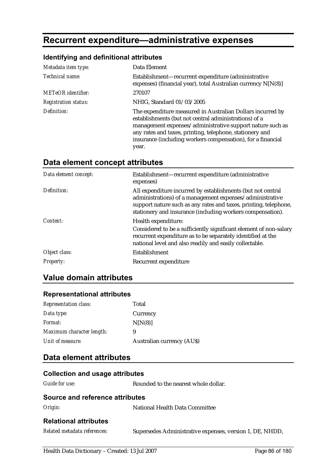# **Recurrent expenditure—administrative expenses**

#### **Identifying and definitional attributes**

| Metadata item type:         | Data Element                                                                                                                                                                                                                                                                                                         |
|-----------------------------|----------------------------------------------------------------------------------------------------------------------------------------------------------------------------------------------------------------------------------------------------------------------------------------------------------------------|
| Technical name:             | Establishment-recurrent expenditure (administrative<br>expenses) (financial year), total Australian currency N[N(8)]                                                                                                                                                                                                 |
| <b>METeOR</b> identifier:   | 270107                                                                                                                                                                                                                                                                                                               |
| <b>Registration status:</b> | NHIG, Standard 01/03/2005                                                                                                                                                                                                                                                                                            |
| Definition:                 | The expenditure measured in Australian Dollars incurred by<br>establishments (but not central administrations) of a<br>management expenses/administrative support nature such as<br>any rates and taxes, printing, telephone, stationery and<br>insurance (including workers compensation), for a financial<br>year. |

### **Data element concept attributes**

| Data element concept: | Establishment-recurrent expenditure (administrative<br>expenses)                                                                                                                                                                                          |
|-----------------------|-----------------------------------------------------------------------------------------------------------------------------------------------------------------------------------------------------------------------------------------------------------|
| Definition:           | All expenditure incurred by establishments (but not central<br>administrations) of a management expenses/administrative<br>support nature such as any rates and taxes, printing, telephone,<br>stationery and insurance (including workers compensation). |
| Context:              | Health expenditure:                                                                                                                                                                                                                                       |
|                       | Considered to be a sufficiently significant element of non-salary<br>recurrent expenditure as to be separately identified at the<br>national level and also readily and easily collectable.                                                               |
| Object class:         | Establishment                                                                                                                                                                                                                                             |
| <b>Property:</b>      | Recurrent expenditure                                                                                                                                                                                                                                     |

## **Value domain attributes**

#### **Representational attributes**

| <b>Representation class:</b> | Total                            |
|------------------------------|----------------------------------|
| Data type:                   | Currency                         |
| <i>Format:</i>               | N[N(8)]                          |
| Maximum character length:    | 9                                |
| Unit of measure:             | <b>Australian currency (AUS)</b> |

### **Data element attributes**

# **Collection and usage attributes**  *Guide for use:* Rounded to the nearest whole dollar. **Source and reference attributes**  *Origin:* National Health Data Committee **Relational attributes**

| Related metadata references: | Supersedes Administrative expenses, version 1, DE, NHDD, |
|------------------------------|----------------------------------------------------------|
|------------------------------|----------------------------------------------------------|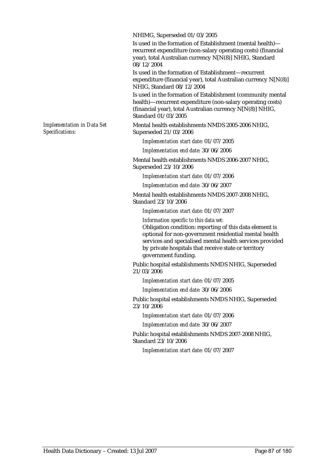NHIMG, Superseded 01/03/2005

Is used in the formation of Establishment (mental health) recurrent expenditure (non-salary operating costs) (financial year), total Australian currency N[N(8)] NHIG, Standard 08/12/2004

Is used in the formation of Establishment—recurrent expenditure (financial year), total Australian currency N[N(8)] NHIG, Standard 08/12/2004

Is used in the formation of Establishment (community mental health)—recurrent expenditure (non-salary operating costs) (financial year), total Australian currency N[N(8)] NHIG, Standard 01/03/2005

Mental health establishments NMDS 2005-2006 NHIG, Superseded 21/03/2006

*Implementation start date:* 01/07/2005

*Implementation end date:* 30/06/2006

Mental health establishments NMDS 2006-2007 NHIG, Superseded 23/10/2006

*Implementation start date:* 01/07/2006

*Implementation end date:* 30/06/2007

Mental health establishments NMDS 2007-2008 NHIG, Standard 23/10/2006

*Implementation start date:* 01/07/2007

*Information specific to this data set:* Obligation condition: reporting of this data element is optional for non-government residential mental health services and specialised mental health services provided by private hospitals that receive state or territory government funding.

Public hospital establishments NMDS NHIG, Superseded 21/03/2006

*Implementation start date:* 01/07/2005

*Implementation end date:* 30/06/2006

Public hospital establishments NMDS NHIG, Superseded 23/10/2006

*Implementation start date:* 01/07/2006

*Implementation end date:* 30/06/2007

Public hospital establishments NMDS 2007-2008 NHIG, Standard 23/10/2006

*Implementation start date:* 01/07/2007

*Implementation in Data Set Specifications:*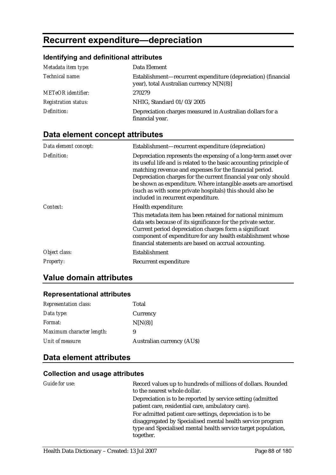# **Recurrent expenditure—depreciation**

## **Identifying and definitional attributes**

| Metadata item type:         | Data Element                                                                                              |
|-----------------------------|-----------------------------------------------------------------------------------------------------------|
| Technical name:             | Establishment—recurrent expenditure (depreciation) (financial<br>year), total Australian currency N[N(8)] |
| <b>METeOR</b> identifier:   | 270279                                                                                                    |
| <b>Registration status:</b> | NHIG, Standard 01/03/2005                                                                                 |
| Definition:                 | Depreciation charges measured in Australian dollars for a<br>financial year.                              |

# **Data element concept attributes**

| Establishment—recurrent expenditure (depreciation)                                                                                                                                                                                                                                                                                                                                                                                        |
|-------------------------------------------------------------------------------------------------------------------------------------------------------------------------------------------------------------------------------------------------------------------------------------------------------------------------------------------------------------------------------------------------------------------------------------------|
| Depreciation represents the expensing of a long-term asset over<br>its useful life and is related to the basic accounting principle of<br>matching revenue and expenses for the financial period.<br>Depreciation charges for the current financial year only should<br>be shown as expenditure. Where intangible assets are amortised<br>(such as with some private hospitals) this should also be<br>included in recurrent expenditure. |
| Health expenditure:<br>This metadata item has been retained for national minimum<br>data sets because of its significance for the private sector.<br>Current period depreciation charges form a significant<br>component of expenditure for any health establishment whose<br>financial statements are based on accrual accounting.                                                                                                       |
| Establishment                                                                                                                                                                                                                                                                                                                                                                                                                             |
| Recurrent expenditure                                                                                                                                                                                                                                                                                                                                                                                                                     |
|                                                                                                                                                                                                                                                                                                                                                                                                                                           |

## **Value domain attributes**

#### **Representational attributes**

| <b>Representation class:</b> | Total                            |
|------------------------------|----------------------------------|
| Data type:                   | Currency                         |
| <i>Format:</i>               | N[N(8)]                          |
| Maximum character length:    | 9                                |
| Unit of measure:             | <b>Australian currency (AUS)</b> |

# **Data element attributes**

| Guide for use: | Record values up to hundreds of millions of dollars. Rounded<br>to the nearest whole dollar.                                                                                                          |
|----------------|-------------------------------------------------------------------------------------------------------------------------------------------------------------------------------------------------------|
|                | Depreciation is to be reported by service setting (admitted<br>patient care, residential care, ambulatory care).                                                                                      |
|                | For admitted patient care settings, depreciation is to be<br>disaggregated by Specialised mental health service program<br>type and Specialised mental health service target population,<br>together. |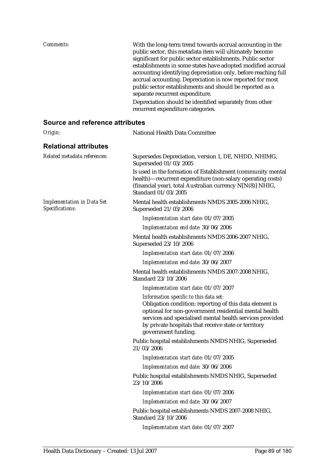| <i>Comments:</i> | With the long-term trend towards accrual accounting in the<br>public sector, this metadata item will ultimately become<br>significant for public sector establishments. Public sector<br>establishments in some states have adopted modified accrual<br>accounting identifying depreciation only, before reaching full<br>accrual accounting. Depreciation is now reported for most<br>public sector establishments and should be reported as a<br>separate recurrent expenditure. |
|------------------|------------------------------------------------------------------------------------------------------------------------------------------------------------------------------------------------------------------------------------------------------------------------------------------------------------------------------------------------------------------------------------------------------------------------------------------------------------------------------------|
|                  | Depreciation should be identified separately from other<br>recurrent expenditure categories.                                                                                                                                                                                                                                                                                                                                                                                       |

| Origin:                                              | National Health Data Committee                                                                                                                                                                                                                                                                        |
|------------------------------------------------------|-------------------------------------------------------------------------------------------------------------------------------------------------------------------------------------------------------------------------------------------------------------------------------------------------------|
| <b>Relational attributes</b>                         |                                                                                                                                                                                                                                                                                                       |
| Related metadata references:                         | Supersedes Depreciation, version 1, DE, NHDD, NHIMG,<br>Superseded 01/03/2005                                                                                                                                                                                                                         |
|                                                      | Is used in the formation of Establishment (community mental<br>health)-recurrent expenditure (non-salary operating costs)<br>(financial year), total Australian currency N[N(8)] NHIG,<br>Standard 01/03/2005                                                                                         |
| <b>Implementation in Data Set</b><br>Specifications: | Mental health establishments NMDS 2005-2006 NHIG,<br>Superseded 21/03/2006                                                                                                                                                                                                                            |
|                                                      | Implementation start date: 01/07/2005                                                                                                                                                                                                                                                                 |
|                                                      | Implementation end date: 30/06/2006                                                                                                                                                                                                                                                                   |
|                                                      | Mental health establishments NMDS 2006-2007 NHIG,<br>Superseded 23/10/2006                                                                                                                                                                                                                            |
|                                                      | Implementation start date: 01/07/2006                                                                                                                                                                                                                                                                 |
|                                                      | Implementation end date: 30/06/2007                                                                                                                                                                                                                                                                   |
|                                                      | Mental health establishments NMDS 2007-2008 NHIG,<br>Standard 23/10/2006                                                                                                                                                                                                                              |
|                                                      | Implementation start date: 01/07/2007                                                                                                                                                                                                                                                                 |
|                                                      | Information specific to this data set:<br>Obligation condition: reporting of this data element is<br>optional for non-government residential mental health<br>services and specialised mental health services provided<br>by private hospitals that receive state or territory<br>government funding. |
|                                                      | Public hospital establishments NMDS NHIG, Superseded<br>21/03/2006                                                                                                                                                                                                                                    |
|                                                      | Implementation start date: 01/07/2005                                                                                                                                                                                                                                                                 |
|                                                      | Implementation end date: 30/06/2006                                                                                                                                                                                                                                                                   |
|                                                      | Public hospital establishments NMDS NHIG, Superseded<br>23/10/2006                                                                                                                                                                                                                                    |
|                                                      | Implementation start date: 01/07/2006                                                                                                                                                                                                                                                                 |
|                                                      | Implementation end date: 30/06/2007                                                                                                                                                                                                                                                                   |
|                                                      | Public hospital establishments NMDS 2007-2008 NHIG,<br>Standard 23/10/2006                                                                                                                                                                                                                            |
|                                                      | Implementation start date: 01/07/2007                                                                                                                                                                                                                                                                 |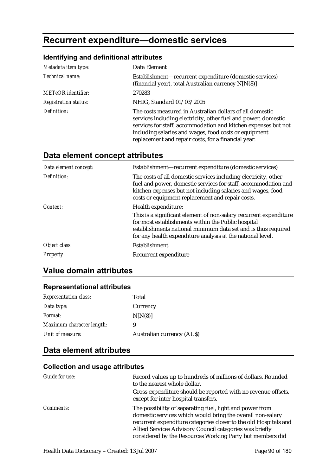# **Recurrent expenditure—domestic services**

## **Identifying and definitional attributes**

| Metadata item type:         | Data Element                                                                                                                                                                                                                                                                                                 |
|-----------------------------|--------------------------------------------------------------------------------------------------------------------------------------------------------------------------------------------------------------------------------------------------------------------------------------------------------------|
| Technical name:             | Establishment—recurrent expenditure (domestic services)<br>(financial year), total Australian currency N[N(8)]                                                                                                                                                                                               |
| <b>METeOR</b> identifier:   | 270283                                                                                                                                                                                                                                                                                                       |
| <b>Registration status:</b> | NHIG, Standard 01/03/2005                                                                                                                                                                                                                                                                                    |
| Definition:                 | The costs measured in Australian dollars of all domestic<br>services including electricity, other fuel and power, domestic<br>services for staff, accommodation and kitchen expenses but not<br>including salaries and wages, food costs or equipment<br>replacement and repair costs, for a financial year. |

# **Data element concept attributes**

| Data element concept: | Establishment-recurrent expenditure (domestic services)                                                                                                                                                                                              |
|-----------------------|------------------------------------------------------------------------------------------------------------------------------------------------------------------------------------------------------------------------------------------------------|
| Definition:           | The costs of all domestic services including electricity, other<br>fuel and power, domestic services for staff, accommodation and<br>kitchen expenses but not including salaries and wages, food<br>costs or equipment replacement and repair costs. |
| Context:              | Health expenditure:<br>This is a significant element of non-salary recurrent expenditure                                                                                                                                                             |
|                       | for most establishments within the Public hospital<br>establishments national minimum data set and is thus required<br>for any health expenditure analysis at the national level.                                                                    |
| Object class:         | Establishment                                                                                                                                                                                                                                        |
| <b>Property:</b>      | Recurrent expenditure                                                                                                                                                                                                                                |

# **Value domain attributes**

#### **Representational attributes**

| <b>Representation class:</b> | Total                            |
|------------------------------|----------------------------------|
| Data type:                   | Currency                         |
| <i>Format:</i>               | N[N(8)]                          |
| Maximum character length:    | 9                                |
| Unit of measure:             | <b>Australian currency (AUS)</b> |

## **Data element attributes**

| Guide for use:   | Record values up to hundreds of millions of dollars. Rounded<br>to the nearest whole dollar.                                                                                                                                                                                                                       |
|------------------|--------------------------------------------------------------------------------------------------------------------------------------------------------------------------------------------------------------------------------------------------------------------------------------------------------------------|
|                  | Gross expenditure should be reported with no revenue offsets,<br>except for inter-hospital transfers.                                                                                                                                                                                                              |
| <i>Comments:</i> | The possibility of separating fuel, light and power from<br>domestic services which would bring the overall non-salary<br>recurrent expenditure categories closer to the old Hospitals and<br>Allied Services Advisory Council categories was briefly<br>considered by the Resources Working Party but members did |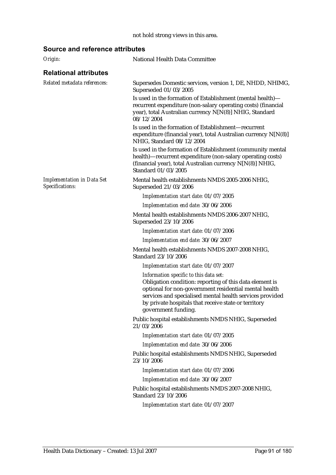#### not hold strong views in this area.

| Origin:                                              | National Health Data Committee                                                                                                                                                                                                                                                                        |
|------------------------------------------------------|-------------------------------------------------------------------------------------------------------------------------------------------------------------------------------------------------------------------------------------------------------------------------------------------------------|
| <b>Relational attributes</b>                         |                                                                                                                                                                                                                                                                                                       |
| Related metadata references:                         | Supersedes Domestic services, version 1, DE, NHDD, NHIMG,<br>Superseded 01/03/2005                                                                                                                                                                                                                    |
|                                                      | Is used in the formation of Establishment (mental health)-<br>recurrent expenditure (non-salary operating costs) (financial<br>year), total Australian currency N[N(8)] NHIG, Standard<br>08/12/2004                                                                                                  |
|                                                      | Is used in the formation of Establishment-recurrent<br>expenditure (financial year), total Australian currency N[N(8)]<br>NHIG, Standard 08/12/2004                                                                                                                                                   |
|                                                      | Is used in the formation of Establishment (community mental<br>health)-recurrent expenditure (non-salary operating costs)<br>(financial year), total Australian currency N[N(8)] NHIG,<br>Standard 01/03/2005                                                                                         |
| <b>Implementation in Data Set</b><br>Specifications: | Mental health establishments NMDS 2005-2006 NHIG,<br>Superseded 21/03/2006                                                                                                                                                                                                                            |
|                                                      | Implementation start date: 01/07/2005                                                                                                                                                                                                                                                                 |
|                                                      | Implementation end date: 30/06/2006                                                                                                                                                                                                                                                                   |
|                                                      | Mental health establishments NMDS 2006-2007 NHIG,<br>Superseded 23/10/2006                                                                                                                                                                                                                            |
|                                                      | Implementation start date: 01/07/2006                                                                                                                                                                                                                                                                 |
|                                                      | Implementation end date: 30/06/2007                                                                                                                                                                                                                                                                   |
|                                                      | Mental health establishments NMDS 2007-2008 NHIG,<br>Standard 23/10/2006                                                                                                                                                                                                                              |
|                                                      | Implementation start date: 01/07/2007                                                                                                                                                                                                                                                                 |
|                                                      | Information specific to this data set:<br>Obligation condition: reporting of this data element is<br>optional for non-government residential mental health<br>services and specialised mental health services provided<br>by private hospitals that receive state or territory<br>government funding. |
|                                                      | Public hospital establishments NMDS NHIG, Superseded<br>21/03/2006                                                                                                                                                                                                                                    |
|                                                      | Implementation start date: 01/07/2005                                                                                                                                                                                                                                                                 |
|                                                      | Implementation end date: 30/06/2006                                                                                                                                                                                                                                                                   |
|                                                      | Public hospital establishments NMDS NHIG, Superseded<br>23/10/2006                                                                                                                                                                                                                                    |
|                                                      | Implementation start date: 01/07/2006                                                                                                                                                                                                                                                                 |
|                                                      | Implementation end date: 30/06/2007                                                                                                                                                                                                                                                                   |
|                                                      | Public hospital establishments NMDS 2007-2008 NHIG,<br>Standard 23/10/2006                                                                                                                                                                                                                            |
|                                                      | Implementation start date: 01/07/2007                                                                                                                                                                                                                                                                 |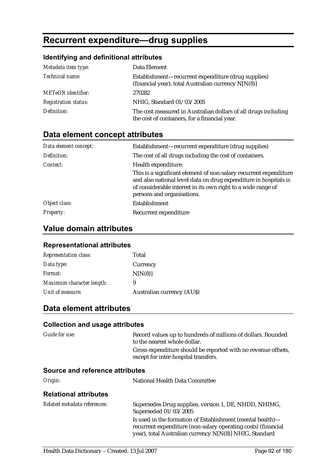# **Recurrent expenditure—drug supplies**

## **Identifying and definitional attributes**

| Metadata item type:         | Data Element                                                                                                    |
|-----------------------------|-----------------------------------------------------------------------------------------------------------------|
| Technical name:             | Establishment—recurrent expenditure (drug supplies)<br>(financial year), total Australian currency N[N(8)]      |
| <b>METeOR</b> identifier:   | 270282                                                                                                          |
| <b>Registration status:</b> | NHIG, Standard 01/03/2005                                                                                       |
| Definition:                 | The cost measured in Australian dollars of all drugs including<br>the cost of containers, for a financial year. |

# **Data element concept attributes**

| Data element concept: | Establishment—recurrent expenditure (drug supplies)                                                                                                                                                                                 |
|-----------------------|-------------------------------------------------------------------------------------------------------------------------------------------------------------------------------------------------------------------------------------|
| Definition:           | The cost of all drugs including the cost of containers.                                                                                                                                                                             |
| Context:              | Health expenditure:                                                                                                                                                                                                                 |
|                       | This is a significant element of non-salary recurrent expenditure<br>and also national level data on drug expenditure in hospitals is<br>of considerable interest in its own right to a wide range of<br>persons and organisations. |
| Object class:         | Establishment                                                                                                                                                                                                                       |
| <b>Property:</b>      | Recurrent expenditure                                                                                                                                                                                                               |

# **Value domain attributes**

#### **Representational attributes**

| <b>Representation class:</b> | Total                            |
|------------------------------|----------------------------------|
| Data type:                   | Currency                         |
| <i>Format:</i>               | N[N(8)]                          |
| Maximum character length:    | 9                                |
| Unit of measure:             | <b>Australian currency (AUS)</b> |

# **Data element attributes**

#### **Collection and usage attributes**

| <i>Guide for use:</i>                  | Record values up to hundreds of millions of dollars. Rounded<br>to the nearest whole dollar.                                |  |
|----------------------------------------|-----------------------------------------------------------------------------------------------------------------------------|--|
|                                        | Gross expenditure should be reported with no revenue offsets,<br>except for inter-hospital transfers.                       |  |
| <b>Source and reference attributes</b> |                                                                                                                             |  |
| Origin:                                | National Health Data Committee                                                                                              |  |
| <b>Relational attributes</b>           |                                                                                                                             |  |
| Related metadata references:           | Supersedes Drug supplies, version 1, DE, NHDD, NHIMG,<br>Superseded 01/03/2005                                              |  |
|                                        | Is used in the formation of Establishment (mental health)—<br>recurrent expenditure (non-salary operating costs) (financial |  |

year), total Australian currency N[N(8)] NHIG, Standard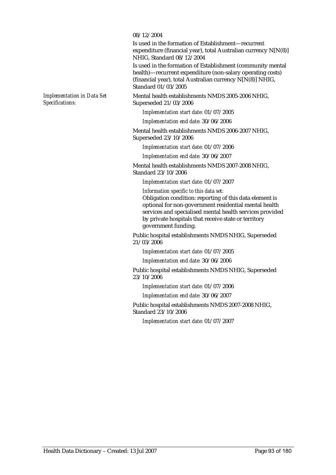#### 08/12/2004

Is used in the formation of Establishment—recurrent expenditure (financial year), total Australian currency N[N(8)] NHIG, Standard 08/12/2004

Is used in the formation of Establishment (community mental health)—recurrent expenditure (non-salary operating costs) (financial year), total Australian currency N[N(8)] NHIG, Standard 01/03/2005

Mental health establishments NMDS 2005-2006 NHIG, Superseded 21/03/2006

*Implementation start date:* 01/07/2005

*Implementation end date:* 30/06/2006

Mental health establishments NMDS 2006-2007 NHIG, Superseded 23/10/2006

*Implementation start date:* 01/07/2006

*Implementation end date:* 30/06/2007

Mental health establishments NMDS 2007-2008 NHIG, Standard 23/10/2006

*Implementation start date:* 01/07/2007

*Information specific to this data set:*

Obligation condition: reporting of this data element is optional for non-government residential mental health services and specialised mental health services provided by private hospitals that receive state or territory government funding.

Public hospital establishments NMDS NHIG, Superseded 21/03/2006

*Implementation start date:* 01/07/2005

*Implementation end date:* 30/06/2006

Public hospital establishments NMDS NHIG, Superseded 23/10/2006

*Implementation start date:* 01/07/2006

*Implementation end date:* 30/06/2007

Public hospital establishments NMDS 2007-2008 NHIG, Standard 23/10/2006

*Implementation start date:* 01/07/2007

*Implementation in Data Set Specifications:*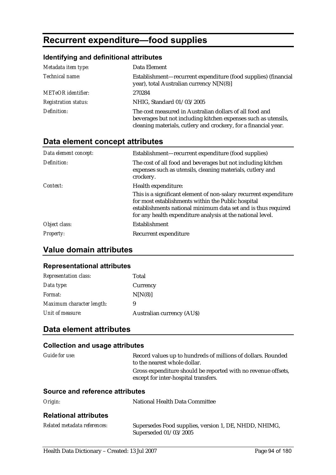# **Recurrent expenditure—food supplies**

# **Identifying and definitional attributes**

| Metadata item type:         | Data Element                                                                                                                                                                                 |
|-----------------------------|----------------------------------------------------------------------------------------------------------------------------------------------------------------------------------------------|
| Technical name:             | Establishment—recurrent expenditure (food supplies) (financial<br>year), total Australian currency N[N(8)]                                                                                   |
| <b>METeOR</b> identifier:   | 270284                                                                                                                                                                                       |
| <b>Registration status:</b> | NHIG, Standard 01/03/2005                                                                                                                                                                    |
| Definition:                 | The cost measured in Australian dollars of all food and<br>beverages but not including kitchen expenses such as utensils,<br>cleaning materials, cutlery and crockery, for a financial year. |

# **Data element concept attributes**

| Data element concept: | Establishment—recurrent expenditure (food supplies)                                                                                                                                                                                                    |
|-----------------------|--------------------------------------------------------------------------------------------------------------------------------------------------------------------------------------------------------------------------------------------------------|
| Definition:           | The cost of all food and beverages but not including kitchen<br>expenses such as utensils, cleaning materials, cutlery and<br>crockery.                                                                                                                |
| Context:              | Health expenditure:                                                                                                                                                                                                                                    |
|                       | This is a significant element of non-salary recurrent expenditure<br>for most establishments within the Public hospital<br>establishments national minimum data set and is thus required<br>for any health expenditure analysis at the national level. |
| Object class:         | Establishment                                                                                                                                                                                                                                          |
| <i>Property:</i>      | Recurrent expenditure                                                                                                                                                                                                                                  |

## **Value domain attributes**

#### **Representational attributes**

| <b>Representation class:</b> | Total                      |
|------------------------------|----------------------------|
| Data type:                   | Currency                   |
| <i>Format:</i>               | N[N(8)]                    |
| Maximum character length:    | 9                          |
| Unit of measure:             | Australian currency (AU\$) |

# **Data element attributes**

| Guide for use:                  | Record values up to hundreds of millions of dollars. Rounded<br>to the nearest whole dollar.<br>Gross expenditure should be reported with no revenue offsets,<br>except for inter-hospital transfers. |  |
|---------------------------------|-------------------------------------------------------------------------------------------------------------------------------------------------------------------------------------------------------|--|
| Source and reference attributes |                                                                                                                                                                                                       |  |
| Origin:                         | National Health Data Committee                                                                                                                                                                        |  |
| <b>Relational attributes</b>    |                                                                                                                                                                                                       |  |
| Related metadata references:    | Supersedes Food supplies, version 1, DE, NHDD, NHIMG,<br>Superseded 01/03/2005                                                                                                                        |  |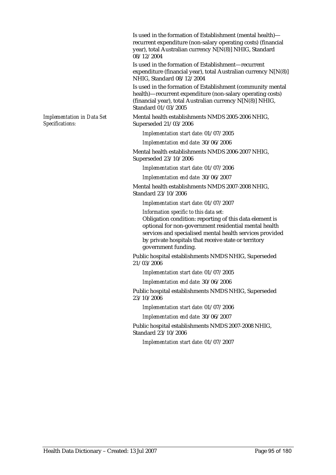Is used in the formation of Establishment (mental health) recurrent expenditure (non-salary operating costs) (financial year), total Australian currency N[N(8)] NHIG, Standard 08/12/2004

Is used in the formation of Establishment—recurrent expenditure (financial year), total Australian currency N[N(8)] NHIG, Standard 08/12/2004

Is used in the formation of Establishment (community mental health)—recurrent expenditure (non-salary operating costs) (financial year), total Australian currency N[N(8)] NHIG, Standard 01/03/2005

Mental health establishments NMDS 2005-2006 NHIG, Superseded 21/03/2006

*Implementation start date:* 01/07/2005

*Implementation end date:* 30/06/2006

Mental health establishments NMDS 2006-2007 NHIG, Superseded 23/10/2006

*Implementation start date:* 01/07/2006

*Implementation end date:* 30/06/2007

Mental health establishments NMDS 2007-2008 NHIG, Standard 23/10/2006

*Implementation start date:* 01/07/2007

*Information specific to this data set:*

Obligation condition: reporting of this data element is optional for non-government residential mental health services and specialised mental health services provided by private hospitals that receive state or territory government funding.

Public hospital establishments NMDS NHIG, Superseded 21/03/2006

*Implementation start date:* 01/07/2005

*Implementation end date:* 30/06/2006

Public hospital establishments NMDS NHIG, Superseded 23/10/2006

*Implementation start date:* 01/07/2006

*Implementation end date:* 30/06/2007

Public hospital establishments NMDS 2007-2008 NHIG, Standard 23/10/2006

*Implementation start date:* 01/07/2007

*Implementation in Data Set Specifications:*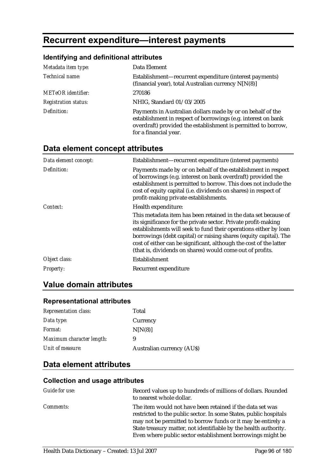# **Recurrent expenditure—interest payments**

### **Identifying and definitional attributes**

| Metadata item type:         | Data Element                                                                                                                                                                                                          |
|-----------------------------|-----------------------------------------------------------------------------------------------------------------------------------------------------------------------------------------------------------------------|
| Technical name:             | Establishment—recurrent expenditure (interest payments)<br>(financial year), total Australian currency N[N(8)]                                                                                                        |
| <b>METeOR</b> identifier:   | 270186                                                                                                                                                                                                                |
| <b>Registration status:</b> | NHIG, Standard 01/03/2005                                                                                                                                                                                             |
| Definition:                 | Payments in Australian dollars made by or on behalf of the<br>establishment in respect of borrowings (e.g. interest on bank<br>overdraft) provided the establishment is permitted to borrow,<br>for a financial year. |

# **Data element concept attributes**

| Establishment—recurrent expenditure (interest payments)                                                                                                                                                                                                                                                                                                                                                       |
|---------------------------------------------------------------------------------------------------------------------------------------------------------------------------------------------------------------------------------------------------------------------------------------------------------------------------------------------------------------------------------------------------------------|
| Payments made by or on behalf of the establishment in respect<br>of borrowings (e.g. interest on bank overdraft) provided the<br>establishment is permitted to borrow. This does not include the<br>cost of equity capital (i.e. dividends on shares) in respect of<br>profit-making private establishments.                                                                                                  |
| Health expenditure:                                                                                                                                                                                                                                                                                                                                                                                           |
| This metadata item has been retained in the data set because of<br>its significance for the private sector. Private profit-making<br>establishments will seek to fund their operations either by loan<br>borrowings (debt capital) or raising shares (equity capital). The<br>cost of either can be significant, although the cost of the latter<br>(that is, dividends on shares) would come out of profits. |
| Establishment                                                                                                                                                                                                                                                                                                                                                                                                 |
| Recurrent expenditure                                                                                                                                                                                                                                                                                                                                                                                         |
|                                                                                                                                                                                                                                                                                                                                                                                                               |

# **Value domain attributes**

### **Representational attributes**

| <b>Representation class:</b> | Total                            |
|------------------------------|----------------------------------|
| Data type:                   | Currency                         |
| <i>Format:</i>               | N[N(8)]                          |
| Maximum character length:    | 9                                |
| Unit of measure:             | <b>Australian currency (AUS)</b> |

# **Data element attributes**

| Guide for use:   | Record values up to hundreds of millions of dollars. Rounded<br>to nearest whole dollar.                                                                                                                                                                                                                                         |
|------------------|----------------------------------------------------------------------------------------------------------------------------------------------------------------------------------------------------------------------------------------------------------------------------------------------------------------------------------|
| <i>Comments:</i> | The item would not have been retained if the data set was<br>restricted to the public sector. In some States, public hospitals<br>may not be permitted to borrow funds or it may be entirely a<br>State treasury matter, not identifiable by the health authority.<br>Even where public sector establishment borrowings might be |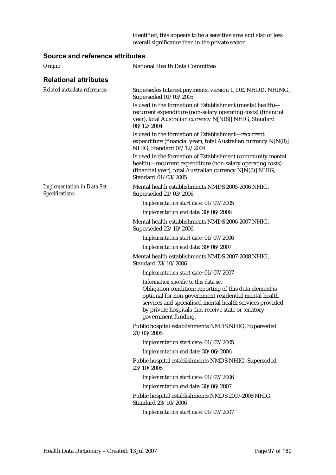identified, this appears to be a sensitive area and also of less overall significance than in the private sector.

| Origin:                                              | National Health Data Committee                                                                                                                                                                                                                                                                        |
|------------------------------------------------------|-------------------------------------------------------------------------------------------------------------------------------------------------------------------------------------------------------------------------------------------------------------------------------------------------------|
| <b>Relational attributes</b>                         |                                                                                                                                                                                                                                                                                                       |
| Related metadata references:                         | Supersedes Interest payments, version 1, DE, NHDD, NHIMG,<br>Superseded 01/03/2005                                                                                                                                                                                                                    |
|                                                      | Is used in the formation of Establishment (mental health)-<br>recurrent expenditure (non-salary operating costs) (financial<br>year), total Australian currency N[N(8)] NHIG, Standard<br>08/12/2004                                                                                                  |
|                                                      | Is used in the formation of Establishment—recurrent<br>expenditure (financial year), total Australian currency N[N(8)]<br>NHIG, Standard 08/12/2004                                                                                                                                                   |
|                                                      | Is used in the formation of Establishment (community mental<br>health)-recurrent expenditure (non-salary operating costs)<br>(financial year), total Australian currency N[N(8)] NHIG,<br>Standard 01/03/2005                                                                                         |
| <b>Implementation in Data Set</b><br>Specifications: | Mental health establishments NMDS 2005-2006 NHIG,<br>Superseded 21/03/2006                                                                                                                                                                                                                            |
|                                                      | Implementation start date: 01/07/2005                                                                                                                                                                                                                                                                 |
|                                                      | Implementation end date: 30/06/2006                                                                                                                                                                                                                                                                   |
|                                                      | Mental health establishments NMDS 2006-2007 NHIG,<br>Superseded 23/10/2006                                                                                                                                                                                                                            |
|                                                      | Implementation start date: 01/07/2006                                                                                                                                                                                                                                                                 |
|                                                      | Implementation end date: 30/06/2007                                                                                                                                                                                                                                                                   |
|                                                      | Mental health establishments NMDS 2007-2008 NHIG,<br>Standard 23/10/2006                                                                                                                                                                                                                              |
|                                                      | Implementation start date: 01/07/2007                                                                                                                                                                                                                                                                 |
|                                                      | Information specific to this data set:<br>Obligation condition: reporting of this data element is<br>optional for non-government residential mental health<br>services and specialised mental health services provided<br>by private hospitals that receive state or territory<br>government funding. |
|                                                      | Public hospital establishments NMDS NHIG, Superseded<br>21/03/2006                                                                                                                                                                                                                                    |
|                                                      | Implementation start date: 01/07/2005                                                                                                                                                                                                                                                                 |
|                                                      | Implementation end date: 30/06/2006                                                                                                                                                                                                                                                                   |
|                                                      | Public hospital establishments NMDS NHIG, Superseded<br>23/10/2006                                                                                                                                                                                                                                    |
|                                                      | Implementation start date: 01/07/2006                                                                                                                                                                                                                                                                 |
|                                                      | Implementation end date: 30/06/2007                                                                                                                                                                                                                                                                   |
|                                                      | Public hospital establishments NMDS 2007-2008 NHIG,<br>Standard 23/10/2006                                                                                                                                                                                                                            |
|                                                      | Implementation start date: 01/07/2007                                                                                                                                                                                                                                                                 |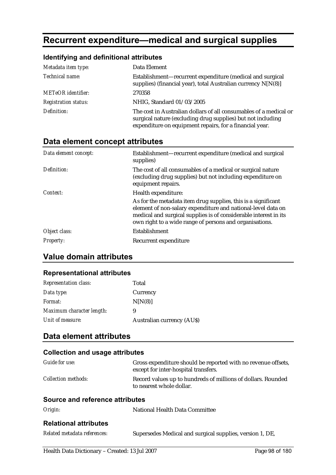# **Recurrent expenditure—medical and surgical supplies**

## **Identifying and definitional attributes**

| Metadata item type:         | Data Element                                                                                                                                                                                |
|-----------------------------|---------------------------------------------------------------------------------------------------------------------------------------------------------------------------------------------|
| Technical name:             | Establishment—recurrent expenditure (medical and surgical<br>supplies) (financial year), total Australian currency N[N(8)]                                                                  |
| <b>METeOR</b> identifier:   | 270358                                                                                                                                                                                      |
| <b>Registration status:</b> | NHIG, Standard 01/03/2005                                                                                                                                                                   |
| Definition:                 | The cost in Australian dollars of all consumables of a medical or<br>surgical nature (excluding drug supplies) but not including<br>expenditure on equipment repairs, for a financial year. |

# **Data element concept attributes**

| Data element concept: | Establishment—recurrent expenditure (medical and surgical<br>supplies)                                                                                                                                                                                       |
|-----------------------|--------------------------------------------------------------------------------------------------------------------------------------------------------------------------------------------------------------------------------------------------------------|
| Definition:           | The cost of all consumables of a medical or surgical nature<br>(excluding drug supplies) but not including expenditure on<br>equipment repairs.                                                                                                              |
| Context:              | Health expenditure:                                                                                                                                                                                                                                          |
|                       | As for the metadata item drug supplies, this is a significant<br>element of non-salary expenditure and national-level data on<br>medical and surgical supplies is of considerable interest in its<br>own right to a wide range of persons and organisations. |
| Object class:         | Establishment                                                                                                                                                                                                                                                |
| <b>Property:</b>      | Recurrent expenditure                                                                                                                                                                                                                                        |

# **Value domain attributes**

#### **Representational attributes**

| <b>Representation class:</b> | Total                            |
|------------------------------|----------------------------------|
| Data type:                   | Currency                         |
| Format:                      | N[N(8)]                          |
| Maximum character length:    | 9                                |
| Unit of measure:             | <b>Australian currency (AUS)</b> |

## **Data element attributes**

| <b>Collection and usage attributes</b> |                                                                                                       |  |
|----------------------------------------|-------------------------------------------------------------------------------------------------------|--|
| Guide for use:                         | Gross expenditure should be reported with no revenue offsets,<br>except for inter-hospital transfers. |  |
| <b>Collection methods:</b>             | Record values up to hundreds of millions of dollars. Rounded<br>to nearest whole dollar.              |  |
| Source and reference attributes        |                                                                                                       |  |
| Origin:                                | National Health Data Committee                                                                        |  |
| <b>Relational attributes</b>           |                                                                                                       |  |
| Related metadata references:           | Supersedes Medical and surgical supplies, version 1, DE,                                              |  |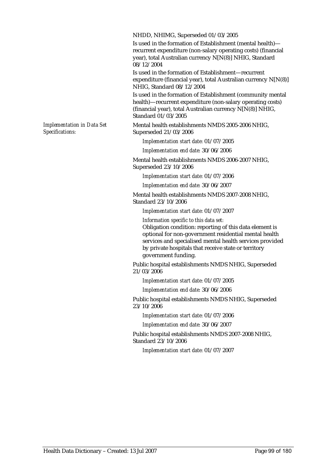NHDD, NHIMG, Superseded 01/03/2005

Is used in the formation of Establishment (mental health) recurrent expenditure (non-salary operating costs) (financial year), total Australian currency N[N(8)] NHIG, Standard 08/12/2004

Is used in the formation of Establishment—recurrent expenditure (financial year), total Australian currency N[N(8)] NHIG, Standard 08/12/2004

Is used in the formation of Establishment (community mental health)—recurrent expenditure (non-salary operating costs) (financial year), total Australian currency N[N(8)] NHIG, Standard 01/03/2005

Mental health establishments NMDS 2005-2006 NHIG, Superseded 21/03/2006

*Implementation start date:* 01/07/2005

*Implementation end date:* 30/06/2006

Mental health establishments NMDS 2006-2007 NHIG, Superseded 23/10/2006

*Implementation start date:* 01/07/2006

*Implementation end date:* 30/06/2007

Mental health establishments NMDS 2007-2008 NHIG, Standard 23/10/2006

*Implementation start date:* 01/07/2007

*Information specific to this data set:* Obligation condition: reporting of this data element is optional for non-government residential mental health services and specialised mental health services provided by private hospitals that receive state or territory government funding.

Public hospital establishments NMDS NHIG, Superseded 21/03/2006

*Implementation start date:* 01/07/2005

*Implementation end date:* 30/06/2006

Public hospital establishments NMDS NHIG, Superseded 23/10/2006

*Implementation start date:* 01/07/2006

*Implementation end date:* 30/06/2007

Public hospital establishments NMDS 2007-2008 NHIG, Standard 23/10/2006

*Implementation start date:* 01/07/2007

*Implementation in Data Set Specifications:*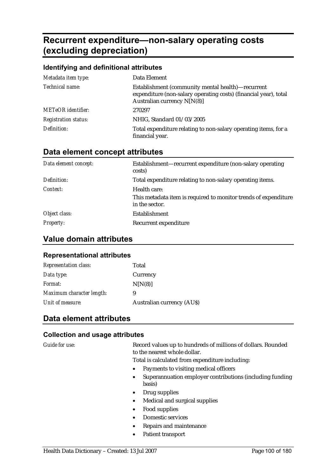# **Recurrent expenditure—non-salary operating costs (excluding depreciation)**

#### **Identifying and definitional attributes**

| Metadata item type:         | Data Element                                                                                                                                           |
|-----------------------------|--------------------------------------------------------------------------------------------------------------------------------------------------------|
| Technical name:             | Establishment (community mental health)—recurrent<br>expenditure (non-salary operating costs) (financial year), total<br>Australian currency $N[N(8)]$ |
| <b>METeOR</b> identifier:   | 270297                                                                                                                                                 |
| <b>Registration status:</b> | NHIG, Standard 01/03/2005                                                                                                                              |
| Definition:                 | Total expenditure relating to non-salary operating items, for a<br>financial year.                                                                     |

### **Data element concept attributes**

| Data element concept: | Establishment—recurrent expenditure (non-salary operating<br>costs)               |
|-----------------------|-----------------------------------------------------------------------------------|
| Definition:           | Total expenditure relating to non-salary operating items.                         |
| Context:              | Health care:                                                                      |
|                       | This metadata item is required to monitor trends of expenditure<br>in the sector. |
| Object class:         | Establishment                                                                     |
| <b>Property:</b>      | Recurrent expenditure                                                             |

### **Value domain attributes**

#### **Representational attributes**

| <b>Representation class:</b> | Total                      |
|------------------------------|----------------------------|
| Data type:                   | Currency                   |
| <i>Format:</i>               | N[N(8)]                    |
| Maximum character length:    | 9                          |
| Unit of measure:             | Australian currency (AU\$) |

## **Data element attributes**

#### **Collection and usage attributes**

*Guide for use:* Record values up to hundreds of millions of dollars. Rounded to the nearest whole dollar.

Total is calculated from expenditure including:

- Payments to visiting medical officers
- Superannuation employer contributions (including funding basis)
- Drug supplies
- Medical and surgical supplies
- Food supplies
- Domestic services
- Repairs and maintenance
- Patient transport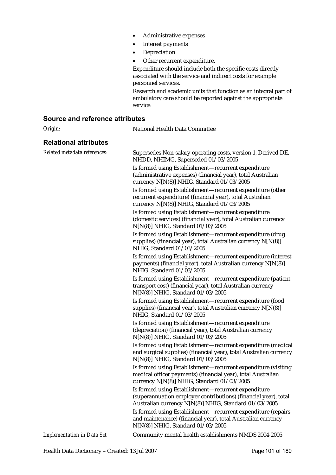- Administrative expenses
- Interest payments
- **Depreciation**
- Other recurrent expenditure.

Expenditure should include both the specific costs directly associated with the service and indirect costs for example personnel services.

Research and academic units that function as an integral part of ambulatory care should be reported against the appropriate service.

#### **Source and reference attributes**

*Origin:* National Health Data Committee **Relational attributes**  *Related metadata references:* Supersedes Non-salary operating costs, version 1, Derived DE, NHDD, NHIMG, Superseded 01/03/2005 Is formed using Establishment—recurrent expenditure (administrative expenses) (financial year), total Australian currency N[N(8)] NHIG, Standard 01/03/2005 Is formed using Establishment—recurrent expenditure (other recurrent expenditure) (financial year), total Australian currency N[N(8)] NHIG, Standard 01/03/2005 Is formed using Establishment—recurrent expenditure (domestic services) (financial year), total Australian currency N[N(8)] NHIG, Standard 01/03/2005 Is formed using Establishment—recurrent expenditure (drug supplies) (financial year), total Australian currency N[N(8)] NHIG, Standard 01/03/2005 Is formed using Establishment—recurrent expenditure (interest payments) (financial year), total Australian currency N[N(8)] NHIG, Standard 01/03/2005 Is formed using Establishment—recurrent expenditure (patient transport cost) (financial year), total Australian currency N[N(8)] NHIG, Standard 01/03/2005 Is formed using Establishment—recurrent expenditure (food supplies) (financial year), total Australian currency N[N(8)] NHIG, Standard 01/03/2005 Is formed using Establishment—recurrent expenditure (depreciation) (financial year), total Australian currency N[N(8)] NHIG, Standard 01/03/2005 Is formed using Establishment—recurrent expenditure (medical and surgical supplies) (financial year), total Australian currency N[N(8)] NHIG, Standard 01/03/2005 Is formed using Establishment—recurrent expenditure (visiting medical officer payments) (financial year), total Australian currency N[N(8)] NHIG, Standard 01/03/2005 Is formed using Establishment—recurrent expenditure (superannuation employer contributions) (financial year), total Australian currency N[N(8)] NHIG, Standard 01/03/2005 Is formed using Establishment—recurrent expenditure (repairs and maintenance) (financial year), total Australian currency N[N(8)] NHIG, Standard 01/03/2005 *Implementation in Data Set* **Community mental health establishments NMDS 2004-2005**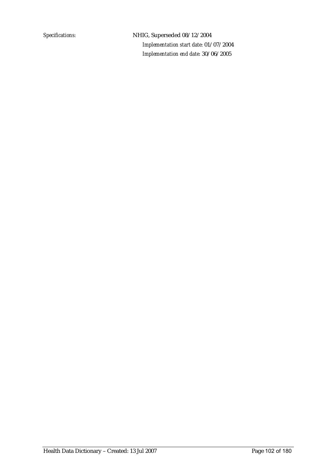*Specifications:* NHIG, Superseded 08/12/2004 *Implementation start date:* 01/07/2004 *Implementation end date:* 30/06/2005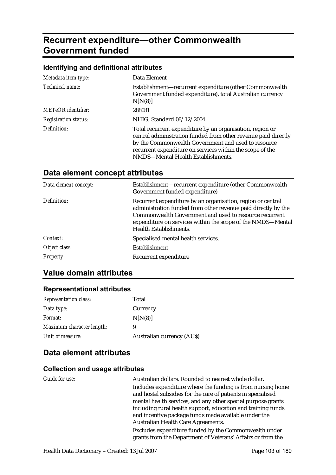# **Recurrent expenditure—other Commonwealth Government funded**

#### **Identifying and definitional attributes**

| Metadata item type:         | Data Element                                                                                                                                                                                                                                                                          |
|-----------------------------|---------------------------------------------------------------------------------------------------------------------------------------------------------------------------------------------------------------------------------------------------------------------------------------|
| Technical name:             | Establishment—recurrent expenditure (other Commonwealth<br>Government funded expenditure), total Australian currency<br>N[N(8)]                                                                                                                                                       |
| <b>METeOR</b> identifier:   | 288031                                                                                                                                                                                                                                                                                |
| <b>Registration status:</b> | NHIG, Standard 08/12/2004                                                                                                                                                                                                                                                             |
| Definition:                 | Total recurrent expenditure by an organisation, region or<br>central administration funded from other revenue paid directly<br>by the Commonwealth Government and used to resource<br>recurrent expenditure on services within the scope of the<br>NMDS—Mental Health Establishments. |

# **Data element concept attributes**

| Data element concept: | Establishment—recurrent expenditure (other Commonwealth<br>Government funded expenditure)                                                                                                                                                                                       |
|-----------------------|---------------------------------------------------------------------------------------------------------------------------------------------------------------------------------------------------------------------------------------------------------------------------------|
| Definition:           | Recurrent expenditure by an organisation, region or central<br>administration funded from other revenue paid directly by the<br>Commonwealth Government and used to resource recurrent<br>expenditure on services within the scope of the NMDS—Mental<br>Health Establishments. |
| Context:              | Specialised mental health services.                                                                                                                                                                                                                                             |
| Object class:         | <b>Establishment</b>                                                                                                                                                                                                                                                            |
| <b>Property:</b>      | Recurrent expenditure                                                                                                                                                                                                                                                           |

## **Value domain attributes**

#### **Representational attributes**

| <b>Representation class:</b> | Total                            |
|------------------------------|----------------------------------|
| Data type:                   | Currency                         |
| <i>Format:</i>               | N[N(8)]                          |
| Maximum character length:    | 9                                |
| Unit of measure:             | <b>Australian currency (AUS)</b> |

## **Data element attributes**

| Guide for use: | Australian dollars. Rounded to nearest whole dollar.                                                                        |
|----------------|-----------------------------------------------------------------------------------------------------------------------------|
|                | Includes expenditure where the funding is from nursing home<br>and hostel subsidies for the care of patients in specialised |
|                | mental health services, and any other special purpose grants                                                                |
|                | including rural health support, education and training funds                                                                |
|                | and incentive package funds made available under the                                                                        |
|                | Australian Health Care Agreements.                                                                                          |
|                | Excludes expenditure funded by the Commonwealth under<br>grants from the Department of Veterans' Affairs or from the        |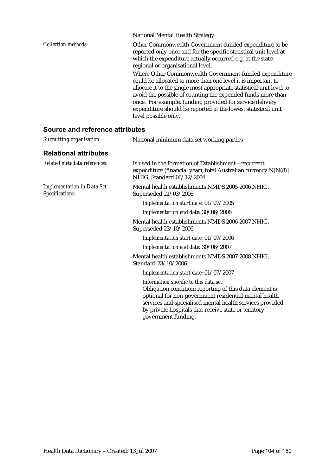|                     | National Mental Health Strategy.                                                                                                                                                                                                                                                                                                                                                                                   |
|---------------------|--------------------------------------------------------------------------------------------------------------------------------------------------------------------------------------------------------------------------------------------------------------------------------------------------------------------------------------------------------------------------------------------------------------------|
| Collection methods: | Other Commonwealth Government-funded expenditure to be<br>reported only once and for the specific statistical unit level at<br>which the expenditure actually occurred e.g. at the state,<br>regional or organisational level.                                                                                                                                                                                     |
|                     | Where Other Commonwealth Government-funded expenditure<br>could be allocated to more than one level it is important to<br>allocate it to the single most appropriate statistical unit level to<br>avoid the possible of counting the expended funds more than<br>once. For example, funding provided for service delivery<br>expenditure should be reported at the lowest statistical unit<br>level possible only. |

| Submitting organisation:                             | National minimum data set working parties                                                                                                                                                                                                                                                             |
|------------------------------------------------------|-------------------------------------------------------------------------------------------------------------------------------------------------------------------------------------------------------------------------------------------------------------------------------------------------------|
| <b>Relational attributes</b>                         |                                                                                                                                                                                                                                                                                                       |
| Related metadata references:                         | Is used in the formation of Establishment—recurrent<br>expenditure (financial year), total Australian currency N[N(8)]<br>NHIG, Standard 08/12/2004                                                                                                                                                   |
| <b>Implementation in Data Set</b><br>Specifications: | Mental health establishments NMDS 2005-2006 NHIG,<br>Superseded 21/03/2006                                                                                                                                                                                                                            |
|                                                      | Implementation start date: 01/07/2005                                                                                                                                                                                                                                                                 |
|                                                      | Implementation end date: 30/06/2006                                                                                                                                                                                                                                                                   |
|                                                      | Mental health establishments NMDS 2006-2007 NHIG,<br>Superseded 23/10/2006                                                                                                                                                                                                                            |
|                                                      | Implementation start date: 01/07/2006                                                                                                                                                                                                                                                                 |
|                                                      | Implementation end date: 30/06/2007                                                                                                                                                                                                                                                                   |
|                                                      | Mental health establishments NMDS 2007-2008 NHIG,<br>Standard 23/10/2006                                                                                                                                                                                                                              |
|                                                      | Implementation start date: 01/07/2007                                                                                                                                                                                                                                                                 |
|                                                      | Information specific to this data set:<br>Obligation condition: reporting of this data element is<br>optional for non-government residential mental health<br>services and specialised mental health services provided<br>by private hospitals that receive state or territory<br>government funding. |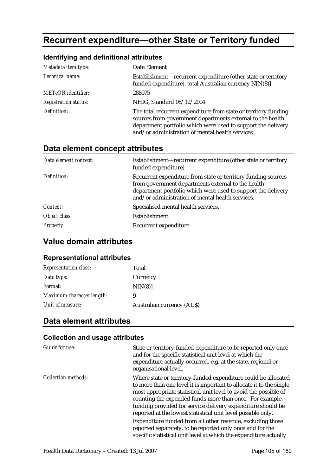# **Recurrent expenditure—other State or Territory funded**

### **Identifying and definitional attributes**

| Metadata item type:         | Data Element                                                                                                                                                                                                                                      |
|-----------------------------|---------------------------------------------------------------------------------------------------------------------------------------------------------------------------------------------------------------------------------------------------|
| Technical name:             | Establishment-recurrent expenditure (other state or territory<br>funded expenditure), total Australian currency N[N(8)]                                                                                                                           |
| <b>METeOR</b> identifier:   | 288075                                                                                                                                                                                                                                            |
| <b>Registration status:</b> | NHIG, Standard 08/12/2004                                                                                                                                                                                                                         |
| Definition:                 | The total recurrent expenditure from state or territory funding<br>sources from government departments external to the health<br>department portfolio which were used to support the delivery<br>and/or administration of mental health services. |

### **Data element concept attributes**

| Data element concept: | Establishment—recurrent expenditure (other state or territory<br>funded expenditure)                                                                                                                                                    |
|-----------------------|-----------------------------------------------------------------------------------------------------------------------------------------------------------------------------------------------------------------------------------------|
| Definition:           | Recurrent expenditure from state or territory funding sources<br>from government departments external to the health<br>department portfolio which were used to support the delivery<br>and/or administration of mental health services. |
| Context:              | Specialised mental health services.                                                                                                                                                                                                     |
| Object class:         | Establishment                                                                                                                                                                                                                           |
| <b>Property:</b>      | Recurrent expenditure                                                                                                                                                                                                                   |

### **Value domain attributes**

#### **Representational attributes**

| <b>Representation class:</b> | Total                            |
|------------------------------|----------------------------------|
| Data type:                   | Currency                         |
| Format:                      | N[N(8)]                          |
| Maximum character length:    | 9                                |
| Unit of measure:             | <b>Australian currency (AUS)</b> |

# **Data element attributes**

| Guide for use:             | State or territory-funded expenditure to be reported only once<br>and for the specific statistical unit level at which the<br>expenditure actually occurred, e.g. at the state, regional or<br>organisational level.                                                                                                                                                                                 |
|----------------------------|------------------------------------------------------------------------------------------------------------------------------------------------------------------------------------------------------------------------------------------------------------------------------------------------------------------------------------------------------------------------------------------------------|
| <i>Collection methods:</i> | Where state or territory-funded expenditure could be allocated<br>to more than one level it is important to allocate it to the single<br>most appropriate statistical unit level to avoid the possible of<br>counting the expended funds more than once. For example,<br>funding provided for service delivery expenditure should be<br>reported at the lowest statistical unit level possible only. |
|                            | Expenditure funded from all other revenue, excluding those<br>reported separately, to be reported only once and for the<br>specific statistical unit level at which the expenditure actually                                                                                                                                                                                                         |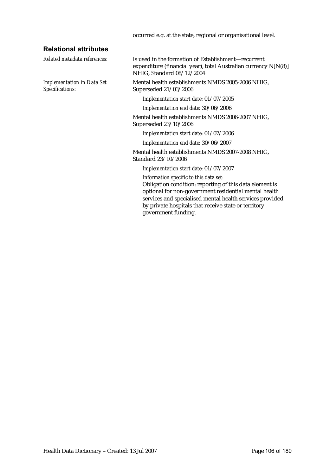occurred e.g. at the state, regional or organisational level.

#### **Relational attributes**

*Related metadata references:* Is used in the formation of Establishment—recurrent expenditure (financial year), total Australian currency N[N(8)] NHIG, Standard 08/12/2004 *Implementation in Data Set Specifications:* Mental health establishments NMDS 2005-2006 NHIG, Superseded 21/03/2006 *Implementation start date:* 01/07/2005 *Implementation end date:* 30/06/2006 Mental health establishments NMDS 2006-2007 NHIG, Superseded 23/10/2006 *Implementation start date:* 01/07/2006 *Implementation end date:* 30/06/2007 Mental health establishments NMDS 2007-2008 NHIG, Standard 23/10/2006 *Implementation start date:* 01/07/2007 *Information specific to this data set:* Obligation condition: reporting of this data element is optional for non-government residential mental health services and specialised mental health services provided by private hospitals that receive state or territory government funding.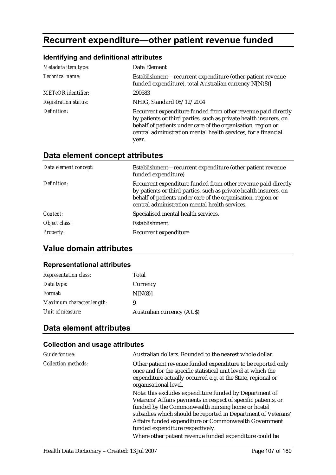# **Recurrent expenditure—other patient revenue funded**

### **Identifying and definitional attributes**

| Metadata item type:         | Data Element                                                                                                                                                                                                                                                                  |
|-----------------------------|-------------------------------------------------------------------------------------------------------------------------------------------------------------------------------------------------------------------------------------------------------------------------------|
| Technical name:             | Establishment—recurrent expenditure (other patient revenue<br>funded expenditure), total Australian currency N[N(8)]                                                                                                                                                          |
| <b>METeOR</b> identifier:   | 290583                                                                                                                                                                                                                                                                        |
| <b>Registration status:</b> | NHIG, Standard 08/12/2004                                                                                                                                                                                                                                                     |
| Definition:                 | Recurrent expenditure funded from other revenue paid directly<br>by patients or third parties, such as private health insurers, on<br>behalf of patients under care of the organisation, region or<br>central administration mental health services, for a financial<br>year. |

# **Data element concept attributes**

| Data element concept: | Establishment—recurrent expenditure (other patient revenue<br>funded expenditure)                                                                                                                                                                    |
|-----------------------|------------------------------------------------------------------------------------------------------------------------------------------------------------------------------------------------------------------------------------------------------|
| Definition:           | Recurrent expenditure funded from other revenue paid directly<br>by patients or third parties, such as private health insurers, on<br>behalf of patients under care of the organisation, region or<br>central administration mental health services. |
| Context:              | Specialised mental health services.                                                                                                                                                                                                                  |
| Object class:         | Establishment                                                                                                                                                                                                                                        |
| <b>Property:</b>      | Recurrent expenditure                                                                                                                                                                                                                                |

# **Value domain attributes**

#### **Representational attributes**

| <b>Representation class:</b> | Total                            |
|------------------------------|----------------------------------|
| Data type:                   | Currency                         |
| <i>Format:</i>               | N[N(8)]                          |
| Maximum character length:    | 9                                |
| Unit of measure:             | <b>Australian currency (AUS)</b> |

# **Data element attributes**

| Guide for use:      | Australian dollars. Rounded to the nearest whole dollar.                                                                                                                                                                                                                                                                                     |
|---------------------|----------------------------------------------------------------------------------------------------------------------------------------------------------------------------------------------------------------------------------------------------------------------------------------------------------------------------------------------|
| Collection methods: | Other patient revenue funded expenditure to be reported only<br>once and for the specific statistical unit level at which the<br>expenditure actually occurred e.g. at the State, regional or<br>organisational level.                                                                                                                       |
|                     | Note: this excludes expenditure funded by Department of<br>Veterans' Affairs payments in respect of specific patients, or<br>funded by the Commonwealth nursing home or hostel<br>subsidies which should be reported in Department of Veterans'<br>Affairs funded expenditure or Commonwealth Government<br>funded expenditure respectively. |
|                     | Where other patient revenue funded expenditure could be                                                                                                                                                                                                                                                                                      |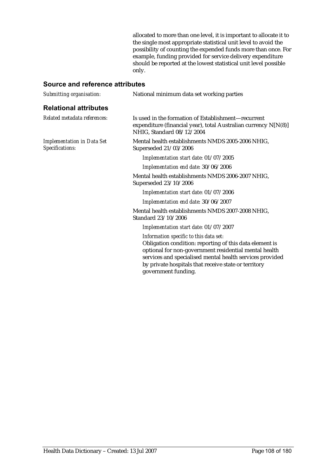allocated to more than one level, it is important to allocate it to the single most appropriate statistical unit level to avoid the possibility of counting the expended funds more than once. For example, funding provided for service delivery expenditure should be reported at the lowest statistical unit level possible only.

| Submitting organisation:                             | National minimum data set working parties                                                                                                                                                                                                                                                             |
|------------------------------------------------------|-------------------------------------------------------------------------------------------------------------------------------------------------------------------------------------------------------------------------------------------------------------------------------------------------------|
| <b>Relational attributes</b>                         |                                                                                                                                                                                                                                                                                                       |
| Related metadata references:                         | Is used in the formation of Establishment—recurrent<br>expenditure (financial year), total Australian currency N[N(8)]<br>NHIG, Standard 08/12/2004                                                                                                                                                   |
| <b>Implementation in Data Set</b><br>Specifications: | Mental health establishments NMDS 2005-2006 NHIG,<br>Superseded 21/03/2006                                                                                                                                                                                                                            |
|                                                      | Implementation start date: 01/07/2005                                                                                                                                                                                                                                                                 |
|                                                      | Implementation end date: 30/06/2006                                                                                                                                                                                                                                                                   |
|                                                      | Mental health establishments NMDS 2006-2007 NHIG,<br>Superseded 23/10/2006                                                                                                                                                                                                                            |
|                                                      | Implementation start date: 01/07/2006                                                                                                                                                                                                                                                                 |
|                                                      | Implementation end date: 30/06/2007                                                                                                                                                                                                                                                                   |
|                                                      | Mental health establishments NMDS 2007-2008 NHIG,<br>Standard 23/10/2006                                                                                                                                                                                                                              |
|                                                      | Implementation start date: 01/07/2007                                                                                                                                                                                                                                                                 |
|                                                      | Information specific to this data set:<br>Obligation condition: reporting of this data element is<br>optional for non-government residential mental health<br>services and specialised mental health services provided<br>by private hospitals that receive state or territory<br>government funding. |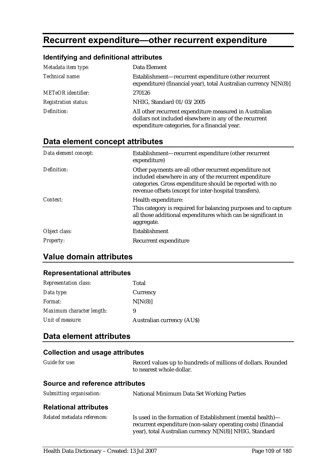# **Recurrent expenditure—other recurrent expenditure**

### **Identifying and definitional attributes**

| Metadata item type:         | Data Element                                                                                                                                                      |
|-----------------------------|-------------------------------------------------------------------------------------------------------------------------------------------------------------------|
| Technical name:             | Establishment-recurrent expenditure (other recurrent<br>expenditure) (financial year), total Australian currency N[N(8)]                                          |
| <b>METeOR</b> identifier:   | 270126                                                                                                                                                            |
| <b>Registration status:</b> | NHIG, Standard 01/03/2005                                                                                                                                         |
| Definition:                 | All other recurrent expenditure measured in Australian<br>dollars not included elsewhere in any of the recurrent<br>expenditure categories, for a financial year. |

### **Data element concept attributes**

| Data element concept: | Establishment—recurrent expenditure (other recurrent<br>expenditure)                                                                                                                                                                   |
|-----------------------|----------------------------------------------------------------------------------------------------------------------------------------------------------------------------------------------------------------------------------------|
| Definition:           | Other payments are all other recurrent expenditure not<br>included elsewhere in any of the recurrent expenditure<br>categories. Gross expenditure should be reported with no<br>revenue offsets (except for inter-hospital transfers). |
| Context:              | Health expenditure:<br>This category is required for balancing purposes and to capture<br>all those additional expenditures which can be significant in<br>aggregate.                                                                  |
| Object class:         | Establishment                                                                                                                                                                                                                          |
| <b>Property:</b>      | Recurrent expenditure                                                                                                                                                                                                                  |

# **Value domain attributes**

#### **Representational attributes**

| <b>Representation class:</b> | Total                            |
|------------------------------|----------------------------------|
| Data type:                   | Currency                         |
| <i>Format:</i>               | N[N(8)]                          |
| Maximum character length:    | 9                                |
| Unit of measure:             | <b>Australian currency (AUS)</b> |

### **Data element attributes**

# **Collection and usage attributes**  *Guide for use:* Record values up to hundreds of millions of dollars. Rounded to nearest whole dollar. **Source and reference attributes**  *Submitting organisation:* National Minimum Data Set Working Parties **Relational attributes**

| Is used in the formation of Establishment (mental health)—    |
|---------------------------------------------------------------|
| recurrent expenditure (non-salary operating costs) (financial |
| year), total Australian currency N[N(8)] NHIG, Standard       |
|                                                               |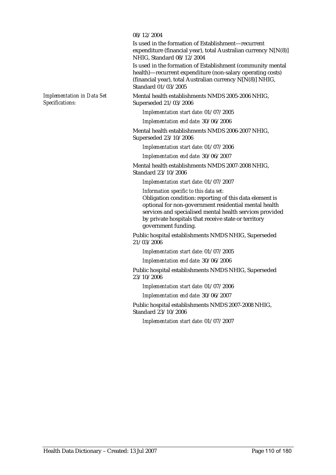#### 08/12/2004

Is used in the formation of Establishment—recurrent expenditure (financial year), total Australian currency N[N(8)] NHIG, Standard 08/12/2004

Is used in the formation of Establishment (community mental health)—recurrent expenditure (non-salary operating costs) (financial year), total Australian currency N[N(8)] NHIG, Standard 01/03/2005

Mental health establishments NMDS 2005-2006 NHIG, Superseded 21/03/2006

*Implementation start date:* 01/07/2005

*Implementation end date:* 30/06/2006

Mental health establishments NMDS 2006-2007 NHIG, Superseded 23/10/2006

*Implementation start date:* 01/07/2006

*Implementation end date:* 30/06/2007

Mental health establishments NMDS 2007-2008 NHIG, Standard 23/10/2006

*Implementation start date:* 01/07/2007

*Information specific to this data set:*

Obligation condition: reporting of this data element is optional for non-government residential mental health services and specialised mental health services provided by private hospitals that receive state or territory government funding.

Public hospital establishments NMDS NHIG, Superseded 21/03/2006

*Implementation start date:* 01/07/2005

*Implementation end date:* 30/06/2006

Public hospital establishments NMDS NHIG, Superseded 23/10/2006

*Implementation start date:* 01/07/2006

*Implementation end date:* 30/06/2007

Public hospital establishments NMDS 2007-2008 NHIG, Standard 23/10/2006

*Implementation start date:* 01/07/2007

*Implementation in Data Set Specifications:*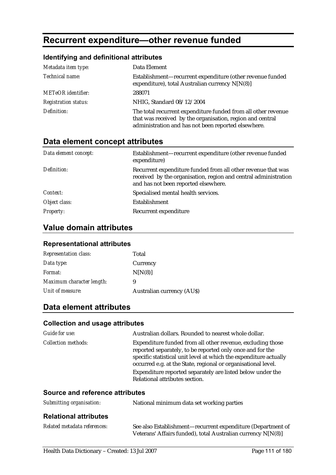# **Recurrent expenditure—other revenue funded**

# **Identifying and definitional attributes**

| Metadata item type:         | Data Element                                                                                                                                                                      |
|-----------------------------|-----------------------------------------------------------------------------------------------------------------------------------------------------------------------------------|
| Technical name:             | Establishment—recurrent expenditure (other revenue funded<br>expenditure), total Australian currency N[N(8)]                                                                      |
| <b>METeOR</b> identifier:   | 288071                                                                                                                                                                            |
| <b>Registration status:</b> | NHIG, Standard 08/12/2004                                                                                                                                                         |
| Definition:                 | The total recurrent expenditure funded from all other revenue<br>that was received by the organisation, region and central<br>administration and has not been reported elsewhere. |

# **Data element concept attributes**

| Data element concept: | Establishment—recurrent expenditure (other revenue funded<br>expenditure)                                                                                               |
|-----------------------|-------------------------------------------------------------------------------------------------------------------------------------------------------------------------|
| Definition:           | Recurrent expenditure funded from all other revenue that was<br>received by the organisation, region and central administration<br>and has not been reported elsewhere. |
| Context:              | Specialised mental health services.                                                                                                                                     |
| Object class:         | Establishment                                                                                                                                                           |
| <b>Property:</b>      | Recurrent expenditure                                                                                                                                                   |

# **Value domain attributes**

#### **Representational attributes**

| <b>Representation class:</b> | Total                            |
|------------------------------|----------------------------------|
| Data type:                   | Currency                         |
| <i>Format:</i>               | N[N(8)]                          |
| Maximum character length:    | 9                                |
| Unit of measure:             | <b>Australian currency (AUS)</b> |

# **Data element attributes**

#### **Collection and usage attributes**

| Guide for use:             | Australian dollars. Rounded to nearest whole dollar.                                                                                                                                                                                                                                                                                                          |
|----------------------------|---------------------------------------------------------------------------------------------------------------------------------------------------------------------------------------------------------------------------------------------------------------------------------------------------------------------------------------------------------------|
| <b>Collection methods:</b> | Expenditure funded from all other revenue, excluding those<br>reported separately, to be reported only once and for the<br>specific statistical unit level at which the expenditure actually<br>occurred e.g. at the State, regional or organisational level.<br>Expenditure reported separately are listed below under the<br>Relational attributes section. |
|                            |                                                                                                                                                                                                                                                                                                                                                               |

| Submitting organisation:     | National minimum data set working parties                                                                                   |
|------------------------------|-----------------------------------------------------------------------------------------------------------------------------|
| <b>Relational attributes</b> |                                                                                                                             |
| Related metadata references: | See also Establishment—recurrent expenditure (Department of<br>Veterans' Affairs funded), total Australian currency N[N(8)] |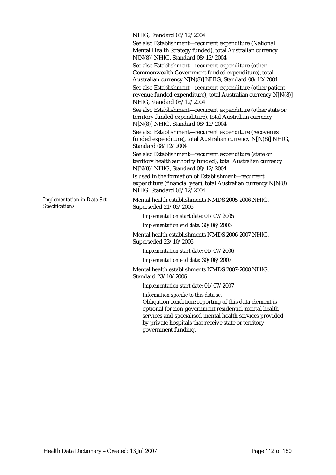NHIG, Standard 08/12/2004

See also Establishment—recurrent expenditure (National Mental Health Strategy funded), total Australian currency N[N(8)] NHIG, Standard 08/12/2004

See also Establishment—recurrent expenditure (other Commonwealth Government funded expenditure), total Australian currency N[N(8)] NHIG, Standard 08/12/2004

See also Establishment—recurrent expenditure (other patient revenue funded expenditure), total Australian currency N[N(8)] NHIG, Standard 08/12/2004

See also Establishment—recurrent expenditure (other state or territory funded expenditure), total Australian currency N[N(8)] NHIG, Standard 08/12/2004

See also Establishment—recurrent expenditure (recoveries funded expenditure), total Australian currency N[N(8)] NHIG, Standard 08/12/2004

See also Establishment—recurrent expenditure (state or territory health authority funded), total Australian currency N[N(8)] NHIG, Standard 08/12/2004

Is used in the formation of Establishment—recurrent expenditure (financial year), total Australian currency N[N(8)] NHIG, Standard 08/12/2004

Mental health establishments NMDS 2005-2006 NHIG, Superseded 21/03/2006

*Implementation start date:* 01/07/2005

*Implementation end date:* 30/06/2006

Mental health establishments NMDS 2006-2007 NHIG, Superseded 23/10/2006

*Implementation start date:* 01/07/2006

*Implementation end date:* 30/06/2007

Mental health establishments NMDS 2007-2008 NHIG, Standard 23/10/2006

*Implementation start date:* 01/07/2007

*Information specific to this data set:*

Obligation condition: reporting of this data element is optional for non-government residential mental health services and specialised mental health services provided by private hospitals that receive state or territory government funding.

*Implementation in Data Set Specifications:*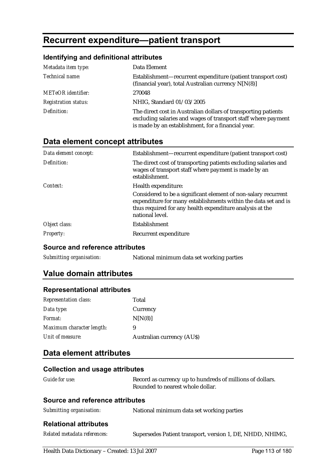# **Recurrent expenditure—patient transport**

#### **Identifying and definitional attributes**

| Metadata item type:         | Data Element                                                                                                                                                                          |
|-----------------------------|---------------------------------------------------------------------------------------------------------------------------------------------------------------------------------------|
| Technical name:             | Establishment—recurrent expenditure (patient transport cost)<br>(financial year), total Australian currency N[N(8)]                                                                   |
| <b>METeOR</b> identifier:   | 270048                                                                                                                                                                                |
| <b>Registration status:</b> | NHIG, Standard 01/03/2005                                                                                                                                                             |
| Definition:                 | The direct cost in Australian dollars of transporting patients<br>excluding salaries and wages of transport staff where payment<br>is made by an establishment, for a financial year. |

# **Data element concept attributes**

| Data element concept: | Establishment—recurrent expenditure (patient transport cost)                                                                                                                                                    |
|-----------------------|-----------------------------------------------------------------------------------------------------------------------------------------------------------------------------------------------------------------|
| Definition:           | The direct cost of transporting patients excluding salaries and<br>wages of transport staff where payment is made by an<br>establishment.                                                                       |
| Context:              | Health expenditure:                                                                                                                                                                                             |
|                       | Considered to be a significant element of non-salary recurrent<br>expenditure for many establishments within the data set and is<br>thus required for any health expenditure analysis at the<br>national level. |
| Object class:         | <b>Establishment</b>                                                                                                                                                                                            |
| <i>Property:</i>      | Recurrent expenditure                                                                                                                                                                                           |

#### **Source and reference attributes**

*Submitting organisation:* National minimum data set working parties

# **Value domain attributes**

#### **Representational attributes**

| <b>Representation class:</b> | Total                            |
|------------------------------|----------------------------------|
| Data type:                   | Currency                         |
| Format:                      | N[N(8)]                          |
| Maximum character length:    | 9                                |
| Unit of measure:             | <b>Australian currency (AUS)</b> |

### **Data element attributes**

| Guide for use:                  | Record as currency up to hundreds of millions of dollars.<br>Rounded to nearest whole dollar. |
|---------------------------------|-----------------------------------------------------------------------------------------------|
| Source and reference attributes |                                                                                               |
| Submitting organisation:        | National minimum data set working parties                                                     |
| <b>Relational attributes</b>    |                                                                                               |
| Related metadata references:    | Supersedes Patient transport, version 1, DE, NHDD, NHIMG,                                     |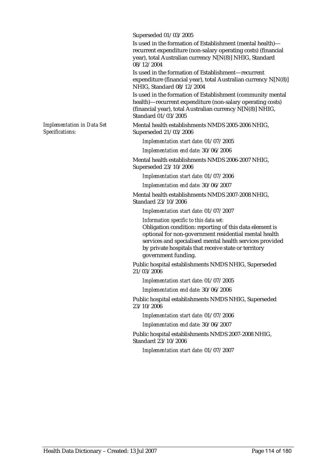Superseded 01/03/2005

Is used in the formation of Establishment (mental health) recurrent expenditure (non-salary operating costs) (financial year), total Australian currency N[N(8)] NHIG, Standard 08/12/2004

Is used in the formation of Establishment—recurrent expenditure (financial year), total Australian currency N[N(8)] NHIG, Standard 08/12/2004

Is used in the formation of Establishment (community mental health)—recurrent expenditure (non-salary operating costs) (financial year), total Australian currency N[N(8)] NHIG, Standard 01/03/2005

Mental health establishments NMDS 2005-2006 NHIG, Superseded 21/03/2006

*Implementation start date:* 01/07/2005

*Implementation end date:* 30/06/2006

Mental health establishments NMDS 2006-2007 NHIG, Superseded 23/10/2006

*Implementation start date:* 01/07/2006

*Implementation end date:* 30/06/2007

Mental health establishments NMDS 2007-2008 NHIG, Standard 23/10/2006

*Implementation start date:* 01/07/2007

*Information specific to this data set:* Obligation condition: reporting of this data element is optional for non-government residential mental health services and specialised mental health services provided by private hospitals that receive state or territory government funding.

Public hospital establishments NMDS NHIG, Superseded 21/03/2006

*Implementation start date:* 01/07/2005

*Implementation end date:* 30/06/2006

Public hospital establishments NMDS NHIG, Superseded 23/10/2006

*Implementation start date:* 01/07/2006

*Implementation end date:* 30/06/2007

Public hospital establishments NMDS 2007-2008 NHIG, Standard 23/10/2006

*Implementation start date:* 01/07/2007

*Implementation in Data Set Specifications:*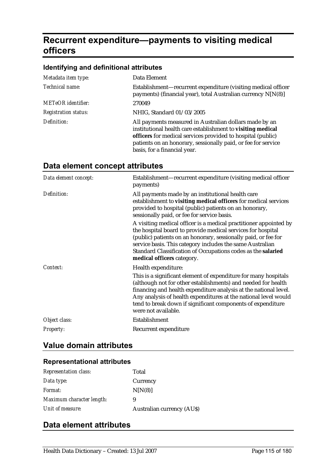# **Recurrent expenditure—payments to visiting medical officers**

#### **Identifying and definitional attributes**

| Metadata item type:         | Data Element                                                                                                                                                                                                                                                                          |
|-----------------------------|---------------------------------------------------------------------------------------------------------------------------------------------------------------------------------------------------------------------------------------------------------------------------------------|
| Technical name:             | Establishment-recurrent expenditure (visiting medical officer<br>payments) (financial year), total Australian currency N[N(8)]                                                                                                                                                        |
| <b>METeOR</b> identifier:   | 270049                                                                                                                                                                                                                                                                                |
| <b>Registration status:</b> | NHIG, Standard 01/03/2005                                                                                                                                                                                                                                                             |
| Definition:                 | All payments measured in Australian dollars made by an<br>institutional health care establishment to visiting medical<br>officers for medical services provided to hospital (public)<br>patients on an honorary, sessionally paid, or fee for service<br>basis, for a financial year. |

# **Data element concept attributes**

| Data element concept: | Establishment—recurrent expenditure (visiting medical officer<br>payments)                                                                                                                                                                                                                                                                                    |
|-----------------------|---------------------------------------------------------------------------------------------------------------------------------------------------------------------------------------------------------------------------------------------------------------------------------------------------------------------------------------------------------------|
| Definition:           | All payments made by an institutional health care<br>establishment to visiting medical officers for medical services<br>provided to hospital (public) patients on an honorary,<br>sessionally paid, or fee for service basis.                                                                                                                                 |
|                       | A visiting medical officer is a medical practitioner appointed by<br>the hospital board to provide medical services for hospital<br>(public) patients on an honorary, sessionally paid, or fee for<br>service basis. This category includes the same Australian<br>Standard Classification of Occupations codes as the salaried<br>medical officers category. |
| Context:              | Health expenditure:                                                                                                                                                                                                                                                                                                                                           |
|                       | This is a significant element of expenditure for many hospitals<br>(although not for other establishments) and needed for health<br>financing and health expenditure analysis at the national level.<br>Any analysis of health expenditures at the national level would<br>tend to break down if significant components of expenditure<br>were not available. |
| Object class:         | Establishment                                                                                                                                                                                                                                                                                                                                                 |
| <b>Property:</b>      | Recurrent expenditure                                                                                                                                                                                                                                                                                                                                         |

# **Value domain attributes**

### **Representational attributes**

| <b>Representation class:</b> | Total                            |
|------------------------------|----------------------------------|
| Data type:                   | Currency                         |
| <i>Format:</i>               | N[N(8)]                          |
| Maximum character length:    | 9                                |
| Unit of measure:             | <b>Australian currency (AUS)</b> |

# **Data element attributes**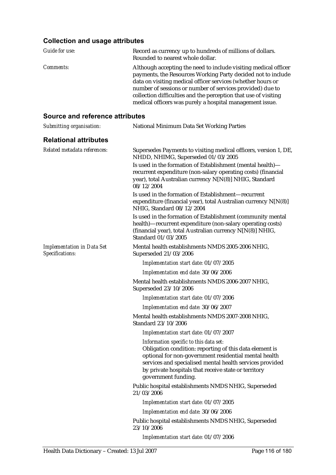#### **Collection and usage attributes**

| Collection and usage attributes                                                                                                                                                                                                                                                                                                                                                            |
|--------------------------------------------------------------------------------------------------------------------------------------------------------------------------------------------------------------------------------------------------------------------------------------------------------------------------------------------------------------------------------------------|
| Record as currency up to hundreds of millions of dollars.<br>Rounded to nearest whole dollar.                                                                                                                                                                                                                                                                                              |
| Although accepting the need to include visiting medical officer<br>payments, the Resources Working Party decided not to include<br>data on visiting medical officer services (whether hours or<br>number of sessions or number of services provided) due to<br>collection difficulties and the perception that use of visiting<br>medical officers was purely a hospital management issue. |
| <b>Source and reference attributes</b>                                                                                                                                                                                                                                                                                                                                                     |
| National Minimum Data Set Working Parties                                                                                                                                                                                                                                                                                                                                                  |
|                                                                                                                                                                                                                                                                                                                                                                                            |
| Supersedes Payments to visiting medical officers, version 1, DE,<br>NHDD, NHIMG, Superseded 01/03/2005<br>Is used in the formation of Establishment (mental health)-<br>recurrent expenditure (non-salary operating costs) (financial<br>year), total Australian currency N[N(8)] NHIG, Standard<br>08/12/2004                                                                             |
| Is used in the formation of Establishment-recurrent<br>expenditure (financial year), total Australian currency N[N(8)]<br>NHIG, Standard 08/12/2004                                                                                                                                                                                                                                        |
| Is used in the formation of Establishment (community mental<br>health)-recurrent expenditure (non-salary operating costs)<br>(financial year), total Australian currency N[N(8)] NHIG,<br>Standard 01/03/2005                                                                                                                                                                              |
| Mental health establishments NMDS 2005-2006 NHIG,<br>Superseded 21/03/2006                                                                                                                                                                                                                                                                                                                 |
| Implementation start date: 01/07/2005                                                                                                                                                                                                                                                                                                                                                      |
| Implementation end date: 30/06/2006                                                                                                                                                                                                                                                                                                                                                        |
| Mental health establishments NMDS 2006-2007 NHIG,<br>Superseded 23/10/2006                                                                                                                                                                                                                                                                                                                 |
| Implementation start date: 01/07/2006                                                                                                                                                                                                                                                                                                                                                      |
| Implementation end date: 30/06/2007                                                                                                                                                                                                                                                                                                                                                        |
| Mental health establishments NMDS 2007-2008 NHIG,<br>Standard 23/10/2006                                                                                                                                                                                                                                                                                                                   |
| Implementation start date: 01/07/2007                                                                                                                                                                                                                                                                                                                                                      |
| Information specific to this data set:<br>Obligation condition: reporting of this data element is<br>optional for non-government residential mental health<br>services and specialised mental health services provided<br>by private hospitals that receive state or territory<br>government funding.                                                                                      |
| Public hospital establishments NMDS NHIG, Superseded<br>21/03/2006                                                                                                                                                                                                                                                                                                                         |
|                                                                                                                                                                                                                                                                                                                                                                                            |

*Implementation start date:* 01/07/2005

*Implementation end date:* 30/06/2006

Public hospital establishments NMDS NHIG, Superseded 23/10/2006

*Implementation start date:* 01/07/2006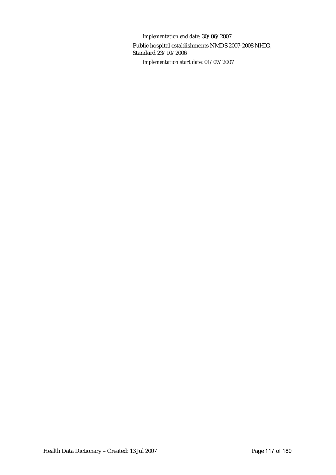*Implementation end date:* 30/06/2007 Public hospital establishments NMDS 2007-2008 NHIG, Standard 23/10/2006 *Implementation start date:* 01/07/2007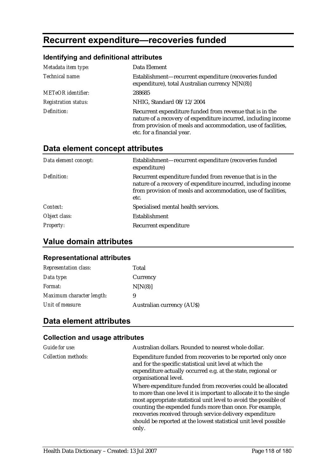# **Recurrent expenditure—recoveries funded**

# **Identifying and definitional attributes**

| Metadata item type:         | Data Element                                                                                                                                                                                                              |
|-----------------------------|---------------------------------------------------------------------------------------------------------------------------------------------------------------------------------------------------------------------------|
| Technical name:             | Establishment-recurrent expenditure (recoveries funded<br>expenditure), total Australian currency N[N(8)]                                                                                                                 |
| <b>METeOR</b> identifier:   | 288685                                                                                                                                                                                                                    |
| <b>Registration status:</b> | NHIG, Standard 08/12/2004                                                                                                                                                                                                 |
| Definition:                 | Recurrent expenditure funded from revenue that is in the<br>nature of a recovery of expenditure incurred, including income<br>from provision of meals and accommodation, use of facilities,<br>etc. for a financial year. |

# **Data element concept attributes**

| Data element concept: | Establishment-recurrent expenditure (recoveries funded<br>expenditure)                                                                                                                              |
|-----------------------|-----------------------------------------------------------------------------------------------------------------------------------------------------------------------------------------------------|
| Definition:           | Recurrent expenditure funded from revenue that is in the<br>nature of a recovery of expenditure incurred, including income<br>from provision of meals and accommodation, use of facilities,<br>etc. |
| Context:              | Specialised mental health services.                                                                                                                                                                 |
| Object class:         | Establishment                                                                                                                                                                                       |
| <b>Property:</b>      | Recurrent expenditure                                                                                                                                                                               |

# **Value domain attributes**

#### **Representational attributes**

| <b>Representation class:</b> | Total                            |
|------------------------------|----------------------------------|
| Data type:                   | Currency                         |
| Format:                      | N[N(8)]                          |
| Maximum character length:    | 9                                |
| Unit of measure:             | <b>Australian currency (AUS)</b> |

# **Data element attributes**

| Guide for use:             | Australian dollars. Rounded to nearest whole dollar.                                                                                                                                                                                                                                                                                                                                                        |
|----------------------------|-------------------------------------------------------------------------------------------------------------------------------------------------------------------------------------------------------------------------------------------------------------------------------------------------------------------------------------------------------------------------------------------------------------|
| <b>Collection methods:</b> | Expenditure funded from recoveries to be reported only once<br>and for the specific statistical unit level at which the<br>expenditure actually occurred e.g. at the state, regional or<br>organisational level.                                                                                                                                                                                            |
|                            | Where expenditure funded from recoveries could be allocated<br>to more than one level it is important to allocate it to the single<br>most appropriate statistical unit level to avoid the possible of<br>counting the expended funds more than once. For example,<br>recoveries received through service delivery expenditure<br>should be reported at the lowest statistical unit level possible<br>only. |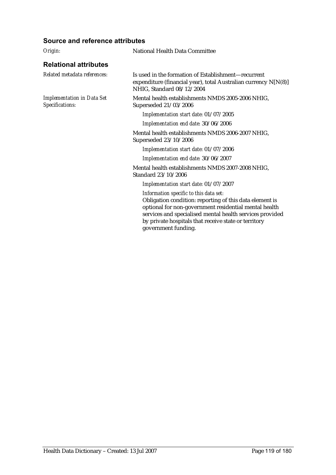| Origin:                                              | National Health Data Committee                                                                                                                                                                                                                                                                        |
|------------------------------------------------------|-------------------------------------------------------------------------------------------------------------------------------------------------------------------------------------------------------------------------------------------------------------------------------------------------------|
| <b>Relational attributes</b>                         |                                                                                                                                                                                                                                                                                                       |
| Related metadata references:                         | Is used in the formation of Establishment—recurrent<br>expenditure (financial year), total Australian currency N[N(8)]<br>NHIG, Standard 08/12/2004                                                                                                                                                   |
| <b>Implementation in Data Set</b><br>Specifications: | Mental health establishments NMDS 2005-2006 NHIG,<br>Superseded 21/03/2006                                                                                                                                                                                                                            |
|                                                      | Implementation start date: 01/07/2005                                                                                                                                                                                                                                                                 |
|                                                      | Implementation end date: 30/06/2006                                                                                                                                                                                                                                                                   |
|                                                      | Mental health establishments NMDS 2006-2007 NHIG,<br>Superseded 23/10/2006                                                                                                                                                                                                                            |
|                                                      | Implementation start date: 01/07/2006                                                                                                                                                                                                                                                                 |
|                                                      | Implementation end date: 30/06/2007                                                                                                                                                                                                                                                                   |
|                                                      | Mental health establishments NMDS 2007-2008 NHIG,<br>Standard 23/10/2006                                                                                                                                                                                                                              |
|                                                      | Implementation start date: 01/07/2007                                                                                                                                                                                                                                                                 |
|                                                      | Information specific to this data set:<br>Obligation condition: reporting of this data element is<br>optional for non-government residential mental health<br>services and specialised mental health services provided<br>by private hospitals that receive state or territory<br>government funding. |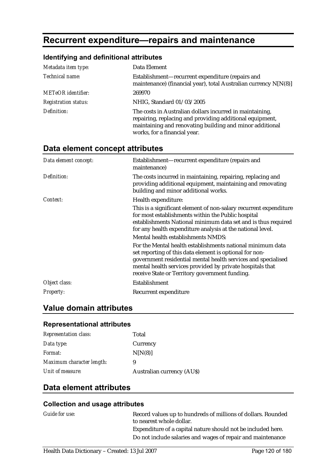# **Recurrent expenditure—repairs and maintenance**

# **Identifying and definitional attributes**

| Metadata item type:         | Data Element                                                                                                                                                                                                     |
|-----------------------------|------------------------------------------------------------------------------------------------------------------------------------------------------------------------------------------------------------------|
| Technical name:             | Establishment-recurrent expenditure (repairs and<br>maintenance) (financial year), total Australian currency N[N(8)]                                                                                             |
| <b>METeOR</b> identifier:   | 269970                                                                                                                                                                                                           |
| <b>Registration status:</b> | NHIG, Standard 01/03/2005                                                                                                                                                                                        |
| Definition:                 | The costs in Australian dollars incurred in maintaining,<br>repairing, replacing and providing additional equipment,<br>maintaining and renovating building and minor additional<br>works, for a financial year. |

### **Data element concept attributes**

| Data element concept: | Establishment-recurrent expenditure (repairs and<br>maintenance)                                                                                                                                                                                                                                      |
|-----------------------|-------------------------------------------------------------------------------------------------------------------------------------------------------------------------------------------------------------------------------------------------------------------------------------------------------|
| Definition:           | The costs incurred in maintaining, repairing, replacing and<br>providing additional equipment, maintaining and renovating<br>building and minor additional works.                                                                                                                                     |
| Context:              | Health expenditure:                                                                                                                                                                                                                                                                                   |
|                       | This is a significant element of non-salary recurrent expenditure<br>for most establishments within the Public hospital<br>establishments National minimum data set and is thus required<br>for any health expenditure analysis at the national level.                                                |
|                       | Mental health establishments NMDS:                                                                                                                                                                                                                                                                    |
|                       | For the Mental health establishments national minimum data<br>set reporting of this data element is optional for non-<br>government residential mental health services and specialised<br>mental health services provided by private hospitals that<br>receive State or Territory government funding. |
| Object class:         | Establishment                                                                                                                                                                                                                                                                                         |
| Property:             | Recurrent expenditure                                                                                                                                                                                                                                                                                 |

# **Value domain attributes**

#### **Representational attributes**

| <b>Representation class:</b> | Total                            |
|------------------------------|----------------------------------|
| Data type:                   | Currency                         |
| <i>Format:</i>               | N[N(8)]                          |
| Maximum character length:    | 9                                |
| Unit of measure:             | <b>Australian currency (AUS)</b> |

# **Data element attributes**

| Guide for use: | Record values up to hundreds of millions of dollars. Rounded<br>to nearest whole dollar. |
|----------------|------------------------------------------------------------------------------------------|
|                | Expenditure of a capital nature should not be included here.                             |
|                | Do not include salaries and wages of repair and maintenance                              |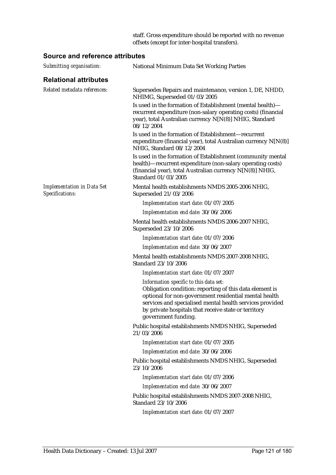staff. Gross expenditure should be reported with no revenue offsets (except for inter-hospital transfers).

| Submitting organisation:                             | National Minimum Data Set Working Parties                                                                                                                                                                                                                                                             |
|------------------------------------------------------|-------------------------------------------------------------------------------------------------------------------------------------------------------------------------------------------------------------------------------------------------------------------------------------------------------|
| <b>Relational attributes</b>                         |                                                                                                                                                                                                                                                                                                       |
| Related metadata references:                         | Supersedes Repairs and maintenance, version 1, DE, NHDD,<br>NHIMG, Superseded 01/03/2005                                                                                                                                                                                                              |
|                                                      | Is used in the formation of Establishment (mental health)—<br>recurrent expenditure (non-salary operating costs) (financial<br>year), total Australian currency N[N(8)] NHIG, Standard<br>08/12/2004                                                                                                  |
|                                                      | Is used in the formation of Establishment-recurrent<br>expenditure (financial year), total Australian currency N[N(8)]<br>NHIG, Standard 08/12/2004                                                                                                                                                   |
|                                                      | Is used in the formation of Establishment (community mental<br>health)-recurrent expenditure (non-salary operating costs)<br>(financial year), total Australian currency N[N(8)] NHIG,<br>Standard 01/03/2005                                                                                         |
| <b>Implementation in Data Set</b><br>Specifications: | Mental health establishments NMDS 2005-2006 NHIG,<br>Superseded 21/03/2006                                                                                                                                                                                                                            |
|                                                      | Implementation start date: 01/07/2005                                                                                                                                                                                                                                                                 |
|                                                      | Implementation end date: 30/06/2006                                                                                                                                                                                                                                                                   |
|                                                      | Mental health establishments NMDS 2006-2007 NHIG,<br>Superseded 23/10/2006                                                                                                                                                                                                                            |
|                                                      | Implementation start date: 01/07/2006                                                                                                                                                                                                                                                                 |
|                                                      | Implementation end date: 30/06/2007                                                                                                                                                                                                                                                                   |
|                                                      | Mental health establishments NMDS 2007-2008 NHIG,<br>Standard 23/10/2006                                                                                                                                                                                                                              |
|                                                      | Implementation start date: 01/07/2007                                                                                                                                                                                                                                                                 |
|                                                      | Information specific to this data set:<br>Obligation condition: reporting of this data element is<br>optional for non-government residential mental health<br>services and specialised mental health services provided<br>by private hospitals that receive state or territory<br>government funding. |
|                                                      | Public hospital establishments NMDS NHIG, Superseded<br>21/03/2006                                                                                                                                                                                                                                    |
|                                                      | Implementation start date: 01/07/2005                                                                                                                                                                                                                                                                 |
|                                                      | Implementation end date: 30/06/2006                                                                                                                                                                                                                                                                   |
|                                                      | Public hospital establishments NMDS NHIG, Superseded<br>23/10/2006                                                                                                                                                                                                                                    |
|                                                      | Implementation start date: 01/07/2006                                                                                                                                                                                                                                                                 |
|                                                      | Implementation end date: 30/06/2007                                                                                                                                                                                                                                                                   |
|                                                      | Public hospital establishments NMDS 2007-2008 NHIG,<br>Standard 23/10/2006                                                                                                                                                                                                                            |
|                                                      | Implementation start date: 01/07/2007                                                                                                                                                                                                                                                                 |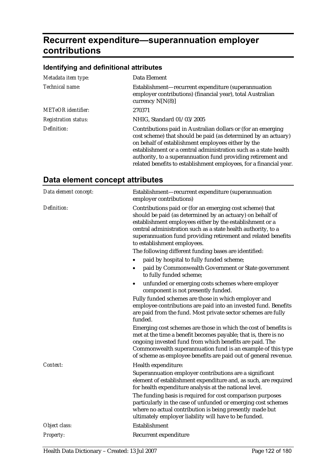# **Recurrent expenditure—superannuation employer contributions**

### **Identifying and definitional attributes**

| Metadata item type:         | Data Element                                                                                                                                                                                                                                                                                                                                                                                   |
|-----------------------------|------------------------------------------------------------------------------------------------------------------------------------------------------------------------------------------------------------------------------------------------------------------------------------------------------------------------------------------------------------------------------------------------|
| Technical name:             | Establishment—recurrent expenditure (superannuation<br>employer contributions) (financial year), total Australian<br>currency $N[N(8)]$                                                                                                                                                                                                                                                        |
| <b>METeOR</b> identifier:   | 270371                                                                                                                                                                                                                                                                                                                                                                                         |
| <b>Registration status:</b> | NHIG, Standard 01/03/2005                                                                                                                                                                                                                                                                                                                                                                      |
| Definition:                 | Contributions paid in Australian dollars or (for an emerging<br>cost scheme) that should be paid (as determined by an actuary)<br>on behalf of establishment employees either by the<br>establishment or a central administration such as a state health<br>authority, to a superannuation fund providing retirement and<br>related benefits to establishment employees, for a financial year. |

# **Data element concept attributes**

| Data element concept: | Establishment-recurrent expenditure (superannuation<br>employer contributions)                                                                                                                                                                                                                                                                     |
|-----------------------|----------------------------------------------------------------------------------------------------------------------------------------------------------------------------------------------------------------------------------------------------------------------------------------------------------------------------------------------------|
| Definition:           | Contributions paid or (for an emerging cost scheme) that<br>should be paid (as determined by an actuary) on behalf of<br>establishment employees either by the establishment or a<br>central administration such as a state health authority, to a<br>superannuation fund providing retirement and related benefits<br>to establishment employees. |
|                       | The following different funding bases are identified:                                                                                                                                                                                                                                                                                              |
|                       | paid by hospital to fully funded scheme;                                                                                                                                                                                                                                                                                                           |
|                       | paid by Commonwealth Government or State government<br>to fully funded scheme;                                                                                                                                                                                                                                                                     |
|                       | unfunded or emerging costs schemes where employer<br>component is not presently funded.                                                                                                                                                                                                                                                            |
|                       | Fully funded schemes are those in which employer and<br>employee contributions are paid into an invested fund. Benefits<br>are paid from the fund. Most private sector schemes are fully<br>funded.                                                                                                                                                |
|                       | Emerging cost schemes are those in which the cost of benefits is<br>met at the time a benefit becomes payable; that is, there is no<br>ongoing invested fund from which benefits are paid. The<br>Commonwealth superannuation fund is an example of this type<br>of scheme as employee benefits are paid out of general revenue.                   |
| Context:              | Health expenditure:                                                                                                                                                                                                                                                                                                                                |
|                       | Superannuation employer contributions are a significant<br>element of establishment expenditure and, as such, are required<br>for health expenditure analysis at the national level.                                                                                                                                                               |
|                       | The funding basis is required for cost comparison purposes<br>particularly in the case of unfunded or emerging cost schemes<br>where no actual contribution is being presently made but<br>ultimately employer liability will have to be funded.                                                                                                   |
| Object class:         | Establishment                                                                                                                                                                                                                                                                                                                                      |
| Property:             | Recurrent expenditure                                                                                                                                                                                                                                                                                                                              |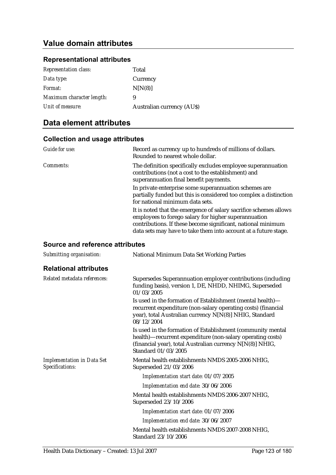# **Value domain attributes**

#### **Representational attributes**

| <b>Representation class:</b> | Total                            |
|------------------------------|----------------------------------|
| Data type:                   | Currency                         |
| Format:                      | N[N(8)]                          |
| Maximum character length:    | 9                                |
| Unit of measure:             | <b>Australian currency (AUS)</b> |

# **Data element attributes**

#### **Collection and usage attributes**

| Guide for use: | Record as currency up to hundreds of millions of dollars.<br>Rounded to nearest whole dollar.                                                                                                                                                                |
|----------------|--------------------------------------------------------------------------------------------------------------------------------------------------------------------------------------------------------------------------------------------------------------|
| Comments:      | The definition specifically excludes employee superannuation<br>contributions (not a cost to the establishment) and<br>superannuation final benefit payments.                                                                                                |
|                | In private enterprise some superannuation schemes are<br>partially funded but this is considered too complex a distinction<br>for national minimum data sets.                                                                                                |
|                | It is noted that the emergence of salary sacrifice schemes allows<br>employees to forego salary for higher superannuation<br>contributions. If these become significant, national minimum<br>data sets may have to take them into account at a future stage. |

| Submitting organisation:                             | National Minimum Data Set Working Parties                                                                                                                                                                     |
|------------------------------------------------------|---------------------------------------------------------------------------------------------------------------------------------------------------------------------------------------------------------------|
| <b>Relational attributes</b>                         |                                                                                                                                                                                                               |
| Related metadata references:                         | Supersedes Superannuation employer contributions (including<br>funding basis), version 1, DE, NHDD, NHIMG, Superseded<br>01/03/2005                                                                           |
|                                                      | Is used in the formation of Establishment (mental health)—<br>recurrent expenditure (non-salary operating costs) (financial<br>year), total Australian currency N[N(8)] NHIG, Standard<br>08/12/2004          |
|                                                      | Is used in the formation of Establishment (community mental<br>health)-recurrent expenditure (non-salary operating costs)<br>(financial year), total Australian currency N[N(8)] NHIG,<br>Standard 01/03/2005 |
| <b>Implementation in Data Set</b><br>Specifications: | Mental health establishments NMDS 2005-2006 NHIG,<br>Superseded 21/03/2006                                                                                                                                    |
|                                                      | Implementation start date: 01/07/2005                                                                                                                                                                         |
|                                                      | Implementation end date: 30/06/2006                                                                                                                                                                           |
|                                                      | Mental health establishments NMDS 2006-2007 NHIG,<br>Superseded 23/10/2006                                                                                                                                    |
|                                                      | Implementation start date: 01/07/2006                                                                                                                                                                         |
|                                                      | Implementation end date: 30/06/2007                                                                                                                                                                           |
|                                                      | Mental health establishments NMDS 2007-2008 NHIG,<br>Standard 23/10/2006                                                                                                                                      |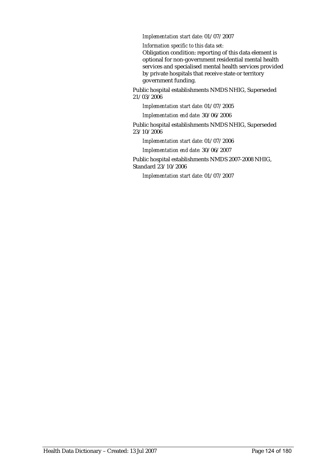#### *Implementation start date:* 01/07/2007

*Information specific to this data set:*

Obligation condition: reporting of this data element is optional for non-government residential mental health services and specialised mental health services provided by private hospitals that receive state or territory government funding.

Public hospital establishments NMDS NHIG, Superseded 21/03/2006

*Implementation start date:* 01/07/2005

*Implementation end date:* 30/06/2006

Public hospital establishments NMDS NHIG, Superseded 23/10/2006

*Implementation start date:* 01/07/2006

*Implementation end date:* 30/06/2007

Public hospital establishments NMDS 2007-2008 NHIG, Standard 23/10/2006

*Implementation start date:* 01/07/2007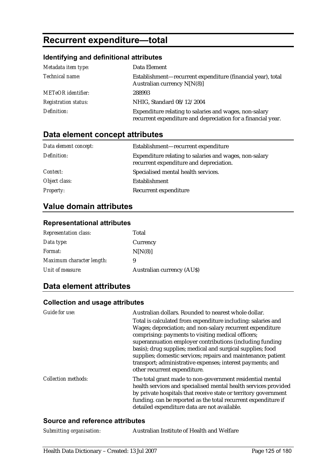# **Recurrent expenditure—total**

# **Identifying and definitional attributes**

| Metadata item type:         | Data Element                                                                                                           |
|-----------------------------|------------------------------------------------------------------------------------------------------------------------|
| <i>Technical name:</i>      | Establishment—recurrent expenditure (financial year), total<br>Australian currency $N[N(8)]$                           |
| <b>METeOR</b> identifier:   | 288993                                                                                                                 |
| <b>Registration status:</b> | NHIG, Standard 08/12/2004                                                                                              |
| Definition:                 | Expenditure relating to salaries and wages, non-salary<br>recurrent expenditure and depreciation for a financial year. |

# **Data element concept attributes**

| Data element concept: | Establishment—recurrent expenditure                                                               |
|-----------------------|---------------------------------------------------------------------------------------------------|
| Definition:           | Expenditure relating to salaries and wages, non-salary<br>recurrent expenditure and depreciation. |
| Context:              | Specialised mental health services.                                                               |
| Object class:         | Establishment                                                                                     |
| <b>Property:</b>      | Recurrent expenditure                                                                             |

# **Value domain attributes**

### **Representational attributes**

| <b>Representation class:</b> | Total                            |
|------------------------------|----------------------------------|
| Data type:                   | Currency                         |
| <i>Format:</i>               | N[N(8)]                          |
| Maximum character length:    | 9                                |
| Unit of measure:             | <b>Australian currency (AUS)</b> |

# **Data element attributes**

### **Collection and usage attributes**

| Guide for use:      | Australian dollars. Rounded to nearest whole dollar.<br>Total is calculated from expenditure including: salaries and<br>Wages; depreciation; and non-salary recurrent expenditure<br>comprising: payments to visiting medical officers;<br>superannuation employer contributions (including funding<br>basis); drug supplies; medical and surgical supplies; food<br>supplies; domestic services; repairs and maintenance; patient<br>transport; administrative expenses; interest payments; and<br>other recurrent expenditure. |
|---------------------|----------------------------------------------------------------------------------------------------------------------------------------------------------------------------------------------------------------------------------------------------------------------------------------------------------------------------------------------------------------------------------------------------------------------------------------------------------------------------------------------------------------------------------|
| Collection methods: | The total grant made to non-government residential mental<br>health services and specialised mental health services provided<br>by private hospitals that receive state or territory government<br>funding. can be reported as the total recurrent expenditure if<br>detailed expenditure data are not available.                                                                                                                                                                                                                |

| Submitting organisation: | Australian Institute of Health and Welfare |
|--------------------------|--------------------------------------------|
|--------------------------|--------------------------------------------|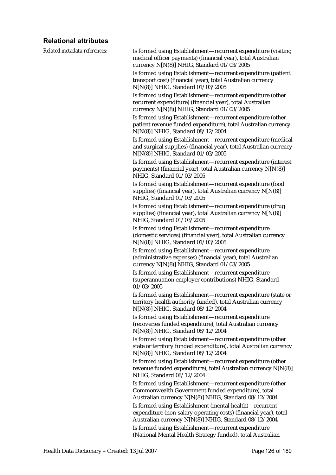# **Relational attributes**

| Related metadata references: | Is formed using Establishment-recurrent expenditure (visiting<br>medical officer payments) (financial year), total Australian<br>currency N[N(8)] NHIG, Standard 01/03/2005          |
|------------------------------|--------------------------------------------------------------------------------------------------------------------------------------------------------------------------------------|
|                              | Is formed using Establishment-recurrent expenditure (patient<br>transport cost) (financial year), total Australian currency<br>N[N(8)] NHIG, Standard 01/03/2005                     |
|                              | Is formed using Establishment-recurrent expenditure (other<br>recurrent expenditure) (financial year), total Australian<br>currency N[N(8)] NHIG, Standard 01/03/2005                |
|                              | Is formed using Establishment-recurrent expenditure (other<br>patient revenue funded expenditure), total Australian currency<br>N[N(8)] NHIG, Standard 08/12/2004                    |
|                              | Is formed using Establishment-recurrent expenditure (medical<br>and surgical supplies) (financial year), total Australian currency<br>N[N(8)] NHIG, Standard 01/03/2005              |
|                              | Is formed using Establishment-recurrent expenditure (interest<br>payments) (financial year), total Australian currency N[N(8)]<br>NHIG, Standard 01/03/2005                          |
|                              | Is formed using Establishment-recurrent expenditure (food<br>supplies) (financial year), total Australian currency N[N(8)]<br>NHIG, Standard 01/03/2005                              |
|                              | Is formed using Establishment-recurrent expenditure (drug<br>supplies) (financial year), total Australian currency N[N(8)]<br>NHIG, Standard 01/03/2005                              |
|                              | Is formed using Establishment-recurrent expenditure<br>(domestic services) (financial year), total Australian currency<br>N[N(8)] NHIG, Standard 01/03/2005                          |
|                              | Is formed using Establishment-recurrent expenditure<br>(administrative expenses) (financial year), total Australian<br>currency N[N(8)] NHIG, Standard 01/03/2005                    |
|                              | Is formed using Establishment-recurrent expenditure<br>(superannuation employer contributions) NHIG, Standard<br>01/03/2005                                                          |
|                              | Is formed using Establishment-recurrent expenditure (state or<br>territory health authority funded), total Australian currency<br>N[N(8)] NHIG, Standard 08/12/2004                  |
|                              | Is formed using Establishment—recurrent expenditure<br>(recoveries funded expenditure), total Australian currency<br>N[N(8)] NHIG, Standard 08/12/2004                               |
|                              | Is formed using Establishment-recurrent expenditure (other<br>state or territory funded expenditure), total Australian currency<br>N[N(8)] NHIG, Standard 08/12/2004                 |
|                              | Is formed using Establishment-recurrent expenditure (other<br>revenue funded expenditure), total Australian currency N[N(8)]<br>NHIG, Standard 08/12/2004                            |
|                              | Is formed using Establishment-recurrent expenditure (other<br>Commonwealth Government funded expenditure), total<br>Australian currency N[N(8)] NHIG, Standard 08/12/2004            |
|                              | Is formed using Establishment (mental health)-recurrent<br>expenditure (non-salary operating costs) (financial year), total<br>Australian currency N[N(8)] NHIG, Standard 08/12/2004 |
|                              | Is formed using Establishment-recurrent expenditure<br>(National Mental Health Strategy funded), total Australian                                                                    |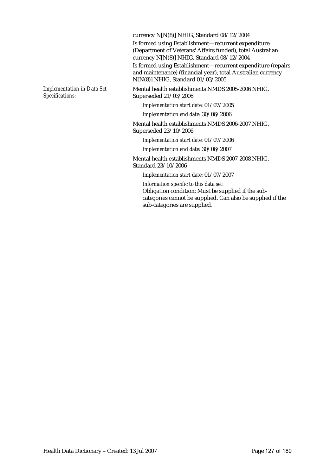currency N[N(8)] NHIG, Standard 08/12/2004

Is formed using Establishment—recurrent expenditure (Department of Veterans' Affairs funded), total Australian currency N[N(8)] NHIG, Standard 08/12/2004 Is formed using Establishment—recurrent expenditure (repairs and maintenance) (financial year), total Australian currency N[N(8)] NHIG, Standard 01/03/2005

*Implementation in Data Set Specifications:*

Mental health establishments NMDS 2005-2006 NHIG, Superseded 21/03/2006

*Implementation start date:* 01/07/2005

*Implementation end date:* 30/06/2006

Mental health establishments NMDS 2006-2007 NHIG, Superseded 23/10/2006

*Implementation start date:* 01/07/2006

*Implementation end date:* 30/06/2007

Mental health establishments NMDS 2007-2008 NHIG, Standard 23/10/2006

*Implementation start date:* 01/07/2007

*Information specific to this data set:* Obligation condition: Must be supplied if the subcategories cannot be supplied. Can also be supplied if the sub-categories are supplied.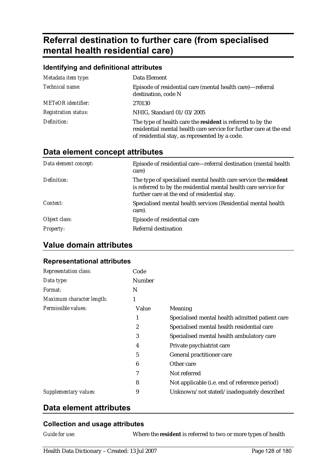# **Referral destination to further care (from specialised mental health residential care)**

| Identifying and definitional attributes |                                                                                                                                                                                    |  |
|-----------------------------------------|------------------------------------------------------------------------------------------------------------------------------------------------------------------------------------|--|
| Metadata item type:                     | Data Element                                                                                                                                                                       |  |
| Technical name:                         | Episode of residential care (mental health care)—referral<br>destination, code N                                                                                                   |  |
| <b>METeOR</b> identifier:               | 270130                                                                                                                                                                             |  |
| <b>Registration status:</b>             | NHIG, Standard 01/03/2005                                                                                                                                                          |  |
| Definition:                             | The type of health care the resident is referred to by the<br>residential mental health care service for further care at the end<br>of residential stay, as represented by a code. |  |

# **Data element concept attributes**

| Data element concept: | Episode of residential care—referral destination (mental health<br>care)                                                                                                            |
|-----------------------|-------------------------------------------------------------------------------------------------------------------------------------------------------------------------------------|
| Definition:           | The type of specialised mental health care service the resident<br>is referred to by the residential mental health care service for<br>further care at the end of residential stay. |
| Context:              | Specialised mental health services (Residential mental health<br>care).                                                                                                             |
| Object class:         | Episode of residential care                                                                                                                                                         |
| <b>Property:</b>      | Referral destination                                                                                                                                                                |

# **Value domain attributes**

#### **Representational attributes**

| Code                                            |
|-------------------------------------------------|
| Number                                          |
|                                                 |
|                                                 |
| Value<br>Meaning                                |
| Specialised mental health admitted patient care |
| Specialised mental health residential care      |
| Specialised mental health ambulatory care       |
| Private psychiatrist care                       |
| General practitioner care                       |
| Other care                                      |
| Not referred                                    |
| Not applicable (i.e. end of reference period)   |
| Unknown/not stated/inadequately described       |
|                                                 |

# **Data element attributes**

### **Collection and usage attributes**

*Guide for use:* Where the **resident** is referred to two or more types of health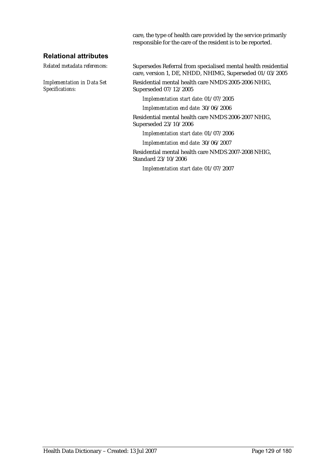care, the type of health care provided by the service primarily responsible for the care of the resident is to be reported.

#### **Relational attributes**

*Implementation in Data Set Specifications:*

*Related metadata references:* Supersedes Referral from specialised mental health residential care, version 1, DE, NHDD, NHIMG, Superseded 01/03/2005

> Residential mental health care NMDS 2005-2006 NHIG, Superseded 07/12/2005

*Implementation start date:* 01/07/2005

*Implementation end date:* 30/06/2006

Residential mental health care NMDS 2006-2007 NHIG, Superseded 23/10/2006

*Implementation start date:* 01/07/2006

*Implementation end date:* 30/06/2007

Residential mental health care NMDS 2007-2008 NHIG, Standard 23/10/2006

*Implementation start date:* 01/07/2007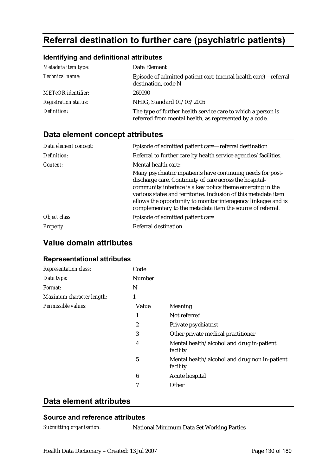# **Referral destination to further care (psychiatric patients)**

### **Identifying and definitional attributes**

| Metadata item type:         | Data Element                                                                                                           |
|-----------------------------|------------------------------------------------------------------------------------------------------------------------|
| Technical name:             | Episode of admitted patient care (mental health care)—referral<br>destination, code N                                  |
| <b>METeOR</b> identifier:   | 269990                                                                                                                 |
| <b>Registration status:</b> | NHIG, Standard 01/03/2005                                                                                              |
| Definition:                 | The type of further health service care to which a person is<br>referred from mental health, as represented by a code. |

# **Data element concept attributes**

| Data element concept: | Episode of admitted patient care—referral destination                                                                                                                                                                                                                                                                                                                                 |
|-----------------------|---------------------------------------------------------------------------------------------------------------------------------------------------------------------------------------------------------------------------------------------------------------------------------------------------------------------------------------------------------------------------------------|
| Definition:           | Referral to further care by health service agencies/facilities.                                                                                                                                                                                                                                                                                                                       |
| Context:              | Mental health care:                                                                                                                                                                                                                                                                                                                                                                   |
|                       | Many psychiatric inpatients have continuing needs for post-<br>discharge care. Continuity of care across the hospital-<br>community interface is a key policy theme emerging in the<br>various states and territories. Inclusion of this metadata item<br>allows the opportunity to monitor interagency linkages and is<br>complementary to the metadata item the source of referral. |
| Object class:         | Episode of admitted patient care                                                                                                                                                                                                                                                                                                                                                      |
| <b>Property:</b>      | Referral destination                                                                                                                                                                                                                                                                                                                                                                  |

# **Value domain attributes**

#### **Representational attributes**

| <b>Representation class:</b> | Code       |                                                           |
|------------------------------|------------|-----------------------------------------------------------|
| Data type:                   | Number     |                                                           |
| Format:                      | N          |                                                           |
| Maximum character length:    | 1          |                                                           |
| Permissible values:          | Value      | <b>Meaning</b>                                            |
|                              | 1          | Not referred                                              |
|                              | 2          | Private psychiatrist                                      |
|                              | 3          | Other private medical practitioner                        |
|                              | 4          | Mental health/alcohol and drug in-patient<br>facility     |
|                              | $\sqrt{5}$ | Mental health/alcohol and drug non in-patient<br>facility |
|                              | 6          | Acute hospital                                            |
|                              | 7          | Other                                                     |

# **Data element attributes**

#### **Source and reference attributes**

*Submitting organisation:* National Minimum Data Set Working Parties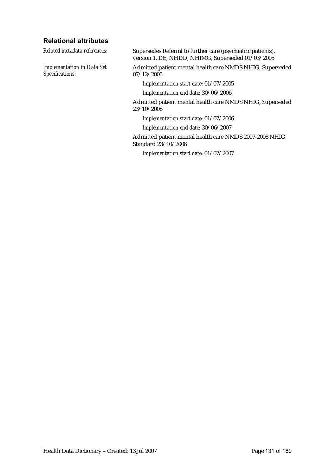#### **Relational attributes**

*Implementation in Data Set Specifications:*

*Related metadata references:* Supersedes Referral to further care (psychiatric patients), version 1, DE, NHDD, NHIMG, Superseded 01/03/2005

> Admitted patient mental health care NMDS NHIG, Superseded 07/12/2005

*Implementation start date:* 01/07/2005

*Implementation end date:* 30/06/2006

Admitted patient mental health care NMDS NHIG, Superseded 23/10/2006

*Implementation start date:* 01/07/2006

*Implementation end date:* 30/06/2007

Admitted patient mental health care NMDS 2007-2008 NHIG, Standard 23/10/2006

*Implementation start date:* 01/07/2007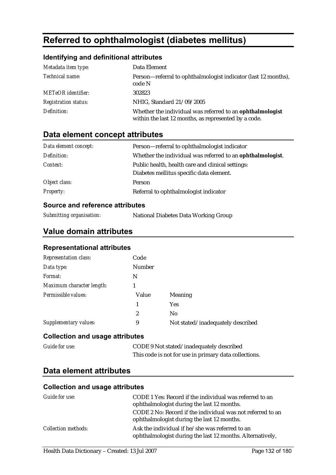# **Referred to ophthalmologist (diabetes mellitus)**

### **Identifying and definitional attributes**

| Metadata item type:         | Data Element                                                                                                      |
|-----------------------------|-------------------------------------------------------------------------------------------------------------------|
| Technical name:             | Person—referral to ophthalmologist indicator (last 12 months),<br>code N                                          |
| <b>METeOR</b> identifier:   | 302823                                                                                                            |
| <b>Registration status:</b> | NHIG, Standard 21/09/2005                                                                                         |
| Definition:                 | Whether the individual was referred to an ophthalmologist<br>within the last 12 months, as represented by a code. |

# **Data element concept attributes**

| Data element concept: | Person-referral to ophthalmologist indicator               |  |
|-----------------------|------------------------------------------------------------|--|
| Definition:           | Whether the individual was referred to an ophthalmologist. |  |
| Context:              | Public health, health care and clinical settings:          |  |
|                       | Diabetes mellitus specific data element.                   |  |
| Object class:         | Person                                                     |  |
| <b>Property:</b>      | Referral to ophthalmologist indicator                      |  |

#### **Source and reference attributes**

| Submitting organisation: | National Diabetes Data Working Group |
|--------------------------|--------------------------------------|
|--------------------------|--------------------------------------|

### **Value domain attributes**

#### **Representational attributes**

| <b>Representation class:</b> | Code           |                                   |
|------------------------------|----------------|-----------------------------------|
| Data type:                   | <b>Number</b>  |                                   |
| Format:                      | N              |                                   |
| Maximum character length:    |                |                                   |
| Permissible values:          | Value          | <b>Meaning</b>                    |
|                              |                | <b>Yes</b>                        |
|                              | $\overline{c}$ | N <sub>0</sub>                    |
| Supplementary values:        | 9              | Not stated/inadequately described |

#### **Collection and usage attributes**

| <b>Guide for use:</b> | CODE 9 Not stated/inadequately described              |
|-----------------------|-------------------------------------------------------|
|                       | This code is not for use in primary data collections. |

# **Data element attributes**

| Guide for use:             | CODE 1 Yes: Record if the individual was referred to an<br>ophthalmologist during the last 12 months.        |
|----------------------------|--------------------------------------------------------------------------------------------------------------|
|                            | CODE 2 No: Record if the individual was not referred to an<br>ophthalmologist during the last 12 months.     |
| <b>Collection methods:</b> | Ask the individual if he/she was referred to an<br>ophthalmologist during the last 12 months. Alternatively, |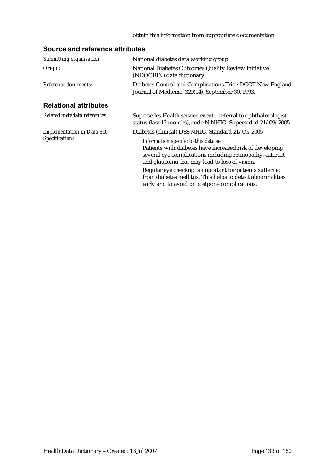#### obtain this information from appropriate documentation.

| Submitting organisation:          | National diabetes data working group                                                                                                                                                                                                                                                                                                                                                       |
|-----------------------------------|--------------------------------------------------------------------------------------------------------------------------------------------------------------------------------------------------------------------------------------------------------------------------------------------------------------------------------------------------------------------------------------------|
| Origin:                           | National Diabetes Outcomes Quality Review Initiative<br>(NDOQRIN) data dictionary                                                                                                                                                                                                                                                                                                          |
| Reference documents:              | Diabetes Control and Complications Trial: DCCT New England<br>Journal of Medicine, 329(14), September 30, 1993.                                                                                                                                                                                                                                                                            |
| <b>Relational attributes</b>      |                                                                                                                                                                                                                                                                                                                                                                                            |
| Related metadata references:      | Supersedes Health service event—referral to ophthalmologist<br>status (last 12 months), code N NHIG, Superseded 21/09/2005                                                                                                                                                                                                                                                                 |
| <b>Implementation in Data Set</b> | Diabetes (clinical) DSS NHIG, Standard 21/09/2005                                                                                                                                                                                                                                                                                                                                          |
| Specifications:                   | Information specific to this data set:<br>Patients with diabetes have increased risk of developing<br>several eye complications including retinopathy, cataract<br>and glaucoma that may lead to loss of vision.<br>Regular eye checkup is important for patients suffering<br>from diabetes mellitus. This helps to detect abnormalities<br>early and to avoid or postpone complications. |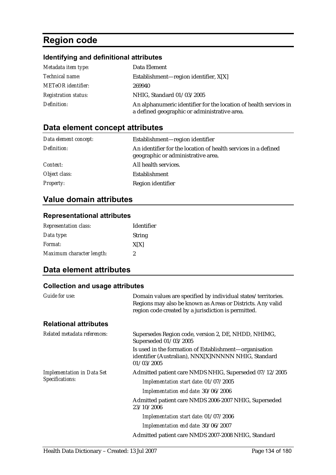# **Region code**

# **Identifying and definitional attributes**

| Metadata item type:         | Data Element                                                                                                      |
|-----------------------------|-------------------------------------------------------------------------------------------------------------------|
| <i>Technical name:</i>      | Establishment—region identifier, $X[X]$                                                                           |
| <b>METeOR</b> identifier:   | 269940                                                                                                            |
| <b>Registration status:</b> | NHIG, Standard 01/03/2005                                                                                         |
| Definition:                 | An alphanumeric identifier for the location of health services in<br>a defined geographic or administrative area. |

# **Data element concept attributes**

| Data element concept: | Establishment—region identifier                                                                      |
|-----------------------|------------------------------------------------------------------------------------------------------|
| Definition:           | An identifier for the location of health services in a defined<br>geographic or administrative area. |
| Context:              | All health services.                                                                                 |
| Object class:         | Establishment                                                                                        |
| <b>Property:</b>      | Region identifier                                                                                    |

# **Value domain attributes**

#### **Representational attributes**

| <b>Representation class:</b> | <b>Identifier</b> |
|------------------------------|-------------------|
| Data type:                   | <b>String</b>     |
| <i>Format:</i>               | X[X]              |
| Maximum character length:    | 2                 |

# **Data element attributes**

| Guide for use:                                       | Domain values are specified by individual states/territories.<br>Regions may also be known as Areas or Districts. Any valid<br>region code created by a jurisdiction is permitted. |
|------------------------------------------------------|------------------------------------------------------------------------------------------------------------------------------------------------------------------------------------|
| <b>Relational attributes</b>                         |                                                                                                                                                                                    |
| Related metadata references:                         | Supersedes Region code, version 2, DE, NHDD, NHIMG,<br>Superseded 01/03/2005                                                                                                       |
|                                                      | Is used in the formation of Establishment—organisation<br>identifier (Australian), NNX[X]NNNNN NHIG, Standard<br>01/03/2005                                                        |
| <b>Implementation in Data Set</b><br>Specifications: | Admitted patient care NMDS NHIG, Superseded 07/12/2005<br>Implementation start date: 01/07/2005<br>Implementation end date: 30/06/2006                                             |
|                                                      | Admitted patient care NMDS 2006-2007 NHIG, Superseded<br>23/10/2006                                                                                                                |
|                                                      | Implementation start date: 01/07/2006                                                                                                                                              |
|                                                      | Implementation end date: 30/06/2007                                                                                                                                                |
|                                                      | Admitted patient care NMDS 2007-2008 NHIG, Standard                                                                                                                                |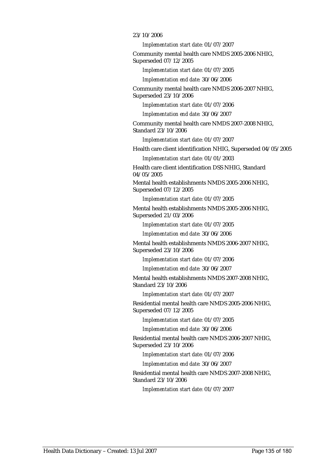#### 23/10/2006

*Implementation start date:* 01/07/2007

Community mental health care NMDS 2005-2006 NHIG, Superseded 07/12/2005

*Implementation start date:* 01/07/2005

*Implementation end date:* 30/06/2006

Community mental health care NMDS 2006-2007 NHIG, Superseded 23/10/2006

*Implementation start date:* 01/07/2006

*Implementation end date:* 30/06/2007

Community mental health care NMDS 2007-2008 NHIG, Standard 23/10/2006

*Implementation start date:* 01/07/2007

Health care client identification NHIG, Superseded 04/05/2005

*Implementation start date:* 01/01/2003

Health care client identification DSS NHIG, Standard 04/05/2005

Mental health establishments NMDS 2005-2006 NHIG, Superseded 07/12/2005

*Implementation start date:* 01/07/2005

Mental health establishments NMDS 2005-2006 NHIG, Superseded 21/03/2006

*Implementation start date:* 01/07/2005

*Implementation end date:* 30/06/2006

Mental health establishments NMDS 2006-2007 NHIG, Superseded 23/10/2006

*Implementation start date:* 01/07/2006

*Implementation end date:* 30/06/2007

Mental health establishments NMDS 2007-2008 NHIG, Standard 23/10/2006

*Implementation start date:* 01/07/2007

Residential mental health care NMDS 2005-2006 NHIG, Superseded 07/12/2005

*Implementation start date:* 01/07/2005

*Implementation end date:* 30/06/2006

Residential mental health care NMDS 2006-2007 NHIG, Superseded 23/10/2006

*Implementation start date:* 01/07/2006

*Implementation end date:* 30/06/2007

Residential mental health care NMDS 2007-2008 NHIG, Standard 23/10/2006

*Implementation start date:* 01/07/2007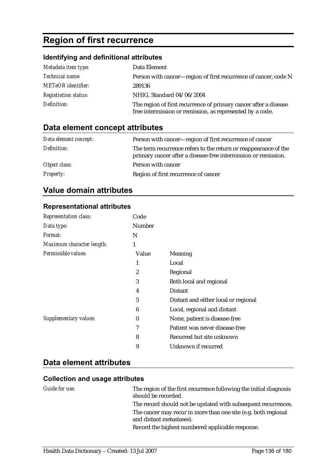# **Region of first recurrence**

# **Identifying and definitional attributes**

| Metadata item type:         | Data Element                                                                                                                  |
|-----------------------------|-------------------------------------------------------------------------------------------------------------------------------|
| Technical name:             | Person with cancer-region of first recurrence of cancer, code N                                                               |
| <b>METeOR</b> identifier:   | 289136                                                                                                                        |
| <b>Registration status:</b> | NHIG, Standard 04/06/2004                                                                                                     |
| Definition:                 | The region of first recurrence of primary cancer after a disease<br>free intermission or remission, as represented by a code. |

# **Data element concept attributes**

| Data element concept: | Person with cancer—region of first recurrence of cancer                                                                           |
|-----------------------|-----------------------------------------------------------------------------------------------------------------------------------|
| Definition:           | The term recurrence refers to the return or reappearance of the<br>primary cancer after a disease-free intermission or remission. |
| Object class:         | Person with cancer                                                                                                                |
| <b>Property:</b>      | Region of first recurrence of cancer                                                                                              |

# **Value domain attributes**

#### **Representational attributes**

| Representation class:     | Code     |                                      |
|---------------------------|----------|--------------------------------------|
| Data type:                | Number   |                                      |
| Format:                   | N        |                                      |
| Maximum character length: | 1        |                                      |
| Permissible values:       | Value    | <b>Meaning</b>                       |
|                           | 1        | Local                                |
|                           | 2        | Regional                             |
|                           | 3        | Both local and regional              |
|                           | 4        | <b>Distant</b>                       |
|                           | 5        | Distant and either local or regional |
|                           | 6        | Local, regional and distant          |
| Supplementary values:     | $\bf{0}$ | None, patient is disease-free        |
|                           | 7        | Patient was never disease-free       |
|                           | 8        | Recurred but site unknown            |
|                           | 9        | Unknown if recurred                  |
|                           |          |                                      |

# **Data element attributes**

| Guide for use: | The region of the first recurrence following the initial diagnosis<br>should be recorded.  |
|----------------|--------------------------------------------------------------------------------------------|
|                | The record should not be updated with subsequent recurrences.                              |
|                | The cancer may recur in more than one site (e.g. both regional<br>and distant metastases). |
|                | Record the highest numbered applicable response.                                           |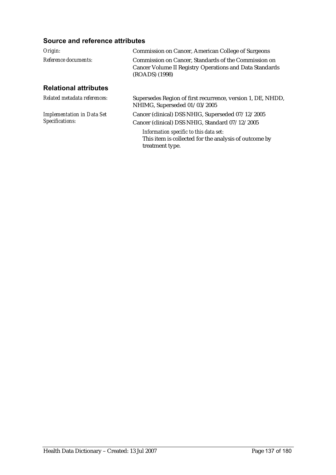| Origin:                                              | Commission on Cancer, American College of Surgeons                                                                                |  |
|------------------------------------------------------|-----------------------------------------------------------------------------------------------------------------------------------|--|
| Reference documents:                                 | Commission on Cancer. Standards of the Commission on<br>Cancer Volume II Registry Operations and Data Standards<br>(ROADS) (1998) |  |
| <b>Relational attributes</b>                         |                                                                                                                                   |  |
| Related metadata references:                         | Supersedes Region of first recurrence, version 1, DE, NHDD,<br>NHIMG, Superseded 01/03/2005                                       |  |
| <b>Implementation in Data Set</b><br>Specifications: | Cancer (clinical) DSS NHIG, Superseded 07/12/2005<br>Cancer (clinical) DSS NHIG, Standard 07/12/2005                              |  |
|                                                      | Information specific to this data set:<br>This item is collected for the analysis of outcome by<br>treatment type.                |  |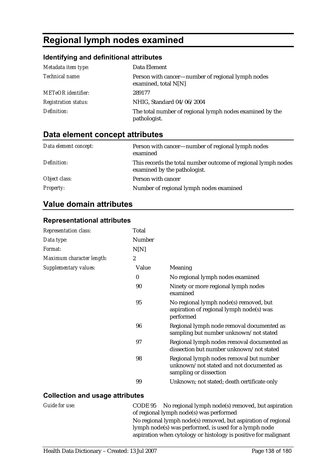# **Regional lymph nodes examined**

# **Identifying and definitional attributes**

| Metadata item type:         | Data Element                                                              |
|-----------------------------|---------------------------------------------------------------------------|
| Technical name:             | Person with cancer—number of regional lymph nodes<br>examined, total N[N] |
| <b>METeOR</b> identifier:   | 289177                                                                    |
| <b>Registration status:</b> | NHIG, Standard 04/06/2004                                                 |
| Definition:                 | The total number of regional lymph nodes examined by the<br>pathologist.  |

# **Data element concept attributes**

| Data element concept: | Person with cancer—number of regional lymph nodes<br>examined                                 |
|-----------------------|-----------------------------------------------------------------------------------------------|
| Definition:           | This records the total number outcome of regional lymph nodes<br>examined by the pathologist. |
| Object class:         | Person with cancer                                                                            |
| <b>Property:</b>      | Number of regional lymph nodes examined                                                       |

# **Value domain attributes**

### **Representational attributes**

| <b>Representation class:</b> | Total            |                                                                                                               |
|------------------------------|------------------|---------------------------------------------------------------------------------------------------------------|
| Data type:                   | Number           |                                                                                                               |
| Format:                      | N[N]             |                                                                                                               |
| Maximum character length:    | $\boldsymbol{2}$ |                                                                                                               |
| Supplementary values:        | Value            | Meaning                                                                                                       |
|                              | $\boldsymbol{0}$ | No regional lymph nodes examined                                                                              |
|                              | 90               | Ninety or more regional lymph nodes<br>examined                                                               |
|                              | 95               | No regional lymph node(s) removed, but<br>aspiration of regional lymph node(s) was<br>performed               |
|                              | 96               | Regional lymph node removal documented as<br>sampling but number unknown/not stated                           |
|                              | 97               | Regional lymph nodes removal documented as<br>dissection but number unknown/not stated                        |
|                              | 98               | Regional lymph nodes removal but number<br>unknown/not stated and not documented as<br>sampling or dissection |
|                              | 99               | Unknown; not stated; death certificate only                                                                   |

| Guide for use: | CODE 95 No regional lymph node(s) removed, but aspiration       |
|----------------|-----------------------------------------------------------------|
|                | of regional lymph node(s) was performed                         |
|                | No regional lymph node(s) removed, but aspiration of regional   |
|                | lymph node(s) was performed, is used for a lymph node           |
|                | aspiration when cytology or histology is positive for malignant |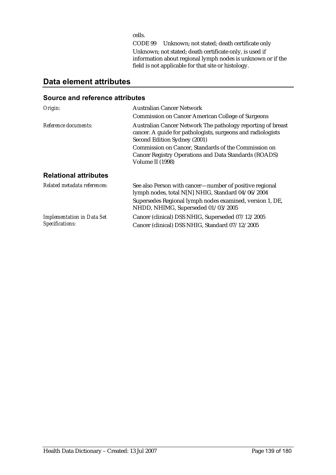cells.

CODE 99 Unknown; not stated; death certificate only Unknown; not stated; death certificate only, is used if information about regional lymph nodes is unknown or if the field is not applicable for that site or histology.

# **Data element attributes**

| Origin:                           | <b>Australian Cancer Network</b>                                                                                                                           |
|-----------------------------------|------------------------------------------------------------------------------------------------------------------------------------------------------------|
|                                   | <b>Commission on Cancer American College of Surgeons</b>                                                                                                   |
| Reference documents:              | Australian Cancer Network The pathology reporting of breast<br>cancer. A guide for pathologists, surgeons and radiologists<br>Second Edition Sydney (2001) |
|                                   | Commission on Cancer, Standards of the Commission on<br>Cancer Registry Operations and Data Standards (ROADS)<br>Volume II (1998)                          |
| <b>Relational attributes</b>      |                                                                                                                                                            |
| Related metadata references:      | See also Person with cancer-number of positive regional<br>lymph nodes, total N[N] NHIG, Standard 04/06/2004                                               |
|                                   | Supersedes Regional lymph nodes examined, version 1, DE,<br>NHDD, NHIMG, Superseded 01/03/2005                                                             |
| <b>Implementation in Data Set</b> | Cancer (clinical) DSS NHIG, Superseded 07/12/2005                                                                                                          |
| Specifications:                   | Cancer (clinical) DSS NHIG, Standard 07/12/2005                                                                                                            |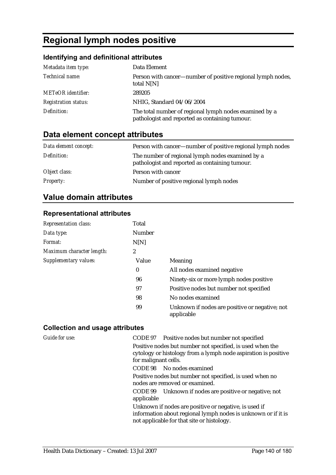# **Regional lymph nodes positive**

# **Identifying and definitional attributes**

| Metadata item type:         | Data Element                                                                                             |
|-----------------------------|----------------------------------------------------------------------------------------------------------|
| Technical name:             | Person with cancer—number of positive regional lymph nodes,<br>total $N[N]$                              |
| <b>METeOR</b> identifier:   | 289205                                                                                                   |
| <b>Registration status:</b> | NHIG, Standard 04/06/2004                                                                                |
| Definition:                 | The total number of regional lymph nodes examined by a<br>pathologist and reported as containing tumour. |

# **Data element concept attributes**

| Data element concept: | Person with cancer—number of positive regional lymph nodes                                         |
|-----------------------|----------------------------------------------------------------------------------------------------|
| Definition:           | The number of regional lymph nodes examined by a<br>pathologist and reported as containing tumour. |
| Object class:         | Person with cancer                                                                                 |
| <b>Property:</b>      | Number of positive regional lymph nodes                                                            |

# **Value domain attributes**

#### **Representational attributes**

| <b>Representation class:</b> | Total  |                                                              |
|------------------------------|--------|--------------------------------------------------------------|
| Data type:                   | Number |                                                              |
| Format:                      | N[N]   |                                                              |
| Maximum character length:    | 2      |                                                              |
| <b>Supplementary values:</b> | Value  | <b>Meaning</b>                                               |
|                              | 0      | All nodes examined negative                                  |
|                              | 96     | Ninety-six or more lymph nodes positive                      |
|                              | 97     | Positive nodes but number not specified                      |
|                              | 98     | No nodes examined                                            |
|                              | 99     | Unknown if nodes are positive or negative; not<br>applicable |

| <b>Guide for use:</b> | CODE 97 Positive nodes but number not specified                                                                                                     |
|-----------------------|-----------------------------------------------------------------------------------------------------------------------------------------------------|
|                       | Positive nodes but number not specified, is used when the<br>cytology or histology from a lymph node aspiration is positive<br>for malignant cells. |
|                       | CODE 98 No nodes examined                                                                                                                           |
|                       | Positive nodes but number not specified, is used when no<br>nodes are removed or examined.                                                          |
|                       | CODE 99 Unknown if nodes are positive or negative; not<br>applicable                                                                                |
|                       | Unknown if nodes are positive or negative, is used if                                                                                               |
|                       | information about regional lymph nodes is unknown or if it is<br>not applicable for that site or histology.                                         |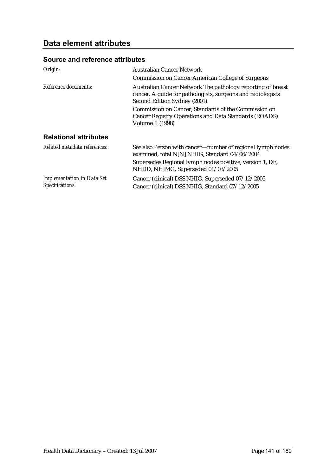| Origin:                                              | <b>Australian Cancer Network</b>                                                                                                                           |
|------------------------------------------------------|------------------------------------------------------------------------------------------------------------------------------------------------------------|
|                                                      | <b>Commission on Cancer American College of Surgeons</b>                                                                                                   |
| Reference documents:                                 | Australian Cancer Network The pathology reporting of breast<br>cancer. A guide for pathologists, surgeons and radiologists<br>Second Edition Sydney (2001) |
|                                                      | Commission on Cancer, Standards of the Commission on<br>Cancer Registry Operations and Data Standards (ROADS)<br>Volume II (1998)                          |
| <b>Relational attributes</b>                         |                                                                                                                                                            |
| Related metadata references:                         | See also Person with cancer—number of regional lymph nodes<br>examined, total N[N] NHIG, Standard 04/06/2004                                               |
|                                                      | Supersedes Regional lymph nodes positive, version 1, DE,<br>NHDD, NHIMG, Superseded 01/03/2005                                                             |
| <b>Implementation in Data Set</b><br>Specifications: | Cancer (clinical) DSS NHIG, Superseded 07/12/2005<br>Cancer (clinical) DSS NHIG, Standard 07/12/2005                                                       |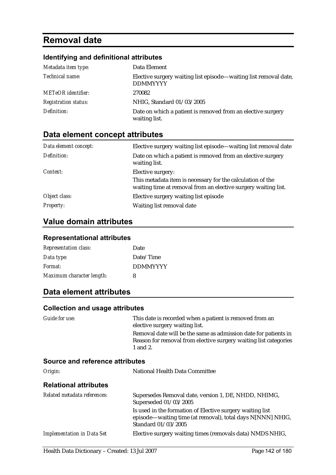# **Removal date**

## **Identifying and definitional attributes**

| Metadata item type:         | Data Element                                                                        |
|-----------------------------|-------------------------------------------------------------------------------------|
| Technical name:             | Elective surgery waiting list episode—waiting list removal date,<br><b>DDMMYYYY</b> |
| <b>METeOR</b> identifier:   | 270082                                                                              |
| <b>Registration status:</b> | NHIG, Standard 01/03/2005                                                           |
| Definition:                 | Date on which a patient is removed from an elective surgery<br>waiting list.        |

# **Data element concept attributes**

| Data element concept: | Elective surgery waiting list episode—waiting list removal date                                                              |
|-----------------------|------------------------------------------------------------------------------------------------------------------------------|
| Definition:           | Date on which a patient is removed from an elective surgery<br>waiting list.                                                 |
| Context:              | Elective surgery:                                                                                                            |
|                       | This metadata item is necessary for the calculation of the<br>waiting time at removal from an elective surgery waiting list. |
| Object class:         | Elective surgery waiting list episode                                                                                        |
| <b>Property:</b>      | Waiting list removal date                                                                                                    |

# **Value domain attributes**

#### **Representational attributes**

| <b>Representation class:</b> | Date            |
|------------------------------|-----------------|
| Data type:                   | Date/Time       |
| Format:                      | <b>DDMMYYYY</b> |
| Maximum character length:    | 8               |

# **Data element attributes**

#### **Collection and usage attributes**

| Guide for use: | This date is recorded when a patient is removed from an<br>elective surgery waiting list.                                                       |
|----------------|-------------------------------------------------------------------------------------------------------------------------------------------------|
|                | Removal date will be the same as admission date for patients in<br>Reason for removal from elective surgery waiting list categories<br>1 and 2. |
|                |                                                                                                                                                 |

| Origin:                           | National Health Data Committee                                                                                                             |  |
|-----------------------------------|--------------------------------------------------------------------------------------------------------------------------------------------|--|
| <b>Relational attributes</b>      |                                                                                                                                            |  |
| Related metadata references:      | Supersedes Removal date, version 1, DE, NHDD, NHIMG,<br>Superseded 01/03/2005<br>Is used in the formation of Elective surgery waiting list |  |
|                                   | episode—waiting time (at removal), total days N[NNN] NHIG,<br>Standard 01/03/2005                                                          |  |
| <b>Implementation in Data Set</b> | Elective surgery waiting times (removals data) NMDS NHIG,                                                                                  |  |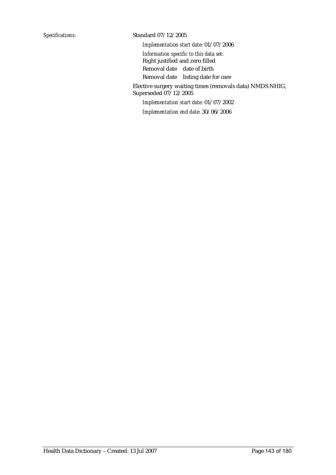#### *Specifications:* Standard 07/12/2005

*Implementation start date:* 01/07/2006

*Information specific to this data set:* Right justified and zero filled Removal date date of birth Removal date listing date for care

Elective surgery waiting times (removals data) NMDS NHIG, Superseded 07/12/2005

*Implementation start date:* 01/07/2002

*Implementation end date:* 30/06/2006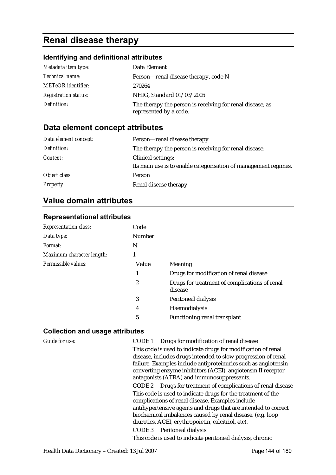# **Renal disease therapy**

# **Identifying and definitional attributes**

| Metadata item type:         | Data Element                                                                        |
|-----------------------------|-------------------------------------------------------------------------------------|
| <i>Technical name:</i>      | Person—renal disease therapy, code N                                                |
| <b>METeOR</b> identifier:   | 270264                                                                              |
| <b>Registration status:</b> | NHIG, Standard 01/03/2005                                                           |
| Definition:                 | The therapy the person is receiving for renal disease, as<br>represented by a code. |

# **Data element concept attributes**

| Data element concept: | Person-renal disease therapy                                    |
|-----------------------|-----------------------------------------------------------------|
| Definition:           | The therapy the person is receiving for renal disease.          |
| Context:              | Clinical settings:                                              |
|                       | Its main use is to enable categorisation of management regimes. |
| Object class:         | Person                                                          |
| <b>Property:</b>      | Renal disease therapy                                           |

# **Value domain attributes**

# **Representational attributes**

| <b>Representation class:</b> | Code          |                                                          |
|------------------------------|---------------|----------------------------------------------------------|
| Data type:                   | <b>Number</b> |                                                          |
| Format:                      | N             |                                                          |
| Maximum character length:    |               |                                                          |
| Permissible values:          | Value         | Meaning                                                  |
|                              | 1             | Drugs for modification of renal disease                  |
|                              | 2             | Drugs for treatment of complications of renal<br>disease |
|                              | 3             | Peritoneal dialysis                                      |
|                              | 4             | Haemodialysis                                            |
|                              | 5             | Functioning renal transplant                             |

| Guide for use: | Drugs for modification of renal disease<br>CODE 1              |
|----------------|----------------------------------------------------------------|
|                | This code is used to indicate drugs for modification of renal  |
|                | disease, includes drugs intended to slow progression of renal  |
|                | failure. Examples include antiproteinurics such as angiotensin |
|                | converting enzyme inhibitors (ACEI), angiotensin II receptor   |
|                | antagonists (ATRA) and immunosuppressants.                     |
|                | CODE 2 Drugs for treatment of complications of renal disease   |
|                | This code is used to indicate drugs for the treatment of the   |
|                | complications of renal disease. Examples include               |
|                | antihypertensive agents and drugs that are intended to correct |
|                | biochemical imbalances caused by renal disease. (e.g. loop     |
|                | diuretics, ACEI, erythropoietin, calcitriol, etc).             |
|                | CODE 3 Peritoneal dialysis                                     |
|                | This code is used to indicate peritoneal dialysis, chronic     |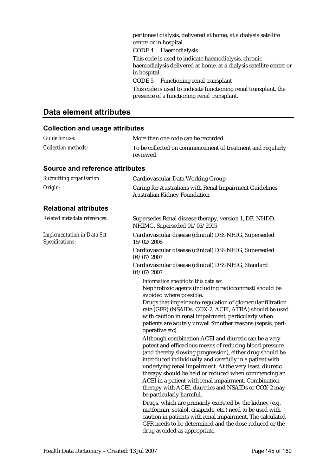peritoneal dialysis, delivered at home, at a dialysis satellite centre or in hospital.

CODE 4 Haemodialysis

This code is used to indicate haemodialysis, chronic haemodialysis delivered at home, at a dialysis satellite centre or in hospital.

CODE 5 Functioning renal transplant

This code is used to indicate functioning renal transplant, the presence of a functioning renal transplant.

### **Data element attributes**

#### **Collection and usage attributes**

| <b>Guide for use:</b>      | More than one code can be recorded.                                     |
|----------------------------|-------------------------------------------------------------------------|
| <i>Collection methods:</i> | To be collected on commencement of treatment and regularly<br>reviewed. |

#### **Source and reference attributes**

| Submitting organisation:                             | Cardiovascular Data Working Group                                                                                                                                                                                                                                                                                                                                                                                                                                                                                                                                                                                                                                                                                                                                                                                                                                                                                                                                                                                                                                                                                                                                                     |
|------------------------------------------------------|---------------------------------------------------------------------------------------------------------------------------------------------------------------------------------------------------------------------------------------------------------------------------------------------------------------------------------------------------------------------------------------------------------------------------------------------------------------------------------------------------------------------------------------------------------------------------------------------------------------------------------------------------------------------------------------------------------------------------------------------------------------------------------------------------------------------------------------------------------------------------------------------------------------------------------------------------------------------------------------------------------------------------------------------------------------------------------------------------------------------------------------------------------------------------------------|
| Origin:                                              | Caring for Australians with Renal Impairment Guidelines.<br><b>Australian Kidney Foundation</b>                                                                                                                                                                                                                                                                                                                                                                                                                                                                                                                                                                                                                                                                                                                                                                                                                                                                                                                                                                                                                                                                                       |
| <b>Relational attributes</b>                         |                                                                                                                                                                                                                                                                                                                                                                                                                                                                                                                                                                                                                                                                                                                                                                                                                                                                                                                                                                                                                                                                                                                                                                                       |
| Related metadata references:                         | Supersedes Renal disease therapy, version 1, DE, NHDD,<br>NHIMG, Superseded 01/03/2005                                                                                                                                                                                                                                                                                                                                                                                                                                                                                                                                                                                                                                                                                                                                                                                                                                                                                                                                                                                                                                                                                                |
| <b>Implementation in Data Set</b><br>Specifications: | Cardiovascular disease (clinical) DSS NHIG, Superseded<br>15/02/2006                                                                                                                                                                                                                                                                                                                                                                                                                                                                                                                                                                                                                                                                                                                                                                                                                                                                                                                                                                                                                                                                                                                  |
|                                                      | Cardiovascular disease (clinical) DSS NHIG, Superseded<br>04/07/2007                                                                                                                                                                                                                                                                                                                                                                                                                                                                                                                                                                                                                                                                                                                                                                                                                                                                                                                                                                                                                                                                                                                  |
|                                                      | Cardiovascular disease (clinical) DSS NHIG, Standard<br>04/07/2007                                                                                                                                                                                                                                                                                                                                                                                                                                                                                                                                                                                                                                                                                                                                                                                                                                                                                                                                                                                                                                                                                                                    |
|                                                      | Information specific to this data set:<br>Nephrotoxic agents (including radiocontrast) should be<br>avoided where possible.<br>Drugs that impair auto-regulation of glomerular filtration<br>rate (GFR) (NSAIDs, COX-2, ACEI, ATRA) should be used<br>with caution in renal impairment, particularly when<br>patients are acutely unwell for other reasons (sepsis, peri-<br>operative etc).<br>Although combination ACEI and diuretic can be a very<br>potent and efficacious means of reducing blood pressure<br>(and thereby slowing progression), either drug should be<br>introduced individually and carefully in a patient with<br>underlying renal impairment. At the very least, diuretic<br>therapy should be held or reduced when commencing an<br>ACEI in a patient with renal impairment. Combination<br>therapy with ACEI, diuretics and NSAIDs or COX-2 may<br>be particularly harmful.<br>Drugs, which are primarily excreted by the kidney (e.g.<br>metformin, sotalol, cisapride, etc.) need to be used with<br>caution in patients with renal impairment. The calculated<br>GFR needs to be determined and the dose reduced or the<br>drug avoided as appropriate. |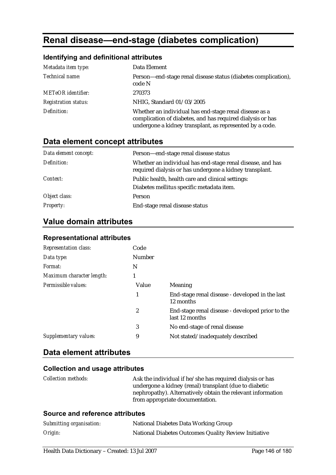# **Renal disease—end-stage (diabetes complication)**

### **Identifying and definitional attributes**

| Metadata item type:         | Data Element                                                                                                                                                                     |
|-----------------------------|----------------------------------------------------------------------------------------------------------------------------------------------------------------------------------|
| Technical name:             | Person—end-stage renal disease status (diabetes complication),<br>code N                                                                                                         |
| <b>METeOR</b> identifier:   | 270373                                                                                                                                                                           |
| <b>Registration status:</b> | NHIG, Standard 01/03/2005                                                                                                                                                        |
| Definition:                 | Whether an individual has end-stage renal disease as a<br>complication of diabetes, and has required dialysis or has<br>undergone a kidney transplant, as represented by a code. |

## **Data element concept attributes**

| Data element concept: | Person—end-stage renal disease status                                                                                 |
|-----------------------|-----------------------------------------------------------------------------------------------------------------------|
| Definition:           | Whether an individual has end-stage renal disease, and has<br>required dialysis or has undergone a kidney transplant. |
| Context:              | Public health, health care and clinical settings:<br>Diabetes mellitus specific metadata item.                        |
| Object class:         | Person                                                                                                                |
| <b>Property:</b>      | End-stage renal disease status                                                                                        |

## **Value domain attributes**

## **Representational attributes**

| <b>Representation class:</b> | Code          |                                                                    |
|------------------------------|---------------|--------------------------------------------------------------------|
| Data type:                   | <b>Number</b> |                                                                    |
| Format:                      | N             |                                                                    |
| Maximum character length:    |               |                                                                    |
| Permissible values:          | Value         | Meaning                                                            |
|                              | 1             | End-stage renal disease - developed in the last<br>12 months       |
|                              | 2             | End-stage renal disease - developed prior to the<br>last 12 months |
|                              | 3             | No end-stage of renal disease                                      |
| Supplementary values:        | 9             | Not stated/inadequately described                                  |

### **Data element attributes**

#### **Collection and usage attributes**

| Ask the individual if he/she has required dialysis or has   |
|-------------------------------------------------------------|
| undergone a kidney (renal) transplant (due to diabetic      |
| nephropathy). Alternatively obtain the relevant information |
| from appropriate documentation.                             |
|                                                             |

#### **Source and reference attributes**

| Submitting organisation: | National Diabetes Data Working Group                 |
|--------------------------|------------------------------------------------------|
| Origin:                  | National Diabetes Outcomes Quality Review Initiative |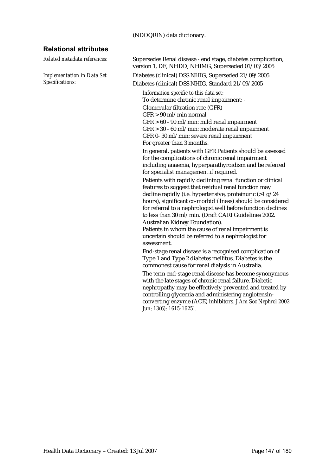#### (NDOQRIN) data dictionary.

#### **Relational attributes**

*Implementation in Data Set Specifications:*

*Related metadata references:* Supersedes Renal disease - end stage, diabetes complication, version 1, DE, NHDD, NHIMG, Superseded 01/03/2005

> Diabetes (clinical) DSS NHIG, Superseded 21/09/2005 Diabetes (clinical) DSS NHIG, Standard 21/09/2005

*Information specific to this data set:* To determine chronic renal impairment: - Glomerular filtration rate (GFR)

GFR > 90 ml/min normal GFR > 60 - 90 ml/min: mild renal impairment GFR > 30 - 60 ml/min: moderate renal impairment GFR 0- 30 ml/min: severe renal impairment For greater than 3 months.

In general, patients with GFR Patients should be assessed for the complications of chronic renal impairment including anaemia, hyperparathyroidism and be referred for specialist management if required.

Patients with rapidly declining renal function or clinical features to suggest that residual renal function may decline rapidly (i.e. hypertensive, proteinuric (>1 g/24 hours), significant co-morbid illness) should be considered for referral to a nephrologist well before function declines to less than 30 ml/min. (Draft CARI Guidelines 2002. Australian Kidney Foundation).

Patients in whom the cause of renal impairment is uncertain should be referred to a nephrologist for assessment.

End-stage renal disease is a recognised complication of Type 1 and Type 2 diabetes mellitus. Diabetes is the commonest cause for renal dialysis in Australia.

The term end-stage renal disease has become synonymous with the late stages of chronic renal failure. Diabetic nephropathy may be effectively prevented and treated by controlling glycemia and administering angiotensinconverting enzyme (ACE) inhibitors. *J Am Soc Nephrol 2002 Jun; 13(6): 1615-1625]*.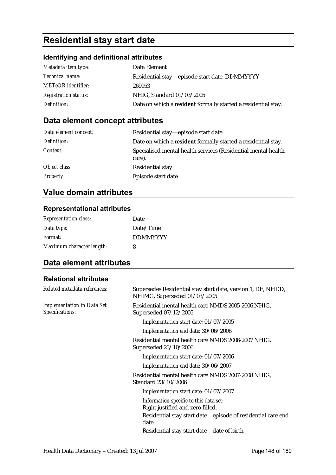# **Residential stay start date**

### **Identifying and definitional attributes**

| Metadata item type:         | Data Element                                                  |
|-----------------------------|---------------------------------------------------------------|
| <i>Technical name:</i>      | Residential stay—episode start date, DDMMYYYY                 |
| <b>METeOR</b> identifier:   | 269953                                                        |
| <b>Registration status:</b> | NHIG, Standard 01/03/2005                                     |
| Definition:                 | Date on which a resident formally started a residential stay. |

## **Data element concept attributes**

| Data element concept: | Residential stay—episode start date                                     |
|-----------------------|-------------------------------------------------------------------------|
| Definition:           | Date on which a resident formally started a residential stay.           |
| Context:              | Specialised mental health services (Residential mental health<br>care). |
| Object class:         | Residential stay                                                        |
| <b>Property:</b>      | Episode start date                                                      |

## **Value domain attributes**

#### **Representational attributes**

| <b>Representation class:</b> | Date            |
|------------------------------|-----------------|
| Data type:                   | Date/Time       |
| Format:                      | <b>DDMMYYYY</b> |
| Maximum character length:    | 8               |

## **Data element attributes**

#### **Relational attributes**

| Related metadata references:                         | Supersedes Residential stay start date, version 1, DE, NHDD,<br>NHIMG, Superseded 01/03/2005 |
|------------------------------------------------------|----------------------------------------------------------------------------------------------|
| <b>Implementation in Data Set</b><br>Specifications: | Residential mental health care NMDS 2005-2006 NHIG,<br>Superseded 07/12/2005                 |
|                                                      | Implementation start date: 01/07/2005                                                        |
|                                                      | Implementation end date: 30/06/2006                                                          |
|                                                      | Residential mental health care NMDS 2006-2007 NHIG,<br>Superseded 23/10/2006                 |
|                                                      | Implementation start date: 01/07/2006                                                        |
|                                                      | Implementation end date: 30/06/2007                                                          |
|                                                      | Residential mental health care NMDS 2007-2008 NHIG,<br>Standard 23/10/2006                   |
|                                                      | Implementation start date: 01/07/2007                                                        |
|                                                      | Information specific to this data set:<br>Right justified and zero filled.                   |
|                                                      | Residential stay start date episode of residential care end<br>date.                         |
|                                                      | Residential stay start date date of birth                                                    |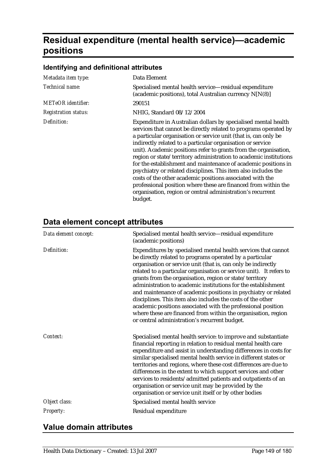# **Residual expenditure (mental health service)—academic positions**

## **Identifying and definitional attributes**

| Metadata item type:         | Data Element                                                                                                                                                                                                                                                                                                                                                                                                                                                                                                                                                                                                                                                                                                                                             |
|-----------------------------|----------------------------------------------------------------------------------------------------------------------------------------------------------------------------------------------------------------------------------------------------------------------------------------------------------------------------------------------------------------------------------------------------------------------------------------------------------------------------------------------------------------------------------------------------------------------------------------------------------------------------------------------------------------------------------------------------------------------------------------------------------|
| Technical name:             | Specialised mental health service-residual expenditure<br>(academic positions), total Australian currency N[N(8)]                                                                                                                                                                                                                                                                                                                                                                                                                                                                                                                                                                                                                                        |
| METeOR identifier:          | 290151                                                                                                                                                                                                                                                                                                                                                                                                                                                                                                                                                                                                                                                                                                                                                   |
| <i>Registration status:</i> | NHIG, Standard 08/12/2004                                                                                                                                                                                                                                                                                                                                                                                                                                                                                                                                                                                                                                                                                                                                |
| Definition:                 | Expenditure in Australian dollars by specialised mental health<br>services that cannot be directly related to programs operated by<br>a particular organisation or service unit (that is, can only be<br>indirectly related to a particular organisation or service<br>unit). Academic positions refer to grants from the organisation,<br>region or state/territory administration to academic institutions<br>for the establishment and maintenance of academic positions in<br>psychiatry or related disciplines. This item also includes the<br>costs of the other academic positions associated with the<br>professional position where these are financed from within the<br>organisation, region or central administration's recurrent<br>budget. |

## **Data element concept attributes**

| Data element concept: | Specialised mental health service-residual expenditure<br>(academic positions)                                                                                                                                                                                                                                                                                                                                                                                                                                                                                                                                                                                                                                    |
|-----------------------|-------------------------------------------------------------------------------------------------------------------------------------------------------------------------------------------------------------------------------------------------------------------------------------------------------------------------------------------------------------------------------------------------------------------------------------------------------------------------------------------------------------------------------------------------------------------------------------------------------------------------------------------------------------------------------------------------------------------|
| Definition:           | Expenditures by specialised mental health services that cannot<br>be directly related to programs operated by a particular<br>organisation or service unit (that is, can only be indirectly<br>related to a particular organisation or service unit). It refers to<br>grants from the organisation, region or state/territory<br>administration to academic institutions for the establishment<br>and maintenance of academic positions in psychiatry or related<br>disciplines. This item also includes the costs of the other<br>academic positions associated with the professional position<br>where these are financed from within the organisation, region<br>or central administration's recurrent budget. |
| Context:              | Specialised mental health service: to improve and substantiate<br>financial reporting in relation to residual mental health care<br>expenditure and assist in understanding differences in costs for<br>similar specialised mental health service in different states or<br>territories and regions, where these cost differences are due to<br>differences in the extent to which support services and other<br>services to residents/admitted patients and outpatients of an<br>organisation or service unit may be provided by the<br>organisation or service unit itself or by other bodies                                                                                                                   |
| Object class:         | Specialised mental health service                                                                                                                                                                                                                                                                                                                                                                                                                                                                                                                                                                                                                                                                                 |
| Property:             | Residual expenditure                                                                                                                                                                                                                                                                                                                                                                                                                                                                                                                                                                                                                                                                                              |

## **Value domain attributes**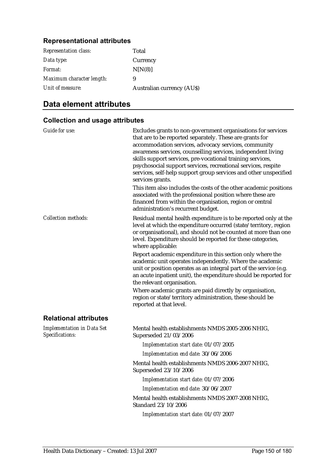#### **Representational attributes**

| <b>Representation class:</b> | Total                            |
|------------------------------|----------------------------------|
| Data type:                   | Currency                         |
| Format:                      | N[N(8)]                          |
| Maximum character length:    | 9                                |
| Unit of measure:             | <b>Australian currency (AUS)</b> |

## **Data element attributes**

#### **Collection and usage attributes**

| <b>Guide for use:</b>                                | Excludes grants to non-government organisations for services<br>that are to be reported separately. These are grants for<br>accommodation services, advocacy services, community<br>awareness services, counselling services, independent living<br>skills support services, pre-vocational training services,<br>psychosocial support services, recreational services, respite<br>services, self-help support group services and other unspecified<br>services grants.<br>This item also includes the costs of the other academic positions |
|------------------------------------------------------|----------------------------------------------------------------------------------------------------------------------------------------------------------------------------------------------------------------------------------------------------------------------------------------------------------------------------------------------------------------------------------------------------------------------------------------------------------------------------------------------------------------------------------------------|
|                                                      | associated with the professional position where these are<br>financed from within the organisation, region or central<br>administration's recurrent budget.                                                                                                                                                                                                                                                                                                                                                                                  |
| <b>Collection methods:</b>                           | Residual mental health expenditure is to be reported only at the<br>level at which the expenditure occurred (state/territory, region<br>or organisational), and should not be counted at more than one<br>level. Expenditure should be reported for these categories,<br>where applicable:                                                                                                                                                                                                                                                   |
|                                                      | Report academic expenditure in this section only where the<br>academic unit operates independently. Where the academic<br>unit or position operates as an integral part of the service (e.g.<br>an acute inpatient unit), the expenditure should be reported for<br>the relevant organisation.                                                                                                                                                                                                                                               |
|                                                      | Where academic grants are paid directly by organisation,<br>region or state/territory administration, these should be<br>reported at that level.                                                                                                                                                                                                                                                                                                                                                                                             |
| <b>Relational attributes</b>                         |                                                                                                                                                                                                                                                                                                                                                                                                                                                                                                                                              |
| <b>Implementation in Data Set</b><br>Specifications: | Mental health establishments NMDS 2005-2006 NHIG,<br>Superseded 21/03/2006                                                                                                                                                                                                                                                                                                                                                                                                                                                                   |
|                                                      | Implementation start date: 01/07/2005                                                                                                                                                                                                                                                                                                                                                                                                                                                                                                        |
|                                                      | Implementation end date: 30/06/2006                                                                                                                                                                                                                                                                                                                                                                                                                                                                                                          |
|                                                      | Mental health establishments NMDS 2006-2007 NHIG,<br>Superseded 23/10/2006                                                                                                                                                                                                                                                                                                                                                                                                                                                                   |
|                                                      | Implementation start date: 01/07/2006                                                                                                                                                                                                                                                                                                                                                                                                                                                                                                        |
|                                                      | Implementation end date: 30/06/2007                                                                                                                                                                                                                                                                                                                                                                                                                                                                                                          |
|                                                      | Mental health establishments NMDS 2007-2008 NHIG,<br>Standard 23/10/2006                                                                                                                                                                                                                                                                                                                                                                                                                                                                     |
|                                                      | 1.1.01/07/0007<br>$\cdots$                                                                                                                                                                                                                                                                                                                                                                                                                                                                                                                   |

*Implementation start date:* 01/07/2007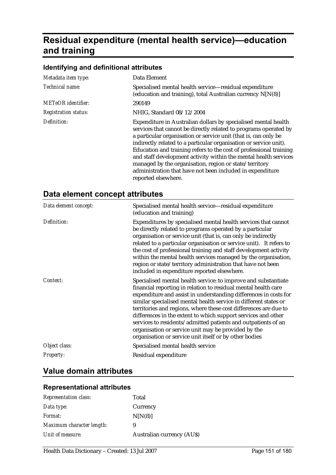# **Residual expenditure (mental health service)—education and training**

#### **Identifying and definitional attributes**

| Metadata item type:         | Data Element                                                                                                                                                                                                                                                                                                                                                                                                                                                                                                                                                       |
|-----------------------------|--------------------------------------------------------------------------------------------------------------------------------------------------------------------------------------------------------------------------------------------------------------------------------------------------------------------------------------------------------------------------------------------------------------------------------------------------------------------------------------------------------------------------------------------------------------------|
| Technical name:             | Specialised mental health service—residual expenditure<br>(education and training), total Australian currency N[N(8)]                                                                                                                                                                                                                                                                                                                                                                                                                                              |
| <b>METeOR</b> identifier:   | 290149                                                                                                                                                                                                                                                                                                                                                                                                                                                                                                                                                             |
| <b>Registration status:</b> | NHIG, Standard 08/12/2004                                                                                                                                                                                                                                                                                                                                                                                                                                                                                                                                          |
| Definition:                 | Expenditure in Australian dollars by specialised mental health<br>services that cannot be directly related to programs operated by<br>a particular organisation or service unit (that is, can only be<br>indirectly related to a particular organisation or service unit).<br>Education and training refers to the cost of professional training<br>and staff development activity within the mental health services<br>managed by the organisation, region or state/territory<br>administration that have not been included in expenditure<br>reported elsewhere. |

### **Data element concept attributes**

| Data element concept: | Specialised mental health service—residual expenditure<br>(education and training)                                                                                                                                                                                                                                                                                                                                                                                                                                                                                                              |
|-----------------------|-------------------------------------------------------------------------------------------------------------------------------------------------------------------------------------------------------------------------------------------------------------------------------------------------------------------------------------------------------------------------------------------------------------------------------------------------------------------------------------------------------------------------------------------------------------------------------------------------|
| Definition:           | Expenditures by specialised mental health services that cannot<br>be directly related to programs operated by a particular<br>organisation or service unit (that is, can only be indirectly<br>related to a particular organisation or service unit). It refers to<br>the cost of professional training and staff development activity<br>within the mental health services managed by the organisation,<br>region or state/territory administration that have not been<br>included in expenditure reported elsewhere.                                                                          |
| Context:              | Specialised mental health service: to improve and substantiate<br>financial reporting in relation to residual mental health care<br>expenditure and assist in understanding differences in costs for<br>similar specialised mental health service in different states or<br>territories and regions, where these cost differences are due to<br>differences in the extent to which support services and other<br>services to residents/admitted patients and outpatients of an<br>organisation or service unit may be provided by the<br>organisation or service unit itself or by other bodies |
| Object class:         | Specialised mental health service                                                                                                                                                                                                                                                                                                                                                                                                                                                                                                                                                               |
| <b>Property:</b>      | Residual expenditure                                                                                                                                                                                                                                                                                                                                                                                                                                                                                                                                                                            |

## **Value domain attributes**

#### **Representational attributes**

| <b>Representation class:</b> | Total                            |
|------------------------------|----------------------------------|
| Data type:                   | Currency                         |
| Format:                      | N[N(8)]                          |
| Maximum character length:    | 9                                |
| Unit of measure:             | <b>Australian currency (AUS)</b> |
|                              |                                  |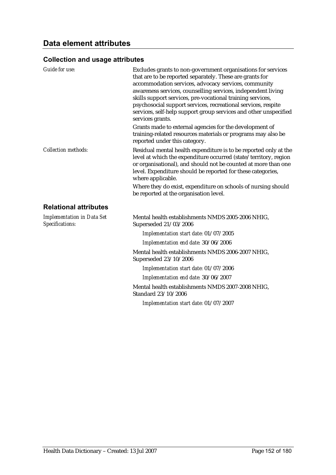| <b>Guide for use:</b>                                | Excludes grants to non-government organisations for services<br>that are to be reported separately. These are grants for<br>accommodation services, advocacy services, community<br>awareness services, counselling services, independent living<br>skills support services, pre-vocational training services,<br>psychosocial support services, recreational services, respite<br>services, self-help support group services and other unspecified<br>services grants.<br>Grants made to external agencies for the development of |
|------------------------------------------------------|------------------------------------------------------------------------------------------------------------------------------------------------------------------------------------------------------------------------------------------------------------------------------------------------------------------------------------------------------------------------------------------------------------------------------------------------------------------------------------------------------------------------------------|
|                                                      | training-related resources materials or programs may also be<br>reported under this category.                                                                                                                                                                                                                                                                                                                                                                                                                                      |
| <b>Collection methods:</b>                           | Residual mental health expenditure is to be reported only at the<br>level at which the expenditure occurred (state/territory, region<br>or organisational), and should not be counted at more than one<br>level. Expenditure should be reported for these categories,<br>where applicable.                                                                                                                                                                                                                                         |
|                                                      | Where they do exist, expenditure on schools of nursing should<br>be reported at the organisation level.                                                                                                                                                                                                                                                                                                                                                                                                                            |
| <b>Relational attributes</b>                         |                                                                                                                                                                                                                                                                                                                                                                                                                                                                                                                                    |
| <b>Implementation in Data Set</b><br>Specifications: | Mental health establishments NMDS 2005-2006 NHIG,<br>Superseded 21/03/2006                                                                                                                                                                                                                                                                                                                                                                                                                                                         |
|                                                      | Implementation start date: 01/07/2005                                                                                                                                                                                                                                                                                                                                                                                                                                                                                              |
|                                                      | Implementation end date: 30/06/2006                                                                                                                                                                                                                                                                                                                                                                                                                                                                                                |
|                                                      | Mental health establishments NMDS 2006-2007 NHIG,<br>Superseded 23/10/2006                                                                                                                                                                                                                                                                                                                                                                                                                                                         |
|                                                      | Implementation start date: 01/07/2006                                                                                                                                                                                                                                                                                                                                                                                                                                                                                              |
|                                                      | Implementation end date: 30/06/2007                                                                                                                                                                                                                                                                                                                                                                                                                                                                                                |
|                                                      | Mental health establishments NMDS 2007-2008 NHIG,<br>Standard 23/10/2006                                                                                                                                                                                                                                                                                                                                                                                                                                                           |
|                                                      | Implementation start date: 01/07/2007                                                                                                                                                                                                                                                                                                                                                                                                                                                                                              |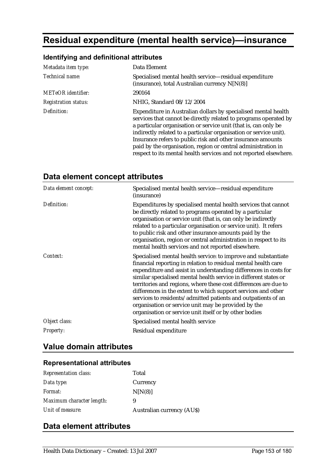# **Residual expenditure (mental health service)—insurance**

### **Identifying and definitional attributes**

| Metadata item type:         | Data Element                                                                                                                                                                                                                                                                                                                                                                                                                                                                    |
|-----------------------------|---------------------------------------------------------------------------------------------------------------------------------------------------------------------------------------------------------------------------------------------------------------------------------------------------------------------------------------------------------------------------------------------------------------------------------------------------------------------------------|
| Technical name:             | Specialised mental health service—residual expenditure<br>(insurance), total Australian currency N[N(8)]                                                                                                                                                                                                                                                                                                                                                                        |
| <b>METeOR</b> identifier:   | 290164                                                                                                                                                                                                                                                                                                                                                                                                                                                                          |
| <b>Registration status:</b> | NHIG, Standard 08/12/2004                                                                                                                                                                                                                                                                                                                                                                                                                                                       |
| Definition:                 | Expenditure in Australian dollars by specialised mental health<br>services that cannot be directly related to programs operated by<br>a particular organisation or service unit (that is, can only be<br>indirectly related to a particular organisation or service unit).<br>Insurance refers to public risk and other insurance amounts<br>paid by the organisation, region or central administration in<br>respect to its mental health services and not reported elsewhere. |

#### **Data element concept attributes**

| Data element concept: | Specialised mental health service-residual expenditure<br>(insurance)                                                                                                                                                                                                                                                                                                                                                                                                                                                                                                                           |
|-----------------------|-------------------------------------------------------------------------------------------------------------------------------------------------------------------------------------------------------------------------------------------------------------------------------------------------------------------------------------------------------------------------------------------------------------------------------------------------------------------------------------------------------------------------------------------------------------------------------------------------|
| Definition:           | Expenditures by specialised mental health services that cannot<br>be directly related to programs operated by a particular<br>organisation or service unit (that is, can only be indirectly<br>related to a particular organisation or service unit). It refers<br>to public risk and other insurance amounts paid by the<br>organisation, region or central administration in respect to its<br>mental health services and not reported elsewhere.                                                                                                                                             |
| Context:              | Specialised mental health service: to improve and substantiate<br>financial reporting in relation to residual mental health care<br>expenditure and assist in understanding differences in costs for<br>similar specialised mental health service in different states or<br>territories and regions, where these cost differences are due to<br>differences in the extent to which support services and other<br>services to residents/admitted patients and outpatients of an<br>organisation or service unit may be provided by the<br>organisation or service unit itself or by other bodies |
| Object class:         | Specialised mental health service                                                                                                                                                                                                                                                                                                                                                                                                                                                                                                                                                               |
| Property:             | Residual expenditure                                                                                                                                                                                                                                                                                                                                                                                                                                                                                                                                                                            |

## **Value domain attributes**

#### **Representational attributes**

| <b>Representation class:</b> | Total                            |
|------------------------------|----------------------------------|
| Data type:                   | Currency                         |
| <i>Format:</i>               | N[N(8)]                          |
| Maximum character length:    | 9                                |
| Unit of measure:             | <b>Australian currency (AUS)</b> |

## **Data element attributes**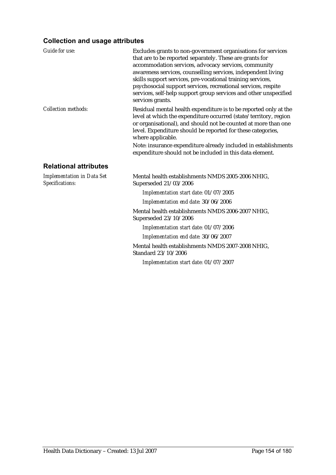| Guide for use:                                       | Excludes grants to non-government organisations for services<br>that are to be reported separately. These are grants for<br>accommodation services, advocacy services, community<br>awareness services, counselling services, independent living<br>skills support services, pre-vocational training services,<br>psychosocial support services, recreational services, respite<br>services, self-help support group services and other unspecified<br>services grants. |
|------------------------------------------------------|-------------------------------------------------------------------------------------------------------------------------------------------------------------------------------------------------------------------------------------------------------------------------------------------------------------------------------------------------------------------------------------------------------------------------------------------------------------------------|
| <b>Collection methods:</b>                           | Residual mental health expenditure is to be reported only at the<br>level at which the expenditure occurred (state/territory, region<br>or organisational), and should not be counted at more than one<br>level. Expenditure should be reported for these categories,<br>where applicable.                                                                                                                                                                              |
|                                                      | Note: insurance expenditure already included in establishments<br>expenditure should not be included in this data element.                                                                                                                                                                                                                                                                                                                                              |
| <b>Relational attributes</b>                         |                                                                                                                                                                                                                                                                                                                                                                                                                                                                         |
| <b>Implementation in Data Set</b><br>Specifications: | Mental health establishments NMDS 2005-2006 NHIG,<br>Superseded 21/03/2006                                                                                                                                                                                                                                                                                                                                                                                              |
|                                                      | Implementation start date: 01/07/2005                                                                                                                                                                                                                                                                                                                                                                                                                                   |
|                                                      | Implementation end date: 30/06/2006                                                                                                                                                                                                                                                                                                                                                                                                                                     |
|                                                      | Mental health establishments NMDS 2006-2007 NHIG,<br>Superseded 23/10/2006                                                                                                                                                                                                                                                                                                                                                                                              |
|                                                      | Implementation start date: 01/07/2006                                                                                                                                                                                                                                                                                                                                                                                                                                   |
|                                                      | Implementation end date: 30/06/2007                                                                                                                                                                                                                                                                                                                                                                                                                                     |
|                                                      | Mental health establishments NMDS 2007-2008 NHIG,<br>Standard 23/10/2006                                                                                                                                                                                                                                                                                                                                                                                                |
|                                                      | Implementation start date: 01/07/2007                                                                                                                                                                                                                                                                                                                                                                                                                                   |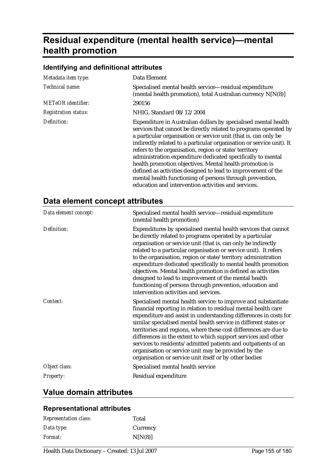# **Residual expenditure (mental health service)—mental health promotion**

| Metadata item type:         | Data Element                                                                                                                                                                                                                                                                                                                                                                                                                                                                                                                                                                                                                                        |
|-----------------------------|-----------------------------------------------------------------------------------------------------------------------------------------------------------------------------------------------------------------------------------------------------------------------------------------------------------------------------------------------------------------------------------------------------------------------------------------------------------------------------------------------------------------------------------------------------------------------------------------------------------------------------------------------------|
| Technical name:             | Specialised mental health service—residual expenditure<br>(mental health promotion), total Australian currency N[N(8)]                                                                                                                                                                                                                                                                                                                                                                                                                                                                                                                              |
| METeOR identifier:          | 290156                                                                                                                                                                                                                                                                                                                                                                                                                                                                                                                                                                                                                                              |
| <b>Registration status:</b> | NHIG, Standard 08/12/2004                                                                                                                                                                                                                                                                                                                                                                                                                                                                                                                                                                                                                           |
| Definition:                 | Expenditure in Australian dollars by specialised mental health<br>services that cannot be directly related to programs operated by<br>a particular organisation or service unit (that is, can only be<br>indirectly related to a particular organisation or service unit). It<br>refers to the organisation, region or state/territory<br>administration expenditure dedicated specifically to mental<br>health promotion objectives. Mental health promotion is<br>defined as activities designed to lead to improvement of the<br>mental health functioning of persons through prevention,<br>education and intervention activities and services. |

#### **Identifying and definitional attributes**

## **Data element concept attributes**

| Data element concept: | Specialised mental health service-residual expenditure<br>(mental health promotion)                                                                                                                                                                                                                                                                                                                                                                                                                                                                                                                                            |
|-----------------------|--------------------------------------------------------------------------------------------------------------------------------------------------------------------------------------------------------------------------------------------------------------------------------------------------------------------------------------------------------------------------------------------------------------------------------------------------------------------------------------------------------------------------------------------------------------------------------------------------------------------------------|
| Definition:           | Expenditures by specialised mental health services that cannot<br>be directly related to programs operated by a particular<br>organisation or service unit (that is, can only be indirectly<br>related to a particular organisation or service unit). It refers<br>to the organisation, region or state/territory administration<br>expenditure dedicated specifically to mental health promotion<br>objectives. Mental health promotion is defined as activities<br>designed to lead to improvement of the mental health<br>functioning of persons through prevention, education and<br>intervention activities and services. |
| Context:              | Specialised mental health service: to improve and substantiate<br>financial reporting in relation to residual mental health care<br>expenditure and assist in understanding differences in costs for<br>similar specialised mental health service in different states or<br>territories and regions, where these cost differences are due to<br>differences in the extent to which support services and other<br>services to residents/admitted patients and outpatients of an<br>organisation or service unit may be provided by the<br>organisation or service unit itself or by other bodies                                |
| Object class:         | Specialised mental health service                                                                                                                                                                                                                                                                                                                                                                                                                                                                                                                                                                                              |
| <b>Property:</b>      | Residual expenditure                                                                                                                                                                                                                                                                                                                                                                                                                                                                                                                                                                                                           |

### **Value domain attributes**

#### **Representational attributes**

| <b>Representation class:</b> | Total    |
|------------------------------|----------|
| Data type:                   | Currency |
| <i>Format:</i>               | N[N(8)]  |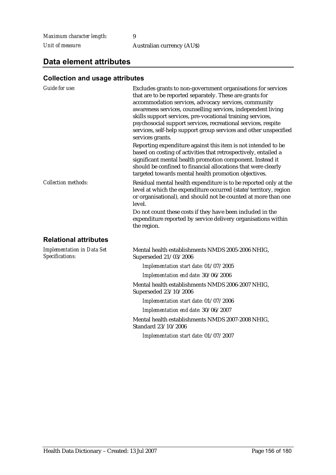*Maximum character length:* 9

*Unit of measure:* Australian currency (AU\$)

## **Data element attributes**

| Guide for use:                                       | Excludes grants to non-government organisations for services<br>that are to be reported separately. These are grants for<br>accommodation services, advocacy services, community<br>awareness services, counselling services, independent living<br>skills support services, pre-vocational training services,<br>psychosocial support services, recreational services, respite<br>services, self-help support group services and other unspecified<br>services grants.<br>Reporting expenditure against this item is not intended to be<br>based on costing of activities that retrospectively, entailed a<br>significant mental health promotion component. Instead it<br>should be confined to financial allocations that were clearly<br>targeted towards mental health promotion objectives. |
|------------------------------------------------------|---------------------------------------------------------------------------------------------------------------------------------------------------------------------------------------------------------------------------------------------------------------------------------------------------------------------------------------------------------------------------------------------------------------------------------------------------------------------------------------------------------------------------------------------------------------------------------------------------------------------------------------------------------------------------------------------------------------------------------------------------------------------------------------------------|
| <b>Collection methods:</b>                           | Residual mental health expenditure is to be reported only at the<br>level at which the expenditure occurred (state/territory, region<br>or organisational), and should not be counted at more than one<br>level.<br>Do not count these costs if they have been included in the<br>expenditure reported by service delivery organisations within<br>the region.                                                                                                                                                                                                                                                                                                                                                                                                                                    |
| <b>Relational attributes</b>                         |                                                                                                                                                                                                                                                                                                                                                                                                                                                                                                                                                                                                                                                                                                                                                                                                   |
|                                                      |                                                                                                                                                                                                                                                                                                                                                                                                                                                                                                                                                                                                                                                                                                                                                                                                   |
| <b>Implementation in Data Set</b><br>Specifications: | Mental health establishments NMDS 2005-2006 NHIG,<br>Superseded 21/03/2006                                                                                                                                                                                                                                                                                                                                                                                                                                                                                                                                                                                                                                                                                                                        |
|                                                      | Implementation start date: 01/07/2005                                                                                                                                                                                                                                                                                                                                                                                                                                                                                                                                                                                                                                                                                                                                                             |
|                                                      | Implementation end date: 30/06/2006                                                                                                                                                                                                                                                                                                                                                                                                                                                                                                                                                                                                                                                                                                                                                               |
|                                                      | Mental health establishments NMDS 2006-2007 NHIG,<br>Superseded 23/10/2006                                                                                                                                                                                                                                                                                                                                                                                                                                                                                                                                                                                                                                                                                                                        |
|                                                      | Implementation start date: 01/07/2006                                                                                                                                                                                                                                                                                                                                                                                                                                                                                                                                                                                                                                                                                                                                                             |
|                                                      | Implementation end date: 30/06/2007                                                                                                                                                                                                                                                                                                                                                                                                                                                                                                                                                                                                                                                                                                                                                               |
|                                                      | Mental health establishments NMDS 2007-2008 NHIG,<br>Standard 23/10/2006                                                                                                                                                                                                                                                                                                                                                                                                                                                                                                                                                                                                                                                                                                                          |
|                                                      | Implementation start date: 01/07/2007                                                                                                                                                                                                                                                                                                                                                                                                                                                                                                                                                                                                                                                                                                                                                             |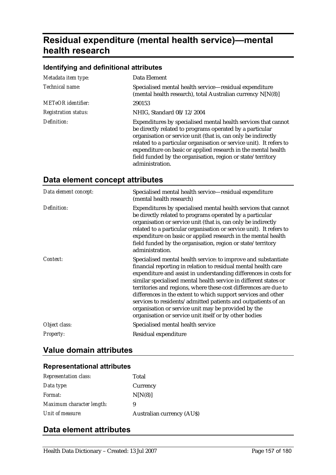# **Residual expenditure (mental health service)—mental health research**

#### **Identifying and definitional attributes**

| Metadata item type:         | Data Element                                                                                                                                                                                                                                                                                                                                                                                                          |
|-----------------------------|-----------------------------------------------------------------------------------------------------------------------------------------------------------------------------------------------------------------------------------------------------------------------------------------------------------------------------------------------------------------------------------------------------------------------|
| Technical name:             | Specialised mental health service—residual expenditure<br>(mental health research), total Australian currency N[N(8)]                                                                                                                                                                                                                                                                                                 |
| <b>METeOR</b> identifier:   | 290153                                                                                                                                                                                                                                                                                                                                                                                                                |
| <b>Registration status:</b> | NHIG, Standard 08/12/2004                                                                                                                                                                                                                                                                                                                                                                                             |
| Definition:                 | Expenditures by specialised mental health services that cannot<br>be directly related to programs operated by a particular<br>organisation or service unit (that is, can only be indirectly<br>related to a particular organisation or service unit). It refers to<br>expenditure on basic or applied research in the mental health<br>field funded by the organisation, region or state/territory<br>administration. |

| Data element concept: | Specialised mental health service-residual expenditure<br>(mental health research)                                                                                                                                                                                                                                                                                                                                                                                                                                                                                                              |
|-----------------------|-------------------------------------------------------------------------------------------------------------------------------------------------------------------------------------------------------------------------------------------------------------------------------------------------------------------------------------------------------------------------------------------------------------------------------------------------------------------------------------------------------------------------------------------------------------------------------------------------|
| Definition:           | Expenditures by specialised mental health services that cannot<br>be directly related to programs operated by a particular<br>organisation or service unit (that is, can only be indirectly<br>related to a particular organisation or service unit). It refers to<br>expenditure on basic or applied research in the mental health<br>field funded by the organisation, region or state/territory<br>administration.                                                                                                                                                                           |
| Context:              | Specialised mental health service: to improve and substantiate<br>financial reporting in relation to residual mental health care<br>expenditure and assist in understanding differences in costs for<br>similar specialised mental health service in different states or<br>territories and regions, where these cost differences are due to<br>differences in the extent to which support services and other<br>services to residents/admitted patients and outpatients of an<br>organisation or service unit may be provided by the<br>organisation or service unit itself or by other bodies |
| Object class:         | Specialised mental health service                                                                                                                                                                                                                                                                                                                                                                                                                                                                                                                                                               |
| <i>Property:</i>      | Residual expenditure                                                                                                                                                                                                                                                                                                                                                                                                                                                                                                                                                                            |

## **Data element concept attributes**

## **Value domain attributes**

## **Representational attributes**

| <b>Representation class:</b> | Total                            |
|------------------------------|----------------------------------|
| Data type:                   | Currency                         |
| <i>Format:</i>               | N[N(8)]                          |
| Maximum character length:    | 9                                |
| Unit of measure:             | <b>Australian currency (AUS)</b> |

### **Data element attributes**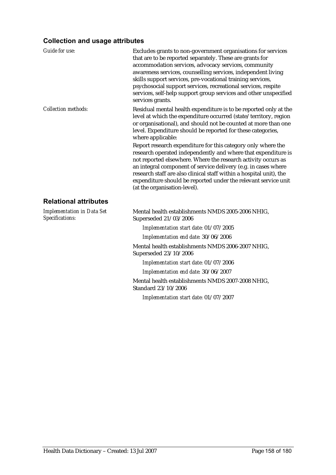| <b>Guide for use:</b>                                | Excludes grants to non-government organisations for services<br>that are to be reported separately. These are grants for<br>accommodation services, advocacy services, community<br>awareness services, counselling services, independent living<br>skills support services, pre-vocational training services,<br>psychosocial support services, recreational services, respite<br>services, self-help support group services and other unspecified<br>services grants. |
|------------------------------------------------------|-------------------------------------------------------------------------------------------------------------------------------------------------------------------------------------------------------------------------------------------------------------------------------------------------------------------------------------------------------------------------------------------------------------------------------------------------------------------------|
| <b>Collection methods:</b>                           | Residual mental health expenditure is to be reported only at the<br>level at which the expenditure occurred (state/territory, region<br>or organisational), and should not be counted at more than one<br>level. Expenditure should be reported for these categories,<br>where applicable:                                                                                                                                                                              |
|                                                      | Report research expenditure for this category only where the<br>research operated independently and where that expenditure is<br>not reported elsewhere. Where the research activity occurs as<br>an integral component of service delivery (e.g. in cases where<br>research staff are also clinical staff within a hospital unit), the<br>expenditure should be reported under the relevant service unit<br>(at the organisation-level).                               |
| <b>Relational attributes</b>                         |                                                                                                                                                                                                                                                                                                                                                                                                                                                                         |
| <b>Implementation in Data Set</b><br>Specifications: | Mental health establishments NMDS 2005-2006 NHIG,<br>Superseded 21/03/2006                                                                                                                                                                                                                                                                                                                                                                                              |
|                                                      | Implementation start date: 01/07/2005                                                                                                                                                                                                                                                                                                                                                                                                                                   |
|                                                      | Implementation end date: 30/06/2006                                                                                                                                                                                                                                                                                                                                                                                                                                     |
|                                                      | Mental health establishments NMDS 2006-2007 NHIG,<br>Superseded 23/10/2006                                                                                                                                                                                                                                                                                                                                                                                              |
|                                                      | Implementation start date: 01/07/2006                                                                                                                                                                                                                                                                                                                                                                                                                                   |
|                                                      | Implementation end date: 30/06/2007                                                                                                                                                                                                                                                                                                                                                                                                                                     |
|                                                      | Mental health establishments NMDS 2007-2008 NHIG,<br>Standard 23/10/2006                                                                                                                                                                                                                                                                                                                                                                                                |
|                                                      | Implementation start date: 01/07/2007                                                                                                                                                                                                                                                                                                                                                                                                                                   |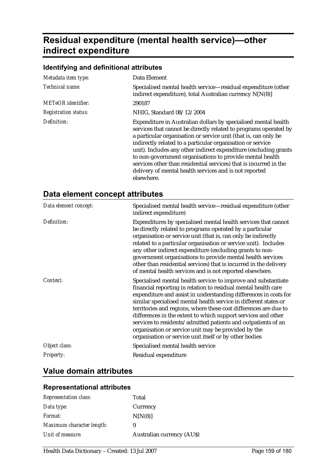# **Residual expenditure (mental health service)—other indirect expenditure**

### **Identifying and definitional attributes**

| Metadata item type:         | Data Element                                                                                                                                                                                                                                                                                                                                                                                                                                                                                                                                     |
|-----------------------------|--------------------------------------------------------------------------------------------------------------------------------------------------------------------------------------------------------------------------------------------------------------------------------------------------------------------------------------------------------------------------------------------------------------------------------------------------------------------------------------------------------------------------------------------------|
| Technical name:             | Specialised mental health service—residual expenditure (other<br>indirect expenditure), total Australian currency N[N(8)]                                                                                                                                                                                                                                                                                                                                                                                                                        |
| <b>METeOR</b> identifier:   | 290187                                                                                                                                                                                                                                                                                                                                                                                                                                                                                                                                           |
| <b>Registration status:</b> | NHIG, Standard 08/12/2004                                                                                                                                                                                                                                                                                                                                                                                                                                                                                                                        |
| Definition:                 | Expenditure in Australian dollars by specialised mental health<br>services that cannot be directly related to programs operated by<br>a particular organisation or service unit (that is, can only be<br>indirectly related to a particular organisation or service<br>unit). Includes any other indirect expenditure (excluding grants<br>to non-government organisations to provide mental health<br>services other than residential services) that is incurred in the<br>delivery of mental health services and is not reported<br>elsewhere. |

## **Data element concept attributes**

| Data element concept: | Specialised mental health service—residual expenditure (other<br>indirect expenditure)                                                                                                                                                                                                                                                                                                                                                                                                                                                                                                          |
|-----------------------|-------------------------------------------------------------------------------------------------------------------------------------------------------------------------------------------------------------------------------------------------------------------------------------------------------------------------------------------------------------------------------------------------------------------------------------------------------------------------------------------------------------------------------------------------------------------------------------------------|
| Definition:           | Expenditures by specialised mental health services that cannot<br>be directly related to programs operated by a particular<br>organisation or service unit (that is, can only be indirectly<br>related to a particular organisation or service unit). Includes<br>any other indirect expenditure (excluding grants to non-<br>government organisations to provide mental health services<br>other than residential services) that is incurred in the delivery<br>of mental health services and is not reported elsewhere.                                                                       |
| Context:              | Specialised mental health service: to improve and substantiate<br>financial reporting in relation to residual mental health care<br>expenditure and assist in understanding differences in costs for<br>similar specialised mental health service in different states or<br>territories and regions, where these cost differences are due to<br>differences in the extent to which support services and other<br>services to residents/admitted patients and outpatients of an<br>organisation or service unit may be provided by the<br>organisation or service unit itself or by other bodies |
| Object class:         | Specialised mental health service                                                                                                                                                                                                                                                                                                                                                                                                                                                                                                                                                               |
| <b>Property:</b>      | Residual expenditure                                                                                                                                                                                                                                                                                                                                                                                                                                                                                                                                                                            |

## **Value domain attributes**

#### **Representational attributes**

| Total                            |
|----------------------------------|
| Currency                         |
| N[N(8)]                          |
| 9                                |
| <b>Australian currency (AUS)</b> |
|                                  |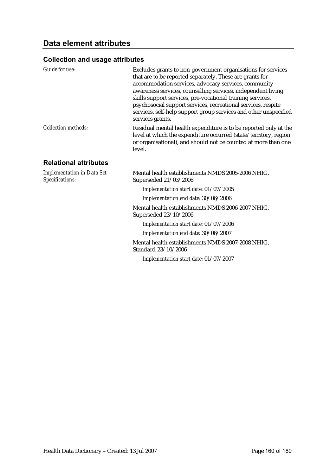| Guide for use:                                       | Excludes grants to non-government organisations for services<br>that are to be reported separately. These are grants for<br>accommodation services, advocacy services, community<br>awareness services, counselling services, independent living<br>skills support services, pre-vocational training services,<br>psychosocial support services, recreational services, respite<br>services, self-help support group services and other unspecified<br>services grants. |
|------------------------------------------------------|-------------------------------------------------------------------------------------------------------------------------------------------------------------------------------------------------------------------------------------------------------------------------------------------------------------------------------------------------------------------------------------------------------------------------------------------------------------------------|
| <b>Collection methods:</b>                           | Residual mental health expenditure is to be reported only at the<br>level at which the expenditure occurred (state/territory, region<br>or organisational), and should not be counted at more than one<br>level.                                                                                                                                                                                                                                                        |
| <b>Relational attributes</b>                         |                                                                                                                                                                                                                                                                                                                                                                                                                                                                         |
| <b>Implementation in Data Set</b><br>Specifications: | Mental health establishments NMDS 2005-2006 NHIG,<br>Superseded 21/03/2006                                                                                                                                                                                                                                                                                                                                                                                              |
|                                                      | Implementation start date: 01/07/2005                                                                                                                                                                                                                                                                                                                                                                                                                                   |
|                                                      | Implementation end date: 30/06/2006                                                                                                                                                                                                                                                                                                                                                                                                                                     |
|                                                      | Mental health establishments NMDS 2006-2007 NHIG,<br>Superseded 23/10/2006                                                                                                                                                                                                                                                                                                                                                                                              |
|                                                      | Implementation start date: 01/07/2006                                                                                                                                                                                                                                                                                                                                                                                                                                   |
|                                                      | Implementation end date: 30/06/2007                                                                                                                                                                                                                                                                                                                                                                                                                                     |
|                                                      | Mental health establishments NMDS 2007-2008 NHIG,<br>Standard 23/10/2006                                                                                                                                                                                                                                                                                                                                                                                                |
|                                                      | Implementation start date: 01/07/2007                                                                                                                                                                                                                                                                                                                                                                                                                                   |
|                                                      |                                                                                                                                                                                                                                                                                                                                                                                                                                                                         |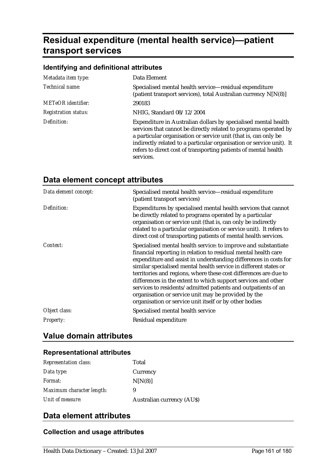# **Residual expenditure (mental health service)—patient transport services**

|  | Identifying and definitional attributes |
|--|-----------------------------------------|
|--|-----------------------------------------|

| Metadata item type:         | Data Element                                                                                                                                                                                                                                                                                                                                                  |
|-----------------------------|---------------------------------------------------------------------------------------------------------------------------------------------------------------------------------------------------------------------------------------------------------------------------------------------------------------------------------------------------------------|
| Technical name:             | Specialised mental health service—residual expenditure<br>(patient transport services), total Australian currency N[N(8)]                                                                                                                                                                                                                                     |
| METeOR identifier:          | 290183                                                                                                                                                                                                                                                                                                                                                        |
| <b>Registration status:</b> | NHIG, Standard 08/12/2004                                                                                                                                                                                                                                                                                                                                     |
| Definition:                 | Expenditure in Australian dollars by specialised mental health<br>services that cannot be directly related to programs operated by<br>a particular organisation or service unit (that is, can only be<br>indirectly related to a particular organisation or service unit). It<br>refers to direct cost of transporting patients of mental health<br>services. |

| Data element concept: | Specialised mental health service-residual expenditure<br>(patient transport services)                                                                                                                                                                                                                                                                                                                                                                                                                                                                                                          |
|-----------------------|-------------------------------------------------------------------------------------------------------------------------------------------------------------------------------------------------------------------------------------------------------------------------------------------------------------------------------------------------------------------------------------------------------------------------------------------------------------------------------------------------------------------------------------------------------------------------------------------------|
| Definition:           | Expenditures by specialised mental health services that cannot<br>be directly related to programs operated by a particular<br>organisation or service unit (that is, can only be indirectly<br>related to a particular organisation or service unit). It refers to<br>direct cost of transporting patients of mental health services.                                                                                                                                                                                                                                                           |
| Context:              | Specialised mental health service: to improve and substantiate<br>financial reporting in relation to residual mental health care<br>expenditure and assist in understanding differences in costs for<br>similar specialised mental health service in different states or<br>territories and regions, where these cost differences are due to<br>differences in the extent to which support services and other<br>services to residents/admitted patients and outpatients of an<br>organisation or service unit may be provided by the<br>organisation or service unit itself or by other bodies |
| Object class:         | Specialised mental health service                                                                                                                                                                                                                                                                                                                                                                                                                                                                                                                                                               |
| Property:             | Residual expenditure                                                                                                                                                                                                                                                                                                                                                                                                                                                                                                                                                                            |

## **Data element concept attributes**

## **Value domain attributes**

#### **Representational attributes**

| <b>Representation class:</b> | Total                            |
|------------------------------|----------------------------------|
| Data type:                   | Currency                         |
| Format:                      | N[N(8)]                          |
| Maximum character length:    | 9                                |
| Unit of measure:             | <b>Australian currency (AUS)</b> |

### **Data element attributes**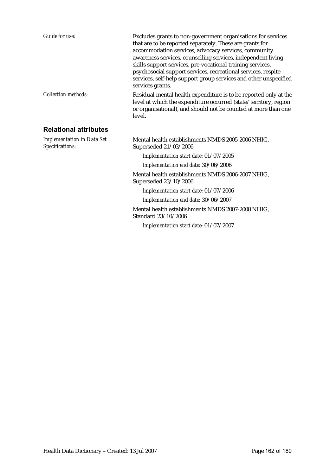| <b>Guide for use:</b>                                | Excludes grants to non-government organisations for services<br>that are to be reported separately. These are grants for<br>accommodation services, advocacy services, community<br>awareness services, counselling services, independent living<br>skills support services, pre-vocational training services,<br>psychosocial support services, recreational services, respite<br>services, self-help support group services and other unspecified<br>services grants. |
|------------------------------------------------------|-------------------------------------------------------------------------------------------------------------------------------------------------------------------------------------------------------------------------------------------------------------------------------------------------------------------------------------------------------------------------------------------------------------------------------------------------------------------------|
| <b>Collection methods:</b>                           | Residual mental health expenditure is to be reported only at the<br>level at which the expenditure occurred (state/territory, region<br>or organisational), and should not be counted at more than one<br>level.                                                                                                                                                                                                                                                        |
| <b>Relational attributes</b>                         |                                                                                                                                                                                                                                                                                                                                                                                                                                                                         |
| <b>Implementation in Data Set</b><br>Specifications: | Mental health establishments NMDS 2005-2006 NHIG,<br>Superseded 21/03/2006                                                                                                                                                                                                                                                                                                                                                                                              |
|                                                      | Implementation start date: 01/07/2005                                                                                                                                                                                                                                                                                                                                                                                                                                   |
|                                                      | Implementation end date: 30/06/2006                                                                                                                                                                                                                                                                                                                                                                                                                                     |
|                                                      | Mental health establishments NMDS 2006-2007 NHIG,<br>Superseded 23/10/2006                                                                                                                                                                                                                                                                                                                                                                                              |
|                                                      | Implementation start date: 01/07/2006                                                                                                                                                                                                                                                                                                                                                                                                                                   |
|                                                      | Implementation end date: 30/06/2007                                                                                                                                                                                                                                                                                                                                                                                                                                     |
|                                                      | Mental health establishments NMDS 2007-2008 NHIG,<br>Standard 23/10/2006                                                                                                                                                                                                                                                                                                                                                                                                |
|                                                      | Implementation start date: 01/07/2007                                                                                                                                                                                                                                                                                                                                                                                                                                   |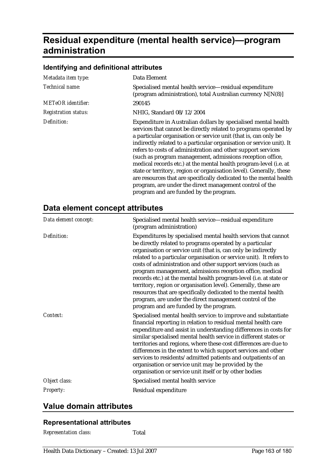# **Residual expenditure (mental health service)—program administration**

| Metadata item type:         | Data Element                                                                                                                                                                                                                                                                                                                                                                                                                                                                                                                                                                                                                                                                                                                      |
|-----------------------------|-----------------------------------------------------------------------------------------------------------------------------------------------------------------------------------------------------------------------------------------------------------------------------------------------------------------------------------------------------------------------------------------------------------------------------------------------------------------------------------------------------------------------------------------------------------------------------------------------------------------------------------------------------------------------------------------------------------------------------------|
| Technical name:             | Specialised mental health service-residual expenditure<br>(program administration), total Australian currency N[N(8)]                                                                                                                                                                                                                                                                                                                                                                                                                                                                                                                                                                                                             |
| METeOR identifier:          | 290145                                                                                                                                                                                                                                                                                                                                                                                                                                                                                                                                                                                                                                                                                                                            |
| <b>Registration status:</b> | NHIG, Standard 08/12/2004                                                                                                                                                                                                                                                                                                                                                                                                                                                                                                                                                                                                                                                                                                         |
| Definition:                 | Expenditure in Australian dollars by specialised mental health<br>services that cannot be directly related to programs operated by<br>a particular organisation or service unit (that is, can only be<br>indirectly related to a particular organisation or service unit). It<br>refers to costs of administration and other support services<br>(such as program management, admissions reception office,<br>medical records etc.) at the mental health program-level (i.e. at<br>state or territory, region or organisation level). Generally, these<br>are resources that are specifically dedicated to the mental health<br>program, are under the direct management control of the<br>program and are funded by the program. |

#### **Identifying and definitional attributes**

## **Data element concept attributes**

| Data element concept: | Specialised mental health service-residual expenditure<br>(program administration)                                                                                                                                                                                                                                                                                                                                                                                                                                                                                                                                                                                                                           |
|-----------------------|--------------------------------------------------------------------------------------------------------------------------------------------------------------------------------------------------------------------------------------------------------------------------------------------------------------------------------------------------------------------------------------------------------------------------------------------------------------------------------------------------------------------------------------------------------------------------------------------------------------------------------------------------------------------------------------------------------------|
| Definition:           | Expenditures by specialised mental health services that cannot<br>be directly related to programs operated by a particular<br>organisation or service unit (that is, can only be indirectly<br>related to a particular organisation or service unit). It refers to<br>costs of administration and other support services (such as<br>program management, admissions reception office, medical<br>records etc.) at the mental health program-level (i.e. at state or<br>territory, region or organisation level). Generally, these are<br>resources that are specifically dedicated to the mental health<br>program, are under the direct management control of the<br>program and are funded by the program. |
| Context:              | Specialised mental health service: to improve and substantiate<br>financial reporting in relation to residual mental health care<br>expenditure and assist in understanding differences in costs for<br>similar specialised mental health service in different states or<br>territories and regions, where these cost differences are due to<br>differences in the extent to which support services and other<br>services to residents/admitted patients and outpatients of an<br>organisation or service unit may be provided by the<br>organisation or service unit itself or by other bodies                                                                                                              |
| Object class:         | Specialised mental health service                                                                                                                                                                                                                                                                                                                                                                                                                                                                                                                                                                                                                                                                            |
| <b>Property:</b>      | Residual expenditure                                                                                                                                                                                                                                                                                                                                                                                                                                                                                                                                                                                                                                                                                         |

## **Value domain attributes**

#### **Representational attributes**

*Representation class:* Total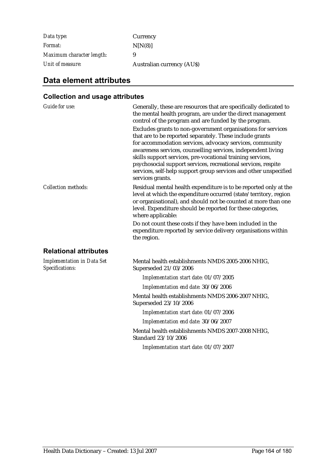*Data type:* Currency *Format:* N[N(8)] *Maximum character length:* 9 *Unit of measure:* Australian currency (AU\$)

## **Data element attributes**

| <b>Guide for use:</b>                                | Generally, these are resources that are specifically dedicated to<br>the mental health program, are under the direct management<br>control of the program and are funded by the program.<br>Excludes grants to non-government organisations for services<br>that are to be reported separately. These include grants<br>for accommodation services, advocacy services, community<br>awareness services, counselling services, independent living<br>skills support services, pre-vocational training services,<br>psychosocial support services, recreational services, respite<br>services, self-help support group services and other unspecified<br>services grants. |
|------------------------------------------------------|-------------------------------------------------------------------------------------------------------------------------------------------------------------------------------------------------------------------------------------------------------------------------------------------------------------------------------------------------------------------------------------------------------------------------------------------------------------------------------------------------------------------------------------------------------------------------------------------------------------------------------------------------------------------------|
| <b>Collection methods:</b>                           | Residual mental health expenditure is to be reported only at the<br>level at which the expenditure occurred (state/territory, region<br>or organisational), and should not be counted at more than one<br>level. Expenditure should be reported for these categories,<br>where applicable:<br>Do not count these costs if they have been included in the<br>expenditure reported by service delivery organisations within<br>the region.                                                                                                                                                                                                                                |
| <b>Relational attributes</b>                         |                                                                                                                                                                                                                                                                                                                                                                                                                                                                                                                                                                                                                                                                         |
| <b>Implementation in Data Set</b><br>Specifications: | Mental health establishments NMDS 2005-2006 NHIG,<br>Superseded 21/03/2006                                                                                                                                                                                                                                                                                                                                                                                                                                                                                                                                                                                              |
|                                                      | Implementation start date: 01/07/2005                                                                                                                                                                                                                                                                                                                                                                                                                                                                                                                                                                                                                                   |
|                                                      | Implementation end date: 30/06/2006                                                                                                                                                                                                                                                                                                                                                                                                                                                                                                                                                                                                                                     |
|                                                      | Mental health establishments NMDS 2006-2007 NHIG,<br>Superseded 23/10/2006                                                                                                                                                                                                                                                                                                                                                                                                                                                                                                                                                                                              |
|                                                      | Implementation start date: 01/07/2006                                                                                                                                                                                                                                                                                                                                                                                                                                                                                                                                                                                                                                   |
|                                                      | Implementation end date: 30/06/2007                                                                                                                                                                                                                                                                                                                                                                                                                                                                                                                                                                                                                                     |
|                                                      | Mental health establishments NMDS 2007-2008 NHIG,<br>Standard 23/10/2006                                                                                                                                                                                                                                                                                                                                                                                                                                                                                                                                                                                                |
|                                                      | Implementation start date: 01/07/2007                                                                                                                                                                                                                                                                                                                                                                                                                                                                                                                                                                                                                                   |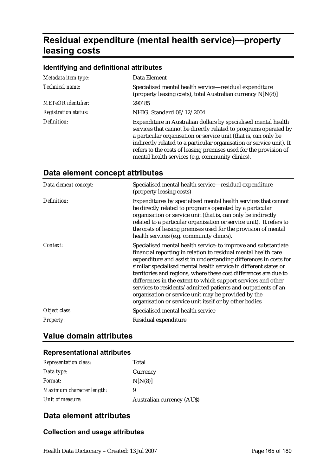# **Residual expenditure (mental health service)—property leasing costs**

#### **Identifying and definitional attributes**

| Metadata item type:         | Data Element                                                                                                                                                                                                                                                                                                                                                                                           |
|-----------------------------|--------------------------------------------------------------------------------------------------------------------------------------------------------------------------------------------------------------------------------------------------------------------------------------------------------------------------------------------------------------------------------------------------------|
| Technical name:             | Specialised mental health service—residual expenditure<br>(property leasing costs), total Australian currency N[N(8)]                                                                                                                                                                                                                                                                                  |
| <b>METeOR</b> identifier:   | 290185                                                                                                                                                                                                                                                                                                                                                                                                 |
| <b>Registration status:</b> | NHIG, Standard 08/12/2004                                                                                                                                                                                                                                                                                                                                                                              |
| Definition:                 | Expenditure in Australian dollars by specialised mental health<br>services that cannot be directly related to programs operated by<br>a particular organisation or service unit (that is, can only be<br>indirectly related to a particular organisation or service unit). It<br>refers to the costs of leasing premises used for the provision of<br>mental health services (e.g. community clinics). |

## **Data element concept attributes**

| Data element concept: | Specialised mental health service—residual expenditure<br>(property leasing costs)                                                                                                                                                                                                                                                                                                                                                                                                                                                                                                              |
|-----------------------|-------------------------------------------------------------------------------------------------------------------------------------------------------------------------------------------------------------------------------------------------------------------------------------------------------------------------------------------------------------------------------------------------------------------------------------------------------------------------------------------------------------------------------------------------------------------------------------------------|
| Definition:           | Expenditures by specialised mental health services that cannot<br>be directly related to programs operated by a particular<br>organisation or service unit (that is, can only be indirectly<br>related to a particular organisation or service unit). It refers to<br>the costs of leasing premises used for the provision of mental<br>health services (e.g. community clinics).                                                                                                                                                                                                               |
| Context:              | Specialised mental health service: to improve and substantiate<br>financial reporting in relation to residual mental health care<br>expenditure and assist in understanding differences in costs for<br>similar specialised mental health service in different states or<br>territories and regions, where these cost differences are due to<br>differences in the extent to which support services and other<br>services to residents/admitted patients and outpatients of an<br>organisation or service unit may be provided by the<br>organisation or service unit itself or by other bodies |
| Object class:         | Specialised mental health service                                                                                                                                                                                                                                                                                                                                                                                                                                                                                                                                                               |
| <b>Property:</b>      | Residual expenditure                                                                                                                                                                                                                                                                                                                                                                                                                                                                                                                                                                            |

## **Value domain attributes**

#### **Representational attributes**

| <b>Representation class:</b> | Total                            |
|------------------------------|----------------------------------|
| Data type:                   | Currency                         |
| <i>Format:</i>               | N[N(8)]                          |
| Maximum character length:    | 9                                |
| Unit of measure:             | <b>Australian currency (AUS)</b> |

### **Data element attributes**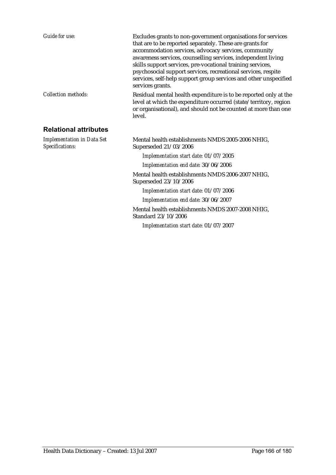| <b>Guide for use:</b>                                | Excludes grants to non-government organisations for services<br>that are to be reported separately. These are grants for<br>accommodation services, advocacy services, community<br>awareness services, counselling services, independent living<br>skills support services, pre-vocational training services,<br>psychosocial support services, recreational services, respite<br>services, self-help support group services and other unspecified<br>services grants. |
|------------------------------------------------------|-------------------------------------------------------------------------------------------------------------------------------------------------------------------------------------------------------------------------------------------------------------------------------------------------------------------------------------------------------------------------------------------------------------------------------------------------------------------------|
| <b>Collection methods:</b>                           | Residual mental health expenditure is to be reported only at the<br>level at which the expenditure occurred (state/territory, region<br>or organisational), and should not be counted at more than one<br>level.                                                                                                                                                                                                                                                        |
| <b>Relational attributes</b>                         |                                                                                                                                                                                                                                                                                                                                                                                                                                                                         |
| <b>Implementation in Data Set</b><br>Specifications: | Mental health establishments NMDS 2005-2006 NHIG,<br>Superseded 21/03/2006                                                                                                                                                                                                                                                                                                                                                                                              |
|                                                      | Implementation start date: 01/07/2005                                                                                                                                                                                                                                                                                                                                                                                                                                   |
|                                                      | Implementation end date: 30/06/2006                                                                                                                                                                                                                                                                                                                                                                                                                                     |
|                                                      | Mental health establishments NMDS 2006-2007 NHIG,<br>Superseded 23/10/2006                                                                                                                                                                                                                                                                                                                                                                                              |
|                                                      | Implementation start date: 01/07/2006                                                                                                                                                                                                                                                                                                                                                                                                                                   |
|                                                      | Implementation end date: 30/06/2007                                                                                                                                                                                                                                                                                                                                                                                                                                     |
|                                                      | Mental health establishments NMDS 2007-2008 NHIG,<br>Standard 23/10/2006                                                                                                                                                                                                                                                                                                                                                                                                |
|                                                      | Implementation start date: 01/07/2007                                                                                                                                                                                                                                                                                                                                                                                                                                   |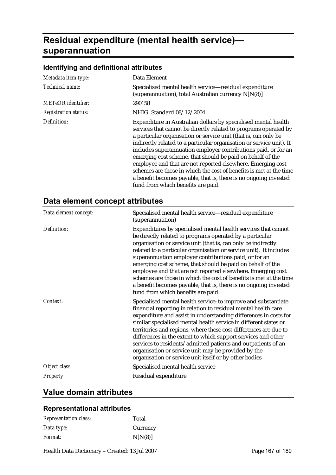# **Residual expenditure (mental health service) superannuation**

| Metadata item type:         | Data Element                                                                                                                                                                                                                                                                                                                                                                                                                                                                                                                                                                                                                                                 |
|-----------------------------|--------------------------------------------------------------------------------------------------------------------------------------------------------------------------------------------------------------------------------------------------------------------------------------------------------------------------------------------------------------------------------------------------------------------------------------------------------------------------------------------------------------------------------------------------------------------------------------------------------------------------------------------------------------|
| Technical name:             | Specialised mental health service—residual expenditure<br>(superannuation), total Australian currency N[N(8)]                                                                                                                                                                                                                                                                                                                                                                                                                                                                                                                                                |
| <b>METeOR</b> identifier:   | 290158                                                                                                                                                                                                                                                                                                                                                                                                                                                                                                                                                                                                                                                       |
| <b>Registration status:</b> | NHIG, Standard 08/12/2004                                                                                                                                                                                                                                                                                                                                                                                                                                                                                                                                                                                                                                    |
| Definition:                 | Expenditure in Australian dollars by specialised mental health<br>services that cannot be directly related to programs operated by<br>a particular organisation or service unit (that is, can only be<br>indirectly related to a particular organisation or service unit). It<br>includes superannuation employer contributions paid, or for an<br>emerging cost scheme, that should be paid on behalf of the<br>employee and that are not reported elsewhere. Emerging cost<br>schemes are those in which the cost of benefits is met at the time<br>a benefit becomes payable, that is, there is no ongoing invested<br>fund from which benefits are paid. |

## **Data element concept attributes**

| Data element concept: | Specialised mental health service-residual expenditure<br>(superannuation)                                                                                                                                                                                                                                                                                                                                                                                                                                                                                                                                                              |
|-----------------------|-----------------------------------------------------------------------------------------------------------------------------------------------------------------------------------------------------------------------------------------------------------------------------------------------------------------------------------------------------------------------------------------------------------------------------------------------------------------------------------------------------------------------------------------------------------------------------------------------------------------------------------------|
| Definition:           | Expenditures by specialised mental health services that cannot<br>be directly related to programs operated by a particular<br>organisation or service unit (that is, can only be indirectly<br>related to a particular organisation or service unit). It includes<br>superannuation employer contributions paid, or for an<br>emerging cost scheme, that should be paid on behalf of the<br>employee and that are not reported elsewhere. Emerging cost<br>schemes are those in which the cost of benefits is met at the time<br>a benefit becomes payable, that is, there is no ongoing invested<br>fund from which benefits are paid. |
| Context:              | Specialised mental health service: to improve and substantiate<br>financial reporting in relation to residual mental health care<br>expenditure and assist in understanding differences in costs for<br>similar specialised mental health service in different states or<br>territories and regions, where these cost differences are due to<br>differences in the extent to which support services and other<br>services to residents/admitted patients and outpatients of an<br>organisation or service unit may be provided by the<br>organisation or service unit itself or by other bodies                                         |
| Object class:         | Specialised mental health service                                                                                                                                                                                                                                                                                                                                                                                                                                                                                                                                                                                                       |
| <b>Property:</b>      | Residual expenditure                                                                                                                                                                                                                                                                                                                                                                                                                                                                                                                                                                                                                    |

### **Value domain attributes**

#### **Representational attributes**

| <b>Representation class:</b> | Total    |
|------------------------------|----------|
| Data type:                   | Currency |
| Format:                      | N[N(8)]  |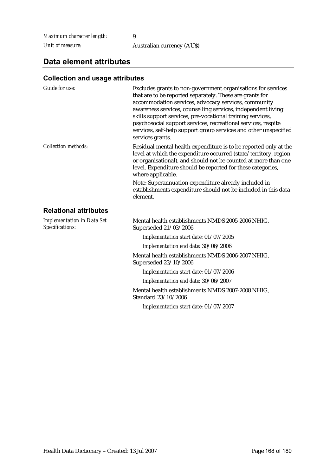*Maximum character length:* 9

*Unit of measure:* Australian currency (AU\$)

### **Data element attributes**

#### **Collection and usage attributes**

| <b>Guide for use:</b>                                | Excludes grants to non-government organisations for services<br>that are to be reported separately. These are grants for<br>accommodation services, advocacy services, community<br>awareness services, counselling services, independent living<br>skills support services, pre-vocational training services,<br>psychosocial support services, recreational services, respite<br>services, self-help support group services and other unspecified<br>services grants. |
|------------------------------------------------------|-------------------------------------------------------------------------------------------------------------------------------------------------------------------------------------------------------------------------------------------------------------------------------------------------------------------------------------------------------------------------------------------------------------------------------------------------------------------------|
| <b>Collection methods:</b>                           | Residual mental health expenditure is to be reported only at the<br>level at which the expenditure occurred (state/territory, region<br>or organisational), and should not be counted at more than one<br>level. Expenditure should be reported for these categories,<br>where applicable.                                                                                                                                                                              |
|                                                      | Note: Superannuation expenditure already included in<br>establishments expenditure should not be included in this data<br>element.                                                                                                                                                                                                                                                                                                                                      |
| <b>Relational attributes</b>                         |                                                                                                                                                                                                                                                                                                                                                                                                                                                                         |
| <b>Implementation in Data Set</b><br>Specifications: | Mental health establishments NMDS 2005-2006 NHIG,<br>Superseded 21/03/2006                                                                                                                                                                                                                                                                                                                                                                                              |
|                                                      | Implementation start date: 01/07/2005                                                                                                                                                                                                                                                                                                                                                                                                                                   |
|                                                      | Implementation end date: 30/06/2006                                                                                                                                                                                                                                                                                                                                                                                                                                     |
|                                                      | Mental health establishments NMDS 2006-2007 NHIG,<br>Superseded 23/10/2006                                                                                                                                                                                                                                                                                                                                                                                              |
|                                                      | Implementation start date: 01/07/2006                                                                                                                                                                                                                                                                                                                                                                                                                                   |
|                                                      | Implementation end date: 30/06/2007                                                                                                                                                                                                                                                                                                                                                                                                                                     |
|                                                      | Mental health establishments NMDS 2007-2008 NHIG,<br>Standard 23/10/2006                                                                                                                                                                                                                                                                                                                                                                                                |
|                                                      | $I = I$ $I + I$ $I + I$ $I + 01/07/0007$                                                                                                                                                                                                                                                                                                                                                                                                                                |

*Implementation start date:* 01/07/2007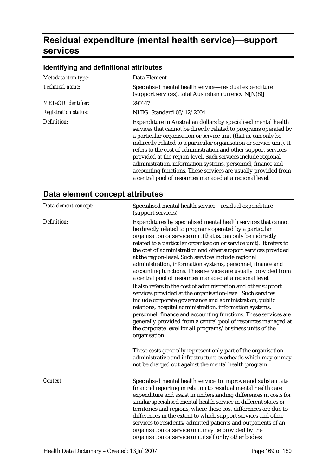# **Residual expenditure (mental health service)—support services**

## **Identifying and definitional attributes**

| Metadata item type:         | Data Element                                                                                                                                                                                                                                                                                                                                                                                                                                                                                                                                                                                                  |
|-----------------------------|---------------------------------------------------------------------------------------------------------------------------------------------------------------------------------------------------------------------------------------------------------------------------------------------------------------------------------------------------------------------------------------------------------------------------------------------------------------------------------------------------------------------------------------------------------------------------------------------------------------|
| Technical name:             | Specialised mental health service—residual expenditure<br>(support services), total Australian currency N[N(8)]                                                                                                                                                                                                                                                                                                                                                                                                                                                                                               |
| <b>METeOR</b> identifier:   | 290147                                                                                                                                                                                                                                                                                                                                                                                                                                                                                                                                                                                                        |
| <b>Registration status:</b> | NHIG, Standard 08/12/2004                                                                                                                                                                                                                                                                                                                                                                                                                                                                                                                                                                                     |
| Definition:                 | Expenditure in Australian dollars by specialised mental health<br>services that cannot be directly related to programs operated by<br>a particular organisation or service unit (that is, can only be<br>indirectly related to a particular organisation or service unit). It<br>refers to the cost of administration and other support services<br>provided at the region-level. Such services include regional<br>administration, information systems, personnel, finance and<br>accounting functions. These services are usually provided from<br>a central pool of resources managed at a regional level. |

## **Data element concept attributes**

| Data element concept: | Specialised mental health service-residual expenditure<br>(support services)                                                                                                                                                                                                                                                                                                                                                                                                                                                                                                                                                                                                                                                                                                                                                                                                                                                                                                                                                                                        |
|-----------------------|---------------------------------------------------------------------------------------------------------------------------------------------------------------------------------------------------------------------------------------------------------------------------------------------------------------------------------------------------------------------------------------------------------------------------------------------------------------------------------------------------------------------------------------------------------------------------------------------------------------------------------------------------------------------------------------------------------------------------------------------------------------------------------------------------------------------------------------------------------------------------------------------------------------------------------------------------------------------------------------------------------------------------------------------------------------------|
| Definition:           | Expenditures by specialised mental health services that cannot<br>be directly related to programs operated by a particular<br>organisation or service unit (that is, can only be indirectly<br>related to a particular organisation or service unit). It refers to<br>the cost of administration and other support services provided<br>at the region-level. Such services include regional<br>administration, information systems, personnel, finance and<br>accounting functions. These services are usually provided from<br>a central pool of resources managed at a regional level.<br>It also refers to the cost of administration and other support<br>services provided at the organisation-level. Such services<br>include corporate governance and administration, public<br>relations, hospital administration, information systems,<br>personnel, finance and accounting functions. These services are<br>generally provided from a central pool of resources managed at<br>the corporate level for all programs/business units of the<br>organisation. |
|                       | These costs generally represent only part of the organisation<br>administrative and infrastructure overheads which may or may<br>not be charged out against the mental health program.                                                                                                                                                                                                                                                                                                                                                                                                                                                                                                                                                                                                                                                                                                                                                                                                                                                                              |
| Context:              | Specialised mental health service: to improve and substantiate<br>financial reporting in relation to residual mental health care<br>expenditure and assist in understanding differences in costs for<br>similar specialised mental health service in different states or<br>territories and regions, where these cost differences are due to<br>differences in the extent to which support services and other<br>services to residents/admitted patients and outpatients of an<br>organisation or service unit may be provided by the<br>organisation or service unit itself or by other bodies                                                                                                                                                                                                                                                                                                                                                                                                                                                                     |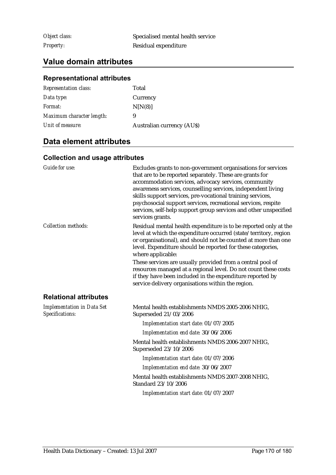*Object class:* Specialised mental health service **Property:** Residual expenditure

## **Value domain attributes**

#### **Representational attributes**

| <b>Representation class:</b> | Total                            |
|------------------------------|----------------------------------|
| Data type:                   | Currency                         |
| Format:                      | N[N(8)]                          |
| Maximum character length:    | 9                                |
| Unit of measure:             | <b>Australian currency (AUS)</b> |

## **Data element attributes**

| Guide for use:                                       | Excludes grants to non-government organisations for services<br>that are to be reported separately. These are grants for<br>accommodation services, advocacy services, community<br>awareness services, counselling services, independent living<br>skills support services, pre-vocational training services,<br>psychosocial support services, recreational services, respite<br>services, self-help support group services and other unspecified<br>services grants. |  |
|------------------------------------------------------|-------------------------------------------------------------------------------------------------------------------------------------------------------------------------------------------------------------------------------------------------------------------------------------------------------------------------------------------------------------------------------------------------------------------------------------------------------------------------|--|
| <b>Collection methods:</b>                           | Residual mental health expenditure is to be reported only at the<br>level at which the expenditure occurred (state/territory, region<br>or organisational), and should not be counted at more than one<br>level. Expenditure should be reported for these categories,<br>where applicable:                                                                                                                                                                              |  |
|                                                      | These services are usually provided from a central pool of<br>resources managed at a regional level. Do not count these costs<br>if they have been included in the expenditure reported by<br>service delivery organisations within the region.                                                                                                                                                                                                                         |  |
| <b>Relational attributes</b>                         |                                                                                                                                                                                                                                                                                                                                                                                                                                                                         |  |
| <b>Implementation in Data Set</b><br>Specifications: | Mental health establishments NMDS 2005-2006 NHIG,<br>Superseded 21/03/2006                                                                                                                                                                                                                                                                                                                                                                                              |  |
|                                                      | Implementation start date: 01/07/2005                                                                                                                                                                                                                                                                                                                                                                                                                                   |  |
|                                                      | Implementation end date: 30/06/2006                                                                                                                                                                                                                                                                                                                                                                                                                                     |  |
|                                                      | Mental health establishments NMDS 2006-2007 NHIG,<br>Superseded 23/10/2006                                                                                                                                                                                                                                                                                                                                                                                              |  |
|                                                      | Implementation start date: 01/07/2006                                                                                                                                                                                                                                                                                                                                                                                                                                   |  |
|                                                      | Implementation end date: 30/06/2007                                                                                                                                                                                                                                                                                                                                                                                                                                     |  |
|                                                      | Mental health establishments NMDS 2007-2008 NHIG,<br>Standard 23/10/2006                                                                                                                                                                                                                                                                                                                                                                                                |  |
|                                                      | Implementation start date: 01/07/2007                                                                                                                                                                                                                                                                                                                                                                                                                                   |  |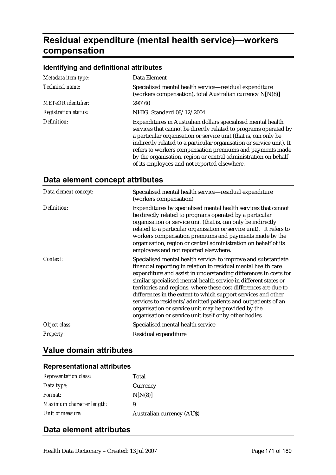# **Residual expenditure (mental health service)—workers compensation**

|                     | Identifying and definitional attributes |
|---------------------|-----------------------------------------|
| Matadata itam tyna: | Data Flament                            |

| Metadata item type:         | Data Element                                                                                                                                                                                                                                                                                                                                                                                                                                                |
|-----------------------------|-------------------------------------------------------------------------------------------------------------------------------------------------------------------------------------------------------------------------------------------------------------------------------------------------------------------------------------------------------------------------------------------------------------------------------------------------------------|
| Technical name:             | Specialised mental health service—residual expenditure<br>(workers compensation), total Australian currency N[N(8)]                                                                                                                                                                                                                                                                                                                                         |
| <b>METeOR</b> identifier:   | 290160                                                                                                                                                                                                                                                                                                                                                                                                                                                      |
| <b>Registration status:</b> | NHIG, Standard 08/12/2004                                                                                                                                                                                                                                                                                                                                                                                                                                   |
| Definition:                 | Expenditures in Australian dollars specialised mental health<br>services that cannot be directly related to programs operated by<br>a particular organisation or service unit (that is, can only be<br>indirectly related to a particular organisation or service unit). It<br>refers to workers compensation premiums and payments made<br>by the organisation, region or central administration on behalf<br>of its employees and not reported elsewhere. |

| Data element concept: | Specialised mental health service-residual expenditure<br>(workers compensation)                                                                                                                                                                                                                                                                                                                                                                                                                                                                                                                |
|-----------------------|-------------------------------------------------------------------------------------------------------------------------------------------------------------------------------------------------------------------------------------------------------------------------------------------------------------------------------------------------------------------------------------------------------------------------------------------------------------------------------------------------------------------------------------------------------------------------------------------------|
| Definition:           | Expenditures by specialised mental health services that cannot<br>be directly related to programs operated by a particular<br>organisation or service unit (that is, can only be indirectly<br>related to a particular organisation or service unit). It refers to<br>workers compensation premiums and payments made by the<br>organisation, region or central administration on behalf of its<br>employees and not reported elsewhere.                                                                                                                                                        |
| Context:              | Specialised mental health service: to improve and substantiate<br>financial reporting in relation to residual mental health care<br>expenditure and assist in understanding differences in costs for<br>similar specialised mental health service in different states or<br>territories and regions, where these cost differences are due to<br>differences in the extent to which support services and other<br>services to residents/admitted patients and outpatients of an<br>organisation or service unit may be provided by the<br>organisation or service unit itself or by other bodies |
| Object class:         | Specialised mental health service                                                                                                                                                                                                                                                                                                                                                                                                                                                                                                                                                               |
| <b>Property:</b>      | Residual expenditure                                                                                                                                                                                                                                                                                                                                                                                                                                                                                                                                                                            |

## **Data element concept attributes**

# **Value domain attributes**

## **Representational attributes**

| <b>Representation class:</b> | Total                            |
|------------------------------|----------------------------------|
| Data type:                   | Currency                         |
| <i>Format:</i>               | N[N(8)]                          |
| Maximum character length:    | 9                                |
| Unit of measure:             | <b>Australian currency (AUS)</b> |

## **Data element attributes**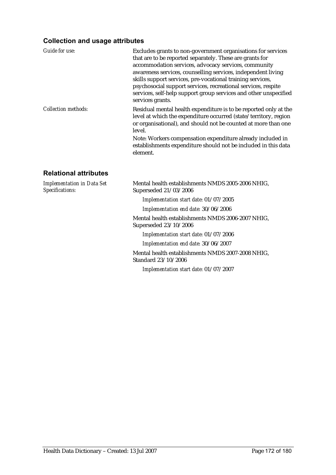#### **Collection and usage attributes**

| <b>Guide for use:</b>                                | Excludes grants to non-government organisations for services<br>that are to be reported separately. These are grants for<br>accommodation services, advocacy services, community<br>awareness services, counselling services, independent living<br>skills support services, pre-vocational training services,<br>psychosocial support services, recreational services, respite<br>services, self-help support group services and other unspecified<br>services grants. |
|------------------------------------------------------|-------------------------------------------------------------------------------------------------------------------------------------------------------------------------------------------------------------------------------------------------------------------------------------------------------------------------------------------------------------------------------------------------------------------------------------------------------------------------|
| <b>Collection methods:</b>                           | Residual mental health expenditure is to be reported only at the<br>level at which the expenditure occurred (state/territory, region<br>or organisational), and should not be counted at more than one<br>level.                                                                                                                                                                                                                                                        |
|                                                      | Note: Workers compensation expenditure already included in<br>establishments expenditure should not be included in this data<br>element.                                                                                                                                                                                                                                                                                                                                |
| <b>Relational attributes</b>                         |                                                                                                                                                                                                                                                                                                                                                                                                                                                                         |
| <b>Implementation in Data Set</b><br>Specifications: | Mental health establishments NMDS 2005-2006 NHIG,<br>Superseded 21/03/2006                                                                                                                                                                                                                                                                                                                                                                                              |
|                                                      | Implementation start date: 01/07/2005                                                                                                                                                                                                                                                                                                                                                                                                                                   |
|                                                      | Implementation end date: 30/06/2006                                                                                                                                                                                                                                                                                                                                                                                                                                     |
|                                                      | Mental health establishments NMDS 2006-2007 NHIG,<br>Superseded 23/10/2006                                                                                                                                                                                                                                                                                                                                                                                              |
|                                                      | Implementation start date: 01/07/2006                                                                                                                                                                                                                                                                                                                                                                                                                                   |

*Implementation end date:* 30/06/2007

Mental health establishments NMDS 2007-2008 NHIG, Standard 23/10/2006

*Implementation start date:* 01/07/2007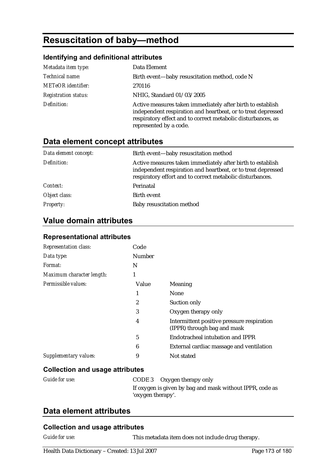# **Resuscitation of baby—method**

#### **Identifying and definitional attributes**

| Metadata item type:         | Data Element                                                                                                                                                                                                         |
|-----------------------------|----------------------------------------------------------------------------------------------------------------------------------------------------------------------------------------------------------------------|
| Technical name:             | Birth event—baby resuscitation method, code N                                                                                                                                                                        |
| <b>METeOR</b> identifier:   | 270116                                                                                                                                                                                                               |
| <b>Registration status:</b> | NHIG, Standard 01/03/2005                                                                                                                                                                                            |
| Definition:                 | Active measures taken immediately after birth to establish<br>independent respiration and heartbeat, or to treat depressed<br>respiratory effect and to correct metabolic disturbances, as<br>represented by a code. |

## **Data element concept attributes**

| Data element concept: | Birth event-baby resuscitation method                                                                                                                                                   |
|-----------------------|-----------------------------------------------------------------------------------------------------------------------------------------------------------------------------------------|
| Definition:           | Active measures taken immediately after birth to establish<br>independent respiration and heartbeat, or to treat depressed<br>respiratory effort and to correct metabolic disturbances. |
| Context:              | Perinatal                                                                                                                                                                               |
| Object class:         | Birth event                                                                                                                                                                             |
| <b>Property:</b>      | Baby resuscitation method                                                                                                                                                               |

## **Value domain attributes**

#### **Representational attributes**

| <b>Representation class:</b> | Code           |                                                                           |
|------------------------------|----------------|---------------------------------------------------------------------------|
| Data type:                   | Number         |                                                                           |
| Format:                      | N              |                                                                           |
| Maximum character length:    | 1              |                                                                           |
| Permissible values:          | Value          | Meaning                                                                   |
|                              |                | None                                                                      |
|                              | $\overline{c}$ | Suction only                                                              |
|                              | 3              | Oxygen therapy only                                                       |
|                              | 4              | Intermittent positive pressure respiration<br>(IPPR) through bag and mask |
|                              | 5              | Endotracheal intubation and IPPR                                          |
|                              | 6              | External cardiac massage and ventilation                                  |
| Supplementary values:        | 9              | Not stated                                                                |

#### **Collection and usage attributes**

| Guide for use: | CODE 3 Oxygen therapy only                               |
|----------------|----------------------------------------------------------|
|                | If oxygen is given by bag and mask without IPPR, code as |
|                | 'oxygen therapy'.                                        |

### **Data element attributes**

#### **Collection and usage attributes**

*Guide for use:* This metadata item does not include drug therapy.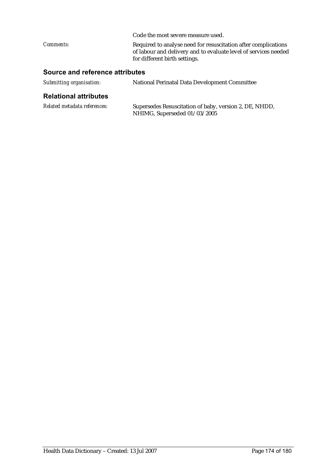|                  | Code the most severe measure used.                                                                                                                                 |
|------------------|--------------------------------------------------------------------------------------------------------------------------------------------------------------------|
| <i>Comments:</i> | Required to analyse need for resuscitation after complications<br>of labour and delivery and to evaluate level of services needed<br>for different birth settings. |
|                  |                                                                                                                                                                    |

## **Source and reference attributes**

| Submitting organisation: | National Perinatal Data Development Committee |
|--------------------------|-----------------------------------------------|
|--------------------------|-----------------------------------------------|

#### **Relational attributes**

| Related metadata references: | Supersedes Resuscitation of baby, version 2, DE, NHDD, |
|------------------------------|--------------------------------------------------------|
|                              | NHIMG, Superseded 01/03/2005                           |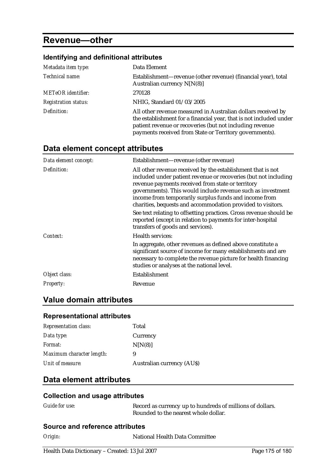## **Revenue—other**

#### **Identifying and definitional attributes**  *Metadata item type:* Data Element *Technical name:* Establishment—revenue (other revenue) (financial year), total Australian currency N[N(8)] *METeOR identifier:* 270128 *Registration status:* NHIG, Standard 01/03/2005 *Definition:* All other revenue measured in Australian dollars received by the establishment for a financial year, that is not included under patient revenue or recoveries (but not including revenue payments received from State or Territory governments).

## **Data element concept attributes**

| Data element concept: | Establishment-revenue (other revenue)                                                                                                                                                                                                                                                                                                                                      |
|-----------------------|----------------------------------------------------------------------------------------------------------------------------------------------------------------------------------------------------------------------------------------------------------------------------------------------------------------------------------------------------------------------------|
| Definition:           | All other revenue received by the establishment that is not<br>included under patient revenue or recoveries (but not including<br>revenue payments received from state or territory<br>governments). This would include revenue such as investment<br>income from temporarily surplus funds and income from<br>charities, bequests and accommodation provided to visitors. |
|                       | See text relating to offsetting practices. Gross revenue should be<br>reported (except in relation to payments for inter-hospital<br>transfers of goods and services).                                                                                                                                                                                                     |
| Context:              | <b>Health services:</b>                                                                                                                                                                                                                                                                                                                                                    |
|                       | In aggregate, other revenues as defined above constitute a<br>significant source of income for many establishments and are<br>necessary to complete the revenue picture for health financing<br>studies or analyses at the national level.                                                                                                                                 |
| Object class:         | Establishment                                                                                                                                                                                                                                                                                                                                                              |
| Property:             | Revenue                                                                                                                                                                                                                                                                                                                                                                    |

## **Value domain attributes**

#### **Representational attributes**

| <b>Representation class:</b> | Total                            |
|------------------------------|----------------------------------|
| Data type:                   | Currency                         |
| <i>Format:</i>               | N[N(8)]                          |
| Maximum character length:    | 9                                |
| Unit of measure:             | <b>Australian currency (AUS)</b> |

### **Data element attributes**

#### **Collection and usage attributes**

| Guide for use: | Record as currency up to hundreds of millions of dollars. |
|----------------|-----------------------------------------------------------|
|                | Rounded to the nearest whole dollar.                      |

#### **Source and reference attributes**

**National Health Data Committee**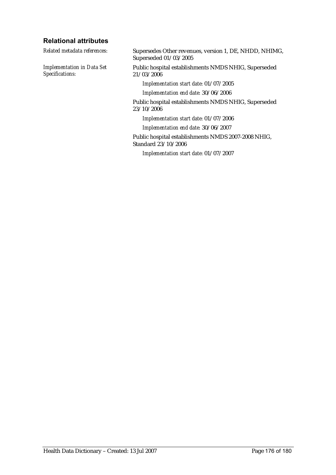#### **Relational attributes**

*Implementation in Data Set Specifications:*

*Related metadata references:* Supersedes Other revenues, version 1, DE, NHDD, NHIMG, Superseded 01/03/2005

> Public hospital establishments NMDS NHIG, Superseded 21/03/2006

*Implementation start date:* 01/07/2005

*Implementation end date:* 30/06/2006

Public hospital establishments NMDS NHIG, Superseded 23/10/2006

*Implementation start date:* 01/07/2006

*Implementation end date:* 30/06/2007

Public hospital establishments NMDS 2007-2008 NHIG, Standard 23/10/2006

*Implementation start date:* 01/07/2007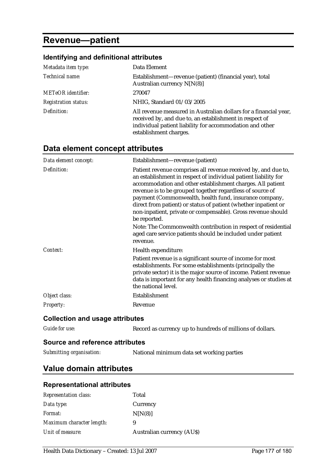# **Revenue—patient**

## **Identifying and definitional attributes**

| Metadata item type:         | Data Element                                                                                                                                                                                                      |
|-----------------------------|-------------------------------------------------------------------------------------------------------------------------------------------------------------------------------------------------------------------|
| Technical name:             | Establishment—revenue (patient) (financial year), total<br>Australian currency N[N(8)]                                                                                                                            |
| METeOR identifier:          | 270047                                                                                                                                                                                                            |
| <b>Registration status:</b> | NHIG, Standard 01/03/2005                                                                                                                                                                                         |
| Definition:                 | All revenue measured in Australian dollars for a financial year,<br>received by, and due to, an establishment in respect of<br>individual patient liability for accommodation and other<br>establishment charges. |

## **Data element concept attributes**

| Data element concept:                     | Establishment-revenue (patient)                                                                                                                                                                                                                                                                                                                                                                                                                                                                                                                                                                                       |
|-------------------------------------------|-----------------------------------------------------------------------------------------------------------------------------------------------------------------------------------------------------------------------------------------------------------------------------------------------------------------------------------------------------------------------------------------------------------------------------------------------------------------------------------------------------------------------------------------------------------------------------------------------------------------------|
| Definition:                               | Patient revenue comprises all revenue received by, and due to,<br>an establishment in respect of individual patient liability for<br>accommodation and other establishment charges. All patient<br>revenue is to be grouped together regardless of source of<br>payment (Commonwealth, health fund, insurance company,<br>direct from patient) or status of patient (whether inpatient or<br>non-inpatient, private or compensable). Gross revenue should<br>be reported.<br>Note: The Commonwealth contribution in respect of residential<br>aged care service patients should be included under patient<br>revenue. |
| Context:                                  | Health expenditure:                                                                                                                                                                                                                                                                                                                                                                                                                                                                                                                                                                                                   |
|                                           | Patient revenue is a significant source of income for most<br>establishments. For some establishments (principally the<br>private sector) it is the major source of income. Patient revenue<br>data is important for any health financing analyses or studies at<br>the national level.                                                                                                                                                                                                                                                                                                                               |
| Object class:                             | Establishment                                                                                                                                                                                                                                                                                                                                                                                                                                                                                                                                                                                                         |
| Property:                                 | Revenue                                                                                                                                                                                                                                                                                                                                                                                                                                                                                                                                                                                                               |
| <b>Collection and usage attributes</b>    |                                                                                                                                                                                                                                                                                                                                                                                                                                                                                                                                                                                                                       |
| <b>Guide for use:</b>                     | Record as currency up to hundreds of millions of dollars.                                                                                                                                                                                                                                                                                                                                                                                                                                                                                                                                                             |
| Ostare a stral professore a statular de l |                                                                                                                                                                                                                                                                                                                                                                                                                                                                                                                                                                                                                       |

## **Source and reference attributes**

#### *Submitting organisation:* National minimum data set working parties

## **Value domain attributes**

#### **Representational attributes**

| Total                            |
|----------------------------------|
| Currency                         |
| N[N(8)]                          |
| 9                                |
| <b>Australian currency (AUS)</b> |
|                                  |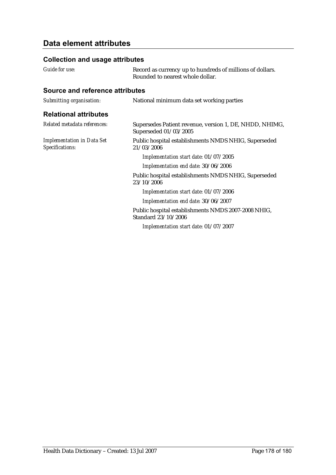## **Data element attributes**

#### **Collection and usage attributes**

| Guide for use: | Record as currency up to hundreds of millions of dollars.<br>Rounded to nearest whole dollar. |
|----------------|-----------------------------------------------------------------------------------------------|
|                |                                                                                               |

### **Source and reference attributes**

| Submitting organisation:                             | National minimum data set working parties                                        |
|------------------------------------------------------|----------------------------------------------------------------------------------|
| <b>Relational attributes</b>                         |                                                                                  |
| Related metadata references:                         | Supersedes Patient revenue, version 1, DE, NHDD, NHIMG,<br>Superseded 01/03/2005 |
| <b>Implementation in Data Set</b><br>Specifications: | Public hospital establishments NMDS NHIG, Superseded<br>21/03/2006               |
|                                                      | Implementation start date: 01/07/2005                                            |
|                                                      | Implementation end date: 30/06/2006                                              |
|                                                      | Public hospital establishments NMDS NHIG, Superseded<br>23/10/2006               |
|                                                      | Implementation start date: 01/07/2006                                            |
|                                                      | Implementation end date: 30/06/2007                                              |
|                                                      | Public hospital establishments NMDS 2007-2008 NHIG,<br>Standard 23/10/2006       |
|                                                      | Implementation start date: 01/07/2007                                            |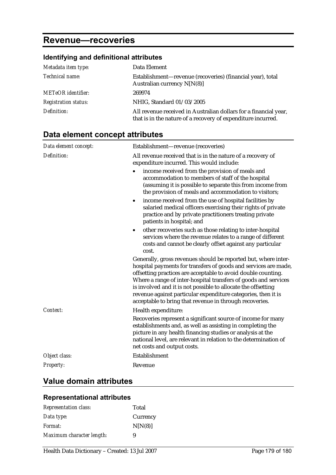## **Revenue—recoveries**

## **Identifying and definitional attributes**

| Metadata item type:         | Data Element                                                                                                                     |
|-----------------------------|----------------------------------------------------------------------------------------------------------------------------------|
| Technical name:             | Establishment—revenue (recoveries) (financial year), total<br>Australian currency $N[N(8)]$                                      |
| <b>METeOR</b> identifier:   | 269974                                                                                                                           |
| <b>Registration status:</b> | NHIG, Standard 01/03/2005                                                                                                        |
| Definition:                 | All revenue received in Australian dollars for a financial year,<br>that is in the nature of a recovery of expenditure incurred. |

## **Data element concept attributes**

| Data element concept: | Establishment-revenue (recoveries)                                                                                                                                                                                                                                                                                                                                                                                                                                 |
|-----------------------|--------------------------------------------------------------------------------------------------------------------------------------------------------------------------------------------------------------------------------------------------------------------------------------------------------------------------------------------------------------------------------------------------------------------------------------------------------------------|
| Definition:           | All revenue received that is in the nature of a recovery of<br>expenditure incurred. This would include:                                                                                                                                                                                                                                                                                                                                                           |
|                       | income received from the provision of meals and<br>accommodation to members of staff of the hospital<br>(assuming it is possible to separate this from income from<br>the provision of meals and accommodation to visitors;                                                                                                                                                                                                                                        |
|                       | income received from the use of hospital facilities by<br>$\bullet$<br>salaried medical officers exercising their rights of private<br>practice and by private practitioners treating private<br>patients in hospital; and                                                                                                                                                                                                                                         |
|                       | other recoveries such as those relating to inter-hospital<br>٠<br>services where the revenue relates to a range of different<br>costs and cannot be clearly offset against any particular<br>cost.                                                                                                                                                                                                                                                                 |
|                       | Generally, gross revenues should be reported but, where inter-<br>hospital payments for transfers of goods and services are made,<br>offsetting practices are acceptable to avoid double counting.<br>Where a range of inter-hospital transfers of goods and services<br>is involved and it is not possible to allocate the offsetting<br>revenue against particular expenditure categories, then it is<br>acceptable to bring that revenue in through recoveries. |
| Context:              | Health expenditure:                                                                                                                                                                                                                                                                                                                                                                                                                                                |
|                       | Recoveries represent a significant source of income for many<br>establishments and, as well as assisting in completing the<br>picture in any health financing studies or analysis at the<br>national level, are relevant in relation to the determination of<br>net costs and output costs.                                                                                                                                                                        |
| Object class:         | Establishment                                                                                                                                                                                                                                                                                                                                                                                                                                                      |
| Property:             | Revenue                                                                                                                                                                                                                                                                                                                                                                                                                                                            |

## **Value domain attributes**

#### **Representational attributes**

| <b>Representation class:</b> | Total    |
|------------------------------|----------|
| Data type:                   | Currency |
| <i>Format:</i>               | N[N(8)]  |
| Maximum character length:    | 9        |